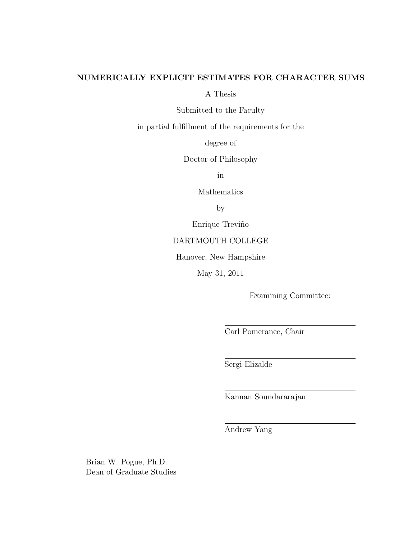#### NUMERICALLY EXPLICIT ESTIMATES FOR CHARACTER SUMS

A Thesis

Submitted to the Faculty

in partial fulfillment of the requirements for the

degree of

Doctor of Philosophy

in

Mathematics

by

Enrique Treviño

#### DARTMOUTH COLLEGE

Hanover, New Hampshire

May 31, 2011

Examining Committee:

Carl Pomerance, Chair

Sergi Elizalde

Kannan Soundararajan

Andrew Yang

Brian W. Pogue, Ph.D. Dean of Graduate Studies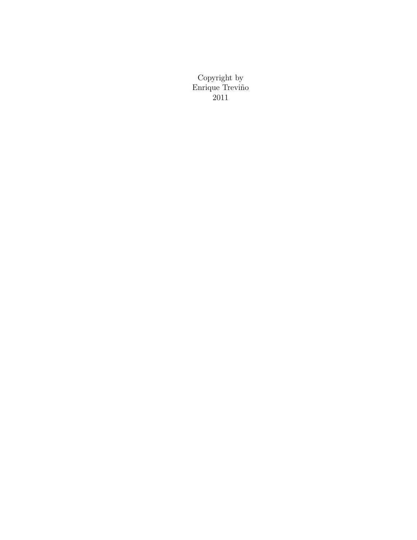Copyright by Enrique Treviño 2011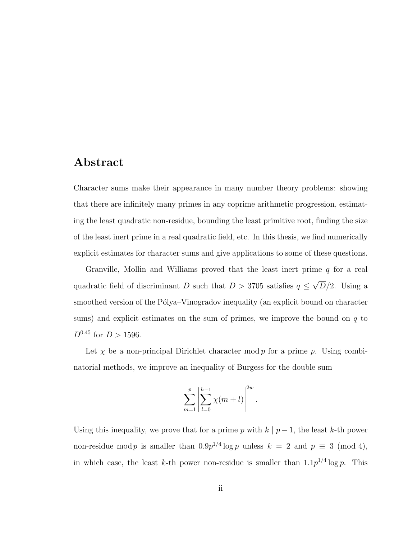### Abstract

Character sums make their appearance in many number theory problems: showing that there are infinitely many primes in any coprime arithmetic progression, estimating the least quadratic non-residue, bounding the least primitive root, finding the size of the least inert prime in a real quadratic field, etc. In this thesis, we find numerically explicit estimates for character sums and give applications to some of these questions.

Granville, Mollin and Williams proved that the least inert prime  $q$  for a real quadratic field of discriminant D such that  $D > 3705$  satisfies  $q \leq$ √  $D/2$ . Using a smoothed version of the Pólya–Vinogradov inequality (an explicit bound on character sums) and explicit estimates on the sum of primes, we improve the bound on  $q$  to  $D^{0.45}$  for  $D > 1596$ .

Let  $\chi$  be a non-principal Dirichlet character mod p for a prime p. Using combinatorial methods, we improve an inequality of Burgess for the double sum

$$
\sum_{m=1}^{p} \left| \sum_{l=0}^{h-1} \chi(m+l) \right|^{2w}.
$$

Using this inequality, we prove that for a prime p with  $k | p - 1$ , the least k-th power non-residue mod p is smaller than  $0.9p^{1/4}\log p$  unless  $k = 2$  and  $p \equiv 3 \pmod{4}$ , in which case, the least k-th power non-residue is smaller than  $1.1p^{1/4}\log p$ . This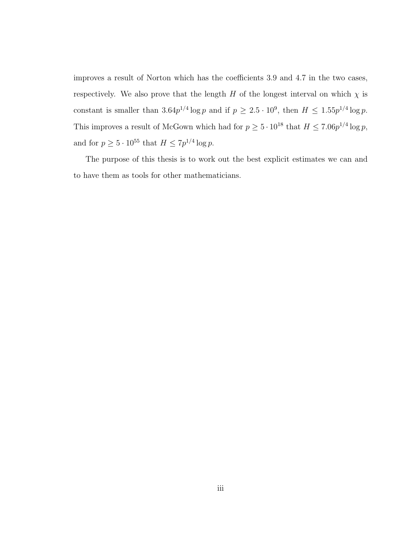improves a result of Norton which has the coefficients 3.9 and 4.7 in the two cases, respectively. We also prove that the length H of the longest interval on which  $\chi$  is constant is smaller than  $3.64p^{1/4}\log p$  and if  $p \ge 2.5 \cdot 10^9$ , then  $H \le 1.55p^{1/4}\log p$ . This improves a result of McGown which had for  $p \geq 5 \cdot 10^{18}$  that  $H \leq 7.06p^{1/4} \log p$ , and for  $p \geq 5 \cdot 10^{55}$  that  $H \leq 7p^{1/4} \log p$ .

The purpose of this thesis is to work out the best explicit estimates we can and to have them as tools for other mathematicians.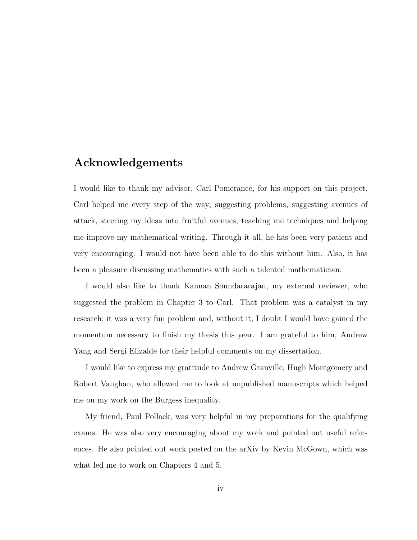### Acknowledgements

I would like to thank my advisor, Carl Pomerance, for his support on this project. Carl helped me every step of the way; suggesting problems, suggesting avenues of attack, steering my ideas into fruitful avenues, teaching me techniques and helping me improve my mathematical writing. Through it all, he has been very patient and very encouraging. I would not have been able to do this without him. Also, it has been a pleasure discussing mathematics with such a talented mathematician.

I would also like to thank Kannan Soundararajan, my external reviewer, who suggested the problem in Chapter 3 to Carl. That problem was a catalyst in my research; it was a very fun problem and, without it, I doubt I would have gained the momentum necessary to finish my thesis this year. I am grateful to him, Andrew Yang and Sergi Elizalde for their helpful comments on my dissertation.

I would like to express my gratitude to Andrew Granville, Hugh Montgomery and Robert Vaughan, who allowed me to look at unpublished manuscripts which helped me on my work on the Burgess inequality.

My friend, Paul Pollack, was very helpful in my preparations for the qualifying exams. He was also very encouraging about my work and pointed out useful references. He also pointed out work posted on the arXiv by Kevin McGown, which was what led me to work on Chapters 4 and 5.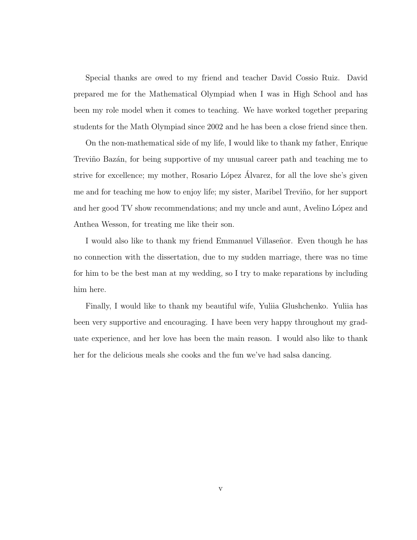Special thanks are owed to my friend and teacher David Cossio Ruiz. David prepared me for the Mathematical Olympiad when I was in High School and has been my role model when it comes to teaching. We have worked together preparing students for the Math Olympiad since 2002 and he has been a close friend since then.

On the non-mathematical side of my life, I would like to thank my father, Enrique Treviño Bazán, for being supportive of my unusual career path and teaching me to strive for excellence; my mother, Rosario López Alvarez, for all the love she's given me and for teaching me how to enjoy life; my sister, Maribel Treviño, for her support and her good TV show recommendations; and my uncle and aunt, Avelino López and Anthea Wesson, for treating me like their son.

I would also like to thank my friend Emmanuel Villaseñor. Even though he has no connection with the dissertation, due to my sudden marriage, there was no time for him to be the best man at my wedding, so I try to make reparations by including him here.

Finally, I would like to thank my beautiful wife, Yuliia Glushchenko. Yuliia has been very supportive and encouraging. I have been very happy throughout my graduate experience, and her love has been the main reason. I would also like to thank her for the delicious meals she cooks and the fun we've had salsa dancing.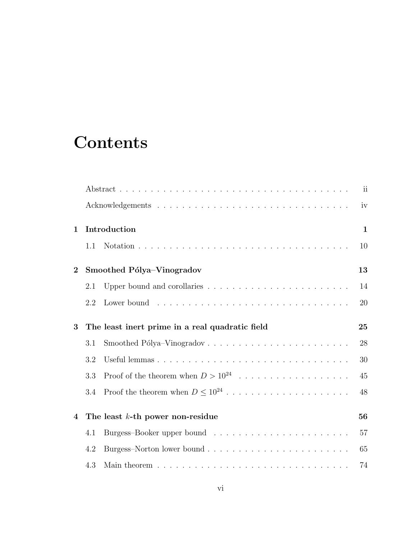## **Contents**

|                         |     |                                                 | ii           |
|-------------------------|-----|-------------------------------------------------|--------------|
|                         |     |                                                 | iv           |
| $\mathbf{1}$            |     | Introduction                                    | $\mathbf{1}$ |
|                         | 1.1 |                                                 | 10           |
| $\overline{2}$          |     | Smoothed Pólya-Vinogradov                       | 13           |
|                         | 2.1 |                                                 | 14           |
|                         | 2.2 |                                                 | 20           |
| 3                       |     | The least inert prime in a real quadratic field | 25           |
|                         | 3.1 |                                                 | 28           |
|                         | 3.2 |                                                 | 30           |
|                         | 3.3 | Proof of the theorem when $D > 10^{24}$         | 45           |
|                         | 3.4 |                                                 | 48           |
| $\overline{\mathbf{4}}$ |     | The least $k$ -th power non-residue             | 56           |
|                         | 4.1 |                                                 | 57           |
|                         | 4.2 |                                                 | 65           |
|                         | 4.3 |                                                 | 74           |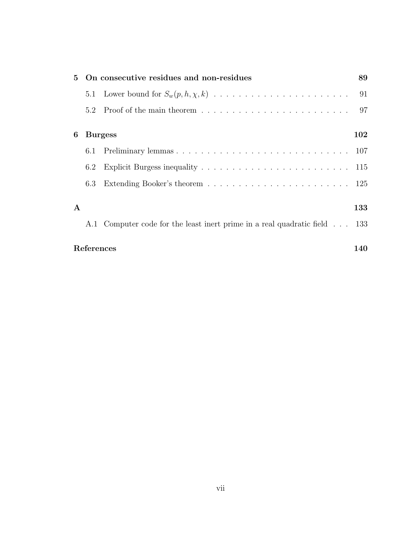|              |            | 5 On consecutive residues and non-residues                                | 89  |
|--------------|------------|---------------------------------------------------------------------------|-----|
|              |            |                                                                           | 91  |
|              |            |                                                                           | -97 |
| 6            |            | <b>Burgess</b>                                                            | 102 |
|              | 6.1        |                                                                           |     |
|              | 6.2        |                                                                           |     |
|              | 6.3        |                                                                           |     |
| $\mathbf{A}$ |            |                                                                           | 133 |
|              |            | A.1 Computer code for the least inert prime in a real quadratic field 133 |     |
|              | References |                                                                           | 140 |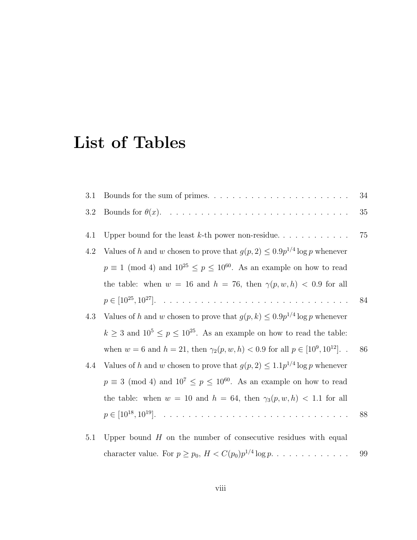## List of Tables

| 3.1 |                                                                                                                                                                                                                                                                                                                                    | 34 |
|-----|------------------------------------------------------------------------------------------------------------------------------------------------------------------------------------------------------------------------------------------------------------------------------------------------------------------------------------|----|
| 3.2 |                                                                                                                                                                                                                                                                                                                                    | 35 |
| 4.1 | Upper bound for the least $k$ -th power non-residue                                                                                                                                                                                                                                                                                | 75 |
| 4.2 | Values of h and w chosen to prove that $g(p, 2) \leq 0.9p^{1/4} \log p$ whenever                                                                                                                                                                                                                                                   |    |
|     | $p \equiv 1 \pmod{4}$ and $10^{25} \leq p \leq 10^{60}$ . As an example on how to read                                                                                                                                                                                                                                             |    |
|     | the table: when $w = 16$ and $h = 76$ , then $\gamma(p, w, h) < 0.9$ for all                                                                                                                                                                                                                                                       |    |
|     |                                                                                                                                                                                                                                                                                                                                    | 84 |
| 4.3 | Values of h and w chosen to prove that $g(p, k) \leq 0.9p^{1/4} \log p$ whenever                                                                                                                                                                                                                                                   |    |
|     | $k \geq 3$ and $10^5 \leq p \leq 10^{25}$ . As an example on how to read the table:                                                                                                                                                                                                                                                |    |
|     | when $w = 6$ and $h = 21$ , then $\gamma_2(p, w, h) < 0.9$ for all $p \in [10^9, 10^{12}]$ .                                                                                                                                                                                                                                       | 86 |
| 4.4 | Values of h and w chosen to prove that $g(p, 2) \leq 1.1p^{1/4} \log p$ whenever                                                                                                                                                                                                                                                   |    |
|     | $p \equiv 3 \pmod{4}$ and $10^7 \le p \le 10^{60}$ . As an example on how to read                                                                                                                                                                                                                                                  |    |
|     | the table: when $w = 10$ and $h = 64$ , then $\gamma_3(p, w, h) < 1.1$ for all                                                                                                                                                                                                                                                     |    |
|     |                                                                                                                                                                                                                                                                                                                                    | 88 |
|     | $\mathbf{I}$ $\mathbf{I}$ $\mathbf{I}$ $\mathbf{I}$ $\mathbf{I}$ $\mathbf{I}$ $\mathbf{I}$ $\mathbf{I}$ $\mathbf{I}$ $\mathbf{I}$ $\mathbf{I}$ $\mathbf{I}$ $\mathbf{I}$ $\mathbf{I}$ $\mathbf{I}$ $\mathbf{I}$ $\mathbf{I}$ $\mathbf{I}$ $\mathbf{I}$ $\mathbf{I}$ $\mathbf{I}$ $\mathbf{I}$ $\mathbf{I}$ $\mathbf{I}$ $\mathbf{$ |    |

5.1 Upper bound  $H$  on the number of consecutive residues with equal character value. For p ≥ p0, H < C(p0)p 1/4 log p. . . . . . . . . . . . . 99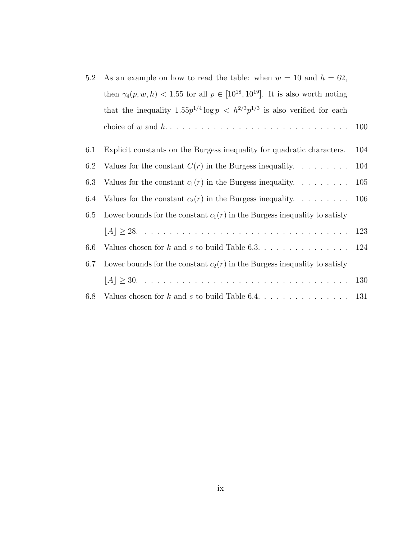| 5.2 | As an example on how to read the table: when $w = 10$ and $h = 62$ ,                         |       |
|-----|----------------------------------------------------------------------------------------------|-------|
|     | then $\gamma_4(p, w, h)$ < 1.55 for all $p \in [10^{18}, 10^{19}]$ . It is also worth noting |       |
|     | that the inequality $1.55p^{1/4} \log p \leq h^{2/3}p^{1/3}$ is also verified for each       |       |
|     |                                                                                              | 100   |
| 6.1 | Explicit constants on the Burgess inequality for quadratic characters.                       | 104   |
| 6.2 | Values for the constant $C(r)$ in the Burgess inequality.                                    | 104   |
| 6.3 | Values for the constant $c_1(r)$ in the Burgess inequality.                                  | 105   |
| 6.4 | Values for the constant $c_2(r)$ in the Burgess inequality.                                  | - 106 |
| 6.5 | Lower bounds for the constant $c_1(r)$ in the Burgess inequality to satisfy                  |       |
|     |                                                                                              |       |
| 6.6 | Values chosen for $k$ and $s$ to build Table 6.3. 124                                        |       |
| 6.7 | Lower bounds for the constant $c_2(r)$ in the Burgess inequality to satisfy                  |       |
|     |                                                                                              |       |
| 6.8 | Values chosen for $k$ and $s$ to build Table 6.4. 131                                        |       |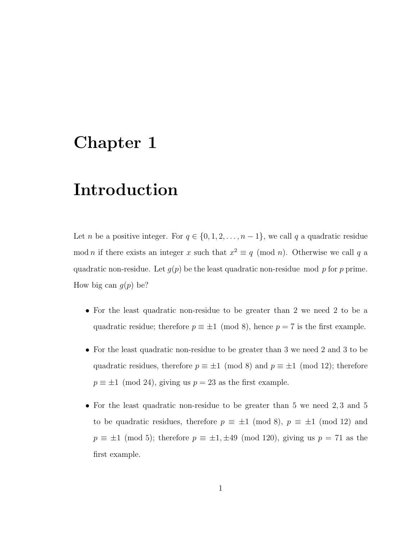## Chapter 1

## Introduction

Let *n* be a positive integer. For  $q \in \{0, 1, 2, \ldots, n-1\}$ , we call q a quadratic residue mod *n* if there exists an integer x such that  $x^2 \equiv q \pmod{n}$ . Otherwise we call q a quadratic non-residue. Let  $g(p)$  be the least quadratic non-residue mod p for p prime. How big can  $g(p)$  be?

- For the least quadratic non-residue to be greater than 2 we need 2 to be a quadratic residue; therefore  $p \equiv \pm 1 \pmod{8}$ , hence  $p = 7$  is the first example.
- For the least quadratic non-residue to be greater than 3 we need 2 and 3 to be quadratic residues, therefore  $p \equiv \pm 1 \pmod{8}$  and  $p \equiv \pm 1 \pmod{12}$ ; therefore  $p \equiv \pm 1 \pmod{24}$ , giving us  $p = 23$  as the first example.
- For the least quadratic non-residue to be greater than 5 we need 2, 3 and 5 to be quadratic residues, therefore  $p \equiv \pm 1 \pmod{8}$ ,  $p \equiv \pm 1 \pmod{12}$  and  $p \equiv \pm 1 \pmod{5}$ ; therefore  $p \equiv \pm 1, \pm 49 \pmod{120}$ , giving us  $p = 71$  as the first example.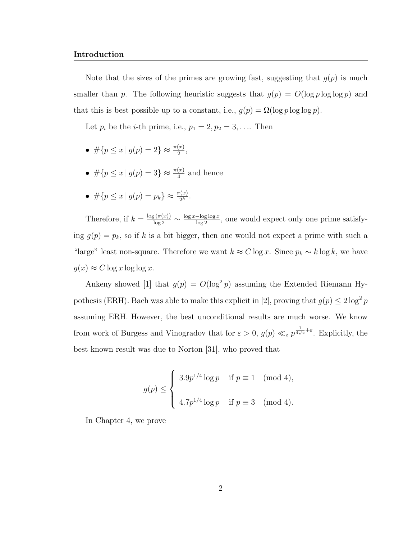#### Introduction

Note that the sizes of the primes are growing fast, suggesting that  $g(p)$  is much smaller than p. The following heuristic suggests that  $g(p) = O(\log p \log \log p)$  and that this is best possible up to a constant, i.e.,  $g(p) = \Omega(\log p \log \log p)$ .

Let  $p_i$  be the *i*-th prime, i.e.,  $p_1 = 2, p_2 = 3, \ldots$  Then

- $\#\{p \leq x \mid g(p) = 2\} \approx \frac{\pi(x)}{2},$
- $\# \{ p \leq x \mid g(p) = 3 \} \approx \frac{\pi(x)}{4}$  and hence
- $\#\{p \le x \mid g(p) = p_k\} \approx \frac{\pi(x)}{2^k}.$

Therefore, if  $k = \frac{\log(\pi(x))}{\log 2} \sim \frac{\log x - \log \log x}{\log 2}$ , one would expect only one prime satisfying  $g(p) = p_k$ , so if k is a bit bigger, then one would not expect a prime with such a "large" least non-square. Therefore we want  $k \approx C \log x$ . Since  $p_k \sim k \log k$ , we have  $g(x) \approx C \log x \log \log x$ .

Ankeny showed [1] that  $g(p) = O(\log^2 p)$  assuming the Extended Riemann Hypothesis (ERH). Bach was able to make this explicit in [2], proving that  $g(p) \leq 2 \log^2 p$ assuming ERH. However, the best unconditional results are much worse. We know from work of Burgess and Vinogradov that for  $\varepsilon > 0$ ,  $g(p) \ll_{\varepsilon} p^{\frac{1}{4\sqrt{\varepsilon}} + \varepsilon}$ . Explicitly, the best known result was due to Norton [31], who proved that

$$
g(p) \le \begin{cases} 3.9p^{1/4} \log p & \text{if } p \equiv 1 \pmod{4}, \\ 4.7p^{1/4} \log p & \text{if } p \equiv 3 \pmod{4}. \end{cases}
$$

In Chapter 4, we prove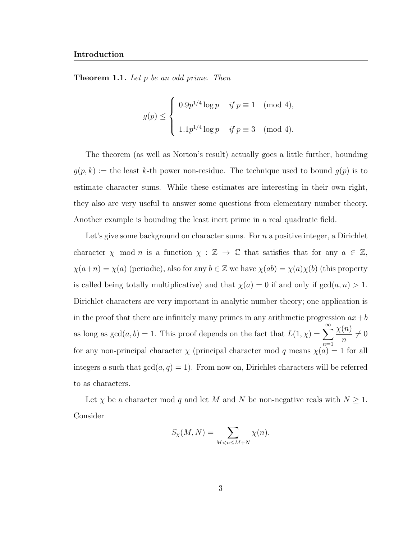**Theorem 1.1.** Let p be an odd prime. Then

$$
g(p) \le \begin{cases} 0.9p^{1/4} \log p & \text{if } p \equiv 1 \pmod{4}, \\ 1.1p^{1/4} \log p & \text{if } p \equiv 3 \pmod{4}. \end{cases}
$$

The theorem (as well as Norton's result) actually goes a little further, bounding  $g(p, k) :=$  the least k-th power non-residue. The technique used to bound  $g(p)$  is to estimate character sums. While these estimates are interesting in their own right, they also are very useful to answer some questions from elementary number theory. Another example is bounding the least inert prime in a real quadratic field.

Let's give some background on character sums. For  $n$  a positive integer, a Dirichlet character  $\chi$  mod *n* is a function  $\chi : \mathbb{Z} \to \mathbb{C}$  that satisfies that for any  $a \in \mathbb{Z}$ ,  $\chi(a+n) = \chi(a)$  (periodic), also for any  $b \in \mathbb{Z}$  we have  $\chi(ab) = \chi(a)\chi(b)$  (this property is called being totally multiplicative) and that  $\chi(a) = 0$  if and only if  $gcd(a, n) > 1$ . Dirichlet characters are very important in analytic number theory; one application is in the proof that there are infinitely many primes in any arithmetic progression  $ax+b$ as long as  $gcd(a, b) = 1$ . This proof depends on the fact that  $L(1, \chi) = \sum_{n=1}^{\infty}$  $n=1$  $\chi(n)$ n  $\neq 0$ for any non-principal character  $\chi$  (principal character mod q means  $\chi(a) = 1$  for all integers a such that  $gcd(a, q) = 1$ . From now on, Dirichlet characters will be referred to as characters.

Let  $\chi$  be a character mod q and let M and N be non-negative reals with  $N \geq 1$ . Consider

$$
S_{\chi}(M,N) = \sum_{M < n \le M+N} \chi(n).
$$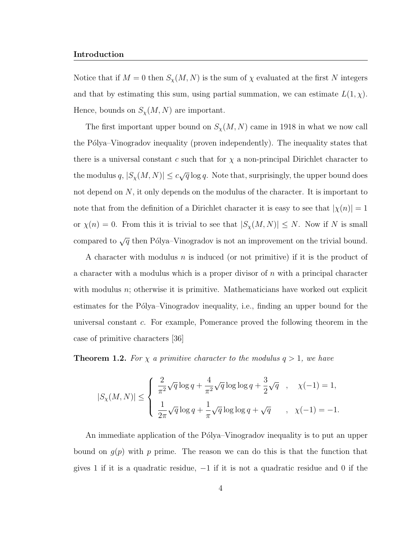Notice that if  $M = 0$  then  $S_{\chi}(M, N)$  is the sum of  $\chi$  evaluated at the first N integers and that by estimating this sum, using partial summation, we can estimate  $L(1, \chi)$ . Hence, bounds on  $S_{\chi}(M,N)$  are important.

The first important upper bound on  $S_{\chi}(M, N)$  came in 1918 in what we now call the Pólya–Vinogradov inequality (proven independently). The inequality states that there is a universal constant c such that for  $\chi$  a non-principal Dirichlet character to the modulus  $q, |S_\chi(M,N)| \leq c \sqrt{q} \log q$ . Note that, surprisingly, the upper bound does not depend on N, it only depends on the modulus of the character. It is important to note that from the definition of a Dirichlet character it is easy to see that  $|\chi(n)| = 1$ or  $\chi(n) = 0$ . From this it is trivial to see that  $|S_{\chi}(M, N)| \leq N$ . Now if N is small compared to  $\sqrt{q}$  then Pólya–Vinogradov is not an improvement on the trivial bound.

A character with modulus n is induced (or not primitive) if it is the product of a character with a modulus which is a proper divisor of  $n$  with a principal character with modulus  $n$ ; otherwise it is primitive. Mathematicians have worked out explicit estimates for the Pólya–Vinogradov inequality, i.e., finding an upper bound for the universal constant c. For example, Pomerance proved the following theorem in the case of primitive characters [36]

**Theorem 1.2.** For  $\chi$  a primitive character to the modulus  $q > 1$ , we have

$$
|S_{\chi}(M,N)| \leq \left\{ \begin{array}{ll} \frac{2}{\pi^2} \sqrt{q} \log q + \frac{4}{\pi^2} \sqrt{q} \log \log q + \frac{3}{2} \sqrt{q} & , & \chi(-1) = 1, \\ \\ \frac{1}{2\pi} \sqrt{q} \log q + \frac{1}{\pi} \sqrt{q} \log \log q + \sqrt{q} & , & \chi(-1) = -1. \end{array} \right.
$$

An immediate application of the Pólya–Vinogradov inequality is to put an upper bound on  $q(p)$  with p prime. The reason we can do this is that the function that gives 1 if it is a quadratic residue, −1 if it is not a quadratic residue and 0 if the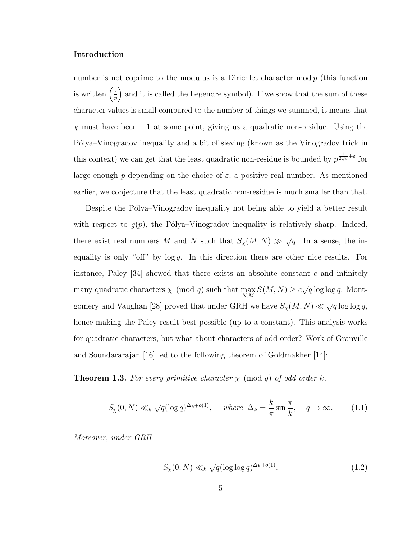#### Introduction

number is not coprime to the modulus is a Dirichlet character mod  $p$  (this function is written  $\left(\frac{1}{r}\right)$  $\frac{1}{p}$  and it is called the Legendre symbol). If we show that the sum of these character values is small compared to the number of things we summed, it means that  $\chi$  must have been  $-1$  at some point, giving us a quadratic non-residue. Using the Pólya–Vinogradov inequality and a bit of sieving (known as the Vinogradov trick in this context) we can get that the least quadratic non-residue is bounded by  $p^{\frac{1}{2\sqrt{\epsilon}}+\epsilon}$  for large enough p depending on the choice of  $\varepsilon$ , a positive real number. As mentioned earlier, we conjecture that the least quadratic non-residue is much smaller than that.

Despite the Pólya–Vinogradov inequality not being able to yield a better result with respect to  $g(p)$ , the Pólya–Vinogradov inequality is relatively sharp. Indeed, there exist real numbers M and N such that  $S_{\chi}(M, N) \gg \sqrt{q}$ . In a sense, the inequality is only "off" by  $\log q$ . In this direction there are other nice results. For instance, Paley  $[34]$  showed that there exists an absolute constant c and infinitely many quadratic characters  $\chi \pmod{q}$  such that  $\max_{N,M} S(M,N) \geq c$ √  $\overline{q}$  log log q. Montgomery and Vaughan [28] proved that under GRH we have  $S_{\chi}(M, N) \ll \sqrt{q} \log \log q$ , hence making the Paley result best possible (up to a constant). This analysis works for quadratic characters, but what about characters of odd order? Work of Granville and Soundararajan [16] led to the following theorem of Goldmakher [14]:

**Theorem 1.3.** For every primitive character  $\chi$  (mod q) of odd order k,

$$
S_{\chi}(0, N) \ll_k \sqrt{q} (\log q)^{\Delta_k + o(1)}, \quad \text{where } \Delta_k = \frac{k}{\pi} \sin \frac{\pi}{k}, \quad q \to \infty.
$$
 (1.1)

Moreover, under GRH

$$
S_{\chi}(0, N) \ll_k \sqrt{q} (\log \log q)^{\Delta_k + o(1)}.
$$
\n(1.2)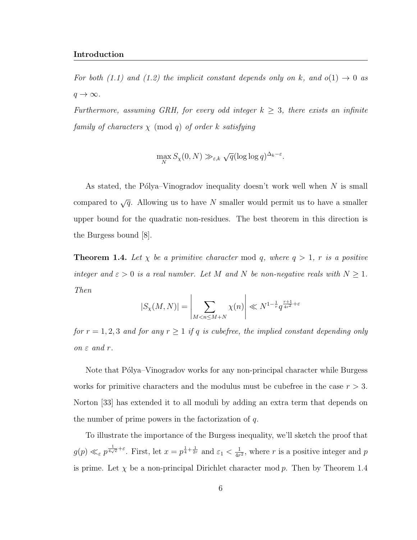For both (1.1) and (1.2) the implicit constant depends only on k, and  $o(1) \rightarrow 0$  as  $q \to \infty$ .

Furthermore, assuming GRH, for every odd integer  $k \geq 3$ , there exists an infinite family of characters  $\chi \pmod{q}$  of order k satisfying

$$
\max_{N} S_{\chi}(0, N) \gg_{\varepsilon, k} \sqrt{q} (\log \log q)^{\Delta_k - \varepsilon}.
$$

As stated, the Pólya–Vinogradov inequality doesn't work well when  $N$  is small compared to  $\sqrt{q}$ . Allowing us to have N smaller would permit us to have a smaller upper bound for the quadratic non-residues. The best theorem in this direction is the Burgess bound [8].

**Theorem 1.4.** Let  $\chi$  be a primitive character mod q, where  $q > 1$ , r is a positive integer and  $\varepsilon > 0$  is a real number. Let M and N be non-negative reals with  $N \geq 1$ . Then

$$
|S_{\chi}(M,N)| = \left| \sum_{M < n \le M+N} \chi(n) \right| \ll N^{1-\frac{1}{r}} q^{\frac{r+1}{4r^2} + \varepsilon}
$$

for  $r = 1, 2, 3$  and for any  $r \ge 1$  if q is cubefree, the implied constant depending only on  $\varepsilon$  and  $r$ .

Note that Pólya–Vinogradov works for any non-principal character while Burgess works for primitive characters and the modulus must be cubefree in the case  $r > 3$ . Norton [33] has extended it to all moduli by adding an extra term that depends on the number of prime powers in the factorization of  $q$ .

To illustrate the importance of the Burgess inequality, we'll sketch the proof that  $g(p) \ll_{\varepsilon} p^{\frac{1}{4\sqrt{e}}+\varepsilon}$ . First, let  $x = p^{\frac{1}{4}+\frac{1}{2r}}$  and  $\varepsilon_1 < \frac{1}{4r}$  $\frac{1}{4r^2}$ , where r is a positive integer and p is prime. Let  $\chi$  be a non-principal Dirichlet character mod p. Then by Theorem 1.4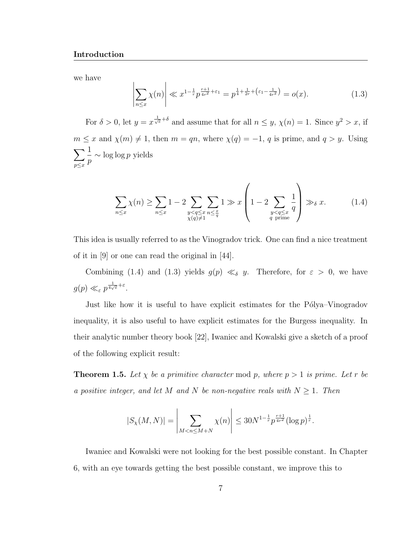we have

$$
\left| \sum_{n \le x} \chi(n) \right| \ll x^{1 - \frac{1}{r}} p^{\frac{r+1}{4r^2} + \varepsilon_1} = p^{\frac{1}{4} + \frac{1}{2r} + \left(\varepsilon_1 - \frac{1}{4r^2}\right)} = o(x). \tag{1.3}
$$

For  $\delta > 0$ , let  $y = x^{\frac{1}{\sqrt{e}} + \delta}$  and assume that for all  $n \leq y$ ,  $\chi(n) = 1$ . Since  $y^2 > x$ , if  $m \le x$  and  $\chi(m) \ne 1$ , then  $m = qn$ , where  $\chi(q) = -1$ , q is prime, and  $q > y$ . Using  $\sum$  $\n p \leq x\n$ 1 p  $\sim \log \log p$  yields

$$
\sum_{n \leq x} \chi(n) \geq \sum_{n \leq x} 1 - 2 \sum_{\substack{y < q \leq x \\ \chi(q) \neq 1}} \sum_{n \leq \frac{x}{q}} 1 \gg x \left( 1 - 2 \sum_{\substack{y < q \leq x \\ q \text{ prime}}} \frac{1}{q} \right) \gg_{\delta} x. \tag{1.4}
$$

This idea is usually referred to as the Vinogradov trick. One can find a nice treatment of it in [9] or one can read the original in [44].

Combining (1.4) and (1.3) yields  $g(p) \ll_{\delta} y$ . Therefore, for  $\varepsilon > 0$ , we have  $g(p) \ll_{\varepsilon} p^{\frac{1}{4\sqrt{e}}+\varepsilon}.$ 

Just like how it is useful to have explicit estimates for the Pólya–Vinogradov inequality, it is also useful to have explicit estimates for the Burgess inequality. In their analytic number theory book [22], Iwaniec and Kowalski give a sketch of a proof of the following explicit result:

**Theorem 1.5.** Let  $\chi$  be a primitive character mod p, where  $p > 1$  is prime. Let r be a positive integer, and let M and N be non-negative reals with  $N \geq 1$ . Then

$$
|S_{\chi}(M,N)| = \left| \sum_{M < n \le M+N} \chi(n) \right| \le 30N^{1-\frac{1}{r}} p^{\frac{r+1}{4r^2}} (\log p)^{\frac{1}{r}}.
$$

Iwaniec and Kowalski were not looking for the best possible constant. In Chapter 6, with an eye towards getting the best possible constant, we improve this to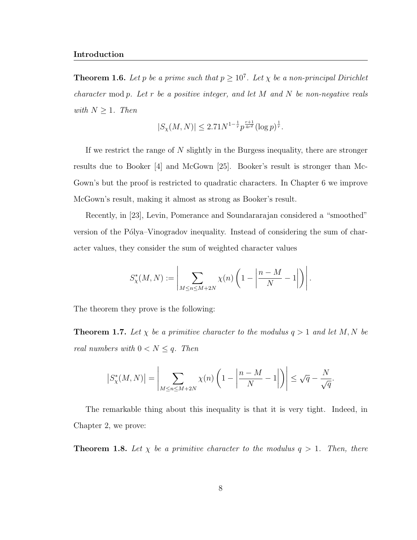**Theorem 1.6.** Let p be a prime such that  $p \geq 10^7$ . Let  $\chi$  be a non-principal Dirichlet character mod  $p$ . Let  $r$  be a positive integer, and let  $M$  and  $N$  be non-negative reals with  $N \geq 1$ . Then

$$
|S_{\chi}(M,N)| \le 2.71 N^{1-\frac{1}{r}} p^{\frac{r+1}{4r^2}} (\log p)^{\frac{1}{r}}.
$$

If we restrict the range of N slightly in the Burgess inequality, there are stronger results due to Booker [4] and McGown [25]. Booker's result is stronger than Mc-Gown's but the proof is restricted to quadratic characters. In Chapter 6 we improve McGown's result, making it almost as strong as Booker's result.

Recently, in [23], Levin, Pomerance and Soundararajan considered a "smoothed" version of the Pólya–Vinogradov inequality. Instead of considering the sum of character values, they consider the sum of weighted character values

$$
S_{\chi}^*(M,N) := \left| \sum_{M \le n \le M+2N} \chi(n) \left(1 - \left|\frac{n-M}{N} - 1\right|\right) \right|.
$$

The theorem they prove is the following:

**Theorem 1.7.** Let  $\chi$  be a primitive character to the modulus  $q > 1$  and let M, N be real numbers with  $0 < N \leq q$ . Then

$$
\left|S^*_\chi(M,N)\right| = \left|\sum_{M \le n \le M+2N} \chi(n) \left(1 - \left|\frac{n-M}{N} - 1\right|\right)\right| \le \sqrt{q} - \frac{N}{\sqrt{q}}.
$$

The remarkable thing about this inequality is that it is very tight. Indeed, in Chapter 2, we prove:

**Theorem 1.8.** Let  $\chi$  be a primitive character to the modulus  $q > 1$ . Then, there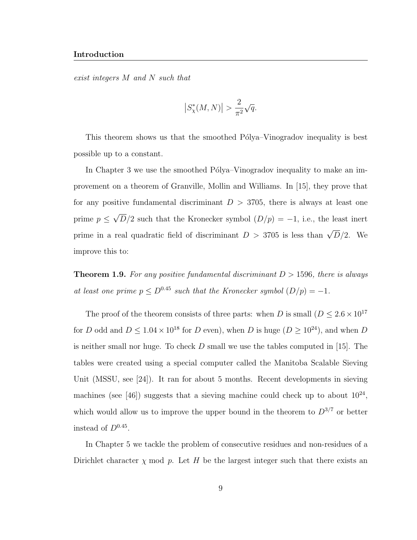#### Introduction

exist integers M and N such that

$$
\left| S_{\chi}^*(M,N) \right| > \frac{2}{\pi^2} \sqrt{q}.
$$

This theorem shows us that the smoothed Pólya–Vinogradov inequality is best possible up to a constant.

In Chapter 3 we use the smoothed Pólya–Vinogradov inequality to make an improvement on a theorem of Granville, Mollin and Williams. In [15], they prove that for any positive fundamental discriminant  $D > 3705$ , there is always at least one prime  $p \leq$ √  $D/2$  such that the Kronecker symbol  $(D/p) = -1$ , i.e., the least inert prime in a real quadratic field of discriminant  $D > 3705$  is less than  $\sqrt{D}/2$ . We improve this to:

**Theorem 1.9.** For any positive fundamental discriminant  $D > 1596$ , there is always at least one prime  $p \leq D^{0.45}$  such that the Kronecker symbol  $(D/p) = -1$ .

The proof of the theorem consists of three parts: when D is small ( $D \leq 2.6 \times 10^{17}$ for D odd and  $D \leq 1.04 \times 10^{18}$  for D even), when D is huge  $(D \geq 10^{24})$ , and when D is neither small nor huge. To check  $D$  small we use the tables computed in [15]. The tables were created using a special computer called the Manitoba Scalable Sieving Unit (MSSU, see [24]). It ran for about 5 months. Recent developments in sieving machines (see [46]) suggests that a sieving machine could check up to about  $10^{24}$ , which would allow us to improve the upper bound in the theorem to  $D^{3/7}$  or better instead of  $D^{0.45}$ .

In Chapter 5 we tackle the problem of consecutive residues and non-residues of a Dirichlet character  $\chi$  mod p. Let H be the largest integer such that there exists an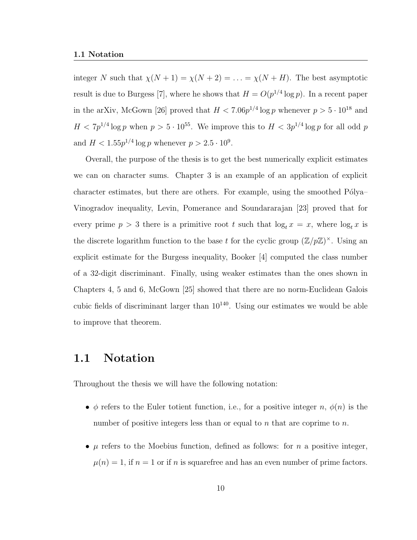integer N such that  $\chi(N + 1) = \chi(N + 2) = \ldots = \chi(N + H)$ . The best asymptotic result is due to Burgess [7], where he shows that  $H = O(p^{1/4} \log p)$ . In a recent paper in the arXiv, McGown [26] proved that  $H < 7.06p^{1/4}\log p$  whenever  $p > 5 \cdot 10^{18}$  and  $H < 7p^{1/4}\log p$  when  $p > 5 \cdot 10^{55}$ . We improve this to  $H < 3p^{1/4}\log p$  for all odd p and  $H < 1.55p^{1/4} \log p$  whenever  $p > 2.5 \cdot 10^9$ .

Overall, the purpose of the thesis is to get the best numerically explicit estimates we can on character sums. Chapter 3 is an example of an application of explicit character estimates, but there are others. For example, using the smoothed  $P\'olya-$ Vinogradov inequality, Levin, Pomerance and Soundararajan [23] proved that for every prime  $p > 3$  there is a primitive root t such that  $\log_t x = x$ , where  $\log_t x$  is the discrete logarithm function to the base t for the cyclic group  $(\mathbb{Z}/p\mathbb{Z})^{\times}$ . Using an explicit estimate for the Burgess inequality, Booker [4] computed the class number of a 32-digit discriminant. Finally, using weaker estimates than the ones shown in Chapters 4, 5 and 6, McGown [25] showed that there are no norm-Euclidean Galois cubic fields of discriminant larger than  $10^{140}$ . Using our estimates we would be able to improve that theorem.

### 1.1 Notation

Throughout the thesis we will have the following notation:

- $\phi$  refers to the Euler totient function, i.e., for a positive integer n,  $\phi(n)$  is the number of positive integers less than or equal to n that are coprime to  $n$ .
- $\mu$  refers to the Moebius function, defined as follows: for n a positive integer,  $\mu(n) = 1$ , if  $n = 1$  or if n is squarefree and has an even number of prime factors.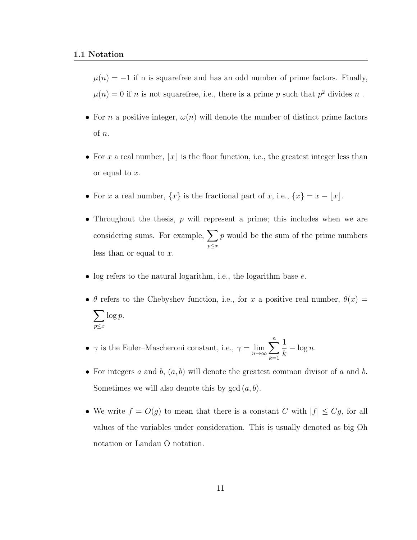$\mu(n) = -1$  if n is squarefree and has an odd number of prime factors. Finally,  $\mu(n) = 0$  if n is not squarefree, i.e., there is a prime p such that  $p^2$  divides n.

- For n a positive integer,  $\omega(n)$  will denote the number of distinct prime factors of n.
- For x a real number,  $|x|$  is the floor function, i.e., the greatest integer less than or equal to x.
- For x a real number,  $\{x\}$  is the fractional part of x, i.e.,  $\{x\} = x \lfloor x \rfloor$ .
- Throughout the thesis, p will represent a prime; this includes when we are considering sums. For example,  $\sum$  $p \leq x$ p would be the sum of the prime numbers less than or equal to  $x$ .
- log refers to the natural logarithm, i.e., the logarithm base  $e$ .
- $\theta$  refers to the Chebyshev function, i.e., for x a positive real number,  $\theta(x) =$  $\sum$  $\n p \leq x\n$  $\log p$ .
- $\gamma$  is the Euler–Mascheroni constant, i.e.,  $\gamma = \lim_{n \to \infty}$  $\sum_{n=1}^{\infty}$  $k=1$ 1 k  $-\log n$ .
- For integers  $a$  and  $b$ ,  $(a, b)$  will denote the greatest common divisor of  $a$  and  $b$ . Sometimes we will also denote this by  $gcd(a, b)$ .
- We write  $f = O(g)$  to mean that there is a constant C with  $|f| \leq Cg$ , for all values of the variables under consideration. This is usually denoted as big Oh notation or Landau O notation.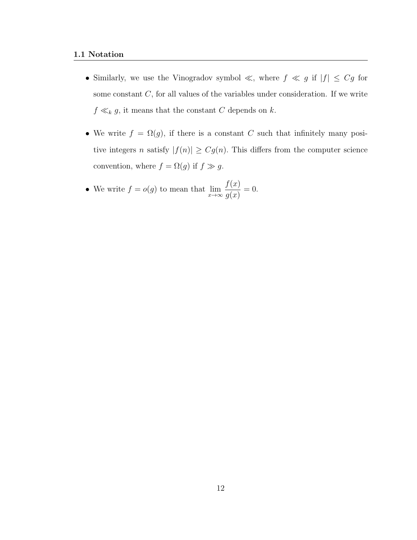- Similarly, we use the Vinogradov symbol  $\ll$ , where  $f \ll g$  if  $|f| \leq Cg$  for some constant  $C$ , for all values of the variables under consideration. If we write  $f \ll_k g$ , it means that the constant C depends on k.
- We write  $f = \Omega(g)$ , if there is a constant C such that infinitely many positive integers n satisfy  $|f(n)| \geq Cg(n)$ . This differs from the computer science convention, where  $f = \Omega(g)$  if  $f \gg g$ .
- We write  $f = o(g)$  to mean that  $\lim_{x \to \infty} \frac{f(x)}{q(x)}$  $g(x)$  $= 0.$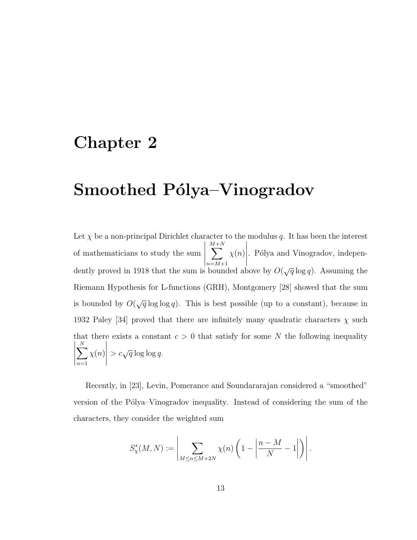## Chapter 2

## Smoothed Pólya–Vinogradov

Let  $\chi$  be a non-principal Dirichlet character to the modulus q. It has been the interest of mathematicians to study the sum M  $\sum$  $+N$  $n=M+1$  $\chi(n)$  $\begin{array}{c} \begin{array}{c} \begin{array}{c} \end{array} \\ \begin{array}{c} \end{array} \end{array} \end{array}$ . Pólya and Vinogradov, independently proved in 1918 that the sum is bounded above by  $O(\sqrt{q}\log q)$ . Assuming the Riemann Hypothesis for L-functions (GRH), Montgomery [28] showed that the sum is bounded by  $O(\sqrt{q}\log\log q)$ . This is best possible (up to a constant), because in 1932 Paley [34] proved that there are infinitely many quadratic characters  $\chi$  such that there exists a constant  $c > 0$  that satisfy for some N the following inequality  $\begin{array}{c} \hline \end{array}$  $\sum$ N  $n=1$  $\chi(n)$   $> c\sqrt{q}\log\log q$ .

Recently, in [23], Levin, Pomerance and Soundararajan considered a "smoothed" version of the Pólya–Vinogradov inequality. Instead of considering the sum of the characters, they consider the weighted sum

$$
S_{\chi}^*(M,N) := \left| \sum_{M \le n \le M+2N} \chi(n) \left( 1 - \left| \frac{n-M}{N} - 1 \right| \right) \right|.
$$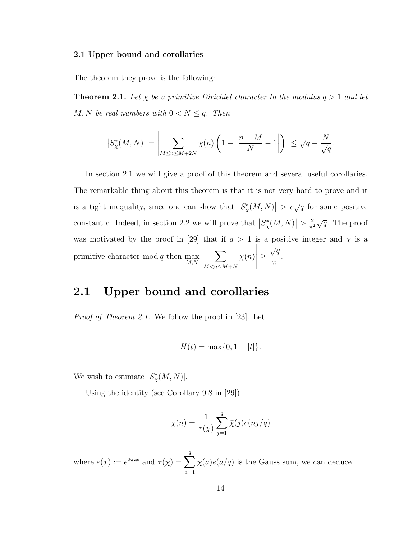The theorem they prove is the following:

**Theorem 2.1.** Let  $\chi$  be a primitive Dirichlet character to the modulus  $q > 1$  and let  $M, N$  be real numbers with  $0 < N \leq q$ . Then

$$
\left|S_{\chi}^*(M,N)\right| = \left|\sum_{M \le n \le M+2N} \chi(n) \left(1 - \left|\frac{n-M}{N} - 1\right|\right)\right| \le \sqrt{q} - \frac{N}{\sqrt{q}}.
$$

In section 2.1 we will give a proof of this theorem and several useful corollaries. The remarkable thing about this theorem is that it is not very hard to prove and it is a tight inequality, since one can show that  $|S^*_{\chi}(M,N)| > c\sqrt{q}$  for some positive constant c. Indeed, in section 2.2 we will prove that  $|S^*_{\chi}(M,N)| > \frac{2}{\pi^2}$  $\frac{2}{\pi^2}\sqrt{q}$ . The proof was motivated by the proof in [29] that if  $q > 1$  is a positive integer and  $\chi$  is a primitive character mod q then  $\max_{M,N}$   $\sum$  $M < n \leq M+N$  $\chi(n)$  ≥  $\sqrt{q}$ π .

### 2.1 Upper bound and corollaries

Proof of Theorem 2.1. We follow the proof in [23]. Let

$$
H(t) = \max\{0, 1 - |t|\}.
$$

We wish to estimate  $|S^*_{\chi}(M,N)|$ .

Using the identity (see Corollary 9.8 in [29])

$$
\chi(n) = \frac{1}{\tau(\bar{\chi})} \sum_{j=1}^{q} \bar{\chi}(j) e(nj/q)
$$

where  $e(x) := e^{2\pi ix}$  and  $\tau(\chi) = \sum$ q  $a=1$  $\chi(a)e(a/q)$  is the Gauss sum, we can deduce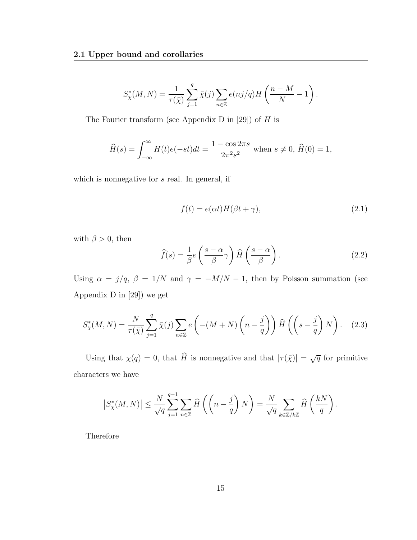$$
S^*_\chi(M,N)=\frac{1}{\tau(\bar\chi)}\sum_{j=1}^q\bar\chi(j)\sum_{n\in\mathbb Z}e(nj/q)H\left(\frac{n-M}{N}-1\right).
$$

The Fourier transform (see Appendix D in [29]) of  $H$  is

$$
\widehat{H}(s) = \int_{-\infty}^{\infty} H(t)e(-st)dt = \frac{1 - \cos 2\pi s}{2\pi^2 s^2} \text{ when } s \neq 0, \,\widehat{H}(0) = 1,
$$

which is nonnegative for s real. In general, if

$$
f(t) = e(\alpha t)H(\beta t + \gamma),
$$
\n(2.1)

with  $\beta > 0$ , then

$$
\widehat{f}(s) = \frac{1}{\beta} e\left(\frac{s-\alpha}{\beta}\gamma\right) \widehat{H}\left(\frac{s-\alpha}{\beta}\right). \tag{2.2}
$$

Using  $\alpha = j/q$ ,  $\beta = 1/N$  and  $\gamma = -M/N - 1$ , then by Poisson summation (see Appendix D in [29]) we get

$$
S_{\chi}^*(M,N) = \frac{N}{\tau(\bar{\chi})} \sum_{j=1}^q \bar{\chi}(j) \sum_{n \in \mathbb{Z}} e\left( -(M+N) \left( n - \frac{j}{q} \right) \right) \widehat{H}\left( \left( s - \frac{j}{q} \right) N \right). \tag{2.3}
$$

Using that  $\chi(q) = 0$ , that  $\widehat{H}$  is nonnegative and that  $|\tau(\bar{\chi})| = \sqrt{q}$  for primitive characters we have

$$
\left|S_{\chi}^*(M,N)\right| \leq \frac{N}{\sqrt{q}} \sum_{j=1}^{q-1} \sum_{n \in \mathbb{Z}} \widehat{H}\left(\left(n-\frac{j}{q}\right)N\right) = \frac{N}{\sqrt{q}} \sum_{k \in \mathbb{Z}/k\mathbb{Z}} \widehat{H}\left(\frac{kN}{q}\right).
$$

Therefore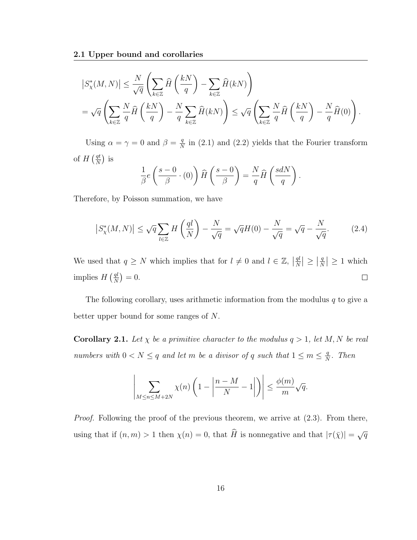$$
\begin{split} &\left|S^*_{\chi}(M,N)\right|\leq \frac{N}{\sqrt{q}}\left(\sum_{k\in\mathbb{Z}}\widehat{H}\left(\frac{kN}{q}\right)-\sum_{k\in\mathbb{Z}}\widehat{H}(kN)\right)\\ &=\sqrt{q}\left(\sum_{k\in\mathbb{Z}}\frac{N}{q}\widehat{H}\left(\frac{kN}{q}\right)-\frac{N}{q}\sum_{k\in\mathbb{Z}}\widehat{H}(kN)\right)\leq \sqrt{q}\left(\sum_{k\in\mathbb{Z}}\frac{N}{q}\widehat{H}\left(\frac{kN}{q}\right)-\frac{N}{q}\widehat{H}(0)\right). \end{split}
$$

Using  $\alpha = \gamma = 0$  and  $\beta = \frac{q}{N}$  $\frac{q}{N}$  in (2.1) and (2.2) yields that the Fourier transform of  $H\left(\frac{qt}{N}\right)$  $\frac{qt}{N}$ ) is

$$
\frac{1}{\beta}e\left(\frac{s-0}{\beta}\cdot(0)\right)\widehat{H}\left(\frac{s-0}{\beta}\right)=\frac{N}{q}\widehat{H}\left(\frac{sdN}{q}\right).
$$

Therefore, by Poisson summation, we have

$$
\left|S_{\chi}^*(M,N)\right| \le \sqrt{q} \sum_{l \in \mathbb{Z}} H\left(\frac{ql}{N}\right) - \frac{N}{\sqrt{q}} = \sqrt{q}H(0) - \frac{N}{\sqrt{q}} = \sqrt{q} - \frac{N}{\sqrt{q}}.\tag{2.4}
$$

We used that  $q \geq N$  which implies that for  $l \neq 0$  and  $l \in \mathbb{Z}$ ,  $\left| \frac{ql}{N} \right|$  $\frac{ql}{N}|\geq \left|\frac{q}{N}\right|$  $\left|\frac{q}{N}\right| \geq 1$  which implies  $H\left(\frac{ql}{N}\right)$  $\frac{ql}{N}$ ) = 0.  $\Box$ 

The following corollary, uses arithmetic information from the modulus  $q$  to give a better upper bound for some ranges of N.

**Corollary 2.1.** Let  $\chi$  be a primitive character to the modulus  $q > 1$ , let M, N be real numbers with  $0 < N \leq q$  and let m be a divisor of q such that  $1 \leq m \leq \frac{q}{N}$  $\frac{q}{N}$ . Then

$$
\left|\sum_{M\leq n\leq M+2N}\chi(n)\left(1-\left|\frac{n-M}{N}-1\right|\right)\right|\leq \frac{\phi(m)}{m}\sqrt{q}.
$$

Proof. Following the proof of the previous theorem, we arrive at  $(2.3)$ . From there, using that if  $(n, m) > 1$  then  $\chi(n) = 0$ , that  $\widehat{H}$  is nonnegative and that  $|\tau(\overline{\chi})| = \sqrt{q}$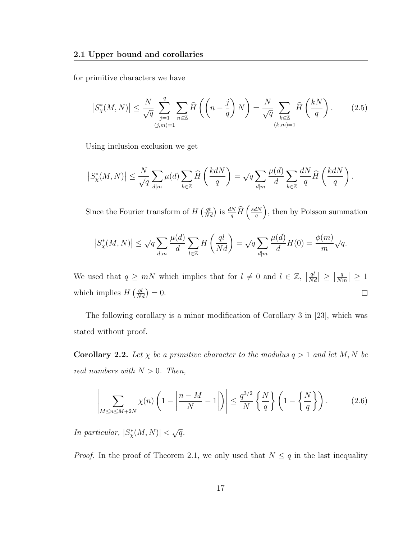for primitive characters we have

$$
\left| S_{\chi}^*(M,N) \right| \le \frac{N}{\sqrt{q}} \sum_{\substack{j=1 \ (j,m)=1}}^q \sum_{n \in \mathbb{Z}} \widehat{H}\left( \left(n - \frac{j}{q}\right)N\right) = \frac{N}{\sqrt{q}} \sum_{\substack{k \in \mathbb{Z} \ (k,m)=1}} \widehat{H}\left(\frac{kN}{q}\right). \tag{2.5}
$$

Using inclusion exclusion we get

$$
\left|S_{\chi}^*(M,N)\right| \le \frac{N}{\sqrt{q}} \sum_{d|m} \mu(d) \sum_{k \in \mathbb{Z}} \widehat{H}\left(\frac{kdN}{q}\right) = \sqrt{q} \sum_{d|m} \frac{\mu(d)}{d} \sum_{k \in \mathbb{Z}} \frac{dN}{q} \widehat{H}\left(\frac{kdN}{q}\right)
$$

Since the Fourier transform of  $H\left(\frac{qt}{Nd}\right)$  is  $\frac{dN}{q}\widehat{H}\left(\frac{sdN}{q}\right)$  $\frac{dN}{q}$ , then by Poisson summation

.

$$
\left|S^*_{\chi}(M,N)\right| \leq \sqrt{q} \sum_{d|m} \frac{\mu(d)}{d} \sum_{l \in \mathbb{Z}} H\left(\frac{ql}{Nd}\right) = \sqrt{q} \sum_{d|m} \frac{\mu(d)}{d} H(0) = \frac{\phi(m)}{m} \sqrt{q}.
$$

We used that  $q \geq mN$  which implies that for  $l \neq 0$  and  $l \in \mathbb{Z}$ ,  $\left| \frac{ql}{N\epsilon} \right|$  $\frac{ql}{Nd} \rvert \geq \lvert \frac{q}{N} \rvert$  $\frac{q}{Nm}$  |  $\geq 1$ which implies  $H\left(\frac{ql}{Nd}\right) = 0.$  $\Box$ 

The following corollary is a minor modification of Corollary 3 in [23], which was stated without proof.

**Corollary 2.2.** Let  $\chi$  be a primitive character to the modulus  $q > 1$  and let M, N be real numbers with  $N > 0$ . Then,

$$
\left| \sum_{M \le n \le M+2N} \chi(n) \left( 1 - \left| \frac{n-M}{N} - 1 \right| \right) \right| \le \frac{q^{3/2}}{N} \left\{ \frac{N}{q} \right\} \left( 1 - \left\{ \frac{N}{q} \right\} \right). \tag{2.6}
$$

In particular,  $|S^*_{\chi}(M,N)| < \sqrt{q}$ .

*Proof.* In the proof of Theorem 2.1, we only used that  $N \leq q$  in the last inequality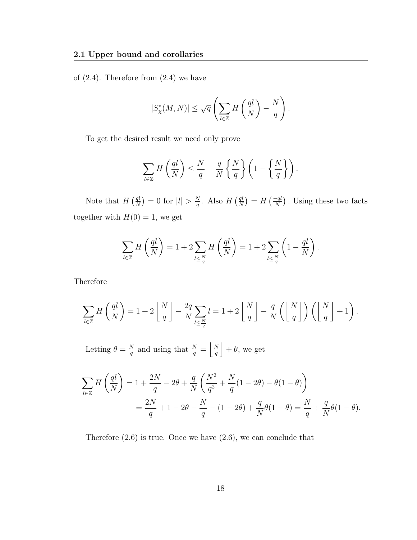of  $(2.4)$ . Therefore from  $(2.4)$  we have

$$
|S^*_{\chi}(M,N)| \leq \sqrt{q} \left( \sum_{l \in \mathbb{Z}} H\left(\frac{ql}{N}\right) - \frac{N}{q} \right).
$$

To get the desired result we need only prove

$$
\sum_{l\in\mathbb{Z}} H\left(\frac{ql}{N}\right) \le \frac{N}{q} + \frac{q}{N} \left\{\frac{N}{q}\right\} \left(1 - \left\{\frac{N}{q}\right\}\right).
$$

Note that  $H\left(\frac{ql}{N}\right)$  $\frac{ql}{N}$ ) = 0 for  $|l| > \frac{N}{q}$  $\frac{N}{q}$ . Also  $H\left(\frac{ql}{N}\right)$  $\frac{q l}{N}$ ) =  $H\left(\frac{-q l}{N}\right)$ . Using these two facts together with  $H(0) = 1$ , we get

$$
\sum_{l\in\mathbb{Z}} H\left(\frac{ql}{N}\right) = 1 + 2\sum_{l\leq \frac{N}{q}} H\left(\frac{ql}{N}\right) = 1 + 2\sum_{l\leq \frac{N}{q}} \left(1 - \frac{ql}{N}\right).
$$

Therefore

$$
\sum_{l\in\mathbb{Z}}H\left(\frac{ql}{N}\right)=1+2\left\lfloor\frac{N}{q}\right\rfloor-\frac{2q}{N}\sum_{l\leq\frac{N}{q}}l=1+2\left\lfloor\frac{N}{q}\right\rfloor-\frac{q}{N}\left(\left\lfloor\frac{N}{q}\right\rfloor\right)\left(\left\lfloor\frac{N}{q}\right\rfloor+1\right).
$$

Letting  $\theta = \frac{N}{a}$  $\frac{N}{q}$  and using that  $\frac{N}{q} = \frac{N}{q}$  $\frac{N}{q}$  +  $\theta$ , we get

$$
\sum_{l \in \mathbb{Z}} H\left(\frac{ql}{N}\right) = 1 + \frac{2N}{q} - 2\theta + \frac{q}{N} \left(\frac{N^2}{q^2} + \frac{N}{q}(1 - 2\theta) - \theta(1 - \theta)\right)
$$
  
=  $\frac{2N}{q} + 1 - 2\theta - \frac{N}{q} - (1 - 2\theta) + \frac{q}{N}\theta(1 - \theta) = \frac{N}{q} + \frac{q}{N}\theta(1 - \theta).$ 

Therefore (2.6) is true. Once we have (2.6), we can conclude that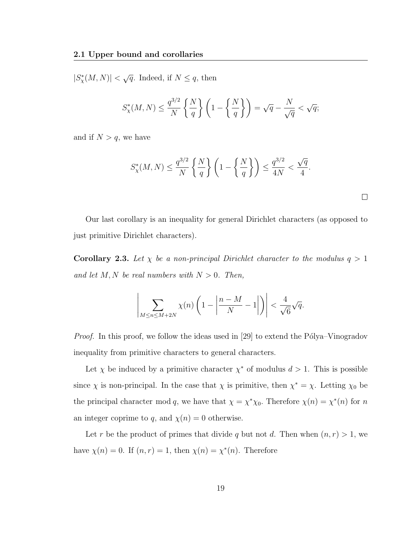$|S^*_{\chi}(M,N)| < \sqrt{q}$ . Indeed, if  $N \leq q$ , then

$$
S_{\chi}^*(M,N) \le \frac{q^{3/2}}{N} \left\{ \frac{N}{q} \right\} \left( 1 - \left\{ \frac{N}{q} \right\} \right) = \sqrt{q} - \frac{N}{\sqrt{q}} < \sqrt{q};
$$

and if  $N > q$ , we have

$$
S_{\chi}^*(M,N) \le \frac{q^{3/2}}{N} \left\{ \frac{N}{q} \right\} \left( 1 - \left\{ \frac{N}{q} \right\} \right) \le \frac{q^{3/2}}{4N} < \frac{\sqrt{q}}{4}.
$$

 $\Box$ 

Our last corollary is an inequality for general Dirichlet characters (as opposed to just primitive Dirichlet characters).

**Corollary 2.3.** Let  $\chi$  be a non-principal Dirichlet character to the modulus  $q > 1$ and let  $M, N$  be real numbers with  $N > 0$ . Then,

$$
\left|\sum_{M\leq n\leq M+2N}\chi(n)\left(1-\left|\frac{n-M}{N}-1\right|\right)\right|<\frac{4}{\sqrt{6}}\sqrt{q}.
$$

*Proof.* In this proof, we follow the ideas used in [29] to extend the Pólya–Vinogradov inequality from primitive characters to general characters.

Let  $\chi$  be induced by a primitive character  $\chi^*$  of modulus  $d > 1$ . This is possible since  $\chi$  is non-principal. In the case that  $\chi$  is primitive, then  $\chi^* = \chi$ . Letting  $\chi_0$  be the principal character mod q, we have that  $\chi = \chi^* \chi_0$ . Therefore  $\chi(n) = \chi^*(n)$  for n an integer coprime to q, and  $\chi(n) = 0$  otherwise.

Let r be the product of primes that divide q but not d. Then when  $(n, r) > 1$ , we have  $\chi(n) = 0$ . If  $(n, r) = 1$ , then  $\chi(n) = \chi^*(n)$ . Therefore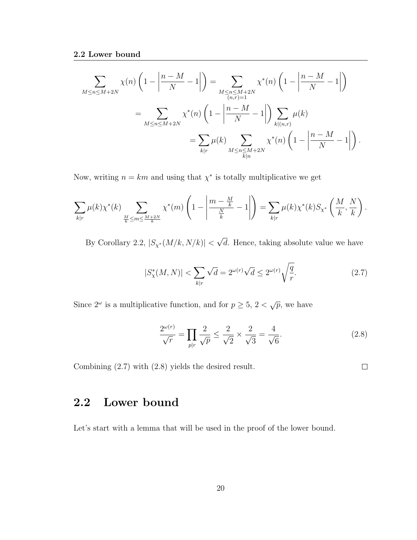$$
\sum_{M \le n \le M+2N} \chi(n) \left( 1 - \left| \frac{n-M}{N} - 1 \right| \right) = \sum_{\substack{M \le n \le M+2N \\ (n,r)=1}} \chi^*(n) \left( 1 - \left| \frac{n-M}{N} - 1 \right| \right)
$$

$$
= \sum_{M \le n \le M+2N} \chi^*(n) \left( 1 - \left| \frac{n-M}{N} - 1 \right| \right) \sum_{\substack{k|(n,r) \\ k|n}} \mu(k)
$$

$$
= \sum_{k|r} \mu(k) \sum_{\substack{M \le n \le M+2N \\ k|n}} \chi^*(n) \left( 1 - \left| \frac{n-M}{N} - 1 \right| \right).
$$

Now, writing  $n = km$  and using that  $\chi^*$  is totally multiplicative we get

$$
\sum_{k|r} \mu(k) \chi^*(k) \sum_{\frac{M}{k} \le m \le \frac{M+2N}{k}} \chi^*(m) \left(1 - \left|\frac{m - \frac{M}{k}}{\frac{N}{k}} - 1\right|\right) = \sum_{k|r} \mu(k) \chi^*(k) S_{\chi^*} \left(\frac{M}{k}, \frac{N}{k}\right).
$$

By Corollary 2.2,  $|S_{\chi^*}(M/k, N/k)| <$ √ d. Hence, taking absolute value we have

$$
|S_{\chi}^*(M,N)| < \sum_{k|r} \sqrt{d} = 2^{\omega(r)} \sqrt{d} \le 2^{\omega(r)} \sqrt{\frac{q}{r}}.\tag{2.7}
$$

Since  $2^{\omega}$  is a multiplicative function, and for  $p \geq 5$ ,  $2 < \sqrt{p}$ , we have

$$
\frac{2^{\omega(r)}}{\sqrt{r}} = \prod_{p|r} \frac{2}{\sqrt{p}} \le \frac{2}{\sqrt{2}} \times \frac{2}{\sqrt{3}} = \frac{4}{\sqrt{6}}.
$$
 (2.8)

Combining (2.7) with (2.8) yields the desired result.

 $\Box$ 

### 2.2 Lower bound

Let's start with a lemma that will be used in the proof of the lower bound.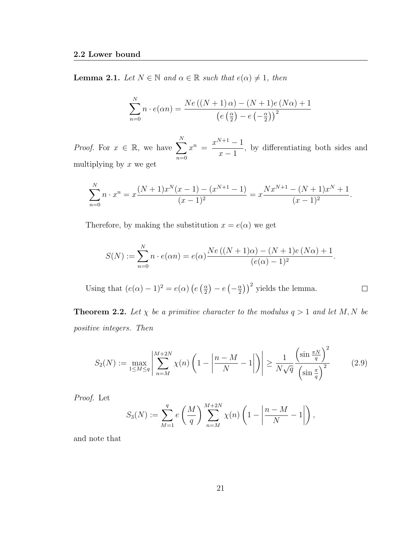**Lemma 2.1.** Let  $N \in \mathbb{N}$  and  $\alpha \in \mathbb{R}$  such that  $e(\alpha) \neq 1$ , then

$$
\sum_{n=0}^{N} n \cdot e(\alpha n) = \frac{Ne\left(\left(N+1\right)\alpha\right) - \left(N+1\right)e\left(N\alpha\right) + 1}{\left(e\left(\frac{\alpha}{2}\right) - e\left(-\frac{\alpha}{2}\right)\right)^2}
$$

*Proof.* For  $x \in \mathbb{R}$ , we have  $\sum$ N  $n=0$  $x^n = \frac{x^{N+1} - 1}{1}$  $x - 1$ , by differentiating both sides and multiplying by  $x$  we get

$$
\sum_{n=0}^{N} n \cdot x^n = x \frac{(N+1)x^N(x-1) - (x^{N+1} - 1)}{(x-1)^2} = x \frac{Nx^{N+1} - (N+1)x^N + 1}{(x-1)^2}.
$$

Therefore, by making the substitution  $x = e(\alpha)$  we get

$$
S(N) := \sum_{n=0}^{N} n \cdot e(\alpha n) = e(\alpha) \frac{Ne((N+1)\alpha) - (N+1)e(N\alpha) + 1}{(e(\alpha) - 1)^2}.
$$

 $\left(\frac{\alpha}{2}\right)$ )<sup>2</sup> yields the lemma. Using that  $(e(\alpha) - 1)^2 = e(\alpha) (e(\frac{\alpha}{2}))$  $\frac{\alpha}{2}$ ) –  $e\left(-\frac{\alpha}{2}\right)$  $\Box$ 

**Theorem 2.2.** Let  $\chi$  be a primitive character to the modulus  $q > 1$  and let M, N be positive integers. Then

$$
S_2(N) := \max_{1 \le M \le q} \left| \sum_{n=M}^{M+2N} \chi(n) \left( 1 - \left| \frac{n-M}{N} - 1 \right| \right) \right| \ge \frac{1}{N\sqrt{q}} \frac{\left( \sin \frac{\pi N}{q} \right)^2}{\left( \sin \frac{\pi}{q} \right)^2} \tag{2.9}
$$

Proof. Let

$$
S_3(N) := \sum_{M=1}^{q} e\left(\frac{M}{q}\right) \sum_{n=M}^{M+2N} \chi(n) \left(1 - \left|\frac{n-M}{N} - 1\right|\right),
$$

and note that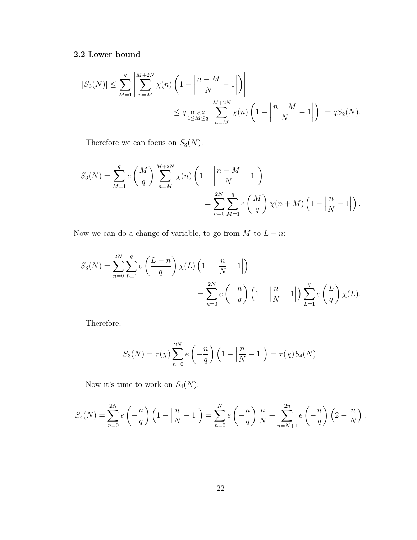$$
\begin{split} |S_3(N)|\leq & \sum_{M=1}^q \left|\sum_{n=M}^{M+2N} \chi(n)\left(1-\left|\frac{n-M}{N}-1\right|\right)\right|\\ &\leq q\max_{1\leq M\leq q}\left|\sum_{n=M}^{M+2N} \chi(n)\left(1-\left|\frac{n-M}{N}-1\right|\right)\right|=qS_2(N). \end{split}
$$

Therefore we can focus on  $S_3(N)$ .

$$
S_3(N) = \sum_{M=1}^{q} e\left(\frac{M}{q}\right) \sum_{n=M}^{M+2N} \chi(n) \left(1 - \left|\frac{n-M}{N} - 1\right|\right)
$$
  
= 
$$
\sum_{n=0}^{2N} \sum_{M=1}^{q} e\left(\frac{M}{q}\right) \chi(n+M) \left(1 - \left|\frac{n}{N} - 1\right|\right).
$$

Now we can do a change of variable, to go from  $M$  to  $L - n$ :

$$
S_3(N) = \sum_{n=0}^{2N} \sum_{L=1}^{q} e\left(\frac{L-n}{q}\right) \chi(L) \left(1 - \left|\frac{n}{N} - 1\right|\right)
$$
  
= 
$$
\sum_{n=0}^{2N} e\left(-\frac{n}{q}\right) \left(1 - \left|\frac{n}{N} - 1\right|\right) \sum_{L=1}^{q} e\left(\frac{L}{q}\right) \chi(L).
$$

Therefore,

$$
S_3(N) = \tau(\chi) \sum_{n=0}^{2N} e\left(-\frac{n}{q}\right) \left(1 - \left|\frac{n}{N} - 1\right|\right) = \tau(\chi) S_4(N).
$$

Now it's time to work on  $\mathcal{S}_4(N)$ :

$$
S_4(N) = \sum_{n=0}^{2N} e\left(-\frac{n}{q}\right) \left(1 - \left|\frac{n}{N} - 1\right|\right) = \sum_{n=0}^{N} e\left(-\frac{n}{q}\right) \frac{n}{N} + \sum_{n=N+1}^{2n} e\left(-\frac{n}{q}\right) \left(2 - \frac{n}{N}\right).
$$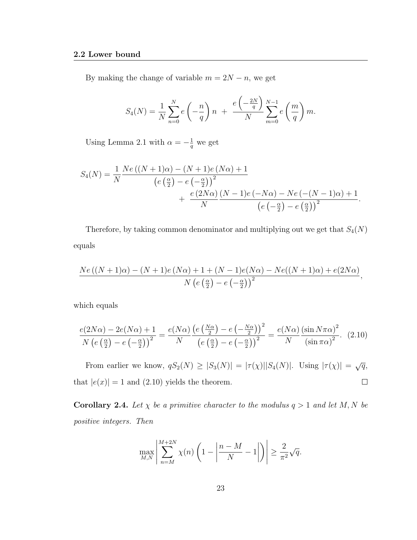By making the change of variable  $m = 2N - n$ , we get

$$
S_4(N) = \frac{1}{N} \sum_{n=0}^{N} e\left(-\frac{n}{q}\right) n + \frac{e\left(-\frac{2N}{q}\right)}{N} \sum_{m=0}^{N-1} e\left(\frac{m}{q}\right) m.
$$

Using Lemma 2.1 with  $\alpha = -\frac{1}{q}$  we get

$$
S_4(N) = \frac{1}{N} \frac{Ne((N+1)\alpha) - (N+1)e(N\alpha) + 1}{\left(e(\frac{\alpha}{2}) - e(-\frac{\alpha}{2})\right)^2} + \frac{e(2N\alpha)}{N} \frac{(N-1)e(-N\alpha) - Ne(-(N-1)\alpha) + 1}{\left(e(-\frac{\alpha}{2}) - e(\frac{\alpha}{2})\right)^2}.
$$

Therefore, by taking common denominator and multiplying out we get that  $S_4(N)$ equals

$$
\frac{Ne((N+1)\alpha)-(N+1)e(N\alpha)+1+(N-1)e(N\alpha)-Ne((N+1)\alpha)+e(2N\alpha)}{N\left(e\left(\frac{\alpha}{2}\right)-e\left(-\frac{\alpha}{2}\right)\right)^2},
$$

which equals

$$
\frac{e(2N\alpha) - 2e(N\alpha) + 1}{N\left(e\left(\frac{\alpha}{2}\right) - e\left(-\frac{\alpha}{2}\right)\right)^2} = \frac{e(N\alpha)\left(e\left(\frac{N\alpha}{2}\right) - e\left(-\frac{N\alpha}{2}\right)\right)^2}{N\left(e\left(\frac{\alpha}{2}\right) - e\left(-\frac{\alpha}{2}\right)\right)^2} = \frac{e(N\alpha)\left(\sin N\pi\alpha\right)^2}{N\left(\sin \pi\alpha\right)^2}.
$$
 (2.10)

From earlier we know,  $qS_2(N) \geq |S_3(N)| = |\tau(\chi)||S_4(N)|$ . Using  $|\tau(\chi)| = \sqrt{q}$ , that  $|e(x)| = 1$  and (2.10) yields the theorem.  $\Box$ 

**Corollary 2.4.** Let  $\chi$  be a primitive character to the modulus  $q > 1$  and let M, N be positive integers. Then

$$
\max_{M,N} \left| \sum_{n=M}^{M+2N} \chi(n) \left( 1 - \left| \frac{n-M}{N} - 1 \right| \right) \right| \ge \frac{2}{\pi^2} \sqrt{q}.
$$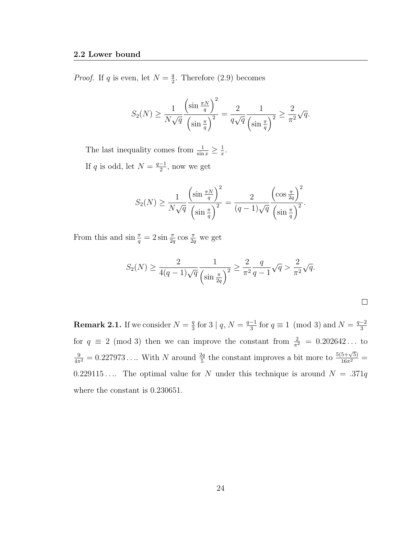*Proof.* If q is even, let  $N = \frac{q}{2}$  $\frac{q}{2}$ . Therefore (2.9) becomes

$$
S_2(N) \ge \frac{1}{N\sqrt{q}} \frac{\left(\sin \frac{\pi N}{q}\right)^2}{\left(\sin \frac{\pi}{q}\right)^2} = \frac{2}{q\sqrt{q}} \frac{1}{\left(\sin \frac{\pi}{q}\right)^2} \ge \frac{2}{\pi^2} \sqrt{q}.
$$

The last inequality comes from  $\frac{1}{\sin x} \geq \frac{1}{x}$  $\frac{1}{x}$ . If q is odd, let  $N = \frac{q-1}{2}$  $\frac{-1}{2}$ , now we get

$$
S_2(N) \ge \frac{1}{N\sqrt{q}} \frac{\left(\sin \frac{\pi N}{q}\right)^2}{\left(\sin \frac{\pi}{q}\right)^2} = \frac{2}{(q-1)\sqrt{q}} \frac{\left(\cos \frac{\pi}{2q}\right)^2}{\left(\sin \frac{\pi}{q}\right)^2}.
$$

From this and  $\sin \frac{\pi}{q} = 2 \sin \frac{\pi}{2q} \cos \frac{\pi}{2q}$  we get

$$
S_2(N) \ge \frac{2}{4(q-1)\sqrt{q}} \frac{1}{\left(\sin \frac{\pi}{2q}\right)^2} \ge \frac{2}{\pi^2} \frac{q}{q-1} \sqrt{q} > \frac{2}{\pi^2} \sqrt{q}.
$$

**Remark 2.1.** If we consider  $N = \frac{q}{3}$  $\frac{q}{3}$  for 3 |  $q, N = \frac{q-1}{3}$  $\frac{-1}{3}$  for  $q \equiv 1 \pmod{3}$  and  $N = \frac{q-2}{3}$ 3 for  $q \equiv 2 \pmod{3}$  then we can improve the constant from  $\frac{2}{\pi^2} = 0.202642...$  to  $\frac{9}{4\pi^2} = 0.227973...$  With N around  $\frac{2q}{5}$  the constant improves a bit more to  $\frac{5(5+\sqrt{5})}{16\pi^2}$ 0.229115.... The optimal value for N under this technique is around  $N = .371q$ where the constant is 0.230651.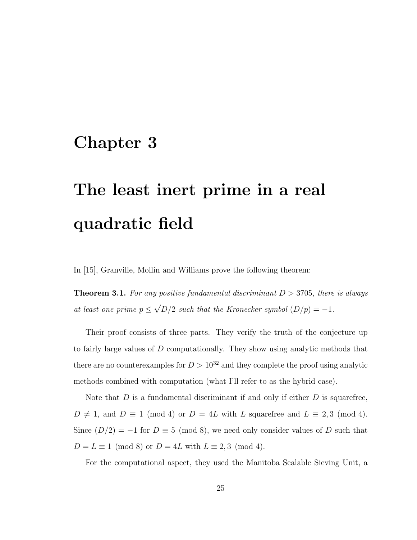### Chapter 3

# The least inert prime in a real quadratic field

In [15], Granville, Mollin and Williams prove the following theorem:

**Theorem 3.1.** For any positive fundamental discriminant  $D > 3705$ , there is always at least one prime  $p \leq$ √  $D/2$  such that the Kronecker symbol  $(D/p) = -1$ .

Their proof consists of three parts. They verify the truth of the conjecture up to fairly large values of D computationally. They show using analytic methods that there are no counterexamples for  $D > 10^{32}$  and they complete the proof using analytic methods combined with computation (what I'll refer to as the hybrid case).

Note that  $D$  is a fundamental discriminant if and only if either  $D$  is squarefree,  $D \neq 1$ , and  $D \equiv 1 \pmod{4}$  or  $D = 4L$  with L squarefree and  $L \equiv 2,3 \pmod{4}$ . Since  $(D/2) = -1$  for  $D \equiv 5 \pmod{8}$ , we need only consider values of D such that  $D = L \equiv 1 \pmod{8}$  or  $D = 4L$  with  $L \equiv 2, 3 \pmod{4}$ .

For the computational aspect, they used the Manitoba Scalable Sieving Unit, a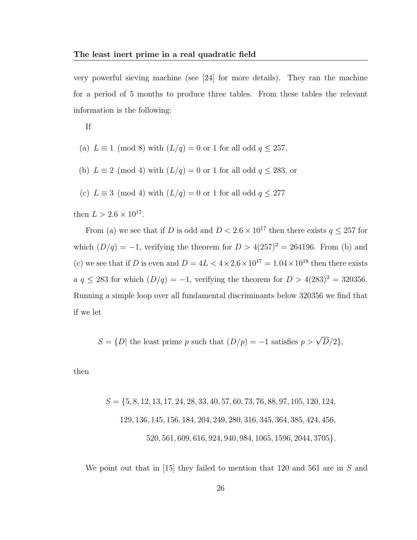very powerful sieving machine (see [24] for more details). They ran the machine for a period of 5 months to produce three tables. From these tables the relevant information is the following:

If

(a) 
$$
L \equiv 1 \pmod{8}
$$
 with  $(L/q) = 0$  or 1 for all odd  $q \le 257$ ,

(b)  $L \equiv 2 \pmod{4}$  with  $(L/q) = 0$  or 1 for all odd  $q \le 283$ , or

(c)  $L \equiv 3 \pmod{4}$  with  $(L/q) = 0$  or 1 for all odd  $q \leq 277$ 

then  $L > 2.6 \times 10^{17}$ .

From (a) we see that if D is odd and  $D < 2.6 \times 10^{17}$  then there exists  $q \leq 257$  for which  $(D/q) = -1$ , verifying the theorem for  $D > 4(257)^2 = 264196$ . From (b) and (c) we see that if D is even and  $D = 4L < 4 \times 2.6 \times 10^{17} = 1.04 \times 10^{18}$  then there exists a  $q \leq 283$  for which  $(D/q) = -1$ , verifying the theorem for  $D > 4(283)^2 = 320356$ . Running a simple loop over all fundamental discriminants below 320356 we find that if we let

 $S = \{D | \text{ the least prime } p \text{ such that } (D/p) = -1 \text{ satisfies } p > \sqrt{D}/2 \},\$ 

then

$$
S = \{5, 8, 12, 13, 17, 24, 28, 33, 40, 57, 60, 73, 76, 88, 97, 105, 120, 124,
$$
  
\n129, 136, 145, 156, 184, 204, 249, 280, 316, 345, 364, 385, 424, 456,  
\n520, 561, 609, 616, 924, 940, 984, 1065, 1596, 2044, 3705\}.

We point out that in [15] they failed to mention that 120 and 561 are in S and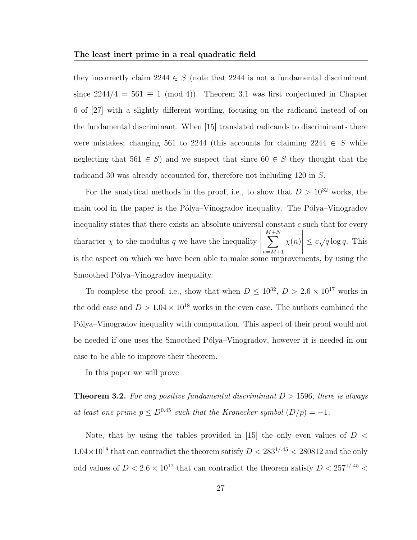they incorrectly claim 2244  $\in S$  (note that 2244 is not a fundamental discriminant since  $2244/4 = 561 \equiv 1 \pmod{4}$ . Theorem 3.1 was first conjectured in Chapter 6 of [27] with a slightly different wording, focusing on the radicand instead of on the fundamental discriminant. When [15] translated radicands to discriminants there were mistakes; changing 561 to 2244 (this accounts for claiming 2244  $\in S$  while neglecting that  $561 \in S$ ) and we suspect that since  $60 \in S$  they thought that the radicand 30 was already accounted for, therefore not including 120 in S.

For the analytical methods in the proof, i.e., to show that  $D > 10^{32}$  works, the main tool in the paper is the Pólya–Vinogradov inequality. The Pólya–Vinogradov inequality states that there exists an absolute universal constant  $c$  such that for every character  $\chi$  to the modulus q we have the inequality  $\begin{array}{c} \hline \end{array}$ M  $\sum$  $+N$  $n=M+1$  $\chi(n)$   $\leq c\sqrt{q}\log q$ . This is the aspect on which we have been able to make some improvements, by using the Smoothed Pólya–Vinogradov inequality.

To complete the proof, i.e., show that when  $D \leq 10^{32}$ ,  $D > 2.6 \times 10^{17}$  works in the odd case and  $D > 1.04 \times 10^{18}$  works in the even case. The authors combined the Pólya–Vinogradov inequality with computation. This aspect of their proof would not be needed if one uses the Smoothed P´olya–Vinogradov, however it is needed in our case to be able to improve their theorem.

In this paper we will prove

**Theorem 3.2.** For any positive fundamental discriminant  $D > 1596$ , there is always at least one prime  $p \leq D^{0.45}$  such that the Kronecker symbol  $(D/p) = -1$ .

Note, that by using the tables provided in [15] the only even values of  $D <$  $1.04\times10^{18}$  that can contradict the theorem satisfy  $D < 283^{1/0.45} < 280812$  and the only odd values of  $D < 2.6 \times 10^{17}$  that can contradict the theorem satisfy  $D < 257^{1/0.45}$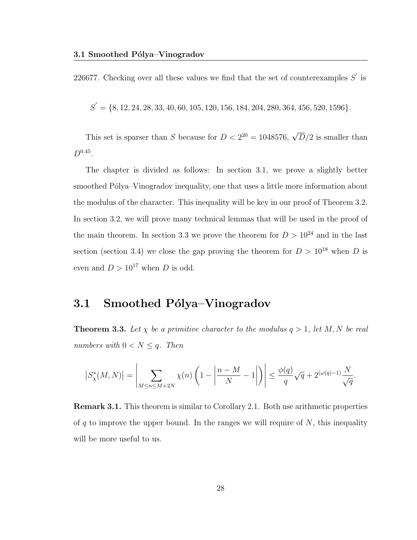226677. Checking over all these values we find that the set of counterexamples  $S'$  is

 $S' = \{8, 12, 24, 28, 33, 40, 60, 105, 120, 156, 184, 204, 280, 364, 456, 520, 1596\}.$ 

This set is sparser than S because for  $D < 2^{20} = 1048576$ ,  $\sqrt{D}/2$  is smaller than  $D^{0.45}$ .

The chapter is divided as follows: In section 3.1, we prove a slightly better smoothed Pólya–Vinogradov inequality, one that uses a little more information about the modulus of the character. This inequality will be key in our proof of Theorem 3.2. In section 3.2, we will prove many technical lemmas that will be used in the proof of the main theorem. In section 3.3 we prove the theorem for  $D > 10^{24}$  and in the last section (section 3.4) we close the gap proving the theorem for  $D > 10^{18}$  when D is even and  $D > 10^{17}$  when D is odd.

### 3.1 Smoothed Pólya–Vinogradov

**Theorem 3.3.** Let  $\chi$  be a primitive character to the modulus  $q > 1$ , let M, N be real numbers with  $0 < N \leq q$ . Then

$$
\left|S_{\chi}^*(M,N)\right| = \left|\sum_{M \le n \le M+2N} \chi(n) \left(1 - \left|\frac{n-M}{N} - 1\right|\right)\right| \le \frac{\phi(q)}{q} \sqrt{q} + 2^{(\omega(q)-1)} \frac{N}{\sqrt{q}}.
$$

Remark 3.1. This theorem is similar to Corollary 2.1. Both use arithmetic properties of q to improve the upper bound. In the ranges we will require of  $N$ , this inequality will be more useful to us.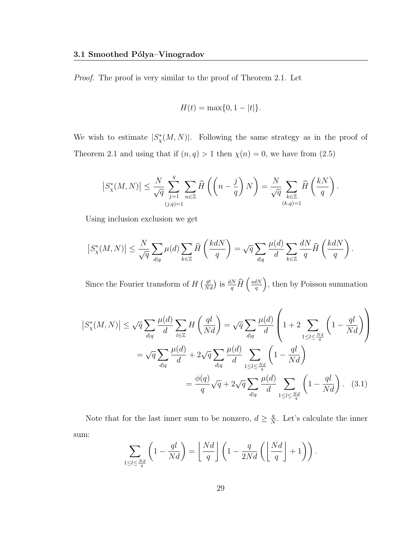Proof. The proof is very similar to the proof of Theorem 2.1. Let

$$
H(t) = \max\{0, 1 - |t|\}.
$$

We wish to estimate  $|S^*_{\chi}(M,N)|$ . Following the same strategy as in the proof of Theorem 2.1 and using that if  $(n, q) > 1$  then  $\chi(n) = 0$ , we have from  $(2.5)$ 

$$
\left|S^*_\chi(M,N)\right|\leq \frac{N}{\sqrt{q}}\sum_{\substack{j=1\\(j,q)=1}}^q\sum_{n\in\mathbb{Z}}\widehat{H}\left(\left(n-\frac{j}{q}\right)N\right)=\frac{N}{\sqrt{q}}\sum_{\substack{k\in\mathbb{Z}\\(k,q)=1}}\widehat{H}\left(\frac{kN}{q}\right).
$$

Using inclusion exclusion we get

$$
\left|S_\chi^*(M,N)\right|\leq \frac{N}{\sqrt{q}}\sum_{d|q}\mu(d)\sum_{k\in\mathbb{Z}}\widehat{H}\left(\frac{kdN}{q}\right)=\sqrt{q}\sum_{d|q}\frac{\mu(d)}{d}\sum_{k\in\mathbb{Z}}\frac{dN}{q}\widehat{H}\left(\frac{kdN}{q}\right).
$$

Since the Fourier transform of  $H\left(\frac{qt}{Nd}\right)$  is  $\frac{dN}{q}\widehat{H}\left(\frac{sdN}{q}\right)$  $\frac{dN}{q}$ , then by Poisson summation

$$
\left|S_{\chi}^{*}(M,N)\right| \leq \sqrt{q} \sum_{d|q} \frac{\mu(d)}{d} \sum_{l \in \mathbb{Z}} H\left(\frac{ql}{Nd}\right) = \sqrt{q} \sum_{d|q} \frac{\mu(d)}{d} \left(1 + 2 \sum_{1 \leq l \leq \frac{Nd}{q}} \left(1 - \frac{ql}{Nd}\right)\right)
$$

$$
= \sqrt{q} \sum_{d|q} \frac{\mu(d)}{d} + 2\sqrt{q} \sum_{d|q} \frac{\mu(d)}{d} \sum_{1 \leq l \leq \frac{Nd}{q}} \left(1 - \frac{ql}{Nd}\right)
$$

$$
= \frac{\phi(q)}{q} \sqrt{q} + 2\sqrt{q} \sum_{d|q} \frac{\mu(d)}{d} \sum_{1 \leq l \leq \frac{Nd}{q}} \left(1 - \frac{ql}{Nd}\right). \quad (3.1)
$$

Note that for the last inner sum to be nonzero,  $d \geq \frac{q}{\lambda}$  $\frac{q}{N}$ . Let's calculate the inner sum:

$$
\sum_{1 \le l \le \frac{Nd}{q}} \left( 1 - \frac{ql}{Nd} \right) = \left\lfloor \frac{Nd}{q} \right\rfloor \left( 1 - \frac{q}{2Nd} \left( \left\lfloor \frac{Nd}{q} \right\rfloor + 1 \right) \right).
$$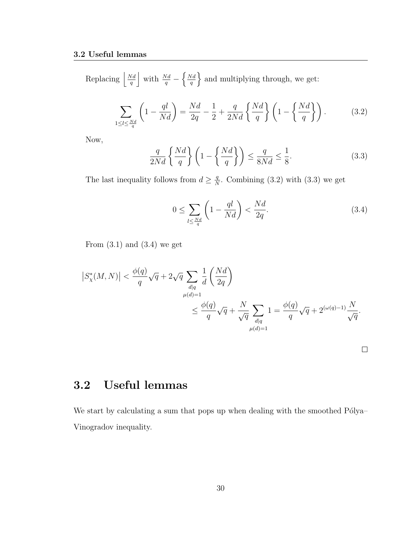Replacing  $\frac{Nd}{a}$  $\frac{Nd}{q}$  with  $\frac{Nd}{q} - \left\{\frac{Nd}{q}\right\}$  $\left\{\frac{N d}{q}\right\}$  and multiplying through, we get:

$$
\sum_{1 \le l \le \frac{Nd}{q}} \left( 1 - \frac{ql}{Nd} \right) = \frac{Nd}{2q} - \frac{1}{2} + \frac{q}{2Nd} \left\{ \frac{Nd}{q} \right\} \left( 1 - \left\{ \frac{Nd}{q} \right\} \right). \tag{3.2}
$$

Now,

$$
\frac{q}{2Nd} \left\{ \frac{Nd}{q} \right\} \left( 1 - \left\{ \frac{Nd}{q} \right\} \right) \le \frac{q}{8Nd} \le \frac{1}{8}.
$$
\n(3.3)

The last inequality follows from  $d \geq \frac{q}{\lambda}$  $\frac{q}{N}$ . Combining (3.2) with (3.3) we get

$$
0 \le \sum_{l \le \frac{Nd}{q}} \left( 1 - \frac{ql}{Nd} \right) < \frac{Nd}{2q}.\tag{3.4}
$$

From  $(3.1)$  and  $(3.4)$  we get

$$
\left| S^*_{\chi}(M,N) \right| < \frac{\phi(q)}{q} \sqrt{q} + 2\sqrt{q} \sum_{\substack{d|q \\ \mu(d)=1}} \frac{1}{d} \left( \frac{Nd}{2q} \right)
$$
  

$$
\leq \frac{\phi(q)}{q} \sqrt{q} + \frac{N}{\sqrt{q}} \sum_{\substack{d|q \\ \mu(d)=1}} 1 = \frac{\phi(q)}{q} \sqrt{q} + 2^{(\omega(q)-1)} \frac{N}{\sqrt{q}}.
$$

## 3.2 Useful lemmas

We start by calculating a sum that pops up when dealing with the smoothed Pólya– Vinogradov inequality.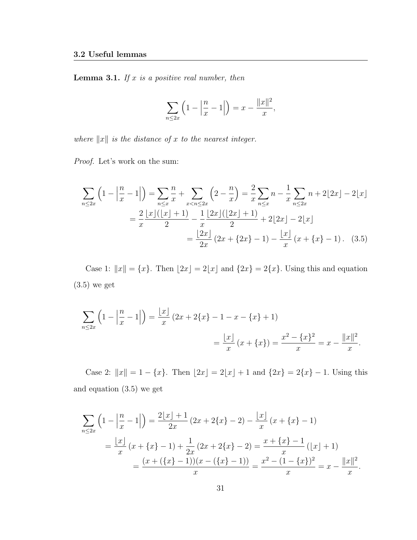**Lemma 3.1.** If  $x$  is a positive real number, then

$$
\sum_{n \le 2x} \left( 1 - \left| \frac{n}{x} - 1 \right| \right) = x - \frac{\|x\|^2}{x},
$$

where  $||x||$  is the distance of x to the nearest integer.

Proof. Let's work on the sum:

$$
\sum_{n\leq 2x} \left(1 - \left|\frac{n}{x} - 1\right|\right) = \sum_{n\leq x} \frac{n}{x} + \sum_{x < n\leq 2x} \left(2 - \frac{n}{x}\right) = \frac{2}{x} \sum_{n\leq x} n - \frac{1}{x} \sum_{n\leq 2x} n + 2\lfloor 2x \rfloor - 2\lfloor x \rfloor
$$
\n
$$
= \frac{2}{x} \frac{\lfloor x \rfloor (\lfloor x \rfloor + 1)}{2} - \frac{1}{x} \frac{\lfloor 2x \rfloor (\lfloor 2x \rfloor + 1)}{2} + 2\lfloor 2x \rfloor - 2\lfloor x \rfloor
$$
\n
$$
= \frac{\lfloor 2x \rfloor}{2x} \left(2x + \{2x\} - 1\right) - \frac{\lfloor x \rfloor}{x} \left(x + \{x\} - 1\right). \tag{3.5}
$$

Case 1:  $||x|| = {x}$ . Then  $[2x] = 2[x]$  and  ${2x} = 2{x}$ . Using this and equation (3.5) we get

$$
\sum_{n \le 2x} \left( 1 - \left| \frac{n}{x} - 1 \right| \right) = \frac{\lfloor x \rfloor}{x} \left( 2x + 2\{x\} - 1 - x - \{x\} + 1 \right)
$$

$$
= \frac{\lfloor x \rfloor}{x} \left( x + \{x\} \right) = \frac{x^2 - \{x\}^2}{x} = x - \frac{\|x\|^2}{x}.
$$

Case 2:  $||x|| = 1 - \{x\}$ . Then  $\lfloor 2x \rfloor = 2\lfloor x \rfloor + 1$  and  $\{2x\} = 2\{x\} - 1$ . Using this and equation (3.5) we get

$$
\sum_{n\leq 2x} \left(1 - \left|\frac{n}{x} - 1\right|\right) = \frac{2\lfloor x \rfloor + 1}{2x} \left(2x + 2\{x\} - 2\right) - \frac{\lfloor x \rfloor}{x} \left(x + \{x\} - 1\right)
$$

$$
= \frac{\lfloor x \rfloor}{x} \left(x + \{x\} - 1\right) + \frac{1}{2x} \left(2x + 2\{x\} - 2\right) = \frac{x + \{x\} - 1}{x} \left(\lfloor x \rfloor + 1\right)
$$

$$
= \frac{(x + (\{x\} - 1))(x - (\{x\} - 1))}{x} = \frac{x^2 - (1 - \{x\})^2}{x} = x - \frac{\|x\|^2}{x}.
$$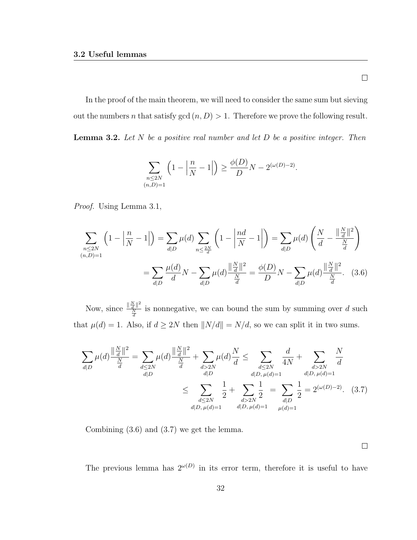In the proof of the main theorem, we will need to consider the same sum but sieving out the numbers n that satisfy gcd  $(n, D) > 1$ . Therefore we prove the following result. **Lemma 3.2.** Let  $N$  be a positive real number and let  $D$  be a positive integer. Then

$$
\sum_{\substack{n \le 2N \\ (n,D)=1}} \left( 1 - \left| \frac{n}{N} - 1 \right| \right) \ge \frac{\phi(D)}{D} N - 2^{(\omega(D)-2)}.
$$

Proof. Using Lemma 3.1,

$$
\sum_{\substack{n \le 2N \ (n,D)=1}} \left(1 - \left|\frac{n}{N} - 1\right|\right) = \sum_{d|D} \mu(d) \sum_{n \le \frac{2N}{d}} \left(1 - \left|\frac{nd}{N} - 1\right|\right) = \sum_{d|D} \mu(d) \left(\frac{N}{d} - \frac{\left|\frac{N}{d}\right|^2}{\frac{N}{d}}\right)
$$

$$
= \sum_{d|D} \frac{\mu(d)}{d} N - \sum_{d|D} \mu(d) \frac{\left|\frac{N}{d}\right|^2}{\frac{N}{d}} = \frac{\phi(D)}{D} N - \sum_{d|D} \mu(d) \frac{\left|\frac{N}{d}\right|^2}{\frac{N}{d}}. \quad (3.6)
$$

Now, since  $\frac{\|\frac{N}{d}\|^2}{N}$  $\frac{d}{d} \frac{N}{d}$  is nonnegative, we can bound the sum by summing over d such that  $\mu(d) = 1$ . Also, if  $d \geq 2N$  then  $||N/d|| = N/d$ , so we can split it in two sums.

$$
\sum_{d|D} \mu(d) \frac{\|\frac{N}{d}\|^2}{\frac{N}{d}} = \sum_{\substack{d \le 2N \ d|D}} \mu(d) \frac{\|\frac{N}{d}\|^2}{\frac{N}{d}} + \sum_{\substack{d > 2N \ d|D}} \mu(d) \frac{N}{d} \le \sum_{\substack{d \le 2N \ d|D, \mu(d)=1}} \frac{d}{4N} + \sum_{\substack{d > 2N \ d|D, \mu(d)=1}} \frac{N}{d}}{\frac{d|D, \mu(d)=1}{d|D, \mu(d)=1}} \le \sum_{\substack{d \le 2N \ d|D, \mu(d)=1}} \frac{1}{2} + \sum_{\substack{d > 2N \ d|D, \mu(d)=1}} \frac{1}{2} = \sum_{\substack{d|D \mu(d)=1}} \frac{1}{2} = 2^{(\omega(D)-2)}. (3.7)
$$

Combining (3.6) and (3.7) we get the lemma.

 $\Box$ 

The previous lemma has  $2^{\omega(D)}$  in its error term, therefore it is useful to have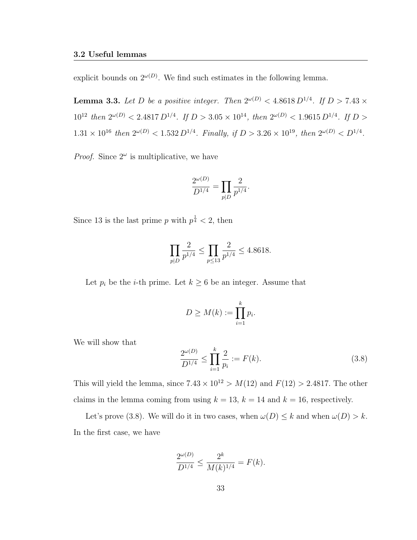explicit bounds on  $2^{\omega(D)}$ . We find such estimates in the following lemma.

**Lemma 3.3.** Let D be a positive integer. Then  $2^{\omega(D)} < 4.8618 D^{1/4}$ . If  $D > 7.43 \times$  $10^{12}$  then  $2^{\omega(D)} < 2.4817 D^{1/4}$ . If  $D > 3.05 \times 10^{14}$ , then  $2^{\omega(D)} < 1.9615 D^{1/4}$ . If  $D >$  $1.31 \times 10^{16}$  then  $2^{\omega(D)} < 1.532 D^{1/4}$ . Finally, if  $D > 3.26 \times 10^{19}$ , then  $2^{\omega(D)} < D^{1/4}$ .

*Proof.* Since  $2^{\omega}$  is multiplicative, we have

$$
\frac{2^{\omega(D)}}{D^{1/4}} = \prod_{p|D} \frac{2}{p^{1/4}}.
$$

Since 13 is the last prime p with  $p^{\frac{1}{4}} < 2$ , then

$$
\prod_{p|D} \frac{2}{p^{1/4}} \le \prod_{p \le 13} \frac{2}{p^{1/4}} \le 4.8618.
$$

Let  $p_i$  be the *i*-th prime. Let  $k \geq 6$  be an integer. Assume that

$$
D \geq M(k) := \prod_{i=1}^{k} p_i.
$$

We will show that

$$
\frac{2^{\omega(D)}}{D^{1/4}} \le \prod_{i=1}^{k} \frac{2}{p_i} := F(k). \tag{3.8}
$$

This will yield the lemma, since  $7.43 \times 10^{12} > M(12)$  and  $F(12) > 2.4817$ . The other claims in the lemma coming from using  $k = 13$ ,  $k = 14$  and  $k = 16$ , respectively.

Let's prove (3.8). We will do it in two cases, when  $\omega(D) \leq k$  and when  $\omega(D) > k$ . In the first case, we have

$$
\frac{2^{\omega(D)}}{D^{1/4}} \le \frac{2^k}{M(k)^{1/4}} = F(k).
$$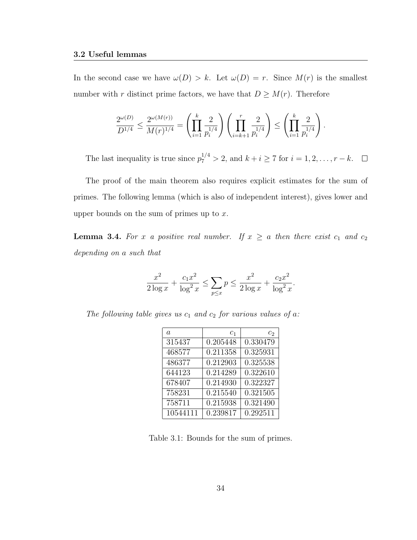In the second case we have  $\omega(D) > k$ . Let  $\omega(D) = r$ . Since  $M(r)$  is the smallest number with r distinct prime factors, we have that  $D \geq M(r)$ . Therefore

$$
\frac{2^{\omega(D)}}{D^{1/4}} \le \frac{2^{\omega(M(r))}}{M(r)^{1/4}} = \left(\prod_{i=1}^k \frac{2}{p_i^{1/4}}\right) \left(\prod_{i=k+1}^r \frac{2}{p_i^{1/4}}\right) \le \left(\prod_{i=1}^k \frac{2}{p_i^{1/4}}\right)
$$

The last inequality is true since  $p_7^{1/4} > 2$ , and  $k + i \ge 7$  for  $i = 1, 2, \ldots, r - k$ .

.

The proof of the main theorem also requires explicit estimates for the sum of primes. The following lemma (which is also of independent interest), gives lower and upper bounds on the sum of primes up to  $x$ .

**Lemma 3.4.** For x a positive real number. If  $x \ge a$  then there exist  $c_1$  and  $c_2$ depending on a such that

$$
\frac{x^2}{2\log x} + \frac{c_1 x^2}{\log^2 x} \le \sum_{p \le x} p \le \frac{x^2}{2\log x} + \frac{c_2 x^2}{\log^2 x}.
$$

The following table gives us  $c_1$  and  $c_2$  for various values of a:

| a.       | c <sub>1</sub> | C9.      |
|----------|----------------|----------|
| 315437   | 0.205448       | 0.330479 |
| 468577   | 0.211358       | 0.325931 |
| 486377   | 0.212903       | 0.325538 |
| 644123   | 0.214289       | 0.322610 |
| 678407   | 0.214930       | 0.322327 |
| 758231   | 0.215540       | 0.321505 |
| 758711   | 0.215938       | 0.321490 |
| 10544111 | 0.239817       | 0.292511 |

Table 3.1: Bounds for the sum of primes.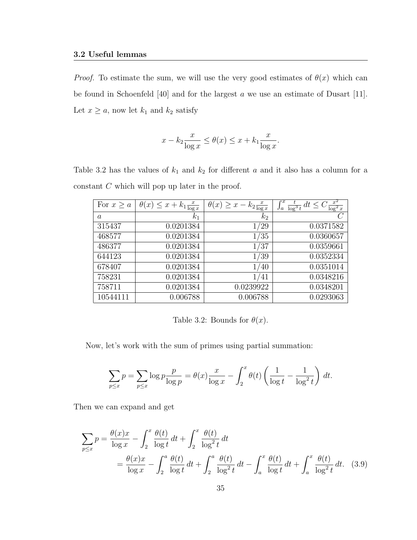*Proof.* To estimate the sum, we will use the very good estimates of  $\theta(x)$  which can be found in Schoenfeld [40] and for the largest a we use an estimate of Dusart [11]. Let  $x \ge a$ , now let  $k_1$  and  $k_2$  satisfy

$$
x - k_2 \frac{x}{\log x} \le \theta(x) \le x + k_1 \frac{x}{\log x}.
$$

Table 3.2 has the values of  $k_1$  and  $k_2$  for different a and it also has a column for a constant C which will pop up later in the proof.

| For $x \geq a$ | $\theta(x) \leq x + k_1 \frac{x}{\log x}$ | $\theta(x) \geq x - k_2 \frac{x}{\log x}$ | $x^2$<br>$\int_a^x \frac{t}{\log^3 t} dt \leq C \frac{x^2}{\log^2 x}$ |
|----------------|-------------------------------------------|-------------------------------------------|-----------------------------------------------------------------------|
| $\overline{a}$ | $k_{1}$                                   | $k_{2}$                                   |                                                                       |
| 315437         | 0.0201384                                 | /29                                       | 0.0371582                                                             |
| 468577         | 0.0201384                                 | 1/35                                      | 0.0360657                                                             |
| 486377         | 0.0201384                                 | /37                                       | 0.0359661                                                             |
| 644123         | 0.0201384                                 | 1/39                                      | 0.0352334                                                             |
| 678407         | 0.0201384                                 | 1/40                                      | 0.0351014                                                             |
| 758231         | 0.0201384                                 | /41                                       | 0.0348216                                                             |
| 758711         | 0.0201384                                 | 0.0239922                                 | 0.0348201                                                             |
| 10544111       | 0.006788                                  | 0.006788                                  | 0.0293063                                                             |

Table 3.2: Bounds for  $\theta(x)$ .

Now, let's work with the sum of primes using partial summation:

$$
\sum_{p\leq x} p = \sum_{p\leq x} \log p \frac{p}{\log p} = \theta(x) \frac{x}{\log x} - \int_2^x \theta(t) \left( \frac{1}{\log t} - \frac{1}{\log^2 t} \right) dt.
$$

Then we can expand and get

$$
\sum_{p\leq x} p = \frac{\theta(x)x}{\log x} - \int_2^x \frac{\theta(t)}{\log t} dt + \int_2^x \frac{\theta(t)}{\log^2 t} dt
$$
  
=  $\frac{\theta(x)x}{\log x} - \int_2^a \frac{\theta(t)}{\log t} dt + \int_2^a \frac{\theta(t)}{\log^2 t} dt - \int_a^x \frac{\theta(t)}{\log t} dt + \int_a^x \frac{\theta(t)}{\log^2 t} dt.$  (3.9)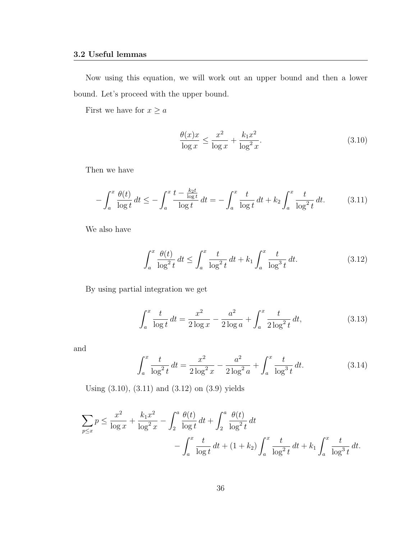Now using this equation, we will work out an upper bound and then a lower bound. Let's proceed with the upper bound.

First we have for  $x\geq a$ 

$$
\frac{\theta(x)x}{\log x} \le \frac{x^2}{\log x} + \frac{k_1 x^2}{\log^2 x}.
$$
\n(3.10)

Then we have

$$
-\int_{a}^{x} \frac{\theta(t)}{\log t} dt \le -\int_{a}^{x} \frac{t - \frac{k_2 t}{\log t}}{\log t} dt = -\int_{a}^{x} \frac{t}{\log t} dt + k_2 \int_{a}^{x} \frac{t}{\log^2 t} dt.
$$
 (3.11)

We also have

$$
\int_{a}^{x} \frac{\theta(t)}{\log^{2} t} dt \le \int_{a}^{x} \frac{t}{\log^{2} t} dt + k_{1} \int_{a}^{x} \frac{t}{\log^{3} t} dt.
$$
 (3.12)

By using partial integration we get

$$
\int_{a}^{x} \frac{t}{\log t} dt = \frac{x^2}{2 \log x} - \frac{a^2}{2 \log a} + \int_{a}^{x} \frac{t}{2 \log^2 t} dt,
$$
\n(3.13)

and

$$
\int_{a}^{x} \frac{t}{\log^{2} t} dt = \frac{x^{2}}{2 \log^{2} x} - \frac{a^{2}}{2 \log^{2} a} + \int_{a}^{x} \frac{t}{\log^{3} t} dt.
$$
 (3.14)

Using (3.10), (3.11) and (3.12) on (3.9) yields

$$
\sum_{p \le x} p \le \frac{x^2}{\log x} + \frac{k_1 x^2}{\log^2 x} - \int_2^a \frac{\theta(t)}{\log t} dt + \int_2^a \frac{\theta(t)}{\log^2 t} dt - \int_a^x \frac{t}{\log^2 t} dt + (1 + k_2) \int_a^x \frac{t}{\log^2 t} dt + k_1 \int_a^x \frac{t}{\log^3 t} dt.
$$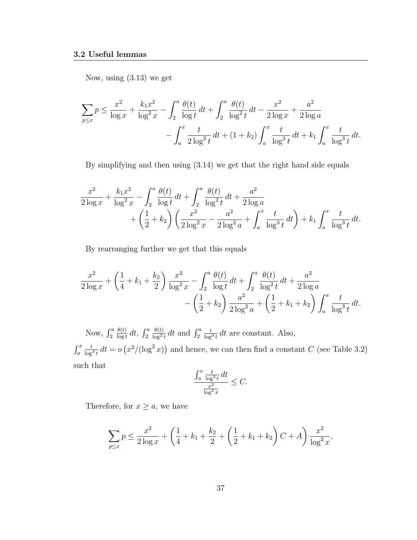Now, using (3.13) we get

$$
\sum_{p \le x} p \le \frac{x^2}{\log x} + \frac{k_1 x^2}{\log^2 x} - \int_2^a \frac{\theta(t)}{\log t} dt + \int_2^a \frac{\theta(t)}{\log^2 t} dt - \frac{x^2}{2 \log x} + \frac{a^2}{2 \log a} - \int_a^x \frac{t}{2 \log^2 t} dt + (1 + k_2) \int_a^x \frac{t}{\log^2 t} dt + k_1 \int_a^x \frac{t}{\log^3 t} dt.
$$

By simplifying and then using (3.14) we get that the right hand side equals

$$
\frac{x^2}{2\log x} + \frac{k_1 x^2}{\log^2 x} - \int_2^a \frac{\theta(t)}{\log t} dt + \int_2^a \frac{\theta(t)}{\log^2 t} dt + \frac{a^2}{2\log a} + \left(\frac{1}{2} + k_2\right) \left(\frac{x^2}{2\log^2 x} - \frac{a^2}{2\log^2 a} + \int_a^x \frac{t}{\log^3 t} dt\right) + k_1 \int_a^x \frac{t}{\log^3 t} dt.
$$

By rearranging further we get that this equals

$$
\frac{x^2}{2\log x} + \left(\frac{1}{4} + k_1 + \frac{k_2}{2}\right) \frac{x^2}{\log^2 x} - \int_2^a \frac{\theta(t)}{\log t} dt + \int_2^a \frac{\theta(t)}{\log^2 t} dt + \frac{a^2}{2\log a} - \left(\frac{1}{2} + k_2\right) \frac{a^2}{2\log^2 a} + \left(\frac{1}{2} + k_1 + k_2\right) \int_a^x \frac{t}{\log^3 t} dt.
$$

Now,  $\int_2^a$  $\theta(t)$  $\frac{\theta(t)}{\log t} dt$ ,  $\int_2^a$  $\theta(t)$  $\frac{\theta(t)}{\log^2 t} dt$  and  $\int_2^a$  $\frac{t}{\log^3 t}$ dt are constant. Also,  $\int_a^x$  $\frac{t}{\log^3 t} dt = o\left(x^2/(\log^2 x)\right)$  and hence, we can then find a constant C (see Table 3.2) such that

$$
\frac{\int_a^x \frac{t}{\log^3 t} dt}{\frac{x^2}{\log^2 x}} \leq C.
$$

Therefore, for  $x \ge a$ , we have

$$
\sum_{p \le x} p \le \frac{x^2}{2 \log x} + \left(\frac{1}{4} + k_1 + \frac{k_2}{2} + \left(\frac{1}{2} + k_1 + k_2\right)C + A\right) \frac{x^2}{\log^2 x},
$$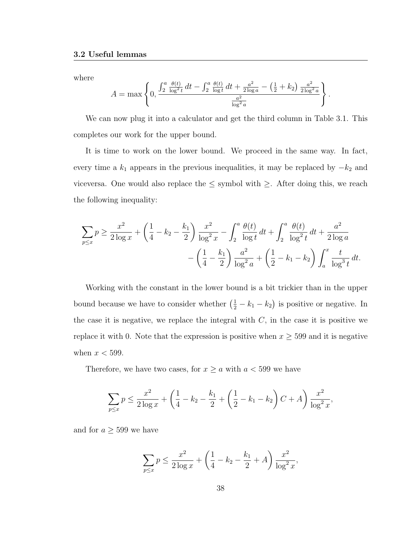where

$$
A = \max \left\{ 0, \frac{\int_2^a \frac{\theta(t)}{\log^2 t} dt - \int_2^a \frac{\theta(t)}{\log t} dt + \frac{a^2}{2 \log a} - (\frac{1}{2} + k_2) \frac{a^2}{2 \log^2 a}}{\frac{a^2}{\log^2 a}} \right\}
$$

.

We can now plug it into a calculator and get the third column in Table 3.1. This completes our work for the upper bound.

It is time to work on the lower bound. We proceed in the same way. In fact, every time a  $k_1$  appears in the previous inequalities, it may be replaced by  $-k_2$  and viceversa. One would also replace the  $\leq$  symbol with  $\geq$ . After doing this, we reach the following inequality:

$$
\sum_{p \le x} p \ge \frac{x^2}{2 \log x} + \left(\frac{1}{4} - k_2 - \frac{k_1}{2}\right) \frac{x^2}{\log^2 x} - \int_2^a \frac{\theta(t)}{\log t} dt + \int_2^a \frac{\theta(t)}{\log^2 t} dt + \frac{a^2}{2 \log a} - \left(\frac{1}{4} - \frac{k_1}{2}\right) \frac{a^2}{\log^2 a} + \left(\frac{1}{2} - k_1 - k_2\right) \int_a^x \frac{t}{\log^3 t} dt.
$$

Working with the constant in the lower bound is a bit trickier than in the upper bound because we have to consider whether  $(\frac{1}{2} - k_1 - k_2)$  is positive or negative. In the case it is negative, we replace the integral with  $C$ , in the case it is positive we replace it with 0. Note that the expression is positive when  $x \geq 599$  and it is negative when  $x < 599$ .

Therefore, we have two cases, for  $x \ge a$  with  $a < 599$  we have

$$
\sum_{p \le x} p \le \frac{x^2}{2 \log x} + \left(\frac{1}{4} - k_2 - \frac{k_1}{2} + \left(\frac{1}{2} - k_1 - k_2\right)C + A\right) \frac{x^2}{\log^2 x},
$$

and for  $a \geq 599$  we have

$$
\sum_{p \le x} p \le \frac{x^2}{2 \log x} + \left(\frac{1}{4} - k_2 - \frac{k_1}{2} + A\right) \frac{x^2}{\log^2 x},
$$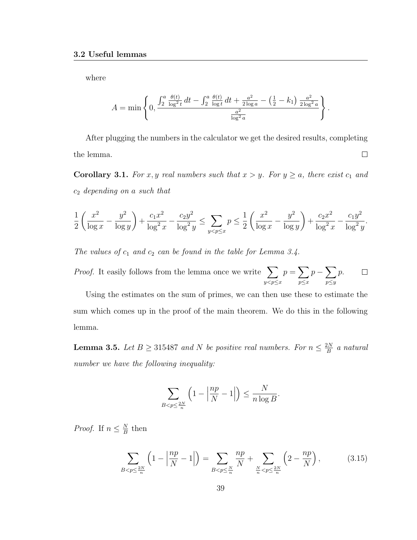where

$$
A = \min \left\{ 0, \frac{\int_2^a \frac{\theta(t)}{\log^2 t} dt - \int_2^a \frac{\theta(t)}{\log t} dt + \frac{a^2}{2 \log a} - (\frac{1}{2} - k_1) \frac{a^2}{2 \log^2 a}}{\frac{a^2}{\log^2 a}} \right\}.
$$

After plugging the numbers in the calculator we get the desired results, completing the lemma.  $\Box$ 

**Corollary 3.1.** For x, y real numbers such that  $x > y$ . For  $y \ge a$ , there exist  $c_1$  and  $c_2$  depending on a such that

$$
\frac{1}{2} \left( \frac{x^2}{\log x} - \frac{y^2}{\log y} \right) + \frac{c_1 x^2}{\log^2 x} - \frac{c_2 y^2}{\log^2 y} \le \sum_{y < p \le x} p \le \frac{1}{2} \left( \frac{x^2}{\log x} - \frac{y^2}{\log y} \right) + \frac{c_2 x^2}{\log^2 x} - \frac{c_1 y^2}{\log^2 y}.
$$

The values of  $c_1$  and  $c_2$  can be found in the table for Lemma 3.4.

*Proof.* It easily follows from the lemma once we write  $\sum$  $p = \sum$  $p - \sum$ p.  $\Box$  $y < p \leq x$  $p \leq x$ p≤y

Using the estimates on the sum of primes, we can then use these to estimate the sum which comes up in the proof of the main theorem. We do this in the following lemma.

**Lemma 3.5.** Let  $B \ge 315487$  and N be positive real numbers. For  $n \le \frac{2N}{B}$  $\frac{2N}{B}$  a natural number we have the following inequality:

$$
\sum_{B < p \le \frac{2N}{n}} \left( 1 - \left| \frac{np}{N} - 1 \right| \right) \le \frac{N}{n \log B}.
$$

*Proof.* If  $n \leq \frac{N}{R}$  $\frac{N}{B}$  then

$$
\sum_{B < p \le \frac{2N}{n}} \left( 1 - \left| \frac{np}{N} - 1 \right| \right) = \sum_{B < p \le \frac{N}{n}} \frac{np}{N} + \sum_{\frac{N}{n} < p \le \frac{2N}{n}} \left( 2 - \frac{np}{N} \right),\tag{3.15}
$$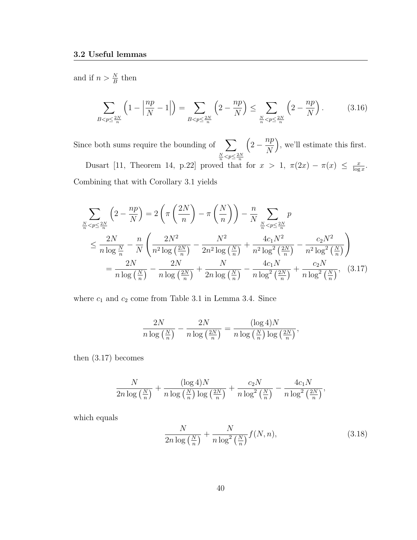and if  $n > \frac{N}{B}$  then

$$
\sum_{B < p \le \frac{2N}{n}} \left( 1 - \left| \frac{np}{N} - 1 \right| \right) = \sum_{B < p \le \frac{2N}{n}} \left( 2 - \frac{np}{N} \right) \le \sum_{\frac{N}{n} < p \le \frac{2N}{n}} \left( 2 - \frac{np}{N} \right). \tag{3.16}
$$

Since both sums require the bounding of  $\sum$  $\frac{N}{n}$  <  $p \leq \frac{2N}{n}$  $\left(2-\frac{np}{n}\right)$ N , we'll estimate this first. Dusart [11, Theorem 14, p.22] proved that for  $x > 1$ ,  $\pi(2x) - \pi(x) \le \frac{x}{\log x}$  $\frac{x}{\log x}$ . Combining that with Corollary 3.1 yields

$$
\sum_{\frac{N}{n} < p \le \frac{2N}{n}} \left( 2 - \frac{np}{N} \right) = 2 \left( \pi \left( \frac{2N}{n} \right) - \pi \left( \frac{N}{n} \right) \right) - \frac{n}{N} \sum_{\frac{N}{n} < p \le \frac{2N}{n}} p
$$
\n
$$
\le \frac{2N}{n \log \frac{N}{n}} - \frac{n}{N} \left( \frac{2N^2}{n^2 \log \left( \frac{2N}{n} \right)} - \frac{N^2}{2n^2 \log \left( \frac{N}{n} \right)} + \frac{4c_1 N^2}{n^2 \log^2 \left( \frac{2N}{n} \right)} - \frac{c_2 N^2}{n^2 \log^2 \left( \frac{N}{n} \right)} \right)
$$
\n
$$
= \frac{2N}{n \log \left( \frac{N}{n} \right)} - \frac{2N}{n \log \left( \frac{2N}{n} \right)} + \frac{N}{2n \log \left( \frac{N}{n} \right)} - \frac{4c_1 N}{n \log^2 \left( \frac{2N}{n} \right)} + \frac{c_2 N}{n \log^2 \left( \frac{N}{n} \right)}, \quad (3.17)
$$

where  $c_1$  and  $c_2$  come from Table 3.1 in Lemma 3.4. Since

$$
\frac{2N}{n\log\left(\frac{N}{n}\right)} - \frac{2N}{n\log\left(\frac{2N}{n}\right)} = \frac{(\log 4)N}{n\log\left(\frac{N}{n}\right)\log\left(\frac{2N}{n}\right)},
$$

then (3.17) becomes

$$
\frac{N}{2n\log\left(\frac{N}{n}\right)} + \frac{(\log 4)N}{n\log\left(\frac{N}{n}\right)\log\left(\frac{2N}{n}\right)} + \frac{c_2N}{n\log^2\left(\frac{N}{n}\right)} - \frac{4c_1N}{n\log^2\left(\frac{2N}{n}\right)},
$$

which equals

$$
\frac{N}{2n\log\left(\frac{N}{n}\right)} + \frac{N}{n\log^2\left(\frac{N}{n}\right)}f(N, n),\tag{3.18}
$$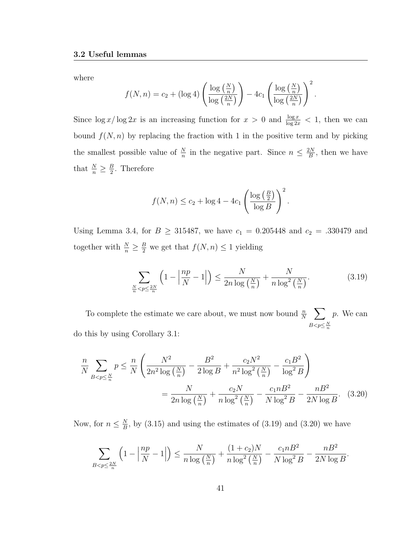where

$$
f(N,n) = c_2 + (\log 4) \left( \frac{\log \left( \frac{N}{n} \right)}{\log \left( \frac{2N}{n} \right)} \right) - 4c_1 \left( \frac{\log \left( \frac{N}{n} \right)}{\log \left( \frac{2N}{n} \right)} \right)^2.
$$

Since  $\log x / \log 2x$  is an increasing function for  $x > 0$  and  $\frac{\log x}{\log 2x} < 1$ , then we can bound  $f(N, n)$  by replacing the fraction with 1 in the positive term and by picking the smallest possible value of  $\frac{N}{n}$  in the negative part. Since  $n \leq \frac{2N}{B}$  $\frac{2N}{B}$ , then we have that  $\frac{N}{n} \geq \frac{B}{2}$  $\frac{B}{2}$ . Therefore

$$
f(N,n) \le c_2 + \log 4 - 4c_1 \left( \frac{\log \left( \frac{B}{2} \right)}{\log B} \right)^2.
$$

Using Lemma 3.4, for  $B \ge 315487$ , we have  $c_1 = 0.205448$  and  $c_2 = .330479$  and together with  $\frac{N}{n} \geq \frac{B}{2}$  we get that  $f(N, n) \leq 1$  yielding

$$
\sum_{\frac{N}{n} < p \le \frac{2N}{n}} \left( 1 - \left| \frac{np}{N} - 1 \right| \right) \le \frac{N}{2n \log\left(\frac{N}{n}\right)} + \frac{N}{n \log^2\left(\frac{N}{n}\right)}.\tag{3.19}
$$

To complete the estimate we care about, we must now bound  $\frac{n}{N}$   $\sum$  $B < p \leq \frac{N}{n}$ p. We can do this by using Corollary 3.1:

$$
\frac{n}{N} \sum_{B < p \le \frac{N}{n}} p \le \frac{n}{N} \left( \frac{N^2}{2n^2 \log\left(\frac{N}{n}\right)} - \frac{B^2}{2 \log B} + \frac{c_2 N^2}{n^2 \log^2\left(\frac{N}{n}\right)} - \frac{c_1 B^2}{\log^2 B} \right) \\
= \frac{N}{2n \log\left(\frac{N}{n}\right)} + \frac{c_2 N}{n \log^2\left(\frac{N}{n}\right)} - \frac{c_1 n B^2}{N \log^2 B} - \frac{n B^2}{2N \log B}.\tag{3.20}
$$

Now, for  $n \leq \frac{N}{R}$  $\frac{N}{B}$ , by (3.15) and using the estimates of (3.19) and (3.20) we have

$$
\sum_{B < p \le \frac{2N}{n}} \left( 1 - \left| \frac{np}{N} - 1 \right| \right) \le \frac{N}{n \log\left(\frac{N}{n}\right)} + \frac{(1 + c_2)N}{n \log^2\left(\frac{N}{n}\right)} - \frac{c_1 n B^2}{N \log^2 B} - \frac{n B^2}{2N \log B}.
$$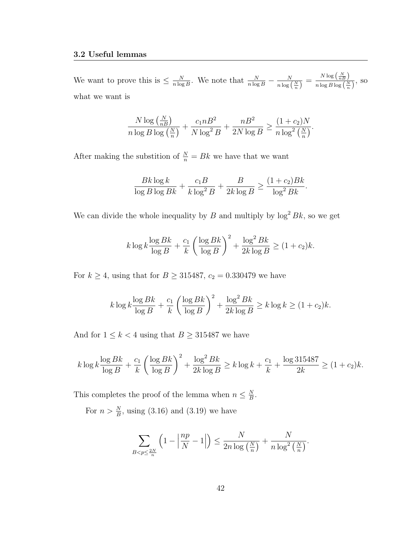We want to prove this is  $\leq \frac{N}{n \log n}$  $\frac{N}{n \log B}$ . We note that  $\frac{N}{n \log B} - \frac{N}{n \log B}$  $\frac{N}{n\log\left(\frac{N}{n}\right)}=\frac{N\log\left(\frac{N}{nB}\right)}{n\log B\log\left(\frac{N}{n}\right)}$  $\frac{N \log \binom{n}{n} j}{n \log B \log \binom{N}{n}},$  SO what we want is

$$
\frac{N \log\left(\frac{N}{nB}\right)}{n \log B \log\left(\frac{N}{n}\right)} + \frac{c_1 n B^2}{N \log^2 B} + \frac{n B^2}{2N \log B} \ge \frac{(1+c_2)N}{n \log^2\left(\frac{N}{n}\right)}.
$$

After making the substition of  $\frac{N}{n} = Bk$  we have that we want

$$
\frac{Bk\log k}{\log B\log Bk} + \frac{c_1B}{k\log^2 B} + \frac{B}{2k\log B} \ge \frac{(1+c_2)Bk}{\log^2 Bk}.
$$

We can divide the whole inequality by B and multiply by  $\log^2 Bk$ , so we get

$$
k \log k \frac{\log Bk}{\log B} + \frac{c_1}{k} \left( \frac{\log Bk}{\log B} \right)^2 + \frac{\log^2 Bk}{2k \log B} \ge (1 + c_2)k.
$$

For  $k \ge 4$ , using that for  $B \ge 315487$ ,  $c_2 = 0.330479$  we have

$$
k \log k \frac{\log Bk}{\log B} + \frac{c_1}{k} \left( \frac{\log Bk}{\log B} \right)^2 + \frac{\log^2 Bk}{2k \log B} \ge k \log k \ge (1 + c_2)k.
$$

And for  $1 \leq k < 4$  using that  $B \geq 315487$  we have

$$
k \log k \frac{\log Bk}{\log B} + \frac{c_1}{k} \left( \frac{\log Bk}{\log B} \right)^2 + \frac{\log^2 Bk}{2k \log B} \ge k \log k + \frac{c_1}{k} + \frac{\log 315487}{2k} \ge (1 + c_2)k.
$$

This completes the proof of the lemma when  $n \leq \frac{N}{R}$  $\frac{N}{B}$  .

For  $n > \frac{N}{B}$ , using (3.16) and (3.19) we have

$$
\sum_{B
$$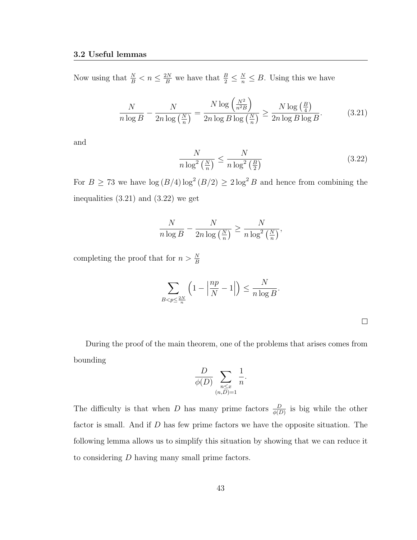Now using that  $\frac{N}{B} < n \leq \frac{2N}{B}$  we have that  $\frac{B}{2} \leq \frac{N}{n} \leq B$ . Using this we have

$$
\frac{N}{n\log B} - \frac{N}{2n\log\left(\frac{N}{n}\right)} = \frac{N\log\left(\frac{N^2}{n^2B}\right)}{2n\log B\log\left(\frac{N}{n}\right)} \ge \frac{N\log\left(\frac{B}{4}\right)}{2n\log B\log B}.\tag{3.21}
$$

and

$$
\frac{N}{n\log^2\left(\frac{N}{n}\right)} \le \frac{N}{n\log^2\left(\frac{B}{2}\right)}\tag{3.22}
$$

For  $B \ge 73$  we have  $\log(B/4) \log^2(B/2) \ge 2 \log^2 B$  and hence from combining the inequalities (3.21) and (3.22) we get

$$
\frac{N}{n \log B} - \frac{N}{2n \log\left(\frac{N}{n}\right)} \ge \frac{N}{n \log^2\left(\frac{N}{n}\right)},
$$

completing the proof that for  $n > \frac{N}{B}$ 

$$
\sum_{B < p \le \frac{2N}{n}} \left( 1 - \left| \frac{np}{N} - 1 \right| \right) \le \frac{N}{n \log B}.
$$

 $\Box$ 

During the proof of the main theorem, one of the problems that arises comes from bounding

$$
\frac{D}{\phi(D)} \sum_{\substack{n \le x \\ (n,D)=1}} \frac{1}{n}.
$$

The difficulty is that when D has many prime factors  $\frac{D}{\phi(D)}$  is big while the other factor is small. And if D has few prime factors we have the opposite situation. The following lemma allows us to simplify this situation by showing that we can reduce it to considering D having many small prime factors.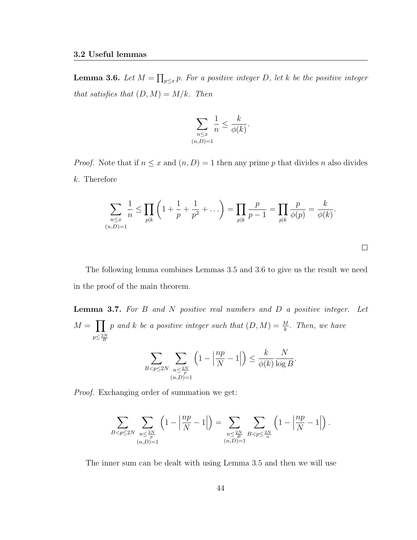**Lemma 3.6.** Let  $M = \prod_{p \leq x} p$ . For a positive integer D, let k be the positive integer that satisfies that  $(D, M) = M/k$ . Then

$$
\sum_{\substack{n \le x \\ (n,D)=1}} \frac{1}{n} \le \frac{k}{\phi(k)}.
$$

*Proof.* Note that if  $n \leq x$  and  $(n, D) = 1$  then any prime p that divides n also divides k. Therefore

$$
\sum_{\substack{n \leq x \\ (n,D)=1}} \frac{1}{n} \leq \prod_{p|k} \left( 1 + \frac{1}{p} + \frac{1}{p^2} + \dots \right) = \prod_{p|k} \frac{p}{p-1} = \prod_{p|k} \frac{p}{\phi(p)} = \frac{k}{\phi(k)}.
$$

 $\Box$ 

The following lemma combines Lemmas 3.5 and 3.6 to give us the result we need in the proof of the main theorem.

**Lemma 3.7.** For B and N positive real numbers and D a positive integer. Let  $M = \prod_p p$  and k be a positive integer such that  $(D, M) = \frac{M}{k}$ . Then, we have  $p \leq \frac{2N}{B}$ 

$$
\sum_{B < p \le 2N} \sum_{\substack{n \le \frac{2N}{p} \\ (n,D)=1}} \left( 1 - \left| \frac{np}{N} - 1 \right| \right) \le \frac{k}{\phi(k)} \frac{N}{\log B}.
$$

Proof. Exchanging order of summation we get:

$$
\sum_{B
$$

The inner sum can be dealt with using Lemma 3.5 and then we will use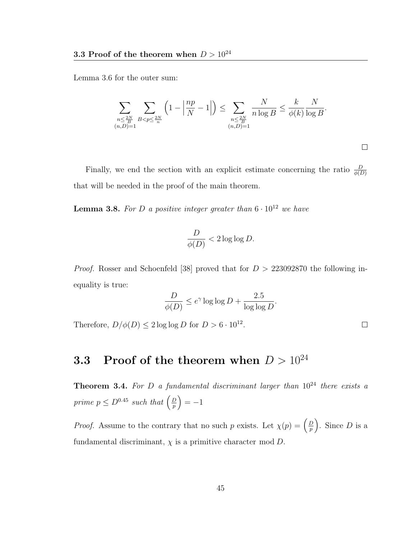Lemma 3.6 for the outer sum:

$$
\sum_{\substack{n \leq \frac{2N}{B} \\ (n,D)=1}} \sum_{B < p \leq \frac{2N}{n}} \left(1 - \left|\frac{np}{N} - 1\right|\right) \leq \sum_{\substack{n \leq \frac{2N}{B} \\ (n,D)=1}} \frac{N}{n \log B} \leq \frac{k}{\phi(k)} \frac{N}{\log B}.
$$

 $\Box$ 

 $\Box$ 

Finally, we end the section with an explicit estimate concerning the ratio  $\frac{D}{\phi(D)}$ that will be needed in the proof of the main theorem.

**Lemma 3.8.** For D a positive integer greater than  $6 \cdot 10^{12}$  we have

$$
\frac{D}{\phi(D)} < 2\log\log D.
$$

*Proof.* Rosser and Schoenfeld [38] proved that for  $D > 223092870$  the following inequality is true:

$$
\frac{D}{\phi(D)} \le e^{\gamma} \log \log D + \frac{2.5}{\log \log D}.
$$

Therefore,  $D/\phi(D) \leq 2 \log \log D$  for  $D > 6 \cdot 10^{12}$ .

## **3.3** Proof of the theorem when  $D > 10^{24}$

**Theorem 3.4.** For D a fundamental discriminant larger than  $10^{24}$  there exists a prime  $p \leq D^{0.45}$  such that  $\left(\frac{D}{p}\right)$  $\left(\frac{D}{p}\right) = -1$ 

*Proof.* Assume to the contrary that no such p exists. Let  $\chi(p) = \left(\frac{D}{p}\right)^p$  $(\frac{D}{p})$ . Since D is a fundamental discriminant,  $\chi$  is a primitive character mod  $D$ .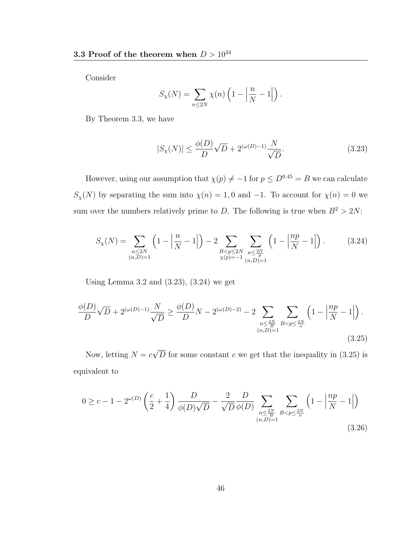Consider

$$
S_{\chi}(N) = \sum_{n \le 2N} \chi(n) \left( 1 - \left| \frac{n}{N} - 1 \right| \right).
$$

By Theorem 3.3, we have

$$
|S_{\chi}(N)| \le \frac{\phi(D)}{D} \sqrt{D} + 2^{(\omega(D)-1)} \frac{N}{\sqrt{D}}.
$$
\n(3.23)

However, using our assumption that  $\chi(p) \neq -1$  for  $p \leq D^{0.45} = B$  we can calculate  $S_{\chi}(N)$  by separating the sum into  $\chi(n) = 1, 0$  and  $-1$ . To account for  $\chi(n) = 0$  we sum over the numbers relatively prime to D. The following is true when  $B^2 > 2N$ :

$$
S_{\chi}(N) = \sum_{\substack{n \le 2N \\ (n,D)=1}} \left(1 - \left|\frac{n}{N} - 1\right|\right) - 2 \sum_{\substack{B < p \le 2N \\ \chi(p) = -1}} \sum_{\substack{n \le 2N \\ (n,D)=1}} \left(1 - \left|\frac{np}{N} - 1\right|\right). \tag{3.24}
$$

Using Lemma 3.2 and  $(3.23)$ ,  $(3.24)$  we get

$$
\frac{\phi(D)}{D}\sqrt{D} + 2^{(\omega(D)-1)}\frac{N}{\sqrt{D}} \ge \frac{\phi(D)}{D}N - 2^{(\omega(D)-2)} - 2\sum_{\substack{n \le \frac{2N}{B} \\ (n,D)=1}} \sum_{B < p \le \frac{2N}{n}} \left(1 - \left|\frac{np}{N} - 1\right|\right). \tag{3.25}
$$

Now, letting  $N = c$ √ D for some constant c we get that the inequality in  $(3.25)$  is equivalent to

$$
0 \ge c - 1 - 2^{\omega(D)} \left( \frac{c}{2} + \frac{1}{4} \right) \frac{D}{\phi(D)\sqrt{D}} - \frac{2}{\sqrt{D}} \frac{D}{\phi(D)} \sum_{\substack{n \le \frac{2N}{B} \\ (n, D) = 1}} \sum_{B < p \le \frac{2N}{n}} \left( 1 - \left| \frac{np}{N} - 1 \right| \right) \tag{3.26}
$$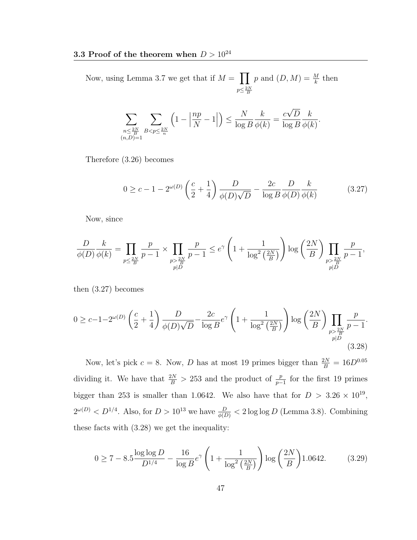Now, using Lemma 3.7 we get that if  $M = \prod$  $p \leq \frac{2N}{B}$ p and  $(D, M) = \frac{M}{k}$  then

$$
\sum_{\substack{n \leq \frac{2N}{B} \\ (n,D)=1}} \sum_{B < p \leq \frac{2N}{n}} \left( 1 - \left| \frac{np}{N} - 1 \right| \right) \leq \frac{N}{\log B} \frac{k}{\phi(k)} = \frac{c\sqrt{D}}{\log B} \frac{k}{\phi(k)}.
$$

Therefore (3.26) becomes

$$
0 \ge c - 1 - 2^{\omega(D)} \left( \frac{c}{2} + \frac{1}{4} \right) \frac{D}{\phi(D)\sqrt{D}} - \frac{2c}{\log B} \frac{D}{\phi(D)} \frac{k}{\phi(k)}
$$
(3.27)

Now, since

$$
\frac{D}{\phi(D)}\frac{k}{\phi(k)} = \prod_{\substack{p\leq \frac{2N}{B} \\ p|D}} \frac{p}{p-1} \times \prod_{\substack{p> \frac{2N}{B} \\ p|D}} \frac{p}{p-1} \leq e^{\gamma} \left(1 + \frac{1}{\log^2\left(\frac{2N}{B}\right)}\right) \log\left(\frac{2N}{B}\right) \prod_{\substack{p> \frac{2N}{B} \\ p|D}} \frac{p}{p-1},
$$

then (3.27) becomes

$$
0 \geq c - 1 - 2^{\omega(D)} \left(\frac{c}{2} + \frac{1}{4}\right) \frac{D}{\phi(D)\sqrt{D}} - \frac{2c}{\log B} e^{\gamma} \left(1 + \frac{1}{\log^2\left(\frac{2N}{B}\right)}\right) \log\left(\frac{2N}{B}\right) \prod_{\substack{p > \frac{2N}{B} \\ p|D}} \frac{p}{p-1}.
$$
\n(3.28)

Now, let's pick  $c = 8$ . Now, D has at most 19 primes bigger than  $\frac{2N}{B} = 16D^{0.05}$ dividing it. We have that  $\frac{2N}{B} > 253$  and the product of  $\frac{p}{p-1}$  for the first 19 primes bigger than 253 is smaller than 1.0642. We also have that for  $D > 3.26 \times 10^{19}$ ,  $2^{\omega(D)} < D^{1/4}$ . Also, for  $D > 10^{13}$  we have  $\frac{D}{\phi(D)} < 2 \log \log D$  (Lemma 3.8). Combining these facts with (3.28) we get the inequality:

$$
0 \ge 7 - 8.5 \frac{\log \log D}{D^{1/4}} - \frac{16}{\log B} e^{\gamma} \left( 1 + \frac{1}{\log^2 \left( \frac{2N}{B} \right)} \right) \log \left( \frac{2N}{B} \right) 1.0642. \tag{3.29}
$$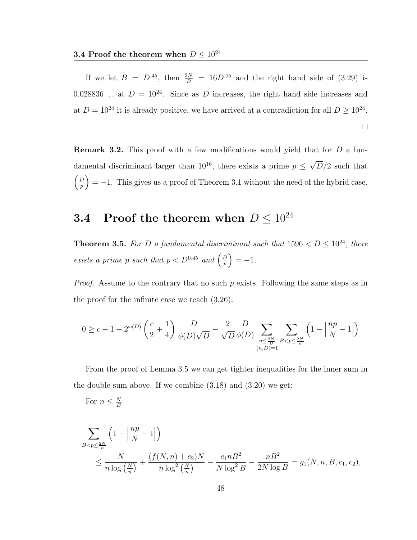If we let  $B = D^{.45}$ , then  $\frac{2N}{B} = 16D^{.05}$  and the right hand side of (3.29) is 0.028836... at  $D = 10^{24}$ . Since as D increases, the right hand side increases and at  $D = 10^{24}$  it is already positive, we have arrived at a contradiction for all  $D \ge 10^{24}$ .  $\Box$ 

**Remark 3.2.** This proof with a few modifications would yield that for  $D$  a fundamental discriminant larger than  $10^{16}$ , there exists a prime  $p \leq$ √  $D/2$  such that  $\sqrt{D}$  $\left(\frac{p}{p}\right) = -1$ . This gives us a proof of Theorem 3.1 without the need of the hybrid case.

## **3.4** Proof the theorem when  $D \leq 10^{24}$

**Theorem 3.5.** For D a fundamental discriminant such that  $1596 < D \le 10^{24}$ , there exists a prime p such that  $p < D^{0.45}$  and  $\left(\frac{D}{p}\right)$  $\left(\frac{D}{p}\right) = -1.$ 

*Proof.* Assume to the contrary that no such  $p$  exists. Following the same steps as in the proof for the infinite case we reach (3.26):

$$
0\geq c-1-2^{\omega(D)}\left(\frac{c}{2}+\frac{1}{4}\right)\frac{D}{\phi(D)\sqrt{D}}-\frac{2}{\sqrt{D}}\frac{D}{\phi(D)}\sum_{\substack{n\leq \frac{2N}{B}\\(n,D)=1}}\sum_{B
$$

From the proof of Lemma 3.5 we can get tighter inequalities for the inner sum in the double sum above. If we combine (3.18) and (3.20) we get:

For 
$$
n \leq \frac{N}{B}
$$

$$
\sum_{B < p \le \frac{2N}{n}} \left( 1 - \left| \frac{np}{N} - 1 \right| \right)
$$
  

$$
\le \frac{N}{n \log \left( \frac{N}{n} \right)} + \frac{\left( f(N, n) + c_2 \right) N}{n \log^2 \left( \frac{N}{n} \right)} - \frac{c_1 n B^2}{N \log^2 B} - \frac{n B^2}{2N \log B} = g_1(N, n, B, c_1, c_2),
$$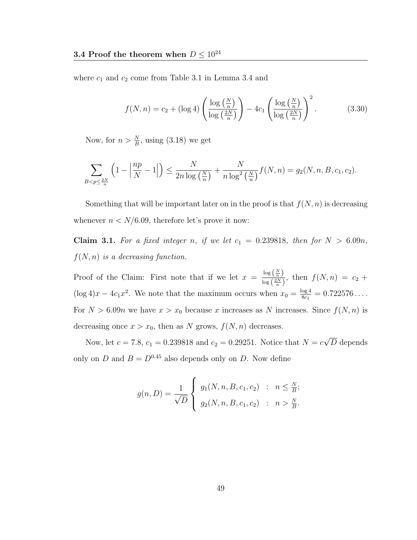where  $c_1$  and  $c_2$  come from Table 3.1 in Lemma 3.4 and

$$
f(N,n) = c_2 + (\log 4) \left( \frac{\log \left( \frac{N}{n} \right)}{\log \left( \frac{2N}{n} \right)} \right) - 4c_1 \left( \frac{\log \left( \frac{N}{n} \right)}{\log \left( \frac{2N}{n} \right)} \right)^2.
$$
 (3.30)

Now, for  $n > \frac{N}{B}$ , using (3.18) we get

$$
\sum_{B < p \le \frac{2N}{n}} \left( 1 - \left| \frac{np}{N} - 1 \right| \right) \le \frac{N}{2n \log\left(\frac{N}{n}\right)} + \frac{N}{n \log^2\left(\frac{N}{n}\right)} f(N, n) = g_2(N, n, B, c_1, c_2).
$$

Something that will be important later on in the proof is that  $f(N, n)$  is decreasing whenever  $n < N/6.09$ , therefore let's prove it now:

Claim 3.1. For a fixed integer n, if we let  $c_1 = 0.239818$ , then for  $N > 6.09n$ ,  $f(N, n)$  is a decreasing function.

Proof of the Claim: First note that if we let  $x = \frac{\log \left(\frac{N}{n}\right)}{\log \left(\frac{2N}{N}\right)}$  $\frac{\log\left(\frac{n}{n}\right)}{\log\left(\frac{2N}{n}\right)}$ , then  $f(N,n) = c_2 +$  $(\log 4)x - 4c_1x^2$ . We note that the maximum occurs when  $x_0 = \frac{\log 4}{8c_1}$  $\frac{\log 4}{8c_1} = 0.722576...$ For  $N > 6.09n$  we have  $x > x_0$  because x increases as N increases. Since  $f(N, n)$  is decreasing once  $x > x_0$ , then as N grows,  $f(N, n)$  decreases.

Now, let  $c = 7.8$ ,  $c_1 = 0.239818$  and  $c_2 = 0.29251$ . Notice that  $N = c$ √ D depends only on D and  $B = D^{0.45}$  also depends only on D. Now define

$$
g(n, D) = \frac{1}{\sqrt{D}} \begin{cases} g_1(N, n, B, c_1, c_2) & : & n \leq \frac{N}{B}; \\ g_2(N, n, B, c_1, c_2) & : & n > \frac{N}{B}. \end{cases}
$$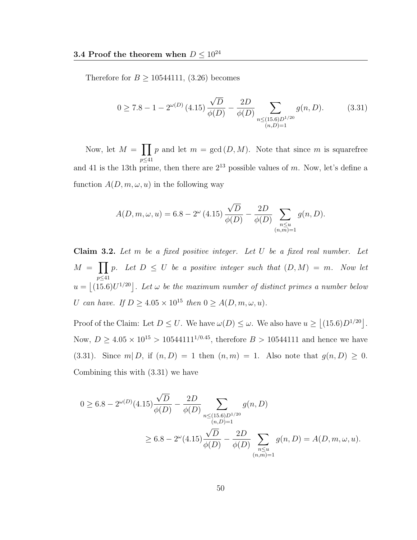Therefore for  $B \ge 10544111, (3.26)$  becomes

$$
0 \ge 7.8 - 1 - 2^{\omega(D)} (4.15) \frac{\sqrt{D}}{\phi(D)} - \frac{2D}{\phi(D)} \sum_{\substack{n \le (15.6)D^{1/20} \\ (n,D)=1}} g(n,D). \tag{3.31}
$$

Now, let  $M = \prod p$  and let  $m = \gcd(D, M)$ . Note that since m is squarefree p≤41 and 41 is the 13th prime, then there are  $2^{13}$  possible values of m. Now, let's define a function  $A(D, m, \omega, u)$  in the following way

$$
A(D, m, \omega, u) = 6.8 - 2^{\omega} (4.15) \frac{\sqrt{D}}{\phi(D)} - \frac{2D}{\phi(D)} \sum_{\substack{n \le u \\ (n,m) = 1}} g(n, D).
$$

**Claim 3.2.** Let  $m$  be a fixed positive integer. Let  $U$  be a fixed real number. Let  $M = \prod$  $\n p \leq 41\n$ p. Let  $D \leq U$  be a positive integer such that  $(D, M) = m$ . Now let  $u = |(15.6)U^{1/20}|$ . Let  $\omega$  be the maximum number of distinct primes a number below U can have. If  $D \geq 4.05 \times 10^{15}$  then  $0 \geq A(D, m, \omega, u)$ .

Proof of the Claim: Let  $D \leq U$ . We have  $\omega(D) \leq \omega$ . We also have  $u \geq |(15.6)D^{1/20}|$ . Now,  $D \ge 4.05 \times 10^{15} > 10544111^{1/0.45}$ , therefore  $B > 10544111$  and hence we have (3.31). Since  $m | D$ , if  $(n, D) = 1$  then  $(n, m) = 1$ . Also note that  $g(n, D) \geq 0$ . Combining this with (3.31) we have

$$
0 \ge 6.8 - 2^{\omega(D)}(4.15) \frac{\sqrt{D}}{\phi(D)} - \frac{2D}{\phi(D)} \sum_{\substack{n \le (15.6)D^{1/20} \\ (n,D)=1}} g(n, D)
$$
  
 
$$
\ge 6.8 - 2^{\omega}(4.15) \frac{\sqrt{D}}{\phi(D)} - \frac{2D}{\phi(D)} \sum_{\substack{n \le u \\ (n,m)=1}} g(n, D) = A(D, m, \omega, u).
$$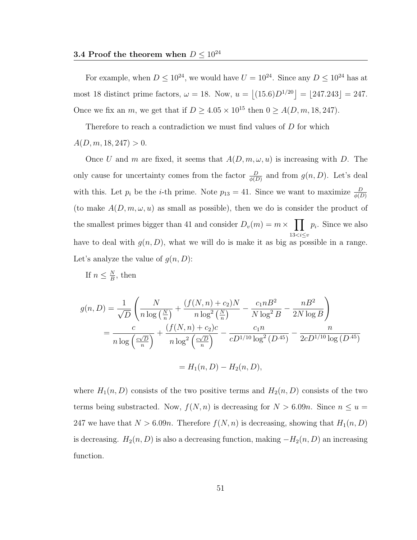For example, when  $D \leq 10^{24}$ , we would have  $U = 10^{24}$ . Since any  $D \leq 10^{24}$  has at most 18 distinct prime factors,  $\omega = 18$ . Now,  $u = |(15.6)D^{1/20}| = |247.243| = 247$ . Once we fix an m, we get that if  $D \geq 4.05 \times 10^{15}$  then  $0 \geq A(D, m, 18, 247)$ .

Therefore to reach a contradiction we must find values of D for which  $A(D, m, 18, 247) > 0.$ 

Once U and m are fixed, it seems that  $A(D, m, \omega, u)$  is increasing with D. The only cause for uncertainty comes from the factor  $\frac{D}{\phi(D)}$  and from  $g(n, D)$ . Let's deal with this. Let  $p_i$  be the *i*-th prime. Note  $p_{13} = 41$ . Since we want to maximize  $\frac{D}{\phi(D)}$ (to make  $A(D, m, \omega, u)$  as small as possible), then we do is consider the product of the smallest primes bigger than 41 and consider  $D_v(m) = m \times \prod_{i=1}^{n} p_i$ . Since we also  $13 < i \leq v$ have to deal with  $g(n, D)$ , what we will do is make it as big as possible in a range. Let's analyze the value of  $g(n, D)$ :

If 
$$
n \leq \frac{N}{B}
$$
, then

$$
g(n, D) = \frac{1}{\sqrt{D}} \left( \frac{N}{n \log\left(\frac{N}{n}\right)} + \frac{(f(N, n) + c_2)N}{n \log^2\left(\frac{N}{n}\right)} - \frac{c_1 n B^2}{N \log^2 B} - \frac{n B^2}{2N \log B} \right)
$$
  
= 
$$
\frac{c}{n \log\left(\frac{c\sqrt{D}}{n}\right)} + \frac{(f(N, n) + c_2)c}{n \log^2\left(\frac{c\sqrt{D}}{n}\right)} - \frac{c_1 n}{c D^{1/10} \log^2(D^{.45})} - \frac{n}{2c D^{1/10} \log(D^{.45})}
$$

$$
= H_1(n,D) - H_2(n,D),
$$

where  $H_1(n, D)$  consists of the two positive terms and  $H_2(n, D)$  consists of the two terms being substracted. Now,  $f(N, n)$  is decreasing for  $N > 6.09n$ . Since  $n \le u =$ 247 we have that  $N > 6.09n$ . Therefore  $f(N, n)$  is decreasing, showing that  $H_1(n, D)$ is decreasing.  $H_2(n, D)$  is also a decreasing function, making  $-H_2(n, D)$  an increasing function.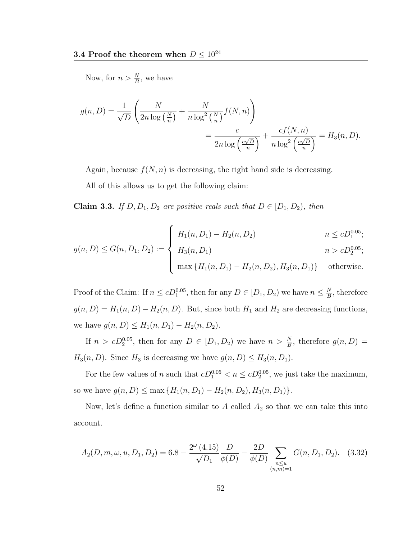Now, for  $n > \frac{N}{B}$ , we have

$$
g(n, D) = \frac{1}{\sqrt{D}} \left( \frac{N}{2n \log\left(\frac{N}{n}\right)} + \frac{N}{n \log^2\left(\frac{N}{n}\right)} f(N, n) \right)
$$
  
= 
$$
\frac{c}{2n \log\left(\frac{c\sqrt{D}}{n}\right)} + \frac{cf(N, n)}{n \log^2\left(\frac{c\sqrt{D}}{n}\right)} = H_3(n, D).
$$

Again, because  $f(N, n)$  is decreasing, the right hand side is decreasing.

All of this allows us to get the following claim:

**Claim 3.3.** If  $D, D_1, D_2$  are positive reals such that  $D \in [D_1, D_2)$ , then

$$
g(n, D) \le G(n, D_1, D_2) := \begin{cases} H_1(n, D_1) - H_2(n, D_2) & n \le cD_1^{0.05}; \\ H_3(n, D_1) & n > cD_2^{0.05}; \\ \max \{H_1(n, D_1) - H_2(n, D_2), H_3(n, D_1)\} & \text{otherwise}. \end{cases}
$$

Proof of the Claim: If  $n \leq c D_1^{0.05}$ , then for any  $D \in [D_1, D_2)$  we have  $n \leq \frac{N}{B}$  $\frac{N}{B}$ , therefore  $g(n, D) = H_1(n, D) - H_2(n, D)$ . But, since both  $H_1$  and  $H_2$  are decreasing functions, we have  $g(n, D) \leq H_1(n, D_1) - H_2(n, D_2)$ .

If  $n > cD_2^{0.05}$ , then for any  $D \in [D_1, D_2)$  we have  $n > \frac{N}{B}$ , therefore  $g(n, D)$  $H_3(n, D)$ . Since  $H_3$  is decreasing we have  $g(n, D) \leq H_3(n, D_1)$ .

For the few values of n such that  $cD_1^{0.05} < n \leq cD_2^{0.05}$ , we just take the maximum, so we have  $g(n, D) \le \max \{H_1(n, D_1) - H_2(n, D_2), H_3(n, D_1)\}.$ 

Now, let's define a function similar to  $A$  called  $A_2$  so that we can take this into account.

$$
A_2(D, m, \omega, u, D_1, D_2) = 6.8 - \frac{2^{\omega} (4.15)}{\sqrt{D_1}} \frac{D}{\phi(D)} - \frac{2D}{\phi(D)} \sum_{\substack{n \le u \\ (n,m)=1}} G(n, D_1, D_2). \quad (3.32)
$$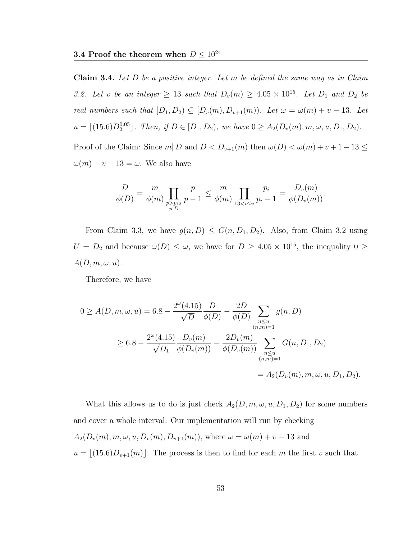**Claim 3.4.** Let  $D$  be a positive integer. Let  $m$  be defined the same way as in Claim 3.2. Let v be an integer  $\geq$  13 such that  $D_v(m) \geq 4.05 \times 10^{15}$ . Let  $D_1$  and  $D_2$  be real numbers such that  $[D_1, D_2) \subseteq [D_v(m), D_{v+1}(m))$ . Let  $\omega = \omega(m) + v - 13$ . Let  $u = \lfloor (15.6)D_2^{0.05} \rfloor$ . Then, if  $D \in [D_1, D_2)$ , we have  $0 \ge A_2(D_v(m), m, \omega, u, D_1, D_2)$ . Proof of the Claim: Since  $m | D$  and  $D < D_{v+1}(m)$  then  $\omega(D) < \omega(m) + v + 1 - 13 \le$  $\omega(m) + v - 13 = \omega$ . We also have

$$
\frac{D}{\phi(D)} = \frac{m}{\phi(m)} \prod_{\substack{p > p_{13} \\ p \mid D}} \frac{p}{p-1} \le \frac{m}{\phi(m)} \prod_{13 < i \le v} \frac{p_i}{p_i - 1} = \frac{D_v(m)}{\phi(D_v(m))}.
$$

From Claim 3.3, we have  $g(n, D) \leq G(n, D_1, D_2)$ . Also, from Claim 3.2 using  $U = D_2$  and because  $\omega(D) \leq \omega$ , we have for  $D \geq 4.05 \times 10^{15}$ , the inequality  $0 \geq$  $A(D, m, \omega, u).$ 

Therefore, we have

$$
0 \ge A(D, m, \omega, u) = 6.8 - \frac{2^{\omega}(4.15)}{\sqrt{D}} \frac{D}{\phi(D)} - \frac{2D}{\phi(D)} \sum_{\substack{n \le u \\ (n,m)=1}} g(n, D)
$$
  

$$
\ge 6.8 - \frac{2^{\omega}(4.15)}{\sqrt{D_1}} \frac{D_v(m)}{\phi(D_v(m))} - \frac{2D_v(m)}{\phi(D_v(m))} \sum_{\substack{n \le u \\ (n,m)=1}} G(n, D_1, D_2)
$$
  

$$
= A_2(D_v(m), m, \omega, u, D_1, D_2).
$$

What this allows us to do is just check  $A_2(D, m, \omega, u, D_1, D_2)$  for some numbers and cover a whole interval. Our implementation will run by checking  $A_2(D_v(m), m, \omega, u, D_v(m), D_{v+1}(m))$ , where  $\omega = \omega(m) + v - 13$  and  $u = \lfloor (15.6)D_{v+1}(m) \rfloor$ . The process is then to find for each m the first v such that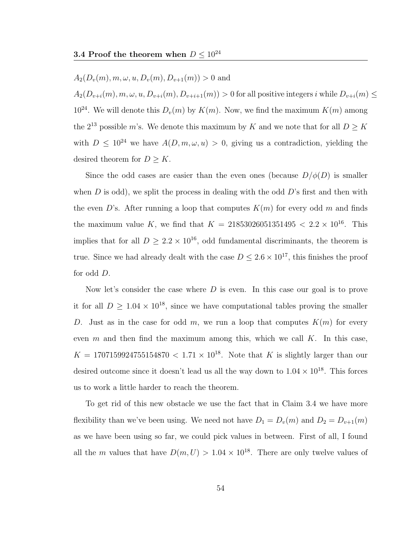#### $A_2(D_v(m), m, \omega, u, D_v(m), D_{v+1}(m)) > 0$  and

 $A_2(D_{v+i}(m), m, \omega, u, D_{v+i}(m), D_{v+i+1}(m)) > 0$  for all positive integers i while  $D_{v+i}(m) \le$  $10^{24}$ . We will denote this  $D_v(m)$  by  $K(m)$ . Now, we find the maximum  $K(m)$  among the  $2^{13}$  possible m's. We denote this maximum by K and we note that for all  $D \geq K$ with  $D \leq 10^{24}$  we have  $A(D, m, \omega, u) > 0$ , giving us a contradiction, yielding the desired theorem for  $D \geq K$ .

Since the odd cases are easier than the even ones (because  $D/\phi(D)$  is smaller when D is odd), we split the process in dealing with the odd  $D$ 's first and then with the even D's. After running a loop that computes  $K(m)$  for every odd m and finds the maximum value K, we find that  $K = 21853026051351495 < 2.2 \times 10^{16}$ . This implies that for all  $D \geq 2.2 \times 10^{16}$ , odd fundamental discriminants, the theorem is true. Since we had already dealt with the case  $D \leq 2.6 \times 10^{17}$ , this finishes the proof for odd D.

Now let's consider the case where  $D$  is even. In this case our goal is to prove it for all  $D \ge 1.04 \times 10^{18}$ , since we have computational tables proving the smaller D. Just as in the case for odd m, we run a loop that computes  $K(m)$  for every even m and then find the maximum among this, which we call  $K$ . In this case,  $K = 1707159924755154870 < 1.71 \times 10^{18}$ . Note that K is slightly larger than our desired outcome since it doesn't lead us all the way down to  $1.04 \times 10^{18}$ . This forces us to work a little harder to reach the theorem.

To get rid of this new obstacle we use the fact that in Claim 3.4 we have more flexibility than we've been using. We need not have  $D_1 = D_v(m)$  and  $D_2 = D_{v+1}(m)$ as we have been using so far, we could pick values in between. First of all, I found all the m values that have  $D(m, U) > 1.04 \times 10^{18}$ . There are only twelve values of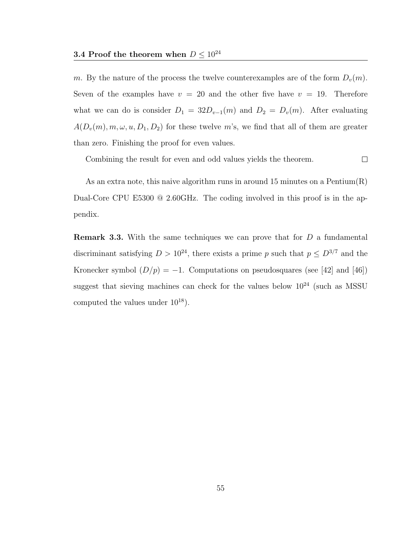m. By the nature of the process the twelve counterexamples are of the form  $D_v(m)$ . Seven of the examples have  $v = 20$  and the other five have  $v = 19$ . Therefore what we can do is consider  $D_1 = 32D_{v-1}(m)$  and  $D_2 = D_v(m)$ . After evaluating  $A(D_v(m), m, \omega, u, D_1, D_2)$  for these twelve m's, we find that all of them are greater than zero. Finishing the proof for even values.

 $\Box$ Combining the result for even and odd values yields the theorem.

As an extra note, this naive algorithm runs in around 15 minutes on a Pentium $(R)$ Dual-Core CPU E5300 @ 2.60GHz. The coding involved in this proof is in the appendix.

**Remark 3.3.** With the same techniques we can prove that for  $D$  a fundamental discriminant satisfying  $D > 10^{24}$ , there exists a prime p such that  $p \leq D^{3/7}$  and the Kronecker symbol  $(D/p) = -1$ . Computations on pseudosquares (see [42] and [46]) suggest that sieving machines can check for the values below  $10^{24}$  (such as MSSU) computed the values under  $10^{18}$ ).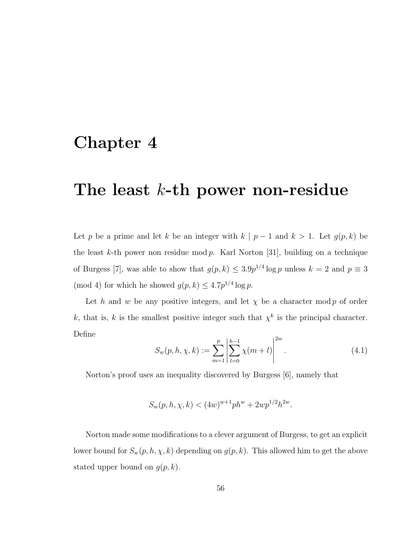# Chapter 4

# The least  $k$ -th power non-residue

Let p be a prime and let k be an integer with  $k | p - 1$  and  $k > 1$ . Let  $g(p, k)$  be the least k-th power non residue mod  $p$ . Karl Norton [31], building on a technique of Burgess [7], was able to show that  $g(p, k) \leq 3.9p^{1/4} \log p$  unless  $k = 2$  and  $p \equiv 3$ (mod 4) for which he showed  $g(p, k) \leq 4.7p^{1/4} \log p$ .

Let h and w be any positive integers, and let  $\chi$  be a character mod p of order k, that is, k is the smallest positive integer such that  $\chi^k$  is the principal character. Define

$$
S_w(p, h, \chi, k) := \sum_{m=1}^p \left| \sum_{l=0}^{h-1} \chi(m+l) \right|^{2w}.
$$
 (4.1)

Norton's proof uses an inequality discovered by Burgess [6], namely that

$$
S_w(p, h, \chi, k) < (4w)^{w+1} ph^w + 2wp^{1/2} h^{2w}.
$$

Norton made some modifications to a clever argument of Burgess, to get an explicit lower bound for  $S_w(p, h, \chi, k)$  depending on  $g(p, k)$ . This allowed him to get the above stated upper bound on  $g(p, k)$ .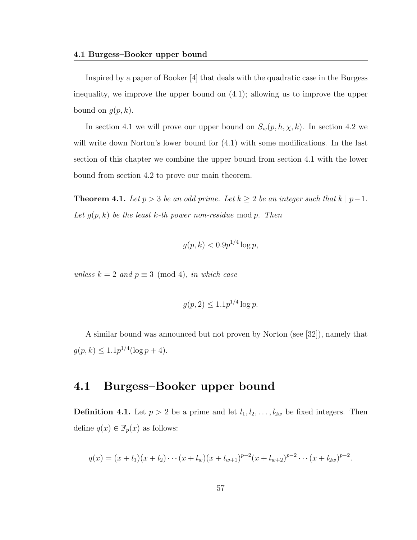Inspired by a paper of Booker [4] that deals with the quadratic case in the Burgess inequality, we improve the upper bound on (4.1); allowing us to improve the upper bound on  $g(p, k)$ .

In section 4.1 we will prove our upper bound on  $S_w(p, h, \chi, k)$ . In section 4.2 we will write down Norton's lower bound for  $(4.1)$  with some modifications. In the last section of this chapter we combine the upper bound from section 4.1 with the lower bound from section 4.2 to prove our main theorem.

**Theorem 4.1.** Let  $p > 3$  be an odd prime. Let  $k \ge 2$  be an integer such that  $k \mid p-1$ . Let  $g(p, k)$  be the least k-th power non-residue mod p. Then

$$
g(p,k) < 0.9p^{1/4} \log p,
$$

unless  $k = 2$  and  $p \equiv 3 \pmod{4}$ , in which case

$$
g(p, 2) \leq 1.1p^{1/4} \log p.
$$

A similar bound was announced but not proven by Norton (see [32]), namely that  $g(p, k) \leq 1.1p^{1/4}(\log p + 4).$ 

### 4.1 Burgess–Booker upper bound

**Definition 4.1.** Let  $p > 2$  be a prime and let  $l_1, l_2, \ldots, l_{2w}$  be fixed integers. Then define  $q(x) \in \mathbb{F}_p(x)$  as follows:

$$
q(x) = (x + l_1)(x + l_2) \cdots (x + l_w)(x + l_{w+1})^{p-2}(x + l_{w+2})^{p-2} \cdots (x + l_{2w})^{p-2}.
$$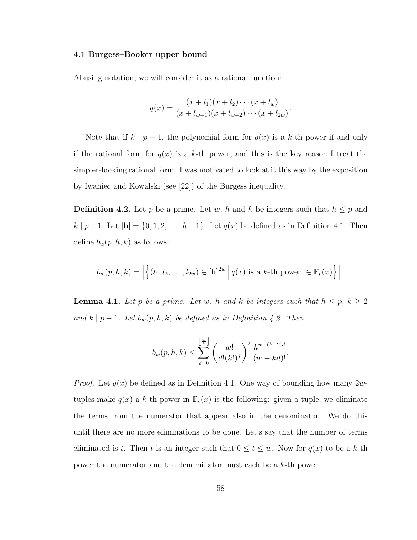Abusing notation, we will consider it as a rational function:

$$
q(x) = \frac{(x + l_1)(x + l_2) \cdots (x + l_w)}{(x + l_{w+1})(x + l_{w+2}) \cdots (x + l_{2w})}.
$$

Note that if  $k \mid p-1$ , the polynomial form for  $q(x)$  is a k-th power if and only if the rational form for  $q(x)$  is a k-th power, and this is the key reason I treat the simpler-looking rational form. I was motivated to look at it this way by the exposition by Iwaniec and Kowalski (see [22]) of the Burgess inequality.

**Definition 4.2.** Let p be a prime. Let w, h and k be integers such that  $h \leq p$  and  $k | p−1$ . Let  $[h] = {0, 1, 2, ..., h−1}$ . Let  $q(x)$  be defined as in Definition 4.1. Then define  $b_w(p, h, k)$  as follows:

$$
b_w(p, h, k) = \left| \left\{ (l_1, l_2, \dots, l_{2w}) \in [\mathbf{h}]^{2w} \middle| q(x) \text{ is a } k\text{-th power } \in \mathbb{F}_p(x) \right\} \right|.
$$

**Lemma 4.1.** Let p be a prime. Let w, h and k be integers such that  $h \leq p$ ,  $k \geq 2$ and  $k \mid p-1$ . Let  $b_w(p, h, k)$  be defined as in Definition 4.2. Then

$$
b_w(p, h, k) \le \sum_{d=0}^{\left\lfloor \frac{w}{k} \right\rfloor} \left( \frac{w!}{d!(k!)^d} \right)^2 \frac{h^{w-(k-2)d}}{(w - kd)!}.
$$

*Proof.* Let  $q(x)$  be defined as in Definition 4.1. One way of bounding how many  $2w$ tuples make  $q(x)$  a k-th power in  $\mathbb{F}_p(x)$  is the following: given a tuple, we eliminate the terms from the numerator that appear also in the denominator. We do this until there are no more eliminations to be done. Let's say that the number of terms eliminated is t. Then t is an integer such that  $0 \le t \le w$ . Now for  $q(x)$  to be a k-th power the numerator and the denominator must each be a k-th power.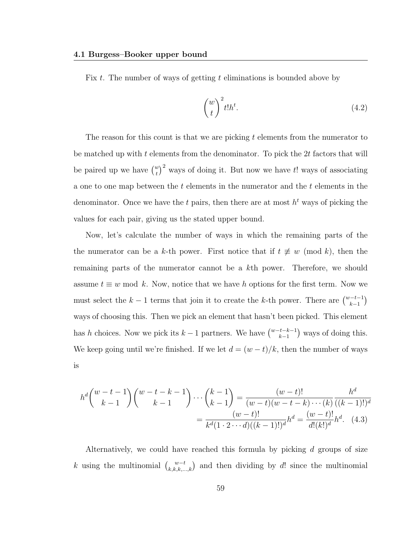Fix  $t$ . The number of ways of getting  $t$  eliminations is bounded above by

$$
\binom{w}{t}^2 t! h^t. \tag{4.2}
$$

The reason for this count is that we are picking t elements from the numerator to be matched up with  $t$  elements from the denominator. To pick the  $2t$  factors that will be paired up we have  $\binom{w}{t}^2$  ways of doing it. But now we have t! ways of associating a one to one map between the t elements in the numerator and the t elements in the denominator. Once we have the t pairs, then there are at most  $h<sup>t</sup>$  ways of picking the values for each pair, giving us the stated upper bound.

Now, let's calculate the number of ways in which the remaining parts of the the numerator can be a k-th power. First notice that if  $t \neq w \pmod{k}$ , then the remaining parts of the numerator cannot be a kth power. Therefore, we should assume  $t \equiv w \mod k$ . Now, notice that we have h options for the first term. Now we must select the  $k-1$  terms that join it to create the k-th power. There are  $\binom{w-t-1}{k-1}$ ways of choosing this. Then we pick an element that hasn't been picked. This element has h choices. Now we pick its  $k-1$  partners. We have  $\binom{w-t-k-1}{k-1}$  ways of doing this. We keep going until we're finished. If we let  $d = (w - t)/k$ , then the number of ways is

$$
h^{d}\binom{w-t-1}{k-1}\binom{w-t-k-1}{k-1}\cdots\binom{k-1}{k-1} = \frac{(w-t)!}{(w-t)(w-t-k)\cdots(k)}\frac{h^{d}}{((k-1)!)^{d}}
$$

$$
= \frac{(w-t)!}{k^{d}(1\cdot 2\cdots d)((k-1)!)^{d}}h^{d} = \frac{(w-t)!}{d!(k!)^{d}}h^{d}.
$$
 (4.3)

Alternatively, we could have reached this formula by picking d groups of size k using the multinomial  $\binom{w-t}{k,k,k,\dots,k}$  and then dividing by d! since the multinomial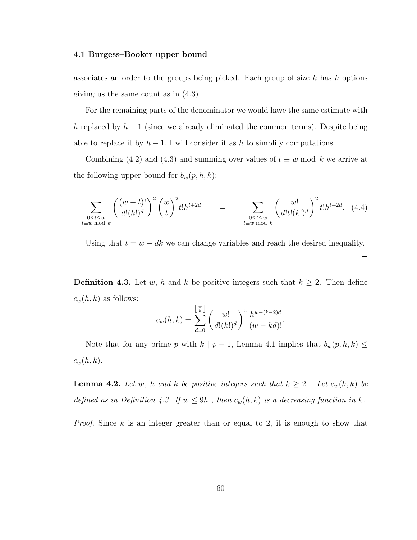associates an order to the groups being picked. Each group of size  $k$  has  $h$  options giving us the same count as in (4.3).

For the remaining parts of the denominator we would have the same estimate with h replaced by  $h-1$  (since we already eliminated the common terms). Despite being able to replace it by  $h-1$ , I will consider it as h to simplify computations.

Combining (4.2) and (4.3) and summing over values of  $t \equiv w \mod k$  we arrive at the following upper bound for  $b_w(p, h, k)$ :

$$
\sum_{\substack{0 \le t \le w \\ t \equiv w \bmod k}} \left( \frac{(w-t)!}{d!(k!)^d} \right)^2 {w \choose t}^2 t! h^{t+2d} = \sum_{\substack{0 \le t \le w \\ t \equiv w \bmod k}} \left( \frac{w!}{d!t!(k!)^d} \right)^2 t! h^{t+2d}.
$$
 (4.4)

Using that  $t = w - dk$  we can change variables and reach the desired inequality.

 $\Box$ 

**Definition 4.3.** Let w, h and k be positive integers such that  $k \geq 2$ . Then define  $c_w(h, k)$  as follows: b

$$
c_w(h,k) = \sum_{d=0}^{\left\lfloor \frac{w}{k} \right\rfloor} \left(\frac{w!}{d!(k!)^d}\right)^2 \frac{h^{w-(k-2)d}}{(w-kd)!}.
$$

Note that for any prime p with k | p – 1, Lemma 4.1 implies that  $b_w(p, h, k) \leq$  $c_w(h, k)$ .

**Lemma 4.2.** Let w, h and k be positive integers such that  $k \geq 2$ . Let  $c_w(h, k)$  be defined as in Definition 4.3. If  $w \le 9h$ , then  $c_w(h, k)$  is a decreasing function in k.

Proof. Since k is an integer greater than or equal to 2, it is enough to show that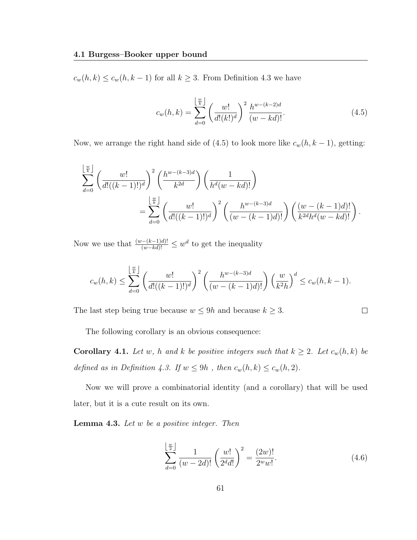$c_w(h, k) \leq c_w(h, k-1)$  for all  $k \geq 3$ . From Definition 4.3 we have

$$
c_w(h,k) = \sum_{d=0}^{\left\lfloor \frac{w}{k} \right\rfloor} \left( \frac{w!}{d!(k!)^d} \right)^2 \frac{h^{w-(k-2)d}}{(w-kd)!}.
$$
 (4.5)

Now, we arrange the right hand side of (4.5) to look more like  $c_w(h, k-1)$ , getting:

$$
\sum_{d=0}^{\lfloor \frac{w}{k} \rfloor} \left( \frac{w!}{d!((k-1)!)^d} \right)^2 \left( \frac{h^{w-(k-3)d}}{k^{2d}} \right) \left( \frac{1}{h^d(w-kd)!} \right)
$$
\n
$$
= \sum_{d=0}^{\lfloor \frac{w}{k} \rfloor} \left( \frac{w!}{d!((k-1)!)^d} \right)^2 \left( \frac{h^{w-(k-3)d}}{(w-(k-1)d)!} \right) \left( \frac{(w-(k-1)d)!}{k^{2d}h^d(w-kd)!} \right).
$$

Now we use that  $\frac{(w-(k-1)d)!}{(w-kd)!} \leq w^d$  to get the inequality

$$
c_w(h,k) \leq \sum_{d=0}^{\left\lfloor \frac{w}{k} \right\rfloor} \left( \frac{w!}{d!((k-1)!)^d} \right)^2 \left( \frac{h^{w-(k-3)d}}{(w-(k-1)d)!} \right) \left( \frac{w}{k^2h} \right)^d \leq c_w(h,k-1).
$$

The last step being true because  $w \le 9h$  and because  $k \ge 3$ .

The following corollary is an obvious consequence:

**Corollary 4.1.** Let w, h and k be positive integers such that  $k \geq 2$ . Let  $c_w(h, k)$  be defined as in Definition 4.3. If  $w \le 9h$ , then  $c_w(h, k) \le c_w(h, 2)$ .

Now we will prove a combinatorial identity (and a corollary) that will be used later, but it is a cute result on its own.

**Lemma 4.3.** Let  $w$  be a positive integer. Then

$$
\sum_{d=0}^{\left\lfloor \frac{w}{2} \right\rfloor} \frac{1}{(w - 2d)!} \left( \frac{w!}{2^d d!} \right)^2 = \frac{(2w)!}{2^w w!}.
$$
\n(4.6)

 $\Box$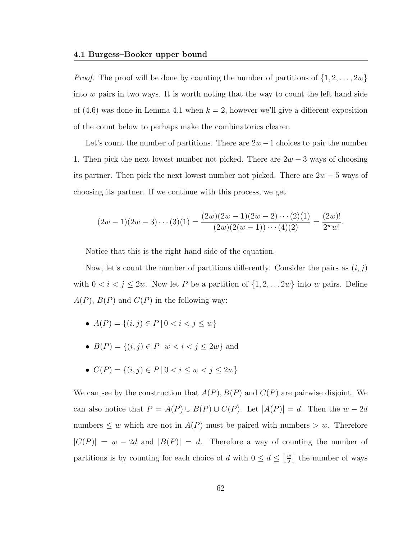*Proof.* The proof will be done by counting the number of partitions of  $\{1, 2, \ldots, 2w\}$ into  $w$  pairs in two ways. It is worth noting that the way to count the left hand side of (4.6) was done in Lemma 4.1 when  $k = 2$ , however we'll give a different exposition of the count below to perhaps make the combinatorics clearer.

Let's count the number of partitions. There are  $2w-1$  choices to pair the number 1. Then pick the next lowest number not picked. There are  $2w - 3$  ways of choosing its partner. Then pick the next lowest number not picked. There are  $2w - 5$  ways of choosing its partner. If we continue with this process, we get

$$
(2w-1)(2w-3)\cdots(3)(1) = \frac{(2w)(2w-1)(2w-2)\cdots(2)(1)}{(2w)(2(w-1))\cdots(4)(2)} = \frac{(2w)!}{2^w w!}.
$$

Notice that this is the right hand side of the equation.

Now, let's count the number of partitions differently. Consider the pairs as  $(i, j)$ with  $0 < i < j \leq 2w$ . Now let P be a partition of  $\{1, 2, \ldots, 2w\}$  into w pairs. Define  $A(P)$ ,  $B(P)$  and  $C(P)$  in the following way:

- $A(P) = \{(i, j) \in P \mid 0 < i < j \leq w\}$
- $B(P) = \{(i, j) \in P \mid w < i < j \leq 2w\}$  and
- $C(P) = \{(i, j) \in P \mid 0 < i \leq w < j \leq 2w\}$

We can see by the construction that  $A(P), B(P)$  and  $C(P)$  are pairwise disjoint. We can also notice that  $P = A(P) \cup B(P) \cup C(P)$ . Let  $|A(P)| = d$ . Then the  $w - 2d$ numbers  $\leq w$  which are not in  $A(P)$  must be paired with numbers  $> w$ . Therefore  $|C(P)| = w - 2d$  and  $|B(P)| = d$ . Therefore a way of counting the number of partitions is by counting for each choice of d with  $0 \leq d \leq \left\lfloor \frac{w}{2} \right\rfloor$  $\frac{w}{2}$  the number of ways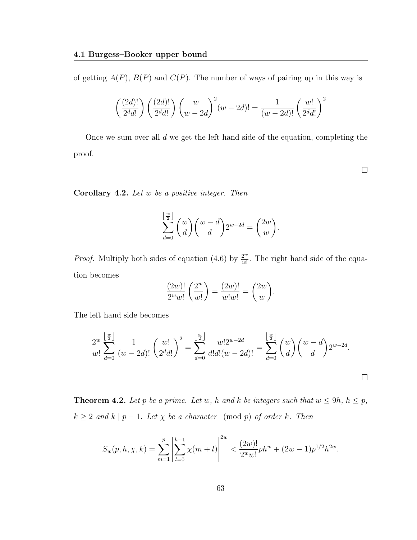of getting  $A(P)$ ,  $B(P)$  and  $C(P)$ . The number of ways of pairing up in this way is

$$
\left(\frac{(2d)!}{2^d d!}\right) \left(\frac{(2d)!}{2^d d!}\right) \left(\frac{w}{w-2d}\right)^2 (w-2d)! = \frac{1}{(w-2d)!} \left(\frac{w!}{2^d d!}\right)^2
$$

Once we sum over all d we get the left hand side of the equation, completing the proof.

 $\Box$ 

**Corollary 4.2.** Let  $w$  be a positive integer. Then

$$
\sum_{d=0}^{\left\lfloor \frac{w}{2} \right\rfloor} {w \choose d} {w-d \choose d} 2^{w-2d} = {2w \choose w}.
$$

*Proof.* Multiply both sides of equation (4.6) by  $\frac{2^w}{w!}$  $\frac{2^{\omega}}{w!}$ . The right hand side of the equation becomes

$$
\frac{(2w)!}{2^w w!} \left(\frac{2^w}{w!}\right) = \frac{(2w)!}{w!w!} = \binom{2w}{w}.
$$

The left hand side becomes

$$
\frac{2^w}{w!} \sum_{d=0}^{\lfloor \frac{w}{2} \rfloor} \frac{1}{(w-2d)!} \left(\frac{w!}{2^d d!}\right)^2 = \sum_{d=0}^{\lfloor \frac{w}{2} \rfloor} \frac{w! 2^{w-2d}}{d! d! (w-2d)!} = \sum_{d=0}^{\lfloor \frac{w}{2} \rfloor} {w \choose d} {w-d \choose d} 2^{w-2d}.
$$

**Theorem 4.2.** Let p be a prime. Let w, h and k be integers such that  $w \le 9h$ ,  $h \le p$ ,  $k \geq 2$  and  $k \mid p-1$ . Let  $\chi$  be a character (mod p) of order k. Then

$$
S_w(p, h, \chi, k) = \sum_{m=1}^p \left| \sum_{l=0}^{h-1} \chi(m+l) \right|^{2w} < \frac{(2w)!}{2^w w!} ph^w + (2w-1)p^{1/2} h^{2w}.
$$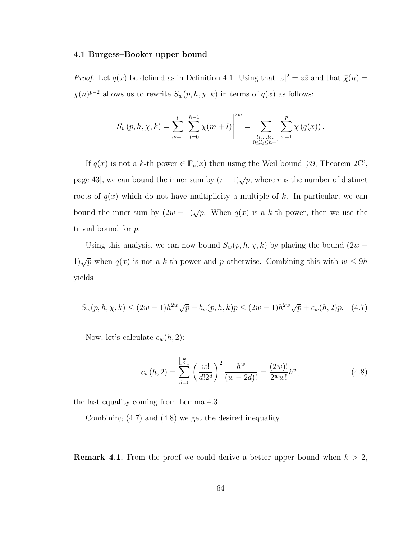*Proof.* Let  $q(x)$  be defined as in Definition 4.1. Using that  $|z|^2 = z\overline{z}$  and that  $\overline{\chi}(n) =$  $\chi(n)^{p-2}$  allows us to rewrite  $S_w(p, h, \chi, k)$  in terms of  $q(x)$  as follows:

$$
S_w(p, h, \chi, k) = \sum_{m=1}^p \left| \sum_{l=0}^{h-1} \chi(m+l) \right|^{2w} = \sum_{\substack{l_1, \dots, l_{2w} \\ 0 \le l_i \le h-1}} \sum_{x=1}^p \chi(q(x)).
$$

If  $q(x)$  is not a k-th power  $\in \mathbb{F}_p(x)$  then using the Weil bound [39, Theorem 2C', page 43], we can bound the inner sum by  $(r-1)\sqrt{p}$ , where r is the number of distinct roots of  $q(x)$  which do not have multiplicity a multiple of k. In particular, we can bound the inner sum by  $(2w-1)\sqrt{p}$ . When  $q(x)$  is a k-th power, then we use the trivial bound for p.

Using this analysis, we can now bound  $S_w(p, h, \chi, k)$  by placing the bound  $(2w 1\sqrt{p}$  when  $q(x)$  is not a k-th power and p otherwise. Combining this with  $w \le 9h$ yields

$$
S_w(p, h, \chi, k) \le (2w - 1)h^{2w}\sqrt{p} + b_w(p, h, k)p \le (2w - 1)h^{2w}\sqrt{p} + c_w(h, 2)p.
$$
 (4.7)

Now, let's calculate  $c_w(h, 2)$ :

$$
c_w(h,2) = \sum_{d=0}^{\left\lfloor \frac{w}{2} \right\rfloor} \left(\frac{w!}{d!2^d}\right)^2 \frac{h^w}{(w-2d)!} = \frac{(2w)!}{2^w w!} h^w,
$$
\n(4.8)

the last equality coming from Lemma 4.3.

Combining (4.7) and (4.8) we get the desired inequality.

 $\Box$ 

**Remark 4.1.** From the proof we could derive a better upper bound when  $k > 2$ ,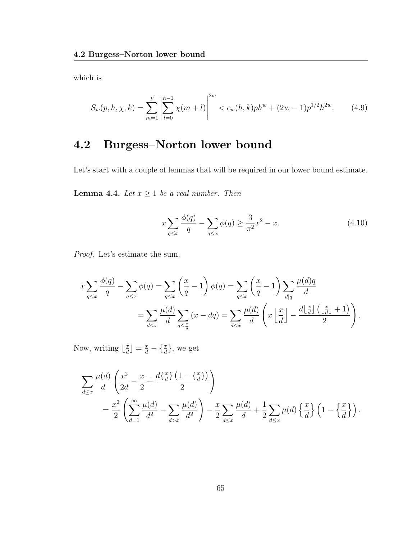which is

$$
S_w(p, h, \chi, k) = \sum_{m=1}^p \left| \sum_{l=0}^{h-1} \chi(m+l) \right|^{2w} < c_w(h, k) ph^w + (2w - 1)p^{1/2}h^{2w}.\tag{4.9}
$$

### 4.2 Burgess–Norton lower bound

Let's start with a couple of lemmas that will be required in our lower bound estimate.

**Lemma 4.4.** Let  $x \ge 1$  be a real number. Then

$$
x\sum_{q\leq x} \frac{\phi(q)}{q} - \sum_{q\leq x} \phi(q) \geq \frac{3}{\pi^2} x^2 - x.
$$
 (4.10)

Proof. Let's estimate the sum.

$$
x \sum_{q \le x} \frac{\phi(q)}{q} - \sum_{q \le x} \phi(q) = \sum_{q \le x} \left(\frac{x}{q} - 1\right) \phi(q) = \sum_{q \le x} \left(\frac{x}{q} - 1\right) \sum_{d|q} \frac{\mu(d)q}{d}
$$

$$
= \sum_{d \le x} \frac{\mu(d)}{d} \sum_{q \le \frac{x}{d}} (x - dq) = \sum_{d \le x} \frac{\mu(d)}{d} \left(x \left\lfloor \frac{x}{d} \right\rfloor - \frac{d \left\lfloor \frac{x}{d} \right\rfloor \left(\left\lfloor \frac{x}{d} \right\rfloor + 1\right)}{2}\right).
$$

Now, writing  $\frac{x}{d}$  $\left[\frac{x}{d}\right] = \frac{x}{d} - \left\{\frac{x}{d}\right\}$ , we get

$$
\sum_{d\leq x} \frac{\mu(d)}{d} \left( \frac{x^2}{2d} - \frac{x}{2} + \frac{d\{\frac{x}{d}\} (1 - \{\frac{x}{d}\})}{2} \right)
$$
  
= 
$$
\frac{x^2}{2} \left( \sum_{d=1}^{\infty} \frac{\mu(d)}{d^2} - \sum_{d>x} \frac{\mu(d)}{d^2} \right) - \frac{x}{2} \sum_{d\leq x} \frac{\mu(d)}{d} + \frac{1}{2} \sum_{d\leq x} \mu(d) \left\{ \frac{x}{d} \right\} \left( 1 - \left\{ \frac{x}{d} \right\} \right).
$$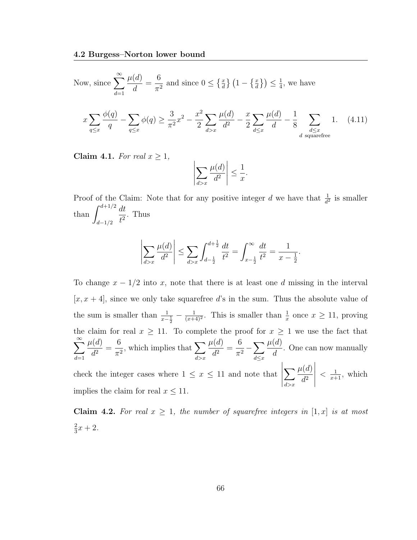Now, since 
$$
\sum_{d=1}^{\infty} \frac{\mu(d)}{d} = \frac{6}{\pi^2}
$$
 and since  $0 \le \left\{ \frac{x}{d} \right\} \left( 1 - \left\{ \frac{x}{d} \right\} \right) \le \frac{1}{4}$ , we have\n
$$
x \sum_{q \le x} \frac{\phi(q)}{q} - \sum_{q \le x} \phi(q) \ge \frac{3}{\pi^2} x^2 - \frac{x^2}{2} \sum_{d > x} \frac{\mu(d)}{d^2} - \frac{x}{2} \sum_{d \le x} \frac{\mu(d)}{d} - \frac{1}{8} \sum_{\substack{d \le x \\ d \text{ squarefree}}} 1. \quad (4.11)
$$

Claim 4.1. For real  $x \geq 1$ ,

$$
\left|\sum_{d>x}\frac{\mu(d)}{d^2}\right| \le \frac{1}{x}.
$$

Proof of the Claim: Note that for any positive integer d we have that  $\frac{1}{d^2}$  is smaller than  $\int^{d+1/2}$ d−1/2 dt  $\frac{du}{t^2}$ . Thus

$$
\left| \sum_{d>x} \frac{\mu(d)}{d^2} \right| \le \sum_{d>x} \int_{d-\frac{1}{2}}^{d+\frac{1}{2}} \frac{dt}{t^2} = \int_{x-\frac{1}{2}}^{\infty} \frac{dt}{t^2} = \frac{1}{x-\frac{1}{2}}.
$$

To change  $x - 1/2$  into x, note that there is at least one d missing in the interval  $[x, x + 4]$ , since we only take squarefree d's in the sum. Thus the absolute value of the sum is smaller than  $\frac{1}{x-\frac{1}{2}} - \frac{1}{(x+1)}$  $\frac{1}{(x+4)^2}$ . This is smaller than  $\frac{1}{x}$  once  $x \ge 11$ , proving the claim for real  $x \ge 11$ . To complete the proof for  $x \ge 1$  we use the fact that  $\sum^{\infty}$  $d=1$  $\mu(d)$  $\frac{d^{(a)}}{d^2} =$ 6  $\frac{0}{\pi^2}$ , which implies that  $\sum_{k=1}$  $d > x$  $\mu(d)$  $\frac{d^{(a)}}{d^2} =$ 6  $\frac{0}{\pi^2} - \sum_{1 \leq n \leq n}$  $d \leq x$  $\mu(d)$ d . One can now manually check the integer cases where  $1 \leq x \leq 11$  and note that  $\sum$  $d > x$  $\mu(d)$  $d^2$   $\langle \frac{1}{x+1}, \text{ which} \rangle$ 

implies the claim for real  $x \leq 11$ .

Claim 4.2. For real  $x \geq 1$ , the number of squarefree integers in  $[1, x]$  is at most 2  $\frac{2}{3}x + 2.$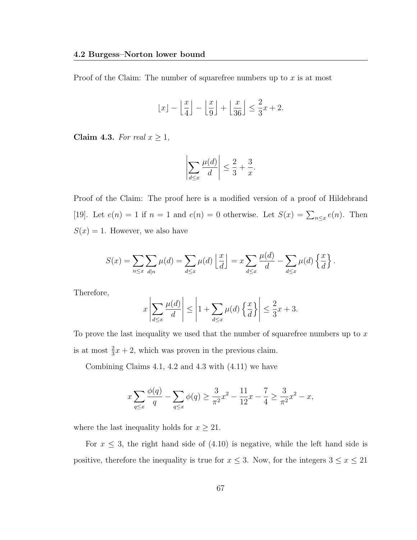Proof of the Claim: The number of squarefree numbers up to  $x$  is at most

$$
\lfloor x \rfloor - \left\lfloor \frac{x}{4} \right\rfloor - \left\lfloor \frac{x}{9} \right\rfloor + \left\lfloor \frac{x}{36} \right\rfloor \le \frac{2}{3}x + 2.
$$

Claim 4.3. For real  $x \geq 1$ ,

$$
\left|\sum_{d\leq x}\frac{\mu(d)}{d}\right|\leq \frac{2}{3}+\frac{3}{x}.
$$

Proof of the Claim: The proof here is a modified version of a proof of Hildebrand [19]. Let  $e(n) = 1$  if  $n = 1$  and  $e(n) = 0$  otherwise. Let  $S(x) = \sum_{n \leq x} e(n)$ . Then  $S(x) = 1$ . However, we also have

$$
S(x) = \sum_{n \leq x} \sum_{d|n} \mu(d) = \sum_{d \leq x} \mu(d) \left\lfloor \frac{x}{d} \right\rfloor = x \sum_{d \leq x} \frac{\mu(d)}{d} - \sum_{d \leq x} \mu(d) \left\{ \frac{x}{d} \right\}.
$$

Therefore,

$$
x\left|\sum_{d\leq x}\frac{\mu(d)}{d}\right| \leq \left|1+\sum_{d\leq x}\mu(d)\left\{\frac{x}{d}\right\}\right| \leq \frac{2}{3}x+3.
$$

To prove the last inequality we used that the number of squarefree numbers up to  $x$ is at most  $\frac{2}{3}x + 2$ , which was proven in the previous claim.

Combining Claims 4.1, 4.2 and 4.3 with (4.11) we have

$$
x\sum_{q\le x}\frac{\phi(q)}{q}-\sum_{q\le x}\phi(q)\ge \frac{3}{\pi^2}x^2-\frac{11}{12}x-\frac{7}{4}\ge \frac{3}{\pi^2}x^2-x,
$$

where the last inequality holds for  $x \geq 21$ .

For  $x \leq 3$ , the right hand side of  $(4.10)$  is negative, while the left hand side is positive, therefore the inequality is true for  $x \leq 3$ . Now, for the integers  $3 \leq x \leq 21$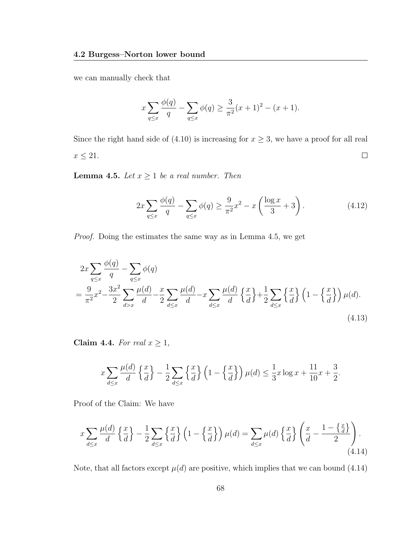we can manually check that

$$
x\sum_{q\leq x}\frac{\phi(q)}{q} - \sum_{q\leq x}\phi(q) \geq \frac{3}{\pi^2}(x+1)^2 - (x+1).
$$

Since the right hand side of (4.10) is increasing for  $x \geq 3$ , we have a proof for all real  $x\leq 21.$  $\Box$ 

**Lemma 4.5.** Let  $x \geq 1$  be a real number. Then

$$
2x\sum_{q\leq x} \frac{\phi(q)}{q} - \sum_{q\leq x} \phi(q) \geq \frac{9}{\pi^2} x^2 - x \left(\frac{\log x}{3} + 3\right). \tag{4.12}
$$

Proof. Doing the estimates the same way as in Lemma 4.5, we get

$$
2x\sum_{q\leq x}\frac{\phi(q)}{q} - \sum_{q\leq x}\phi(q)
$$
  
= 
$$
\frac{9}{\pi^2}x^2 - \frac{3x^2}{2}\sum_{d>x}\frac{\mu(d)}{d} - \frac{x}{2}\sum_{d\leq x}\frac{\mu(d)}{d} - x\sum_{d\leq x}\frac{\mu(d)}{d}\left\{\frac{x}{d}\right\} + \frac{1}{2}\sum_{d\leq x}\left\{\frac{x}{d}\right\}\left(1 - \left\{\frac{x}{d}\right\}\right)\mu(d).
$$
\n(4.13)

Claim 4.4. For real  $x \geq 1$ ,

$$
x\sum_{d\leq x}\frac{\mu(d)}{d}\left\{\frac{x}{d}\right\}-\frac{1}{2}\sum_{d\leq x}\left\{\frac{x}{d}\right\}\left(1-\left\{\frac{x}{d}\right\}\right)\mu(d)\leq \frac{1}{3}x\log x+\frac{11}{10}x+\frac{3}{2}.
$$

Proof of the Claim: We have

$$
x\sum_{d\leq x}\frac{\mu(d)}{d}\left\{\frac{x}{d}\right\}-\frac{1}{2}\sum_{d\leq x}\left\{\frac{x}{d}\right\}\left(1-\left\{\frac{x}{d}\right\}\right)\mu(d)=\sum_{d\leq x}\mu(d)\left\{\frac{x}{d}\right\}\left(\frac{x}{d}-\frac{1-\left\{\frac{x}{d}\right\}}{2}\right).
$$
\n(4.14)

Note, that all factors except  $\mu(d)$  are positive, which implies that we can bound (4.14)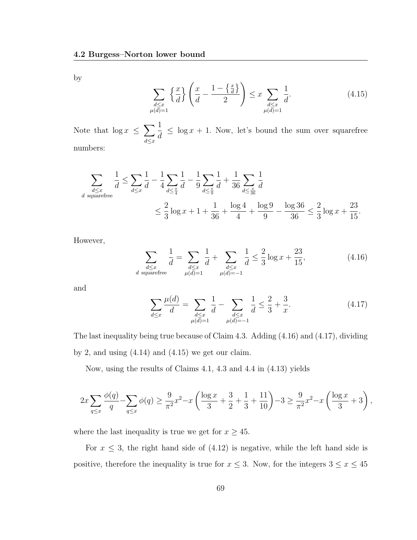by

$$
\sum_{\substack{d \le x \\ \mu(d)=1}} \left\{ \frac{x}{d} \right\} \left( \frac{x}{d} - \frac{1 - \left\{ \frac{x}{d} \right\}}{2} \right) \le x \sum_{\substack{d \le x \\ \mu(d)=1}} \frac{1}{d}.
$$
\n(4.15)

Note that  $\log x \leq \sum$  $d \leq x$ 1 d  $\leq \log x + 1$ . Now, let's bound the sum over squarefree numbers:

$$
\sum_{\substack{d \le x \\ d \text{ squarefree}}} \frac{1}{d} \le \sum_{d \le x} \frac{1}{d} - \frac{1}{4} \sum_{d \le \frac{x}{4}} \frac{1}{d} - \frac{1}{9} \sum_{d \le \frac{x}{9}} \frac{1}{d} + \frac{1}{36} \sum_{d \le \frac{x}{36}} \frac{1}{d}
$$
  

$$
\le \frac{2}{3} \log x + 1 + \frac{1}{36} + \frac{\log 4}{4} + \frac{\log 9}{9} - \frac{\log 36}{36} \le \frac{2}{3} \log x + \frac{23}{15}.
$$

However,

$$
\sum_{\substack{d \le x \\ d \text{ squarefree}}} \frac{1}{d} = \sum_{\substack{d \le x \\ \mu(d) = 1}} \frac{1}{d} + \sum_{\substack{d \le x \\ \mu(d) = -1}} \frac{1}{d} \le \frac{2}{3} \log x + \frac{23}{15},\tag{4.16}
$$

and

$$
\sum_{d \le x} \frac{\mu(d)}{d} = \sum_{\substack{d \le x \\ \mu(d) = 1}} \frac{1}{d} - \sum_{\substack{d \le x \\ \mu(d) = -1}} \frac{1}{d} \le \frac{2}{3} + \frac{3}{x}.
$$
\n(4.17)

The last inequality being true because of Claim 4.3. Adding (4.16) and (4.17), dividing by 2, and using  $(4.14)$  and  $(4.15)$  we get our claim.

Now, using the results of Claims 4.1, 4.3 and 4.4 in (4.13) yields

$$
2x\sum_{q\leq x}\frac{\phi(q)}{q} - \sum_{q\leq x}\phi(q) \geq \frac{9}{\pi^2}x^2 - x\left(\frac{\log x}{3} + \frac{3}{2} + \frac{1}{3} + \frac{11}{10}\right) - 3 \geq \frac{9}{\pi^2}x^2 - x\left(\frac{\log x}{3} + 3\right),
$$

where the last inequality is true we get for  $x \geq 45$ .

For  $x \leq 3$ , the right hand side of (4.12) is negative, while the left hand side is positive, therefore the inequality is true for  $x \leq 3$ . Now, for the integers  $3 \leq x \leq 45$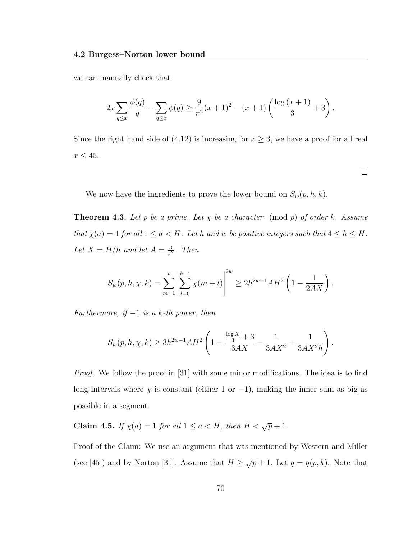we can manually check that

$$
2x\sum_{q\leq x}\frac{\phi(q)}{q} - \sum_{q\leq x}\phi(q) \geq \frac{9}{\pi^2}(x+1)^2 - (x+1)\left(\frac{\log(x+1)}{3} + 3\right).
$$

Since the right hand side of (4.12) is increasing for  $x \geq 3$ , we have a proof for all real  $x \leq 45.$ 

 $\Box$ 

We now have the ingredients to prove the lower bound on  $S_w(p, h, k)$ .

**Theorem 4.3.** Let p be a prime. Let  $\chi$  be a character (mod p) of order k. Assume that  $\chi(a) = 1$  for all  $1 \le a < H$ . Let h and w be positive integers such that  $4 \le h \le H$ . Let  $X = H/h$  and let  $A = \frac{3}{\pi h}$  $\frac{3}{\pi^2}$ . Then

$$
S_w(p, h, \chi, k) = \sum_{m=1}^p \left| \sum_{l=0}^{h-1} \chi(m+l) \right|^{2w} \ge 2h^{2w-1} AH^2 \left( 1 - \frac{1}{2AX} \right).
$$

Furthermore, if  $-1$  is a k-th power, then

$$
S_w(p, h, \chi, k) \ge 3h^{2w-1}AH^2\left(1 - \frac{\frac{\log X}{3} + 3}{3AX} - \frac{1}{3AX^2} + \frac{1}{3AX^2h}\right).
$$

*Proof.* We follow the proof in [31] with some minor modifications. The idea is to find long intervals where  $\chi$  is constant (either 1 or -1), making the inner sum as big as possible in a segment.

Claim 4.5. If  $\chi(a) = 1$  for all  $1 \le a < H$ , then  $H < \sqrt{p} + 1$ .

Proof of the Claim: We use an argument that was mentioned by Western and Miller (see [45]) and by Norton [31]. Assume that  $H \geq \sqrt{p} + 1$ . Let  $q = g(p, k)$ . Note that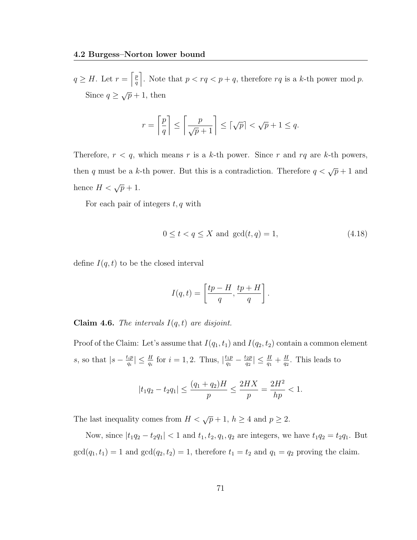$q \geq H$ . Let  $r = \left[\frac{p}{q}\right]$  $\frac{p}{q}$ . Note that  $p < rq < p+q$ , therefore rq is a k-th power mod p. Since  $q \geq \sqrt{p} + 1$ , then

$$
r = \left\lceil \frac{p}{q} \right\rceil \le \left\lceil \frac{p}{\sqrt{p} + 1} \right\rceil \le \left\lceil \sqrt{p} \right\rceil < \sqrt{p} + 1 \le q.
$$

Therefore,  $r < q$ , which means r is a k-th power. Since r and rq are k-th powers, then q must be a k-th power. But this is a contradiction. Therefore  $q < \sqrt{p} + 1$  and hence  $H < \sqrt{p} + 1$ .

For each pair of integers  $t, q$  with

$$
0 \le t < q \le X \text{ and } \gcd(t, q) = 1,\tag{4.18}
$$

define  $I(q, t)$  to be the closed interval

$$
I(q,t) = \left[\frac{tp - H}{q}, \frac{tp + H}{q}\right].
$$

**Claim 4.6.** The intervals  $I(q,t)$  are disjoint.

Proof of the Claim: Let's assume that  $I(q_1, t_1)$  and  $I(q_2, t_2)$  contain a common element s, so that  $|s - \frac{t_i p}{a_i}|$  $\left|\frac{t_ip}{q_i}\right| \leq \frac{H}{q_i}$  for  $i = 1, 2$ . Thus,  $\left|\frac{t_1p}{q_1}\right|$  $\frac{t_1 p}{q_1} - \frac{t_2 p}{q_2}$  $\left|\frac{t_2p}{q_2}\right|\leq \frac{H}{q_1}+\frac{H}{q_2}$  $\frac{H}{q_2}$ . This leads to

$$
|t_1q_2 - t_2q_1| \le \frac{(q_1 + q_2)H}{p} \le \frac{2HX}{p} = \frac{2H^2}{hp} < 1.
$$

The last inequality comes from  $H < \sqrt{p} + 1$ ,  $h \ge 4$  and  $p \ge 2$ .

Now, since  $|t_1q_2 - t_2q_1| < 1$  and  $t_1, t_2, q_1, q_2$  are integers, we have  $t_1q_2 = t_2q_1$ . But  $gcd(q_1, t_1) = 1$  and  $gcd(q_2, t_2) = 1$ , therefore  $t_1 = t_2$  and  $q_1 = q_2$  proving the claim.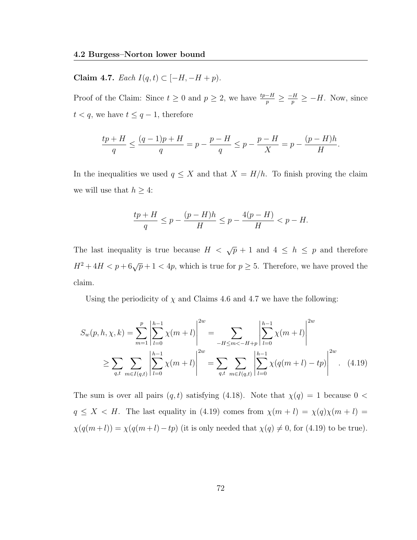Claim 4.7. Each  $I(q, t)$  ⊂ [−H, −H + p).

Proof of the Claim: Since  $t \geq 0$  and  $p \geq 2$ , we have  $\frac{tp-H}{p} \geq \frac{-H}{p} \geq -H$ . Now, since  $t < q$ , we have  $t \leq q-1$ , therefore

$$
\frac{tp+H}{q}\leq \frac{(q-1)p+H}{q}=p-\frac{p-H}{q}\leq p-\frac{p-H}{X}=p-\frac{(p-H)h}{H}.
$$

In the inequalities we used  $q \leq X$  and that  $X = H/h$ . To finish proving the claim we will use that  $h \geq 4$ :

$$
\frac{tp+H}{q} \le p - \frac{(p-H)h}{H} \le p - \frac{4(p-H)}{H} < p - H.
$$

The last inequality is true because  $H < \sqrt{p} + 1$  and  $4 \leq h \leq p$  and therefore  $H^2 + 4H < p + 6\sqrt{p} + 1 < 4p$ , which is true for  $p \ge 5$ . Therefore, we have proved the claim.

Using the periodicity of  $\chi$  and Claims 4.6 and 4.7 we have the following:

$$
S_w(p, h, \chi, k) = \sum_{m=1}^p \left| \sum_{l=0}^{h-1} \chi(m+l) \right|^{2w} = \sum_{-H \le m < -H+p} \left| \sum_{l=0}^{h-1} \chi(m+l) \right|^{2w}
$$
  
\n
$$
\ge \sum_{q, t} \sum_{m \in I(q, t)} \left| \sum_{l=0}^{h-1} \chi(m+l) \right|^{2w} = \sum_{q, t} \sum_{m \in I(q, t)} \left| \sum_{l=0}^{h-1} \chi(q(m+l) - tp) \right|^{2w}.
$$
 (4.19)

The sum is over all pairs  $(q, t)$  satisfying (4.18). Note that  $\chi(q) = 1$  because  $0 <$  $q \leq X < H$ . The last equality in (4.19) comes from  $\chi(m+l) = \chi(q)\chi(m+l)$  $\chi(q(m+l)) = \chi(q(m+l)-tp)$  (it is only needed that  $\chi(q) \neq 0$ , for (4.19) to be true).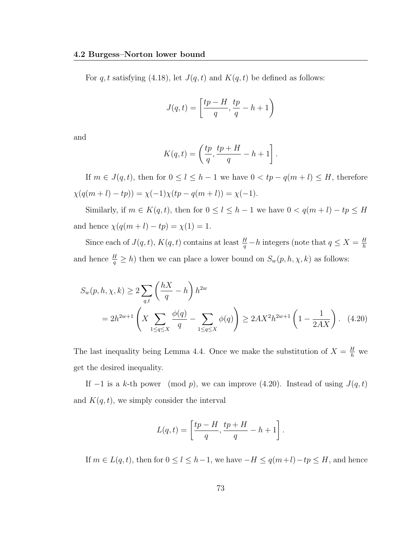For q, t satisfying (4.18), let  $J(q, t)$  and  $K(q, t)$  be defined as follows:

$$
J(q,t)=\left[\frac{tp-H}{q},\frac{tp}{q}-h+1\right)
$$

and

$$
K(q,t) = \left(\frac{tp}{q}, \frac{tp + H}{q} - h + 1\right].
$$

If  $m \in J(q, t)$ , then for  $0 \leq l \leq h - 1$  we have  $0 < tp - q(m + l) \leq H$ , therefore  $\chi(q(m+l) - tp)) = \chi(-1)\chi(tp - q(m+l)) = \chi(-1).$ 

Similarly, if  $m \in K(q, t)$ , then for  $0 \le l \le h - 1$  we have  $0 < q(m + l) - tp \le H$ and hence  $\chi(q(m + l) - tp) = \chi(1) = 1$ .

Since each of  $J(q,t)$ ,  $K(q,t)$  contains at least  $\frac{H}{q} - h$  integers (note that  $q \leq X = \frac{H}{h}$ h and hence  $\frac{H}{q} \geq h$ ) then we can place a lower bound on  $S_w(p, h, \chi, k)$  as follows:

$$
S_w(p, h, \chi, k) \ge 2 \sum_{q,t} \left(\frac{hX}{q} - h\right) h^{2w}
$$
  
=  $2h^{2w+1} \left(X \sum_{1 \le q \le X} \frac{\phi(q)}{q} - \sum_{1 \le q \le X} \phi(q)\right) \ge 2AX^2 h^{2w+1} \left(1 - \frac{1}{2AX}\right).$  (4.20)

The last inequality being Lemma 4.4. Once we make the substitution of  $X = \frac{H}{h}$  we get the desired inequality.

If  $-1$  is a k-th power (mod p), we can improve (4.20). Instead of using  $J(q, t)$ and  $K(q, t)$ , we simply consider the interval

$$
L(q,t) = \left[\frac{tp - H}{q}, \frac{tp + H}{q} - h + 1\right].
$$

If  $m \in L(q, t)$ , then for  $0 \leq l \leq h-1$ , we have  $-H \leq q(m+l)-tp \leq H$ , and hence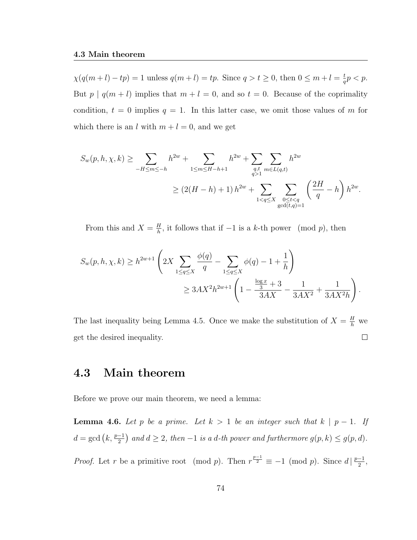$\chi(q(m+l)-tp) = 1$  unless  $q(m+l) = tp$ . Since  $q > t \geq 0$ , then  $0 \leq m+l = \frac{t}{q}$  $rac{t}{q}p < p.$ But  $p | q(m+l)$  implies that  $m+l = 0$ , and so  $t = 0$ . Because of the coprimality condition,  $t = 0$  implies  $q = 1$ . In this latter case, we omit those values of m for which there is an l with  $m + l = 0$ , and we get

$$
S_w(p, h, \chi, k) \ge \sum_{-H \le m \le -h} h^{2w} + \sum_{1 \le m \le H-h+1} h^{2w} + \sum_{\substack{q, t \\ q>1}} \sum_{m \in L(q, t)} h^{2w}
$$
  

$$
\ge (2(H-h) + 1) h^{2w} + \sum_{1 < q \le X} \sum_{\substack{0 \le t < q \\ \gcd(t, q) = 1}} \left(\frac{2H}{q} - h\right) h^{2w}.
$$

From this and  $X = \frac{H}{h}$  $\frac{H}{h}$ , it follows that if  $-1$  is a k-th power (mod p), then

$$
S_w(p, h, \chi, k) \ge h^{2w+1} \left( 2X \sum_{1 \le q \le X} \frac{\phi(q)}{q} - \sum_{1 \le q \le X} \phi(q) - 1 + \frac{1}{h} \right)
$$
  

$$
\ge 3AX^2 h^{2w+1} \left( 1 - \frac{\frac{\log x}{3} + 3}{3AX} - \frac{1}{3AX^2} + \frac{1}{3AX^2 h} \right).
$$

The last inequality being Lemma 4.5. Once we make the substitution of  $X = \frac{H}{h}$  we  $\Box$ get the desired inequality.

#### 4.3 Main theorem

Before we prove our main theorem, we need a lemma:

**Lemma 4.6.** Let p be a prime. Let  $k > 1$  be an integer such that  $k | p - 1$ . If  $d = \gcd(k, \frac{p-1}{2})$  and  $d \ge 2$ , then  $-1$  is a d-th power and furthermore  $g(p, k) \le g(p, d)$ . *Proof.* Let r be a primitive root (mod p). Then  $r^{\frac{p-1}{2}} \equiv -1$  (mod p). Since  $d \mid \frac{p-1}{2}$  $\frac{-1}{2}$ ,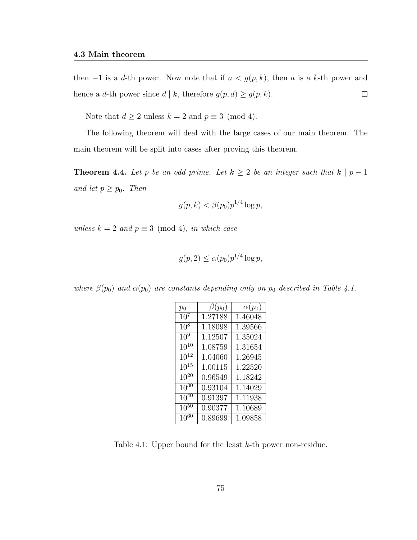then  $-1$  is a d-th power. Now note that if  $a < g(p, k)$ , then a is a k-th power and hence a d-th power since  $d \mid k$ , therefore  $g(p, d) \ge g(p, k)$ .  $\Box$ 

Note that  $d \ge 2$  unless  $k = 2$  and  $p \equiv 3 \pmod{4}$ .

The following theorem will deal with the large cases of our main theorem. The main theorem will be split into cases after proving this theorem.

**Theorem 4.4.** Let p be an odd prime. Let  $k \geq 2$  be an integer such that  $k \mid p-1$ and let  $p \geq p_0$ . Then

$$
g(p,k) < \beta(p_0)p^{1/4}\log p,
$$

unless  $k = 2$  and  $p \equiv 3 \pmod{4}$ , in which case

$$
g(p, 2) \le \alpha(p_0) p^{1/4} \log p,
$$

where  $\beta(p_0)$  and  $\alpha(p_0)$  are constants depending only on  $p_0$  described in Table 4.1.

| $p_0$                | $\beta(p_0)$ | $\alpha(p_0)$ |
|----------------------|--------------|---------------|
| 10 <sup>7</sup>      | 1.27188      | 1.46048       |
| $10^{8}$             | 1.18098      | 1.39566       |
| $10^{9}$             | 1.12507      | 1.35024       |
| $10^{10}$            | 1.08759      | 1.31654       |
| $\overline{10}^{12}$ | 1.04060      | 1.26945       |
| $10^{15}$            | 1.00115      | 1.22520       |
| $10^{20}$            | 0.96549      | 1.18242       |
| $10^{30}$            | 0.93104      | 1.14029       |
| $10^{40}$            | 0.91397      | 1.11938       |
| $10^{50}$            | 0.90377      | 1.10689       |
| $10^{60}$            | 0.89699      | 1.09858       |

Table 4.1: Upper bound for the least k-th power non-residue.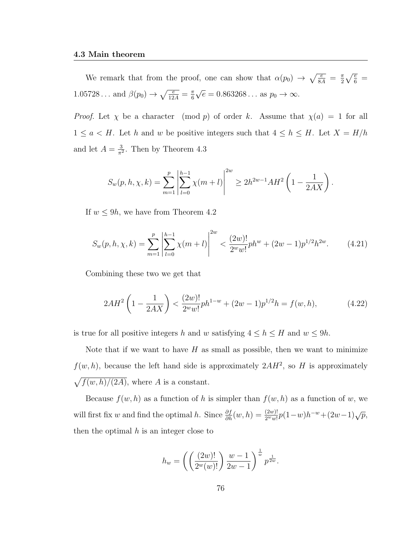We remark that from the proof, one can show that  $\alpha(p_0) \to \sqrt{\frac{e}{8A}} = \frac{\pi}{2}$  $\frac{\pi}{2}\sqrt{\frac{e}{6}}\,=\,$  $1.05728...$  and  $\beta(p_0) \to \sqrt{\frac{e}{12A}} = \frac{\pi}{6}$ 6 √  $\overline{e} = 0.863268...$  as  $p_0 \rightarrow \infty$ .

*Proof.* Let  $\chi$  be a character (mod p) of order k. Assume that  $\chi(a) = 1$  for all  $1 \le a < H$ . Let h and w be positive integers such that  $4 \le h \le H$ . Let  $X = H/h$ and let  $A = \frac{3}{\pi^2}$  $\frac{3}{\pi^2}$ . Then by Theorem 4.3

$$
S_w(p, h, \chi, k) = \sum_{m=1}^p \left| \sum_{l=0}^{h-1} \chi(m+l) \right|^{2w} \ge 2h^{2w-1} AH^2 \left( 1 - \frac{1}{2AX} \right).
$$

If  $w \leq 9h$ , we have from Theorem 4.2

$$
S_w(p, h, \chi, k) = \sum_{m=1}^p \left| \sum_{l=0}^{h-1} \chi(m+l) \right|^{2w} < \frac{(2w)!}{2^w w!} ph^w + (2w-1)p^{1/2} h^{2w}.
$$
 (4.21)

Combining these two we get that

$$
2AH^2\left(1-\frac{1}{2AX}\right) < \frac{(2w)!}{2^ww!}ph^{1-w} + (2w-1)p^{1/2}h = f(w,h),\tag{4.22}
$$

is true for all positive integers h and w satisfying  $4 \le h \le H$  and  $w \le 9h$ .

Note that if we want to have  $H$  as small as possible, then we want to minimize  $f(w, h)$ , because the left hand side is approximately  $2AH^2$ , so H is approximately  $\sqrt{f(w, h)/(2A)}$ , where A is a constant.

Because  $f(w, h)$  as a function of h is simpler than  $f(w, h)$  as a function of w, we will first fix w and find the optimal h. Since  $\frac{\partial f}{\partial h}(w, h) = \frac{(2w)!}{2^w w!} p(1-w)h^{-w} + (2w-1)\sqrt{p}$ , then the optimal  $h$  is an integer close to

$$
h_w = \left( \left( \frac{(2w)!}{2^w(w)!} \right) \frac{w-1}{2w-1} \right)^{\frac{1}{w}} p^{\frac{1}{2w}}.
$$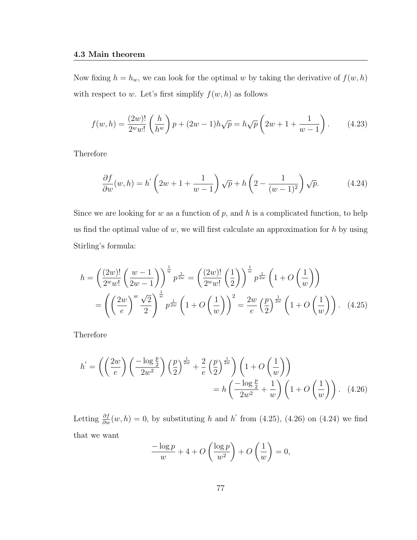Now fixing  $h = h_w$ , we can look for the optimal w by taking the derivative of  $f(w, h)$ with respect to w. Let's first simplify  $f(w, h)$  as follows

$$
f(w,h) = \frac{(2w)!}{2^w w!} \left(\frac{h}{h^w}\right) p + (2w-1)h\sqrt{p} = h\sqrt{p} \left(2w+1+\frac{1}{w-1}\right). \tag{4.23}
$$

Therefore

$$
\frac{\partial f}{\partial w}(w, h) = h' \left(2w + 1 + \frac{1}{w - 1}\right) \sqrt{p} + h \left(2 - \frac{1}{(w - 1)^2}\right) \sqrt{p}.\tag{4.24}
$$

Since we are looking for  $w$  as a function of  $p$ , and  $h$  is a complicated function, to help us find the optimal value of  $w$ , we will first calculate an approximation for  $h$  by using Stirling's formula:

$$
h = \left(\frac{(2w)!}{2^w w!} \left(\frac{w-1}{2w-1}\right)\right)^{\frac{1}{w}} p^{\frac{1}{2w}} = \left(\frac{(2w)!}{2^w w!} \left(\frac{1}{2}\right)\right)^{\frac{1}{w}} p^{\frac{1}{2w}} \left(1 + O\left(\frac{1}{w}\right)\right)
$$

$$
= \left(\left(\frac{2w}{e}\right)^w \frac{\sqrt{2}}{2}\right)^{\frac{1}{w}} p^{\frac{1}{2w}} \left(1 + O\left(\frac{1}{w}\right)\right)^2 = \frac{2w}{e} \left(\frac{p}{2}\right)^{\frac{1}{2w}} \left(1 + O\left(\frac{1}{w}\right)\right). \quad (4.25)
$$

Therefore

$$
h' = \left( \left( \frac{2w}{e} \right) \left( \frac{-\log \frac{p}{2}}{2w^2} \right) \left( \frac{p}{2} \right)^{\frac{1}{2w}} + \frac{2}{e} \left( \frac{p}{2} \right)^{\frac{1}{2w}} \right) \left( 1 + O\left( \frac{1}{w} \right) \right)
$$

$$
= h \left( \frac{-\log \frac{p}{2}}{2w^2} + \frac{1}{w} \right) \left( 1 + O\left( \frac{1}{w} \right) \right). \quad (4.26)
$$

Letting  $\frac{\partial f}{\partial w}(w, h) = 0$ , by substituting h and h' from (4.25), (4.26) on (4.24) we find that we want

$$
\frac{-\log p}{w} + 4 + O\left(\frac{\log p}{w^2}\right) + O\left(\frac{1}{w}\right) = 0,
$$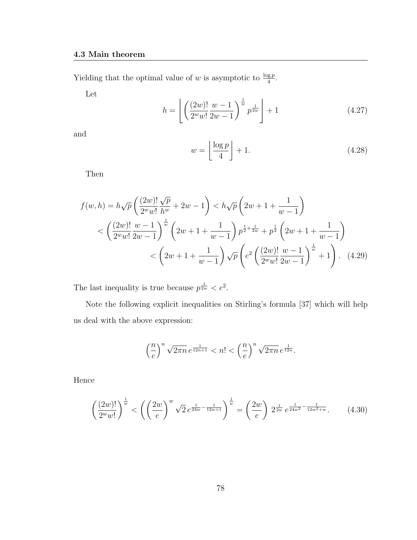Yielding that the optimal value of w is asymptotic to  $\frac{\log p}{4}$ .

Let

$$
h = \left\lfloor \left( \frac{(2w)!}{2^w w!} \frac{w-1}{2w-1} \right)^{\frac{1}{w}} p^{\frac{1}{2w}} \right\rfloor + 1 \tag{4.27}
$$

and

$$
w = \left\lfloor \frac{\log p}{4} \right\rfloor + 1. \tag{4.28}
$$

Then

$$
f(w,h) = h\sqrt{p} \left(\frac{(2w)!}{2^w w!} \frac{\sqrt{p}}{h^w} + 2w - 1\right) < h\sqrt{p} \left(2w + 1 + \frac{1}{w-1}\right)
$$
  

$$
< \left(\frac{(2w)!}{2^w w!} \frac{w-1}{2w-1}\right)^{\frac{1}{w}} \left(2w + 1 + \frac{1}{w-1}\right) p^{\frac{1}{2} + \frac{1}{2w}} + p^{\frac{1}{2}} \left(2w + 1 + \frac{1}{w-1}\right)
$$
  

$$
< \left(2w + 1 + \frac{1}{w-1}\right) \sqrt{p} \left(e^2 \left(\frac{(2w)!}{2^w w!} \frac{w-1}{2w-1}\right)^{\frac{1}{w}} + 1\right).
$$
 (4.29)

The last inequality is true because  $p^{\frac{1}{2w}} < e^2$ .

Note the following explicit inequalities on Stirling's formula [37] which will help us deal with the above expression:

$$
\left(\frac{n}{e}\right)^n \sqrt{2\pi n} e^{\frac{1}{12n+1}} < n! < \left(\frac{n}{e}\right)^n \sqrt{2\pi n} e^{\frac{1}{12n}}.
$$

Hence

$$
\left(\frac{(2w)!}{2^w w!}\right)^{\frac{1}{w}} < \left(\left(\frac{2w}{e}\right)^w \sqrt{2} \, e^{\frac{1}{24w} - \frac{1}{12w+1}}\right)^{\frac{1}{w}} = \left(\frac{2w}{e}\right) \, 2^{\frac{1}{2w}} \, e^{\frac{1}{24w^2} - \frac{1}{12w^2 + w}}.\tag{4.30}
$$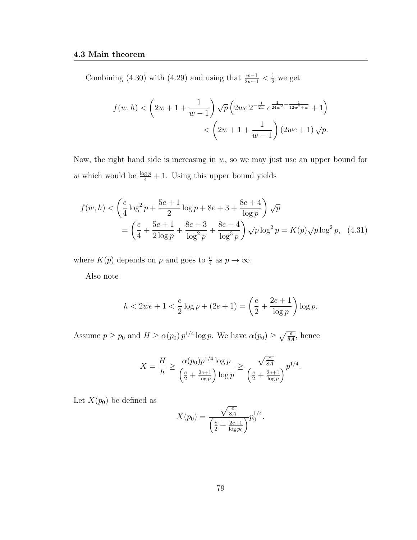Combining (4.30) with (4.29) and using that  $\frac{w-1}{2w-1} < \frac{1}{2}$  we get

$$
f(w,h) < \left(2w+1+\frac{1}{w-1}\right)\sqrt{p}\left(2we \, 2^{-\frac{1}{2w}}e^{\frac{1}{24w^2}-\frac{1}{12w^2+w}}+1\right) < \left(2w+1+\frac{1}{w-1}\right)(2we+1)\sqrt{p}.
$$

Now, the right hand side is increasing in  $w$ , so we may just use an upper bound for w which would be  $\frac{\log p}{4} + 1$ . Using this upper bound yields

$$
f(w, h) < \left(\frac{e}{4}\log^2 p + \frac{5e+1}{2}\log p + 8e + 3 + \frac{8e+4}{\log p}\right)\sqrt{p}
$$
  
= 
$$
\left(\frac{e}{4} + \frac{5e+1}{2\log p} + \frac{8e+3}{\log^2 p} + \frac{8e+4}{\log^3 p}\right)\sqrt{p}\log^2 p = K(p)\sqrt{p}\log^2 p, \quad (4.31)
$$

where  $K(p)$  depends on p and goes to  $\frac{e}{4}$  as  $p \to \infty$ .

Also note

$$
h < 2we + 1 < \frac{e}{2}\log p + (2e + 1) = \left(\frac{e}{2} + \frac{2e + 1}{\log p}\right)\log p.
$$

Assume  $p \ge p_0$  and  $H \ge \alpha(p_0) p^{1/4} \log p$ . We have  $\alpha(p_0) \ge \sqrt{\frac{e}{8A}}$ , hence

$$
X = \frac{H}{h} \ge \frac{\alpha(p_0)p^{1/4}\log p}{\left(\frac{e}{2} + \frac{2e+1}{\log p}\right)\log p} \ge \frac{\sqrt{\frac{e}{8A}}}{\left(\frac{e}{2} + \frac{2e+1}{\log p}\right)}p^{1/4}.
$$

Let  $X(p_0)$  be defined as

$$
X(p_0) = \frac{\sqrt{\frac{e}{8A}}}{\left(\frac{e}{2} + \frac{2e+1}{\log p_0}\right)} p_0^{1/4}.
$$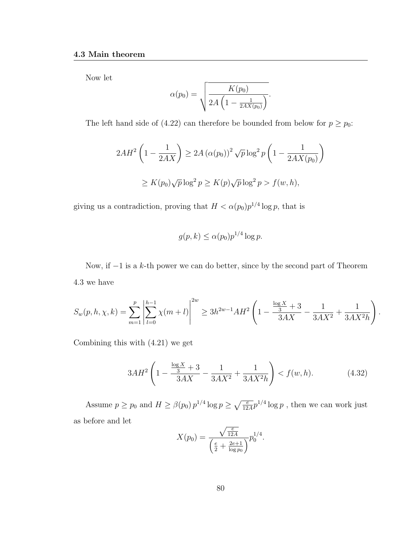Now let

$$
\alpha(p_0) = \sqrt{\frac{K(p_0)}{2A\left(1 - \frac{1}{2AX(p_0)}\right)}}.
$$

The left hand side of (4.22) can therefore be bounded from below for  $p \ge p_0$ :

$$
2AH^2\left(1-\frac{1}{2AX}\right) \ge 2A\left(\alpha(p_0)\right)^2\sqrt{p}\log^2 p\left(1-\frac{1}{2AX(p_0)}\right)
$$
  

$$
\ge K(p_0)\sqrt{p}\log^2 p \ge K(p)\sqrt{p}\log^2 p > f(w,h),
$$

giving us a contradiction, proving that  $H < \alpha(p_0)p^{1/4}\log p$ , that is

$$
g(p,k) \le \alpha(p_0) p^{1/4} \log p.
$$

Now, if  $-1$  is a k-th power we can do better, since by the second part of Theorem 4.3 we have

$$
S_w(p, h, \chi, k) = \sum_{m=1}^p \left| \sum_{l=0}^{h-1} \chi(m+l) \right|^{2w} \ge 3h^{2w-1} AH^2 \left( 1 - \frac{\frac{\log X}{3} + 3}{3AX} - \frac{1}{3AX^2} + \frac{1}{3AX^2h} \right).
$$

Combining this with (4.21) we get

$$
3AH^2\left(1-\frac{\frac{\log X}{3}+3}{3AX}-\frac{1}{3AX^2}+\frac{1}{3AX^2h}\right) < f(w,h). \tag{4.32}
$$

Assume  $p \ge p_0$  and  $H \ge \beta(p_0) p^{1/4} \log p \ge \sqrt{\frac{e}{12A}} p^{1/4} \log p$ , then we can work just as before and let

$$
X(p_0) = \frac{\sqrt{\frac{e}{12A}}}{\left(\frac{e}{2} + \frac{2e+1}{\log p_0}\right)} p_0^{1/4}.
$$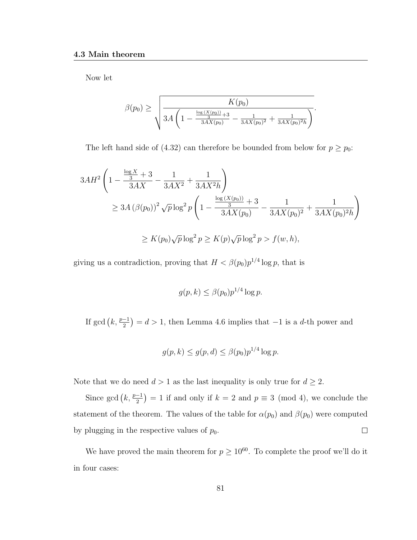Now let

$$
\beta(p_0) \ge \sqrt{\frac{K(p_0)}{3A\left(1 - \frac{\frac{\log(X(p_0))}{3} + 3}{3AX(p_0)} - \frac{1}{3AX(p_0)^2} + \frac{1}{3AX(p_0)^2h}\right)}}.
$$

The left hand side of (4.32) can therefore be bounded from below for  $p \ge p_0$ :

$$
3AH^2 \left( 1 - \frac{\frac{\log X}{3} + 3}{3AX} - \frac{1}{3AX^2} + \frac{1}{3AX^2h} \right)
$$
  
\n
$$
\geq 3A \left( \beta(p_0) \right)^2 \sqrt{p} \log^2 p \left( 1 - \frac{\frac{\log \left( X(p_0) \right)}{3} + 3}{3AX(p_0)} - \frac{1}{3AX(p_0)^2} + \frac{1}{3AX(p_0)^2h} \right)
$$
  
\n
$$
\geq K(p_0)\sqrt{p} \log^2 p \geq K(p)\sqrt{p} \log^2 p > f(w, h),
$$

giving us a contradiction, proving that  $H < \beta(p_0)p^{1/4}\log p$ , that is

$$
g(p,k) \le \beta(p_0) p^{1/4} \log p.
$$

If gcd  $(k, \frac{p-1}{2}) = d > 1$ , then Lemma 4.6 implies that  $-1$  is a d-th power and

$$
g(p,k) \le g(p,d) \le \beta(p_0)p^{1/4}\log p.
$$

Note that we do need  $d > 1$  as the last inequality is only true for  $d \geq 2$ .

Since gcd  $(k, \frac{p-1}{2}) = 1$  if and only if  $k = 2$  and  $p \equiv 3 \pmod{4}$ , we conclude the statement of the theorem. The values of the table for  $\alpha(p_0)$  and  $\beta(p_0)$  were computed by plugging in the respective values of  $p_0$ .  $\Box$ 

We have proved the main theorem for  $p \geq 10^{60}$ . To complete the proof we'll do it in four cases: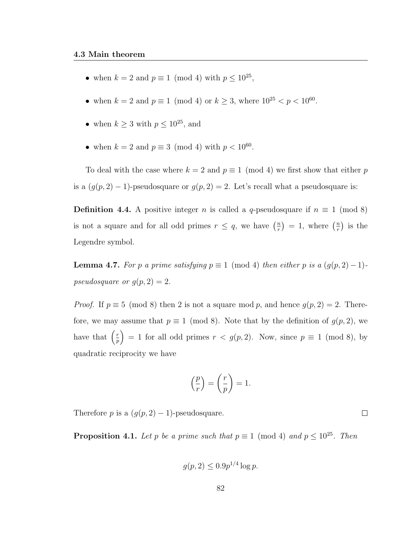- when  $k = 2$  and  $p \equiv 1 \pmod{4}$  with  $p \leq 10^{25}$ ,
- when  $k = 2$  and  $p \equiv 1 \pmod{4}$  or  $k \ge 3$ , where  $10^{25} < p < 10^{60}$ .
- when  $k \geq 3$  with  $p \leq 10^{25}$ , and
- when  $k = 2$  and  $p \equiv 3 \pmod{4}$  with  $p < 10^{60}$ .

To deal with the case where  $k = 2$  and  $p \equiv 1 \pmod{4}$  we first show that either p is a  $(g(p, 2) - 1)$ -pseudosquare or  $g(p, 2) = 2$ . Let's recall what a pseudosquare is:

**Definition 4.4.** A positive integer n is called a q-pseudosquare if  $n \equiv 1 \pmod{8}$ is not a square and for all odd primes  $r \leq q$ , we have  $\left(\frac{n}{r}\right)$  $\left(\frac{n}{r}\right) = 1$ , where  $\left(\frac{n}{r}\right)$  $\frac{n}{r}$ ) is the Legendre symbol.

**Lemma 4.7.** For p a prime satisfying  $p \equiv 1 \pmod{4}$  then either p is a  $(g(p, 2) - 1)$ pseudosquare or  $g(p, 2) = 2$ .

*Proof.* If  $p \equiv 5 \pmod{8}$  then 2 is not a square mod p, and hence  $g(p, 2) = 2$ . Therefore, we may assume that  $p \equiv 1 \pmod{8}$ . Note that by the definition of  $g(p, 2)$ , we have that  $\left(\frac{r}{r}\right)$  $\binom{r}{p} = 1$  for all odd primes  $r < g(p, 2)$ . Now, since  $p \equiv 1 \pmod{8}$ , by quadratic reciprocity we have

$$
\left(\frac{p}{r}\right) = \left(\frac{r}{p}\right) = 1.
$$

Therefore p is a  $(g(p, 2) - 1)$ -pseudosquare.

**Proposition 4.1.** Let p be a prime such that  $p \equiv 1 \pmod{4}$  and  $p \le 10^{25}$ . Then

$$
g(p, 2) \le 0.9p^{1/4} \log p.
$$

 $\Box$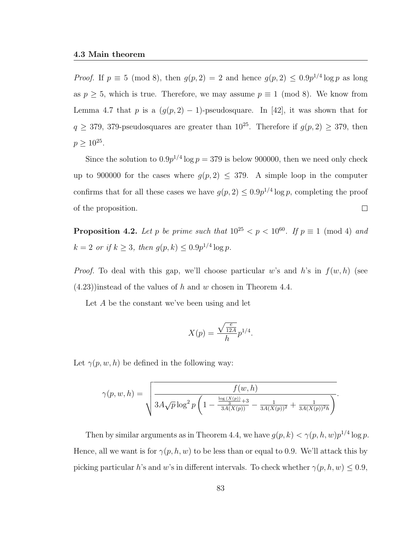*Proof.* If  $p \equiv 5 \pmod{8}$ , then  $g(p, 2) = 2$  and hence  $g(p, 2) \leq 0.9p^{1/4} \log p$  as long as  $p \geq 5$ , which is true. Therefore, we may assume  $p \equiv 1 \pmod{8}$ . We know from Lemma 4.7 that p is a  $(g(p, 2) - 1)$ -pseudosquare. In [42], it was shown that for  $q \geq 379$ , 379-pseudosquares are greater than  $10^{25}$ . Therefore if  $g(p, 2) \geq 379$ , then  $p \ge 10^{25}$ .

Since the solution to  $0.9p^{1/4}$  log  $p = 379$  is below 900000, then we need only check up to 900000 for the cases where  $g(p, 2) \leq 379$ . A simple loop in the computer confirms that for all these cases we have  $g(p, 2) \leq 0.9p^{1/4} \log p$ , completing the proof  $\Box$ of the proposition.

**Proposition 4.2.** Let p be prime such that  $10^{25} < p < 10^{60}$ . If  $p \equiv 1 \pmod{4}$  and  $k = 2 \text{ or if } k \geq 3, \text{ then } g(p,k) \leq 0.9p^{1/4} \log p.$ 

*Proof.* To deal with this gap, we'll choose particular w's and h's in  $f(w, h)$  (see  $(4.23)$ ) instead of the values of h and w chosen in Theorem 4.4.

Let A be the constant we've been using and let

$$
X(p) = \frac{\sqrt{\frac{e}{12A}}}{h} p^{1/4}.
$$

Let  $\gamma(p, w, h)$  be defined in the following way:

$$
\gamma(p, w, h) = \sqrt{\frac{f(w, h)}{3A\sqrt{p}\log^2 p\left(1 - \frac{\frac{\log(X(p))}{3} + 3}{3A(X(p))} - \frac{1}{3A(X(p))^2} + \frac{1}{3A(X(p))^2h}\right)}}.
$$

Then by similar arguments as in Theorem 4.4, we have  $g(p, k) < \gamma(p, h, w)p^{1/4}\log p$ . Hence, all we want is for  $\gamma(p, h, w)$  to be less than or equal to 0.9. We'll attack this by picking particular h's and w's in different intervals. To check whether  $\gamma(p, h, w) \leq 0.9$ ,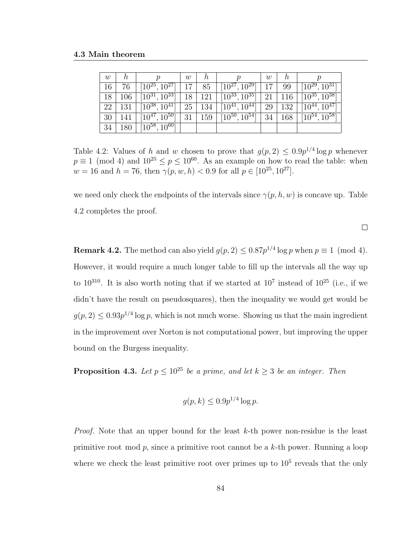| w  | n   |                                 | w  | n   |                                 | w  | n   |                      |
|----|-----|---------------------------------|----|-----|---------------------------------|----|-----|----------------------|
| 16 | 76  | $[10^{25}, 10^{27}]$            |    | 85  | $[10^{27}, 10^{29}]$            |    | 99  | $[10^{29}, 10^{31}]$ |
| 18 | 106 | $[10^{31}, \overline{10^{33}}]$ | 18 | 121 | $\overline{[10^{33}, 10^{35}]}$ | 21 | 116 | $[10^{35}, 10^{38}]$ |
| 22 | 131 | $[10^{38}, 10^{41}]$            | 25 | 134 | $[10^{41}, 10^{44}]$            | 29 | 132 | $[10^{44}, 10^{47}]$ |
| 30 | 141 | $[10^{47}, 10^{50}]$            | 31 | 159 | $\overline{[10^{50}, 10^{54}]}$ | 34 | 168 | $[10^{54}, 10^{58}]$ |
| 34 | 180 | $[10^{58}, 10^{60}]$            |    |     |                                 |    |     |                      |

Table 4.2: Values of h and w chosen to prove that  $g(p, 2) \leq 0.9p^{1/4} \log p$  whenever  $p \equiv 1 \pmod{4}$  and  $10^{25} \leq p \leq 10^{60}$ . As an example on how to read the table: when  $w = 16$  and  $h = 76$ , then  $\gamma(p, w, h) < 0.9$  for all  $p \in [10^{25}, 10^{27}]$ .

we need only check the endpoints of the intervals since  $\gamma(p, h, w)$  is concave up. Table 4.2 completes the proof.

 $\Box$ 

**Remark 4.2.** The method can also yield  $g(p, 2) \leq 0.87p^{1/4} \log p$  when  $p \equiv 1 \pmod{4}$ . However, it would require a much longer table to fill up the intervals all the way up to  $10^{310}$ . It is also worth noting that if we started at  $10^7$  instead of  $10^{25}$  (i.e., if we didn't have the result on pseudosquares), then the inequality we would get would be  $g(p, 2) \leq 0.93p^{1/4} \log p$ , which is not much worse. Showing us that the main ingredient in the improvement over Norton is not computational power, but improving the upper bound on the Burgess inequality.

**Proposition 4.3.** Let  $p \leq 10^{25}$  be a prime, and let  $k \geq 3$  be an integer. Then

$$
g(p,k) \le 0.9p^{1/4}\log p.
$$

*Proof.* Note that an upper bound for the least  $k$ -th power non-residue is the least primitive root mod  $p$ , since a primitive root cannot be a  $k$ -th power. Running a loop where we check the least primitive root over primes up to  $10<sup>5</sup>$  reveals that the only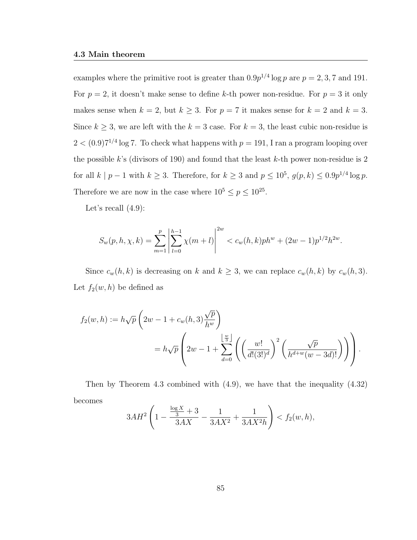examples where the primitive root is greater than  $0.9p^{1/4}\log p$  are  $p=2,3,7$  and 191. For  $p = 2$ , it doesn't make sense to define k-th power non-residue. For  $p = 3$  it only makes sense when  $k = 2$ , but  $k \geq 3$ . For  $p = 7$  it makes sense for  $k = 2$  and  $k = 3$ . Since  $k \geq 3$ , we are left with the  $k = 3$  case. For  $k = 3$ , the least cubic non-residue is  $2 < (0.9)7^{1/4}$  log 7. To check what happens with  $p = 191$ , I ran a program looping over the possible k's (divisors of 190) and found that the least  $k$ -th power non-residue is 2 for all  $k | p - 1$  with  $k \geq 3$ . Therefore, for  $k \geq 3$  and  $p \leq 10^5$ ,  $g(p, k) \leq 0.9p^{1/4} \log p$ . Therefore we are now in the case where  $10^5 \le p \le 10^{25}$ .

Let's recall  $(4.9)$ :

$$
S_w(p, h, \chi, k) = \sum_{m=1}^p \left| \sum_{l=0}^{h-1} \chi(m+l) \right|^{2w} < c_w(h, k) ph^w + (2w - 1)p^{1/2}h^{2w}.
$$

Since  $c_w(h, k)$  is decreasing on k and  $k \geq 3$ , we can replace  $c_w(h, k)$  by  $c_w(h, 3)$ . Let  $f_2(w, h)$  be defined as

$$
f_2(w,h) := h\sqrt{p}\left(2w - 1 + c_w(h,3)\frac{\sqrt{p}}{h^w}\right)
$$
  
=  $h\sqrt{p}\left(2w - 1 + \sum_{d=0}^{\left\lfloor \frac{w}{3} \right\rfloor} \left(\left(\frac{w!}{d!(3!)^d}\right)^2 \left(\frac{\sqrt{p}}{h^{d+w}(w-3d)!}\right)\right)\right).$ 

Then by Theorem 4.3 combined with (4.9), we have that the inequality (4.32) becomes

$$
3AH^2\left(1-\frac{\frac{\log X}{3}+3}{3AX}-\frac{1}{3AX^2}+\frac{1}{3AX^2h}\right) < f_2(w,h),
$$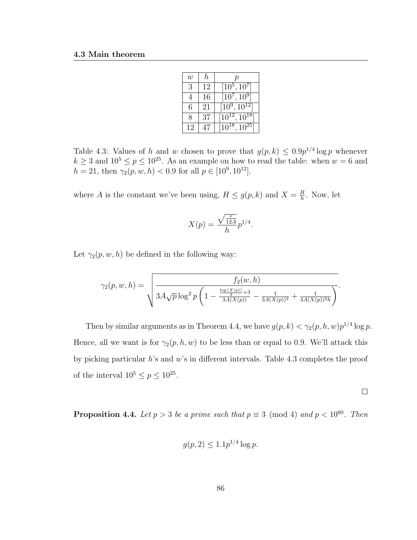| $\boldsymbol{w}$ | h  | р                    |
|------------------|----|----------------------|
| 3                | 12 | $[10^5, 10^7]$       |
| 4                | 16 | $[10^7, 10^9]$       |
| 6                | 21 | $[10^9, 10^{12}]$    |
| 8                | 37 | $[10^{12}, 10^{18}]$ |
| 12               |    | $[10^{18}, 10^{25}]$ |

Table 4.3: Values of h and w chosen to prove that  $g(p, k) \leq 0.9p^{1/4} \log p$  whenever  $k \geq 3$  and  $10^5 \leq p \leq 10^{25}$ . As an example on how to read the table: when  $w = 6$  and  $h = 21$ , then  $\gamma_2(p, w, h) < 0.9$  for all  $p \in [10^9, 10^{12}]$ .

where A is the constant we've been using,  $H \le g(p, k)$  and  $X = \frac{H}{h}$  $\frac{H}{h}$ . Now, let

$$
X(p) = \frac{\sqrt{\frac{e}{12A}}}{h} p^{1/4}.
$$

Let  $\gamma_2(p, w, h)$  be defined in the following way:

$$
\gamma_2(p, w, h) = \sqrt{\frac{f_2(w, h)}{3A\sqrt{p}\log^2 p\left(1 - \frac{\frac{\log(X(p))}{3} + 3}{3A(X(p))} - \frac{1}{3A(X(p))^2} + \frac{1}{3A(X(p))^2h}\right)}}.
$$

Then by similar arguments as in Theorem 4.4, we have  $g(p, k) < \gamma_2(p, h, w)p^{1/4}\log p$ . Hence, all we want is for  $\gamma_2(p, h, w)$  to be less than or equal to 0.9. We'll attack this by picking particular h's and w's in different intervals. Table 4.3 completes the proof of the interval  $10^5 \le p \le 10^{25}$ .

$$
\qquad \qquad \Box
$$

**Proposition 4.4.** Let  $p > 3$  be a prime such that  $p \equiv 3 \pmod{4}$  and  $p < 10^{60}$ . Then

$$
g(p, 2) \le 1.1 p^{1/4} \log p.
$$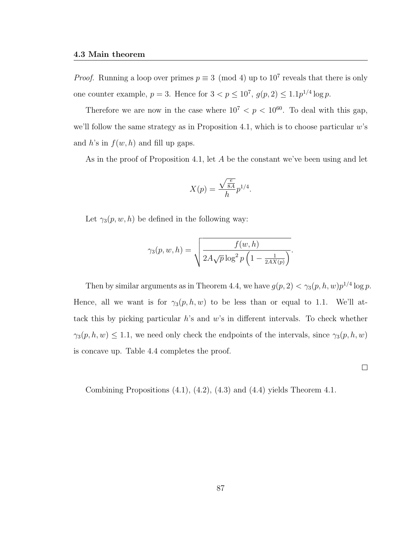*Proof.* Running a loop over primes  $p \equiv 3 \pmod{4}$  up to  $10^7$  reveals that there is only one counter example,  $p = 3$ . Hence for  $3 < p \leq 10^7$ ,  $g(p, 2) \leq 1.1p^{1/4} \log p$ .

Therefore we are now in the case where  $10^7 < p < 10^{60}$ . To deal with this gap, we'll follow the same strategy as in Proposition 4.1, which is to choose particular  $w$ 's and h's in  $f(w, h)$  and fill up gaps.

As in the proof of Proposition 4.1, let A be the constant we've been using and let

$$
X(p) = \frac{\sqrt{\frac{e}{8A}}}{h} p^{1/4}.
$$

Let  $\gamma_3(p, w, h)$  be defined in the following way:

$$
\gamma_3(p, w, h) = \sqrt{\frac{f(w, h)}{2A\sqrt{p}\log^2 p\left(1 - \frac{1}{2AX(p)}\right)}}.
$$

Then by similar arguments as in Theorem 4.4, we have  $g(p, 2) < \gamma_3(p, h, w)p^{1/4}\log p$ . Hence, all we want is for  $\gamma_3(p, h, w)$  to be less than or equal to 1.1. We'll attack this by picking particular  $h$ 's and  $w$ 's in different intervals. To check whether  $\gamma_3(p, h, w) \le 1.1$ , we need only check the endpoints of the intervals, since  $\gamma_3(p, h, w)$ is concave up. Table 4.4 completes the proof.

 $\Box$ 

Combining Propositions (4.1), (4.2), (4.3) and (4.4) yields Theorem 4.1.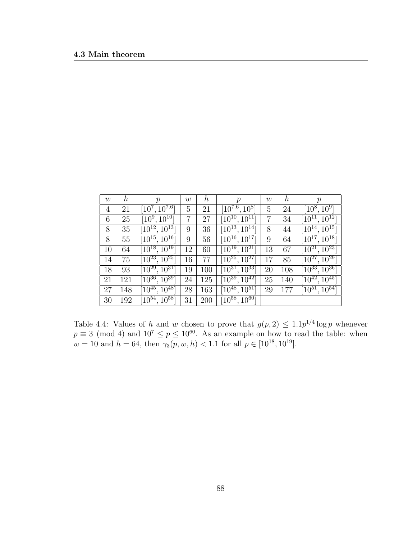| $\boldsymbol{w}$ | $\hbar$ | р                    | $\boldsymbol{w}$ | $\boldsymbol{h}$ | $\boldsymbol{p}$                | $\boldsymbol{w}$ | $\boldsymbol{h}$ | $\boldsymbol{p}$             |
|------------------|---------|----------------------|------------------|------------------|---------------------------------|------------------|------------------|------------------------------|
| 4                | 21      | $[10^7, 10^{7.6}]$   | 5                | 21               | $[10^{7.6}, 10^8]$              | $\overline{5}$   | 24               | $[10^8, 10^9]$               |
| 6                | 25      | $[10^9, 10^{10}]$    | 7                | 27               | $\overline{[10^{10},10^{11}]}$  | 7                | 34               | $[10^{11}, 10^{12}]$         |
| 8                | 35      | $[10^{12}, 10^{13}]$ | 9                | 36               | $\overline{[10^{13}, 10^{14}]}$ | 8                | 44               | $[10^{14}, 10^{15}]$         |
| 8                | 55      | $[10^{15}, 10^{16}]$ | 9                | 56               | $\overline{[10^{16}, 10^{17}]}$ | 9                | 64               | $[10^{17}, 10^{18}]$         |
| 10               | 64      | $[10^{18}, 10^{19}]$ | 12               | 60               | $[10^{19}, 10^{21}]$            | 13               | 67               | $[10^{21}, 10^{23}]$         |
| 14               | 75      | $[10^{23}, 10^{25}]$ | 16               | 77               | $[10^{25}, 10^{27}]$            | 17               | 85               | $[10^{27}, 10^{29}]$         |
| 18               | 93      | $[10^{29}, 10^{31}]$ | 19               | 100              | $[10^{31}, 10^{33}]$            | 20               | 108              | $\sqrt{10^{33}}$ , $10^{36}$ |
| 21               | 121     | $[10^{36}, 10^{39}]$ | 24               | 125              | $[10^{39}, 10^{42}]$            | 25               | 140              | $[10^{42}, 10^{45}]$         |
| 27               | 148     | $[10^{45}, 10^{48}]$ | 28               | 163              | $[10^{48}, 10^{51}]$            | 29               | 177              | $[10^{51}, 10^{54}]$         |
| 30               | 192     | $[10^{54}, 10^{58}]$ | 31               | 200              | $[10^{58}, 10^{60}]$            |                  |                  |                              |

Table 4.4: Values of h and w chosen to prove that  $g(p, 2) \leq 1.1p^{1/4} \log p$  whenever  $p \equiv 3 \pmod{4}$  and  $10^7 \leq p \leq 10^{60}$ . As an example on how to read the table: when  $w = 10$  and  $h = 64$ , then  $\gamma_3(p, w, h) < 1.1$  for all  $p \in [10^{18}, 10^{19}]$ .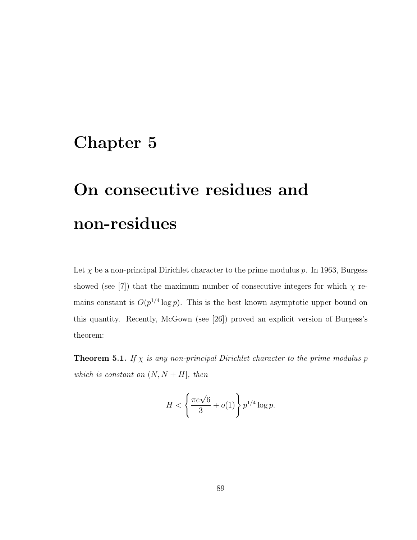## Chapter 5

# On consecutive residues and non-residues

Let  $\chi$  be a non-principal Dirichlet character to the prime modulus p. In 1963, Burgess showed (see [7]) that the maximum number of consecutive integers for which  $\chi$  remains constant is  $O(p^{1/4} \log p)$ . This is the best known asymptotic upper bound on this quantity. Recently, McGown (see [26]) proved an explicit version of Burgess's theorem:

**Theorem 5.1.** If  $\chi$  is any non-principal Dirichlet character to the prime modulus p which is constant on  $(N, N + H]$ , then

$$
H < \left\{ \frac{\pi e \sqrt{6}}{3} + o(1) \right\} p^{1/4} \log p.
$$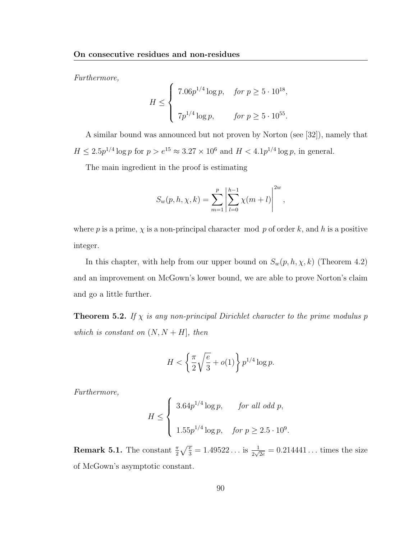Furthermore,

$$
H \leq \begin{cases} 7.06p^{1/4} \log p, & \text{for } p \geq 5 \cdot 10^{18}, \\ 7p^{1/4} \log p, & \text{for } p \geq 5 \cdot 10^{55}. \end{cases}
$$

A similar bound was announced but not proven by Norton (see [32]), namely that  $H \leq 2.5p^{1/4} \log p$  for  $p > e^{15} \approx 3.27 \times 10^6$  and  $H < 4.1p^{1/4} \log p$ , in general.

The main ingredient in the proof is estimating

$$
S_w(p, h, \chi, k) = \sum_{m=1}^p \left| \sum_{l=0}^{h-1} \chi(m+l) \right|^{2w},
$$

where p is a prime,  $\chi$  is a non-principal character mod p of order k, and h is a positive integer.

In this chapter, with help from our upper bound on  $S_w(p, h, \chi, k)$  (Theorem 4.2) and an improvement on McGown's lower bound, we are able to prove Norton's claim and go a little further.

**Theorem 5.2.** If  $\chi$  is any non-principal Dirichlet character to the prime modulus p which is constant on  $(N, N + H]$ , then

$$
H < \left\{ \frac{\pi}{2} \sqrt{\frac{e}{3}} + o(1) \right\} p^{1/4} \log p.
$$

Furthermore,

$$
H \le \begin{cases} 3.64p^{1/4} \log p, & \text{for all odd } p, \\ 1.55p^{1/4} \log p, & \text{for } p \ge 2.5 \cdot 10^9. \end{cases}
$$

**Remark 5.1.** The constant  $\frac{\pi}{2}\sqrt{\frac{e}{3}} = 1.49522...$  is  $\frac{1}{2\sqrt{2e}} = 0.214441...$  times the size of McGown's asymptotic constant.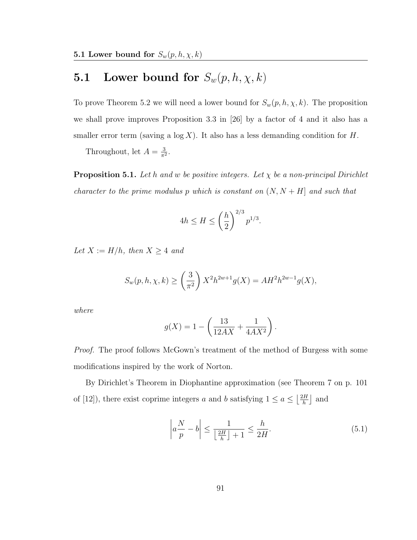## **5.1** Lower bound for  $S_w(p, h, \chi, k)$

To prove Theorem 5.2 we will need a lower bound for  $S_w(p, h, \chi, k)$ . The proposition we shall prove improves Proposition 3.3 in [26] by a factor of 4 and it also has a smaller error term (saving a  $log X$ ). It also has a less demanding condition for H.

Throughout, let  $A = \frac{3}{\pi^2}$  $\frac{3}{\pi^2}$ .

**Proposition 5.1.** Let h and w be positive integers. Let  $\chi$  be a non-principal Dirichlet character to the prime modulus p which is constant on  $(N, N + H]$  and such that

$$
4h \le H \le \left(\frac{h}{2}\right)^{2/3} p^{1/3}.
$$

Let  $X := H/h$ , then  $X \geq 4$  and

$$
S_w(p, h, \chi, k) \ge \left(\frac{3}{\pi^2}\right) X^2 h^{2w+1} g(X) = A H^2 h^{2w-1} g(X),
$$

where

$$
g(X) = 1 - \left(\frac{13}{12AX} + \frac{1}{4AX^2}\right).
$$

Proof. The proof follows McGown's treatment of the method of Burgess with some modifications inspired by the work of Norton.

By Dirichlet's Theorem in Diophantine approximation (see Theorem 7 on p. 101 of [12]), there exist coprime integers a and b satisfying  $1 \le a \le \left\lfloor \frac{2H}{b} \right\rfloor$  $\frac{H}{h}$  and

$$
\left| a\frac{N}{p} - b \right| \le \frac{1}{\left\lfloor \frac{2H}{h} \right\rfloor + 1} \le \frac{h}{2H}.\tag{5.1}
$$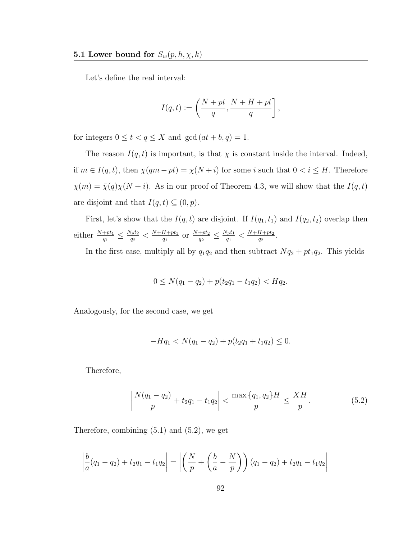Let's define the real interval:

$$
I(q,t) := \left(\frac{N+pt}{q}, \frac{N+H+pt}{q}\right],
$$

for integers  $0 \le t < q \le X$  and  $gcd(at + b, q) = 1$ .

The reason  $I(q, t)$  is important, is that  $\chi$  is constant inside the interval. Indeed, if  $m \in I(q, t)$ , then  $\chi(qm - pt) = \chi(N + i)$  for some i such that  $0 < i \leq H$ . Therefore  $\chi(m) = \overline{\chi}(q)\chi(N+i)$ . As in our proof of Theorem 4.3, we will show that the  $I(q,t)$ are disjoint and that  $I(q, t) \subseteq (0, p)$ .

First, let's show that the  $I(q, t)$  are disjoint. If  $I(q_1, t_1)$  and  $I(q_2, t_2)$  overlap then either  $\frac{N+pt_1}{q_1} \leq \frac{N_pt_2}{q_2}$  $\frac{N_p t_2}{q_2} < \frac{N+H+pt_1}{q_1}$  $\frac{H+pt_1}{q_1}$  or  $\frac{N+pt_2}{q_2} \le \frac{N_p t_1}{q_1}$  $\frac{N_p t_1}{q_1}< \frac{N+H+pt_2}{q_2}$  $\frac{H+pt_2}{q_2}$  .

In the first case, multiply all by  $q_1q_2$  and then subtract  $Nq_2 + pt_1q_2$ . This yields

$$
0 \le N(q_1 - q_2) + p(t_2 q_1 - t_1 q_2) < H q_2.
$$

Analogously, for the second case, we get

$$
-Hq_1 < N(q_1 - q_2) + p(t_2 q_1 + t_1 q_2) \leq 0.
$$

Therefore,

$$
\left|\frac{N(q_1 - q_2)}{p} + t_2 q_1 - t_1 q_2\right| < \frac{\max\{q_1, q_2\} H}{p} \le \frac{XH}{p}.\tag{5.2}
$$

Therefore, combining (5.1) and (5.2), we get

$$
\left| \frac{b}{a}(q_1 - q_2) + t_2 q_1 - t_1 q_2 \right| = \left| \left( \frac{N}{p} + \left( \frac{b}{a} - \frac{N}{p} \right) \right) (q_1 - q_2) + t_2 q_1 - t_1 q_2 \right|
$$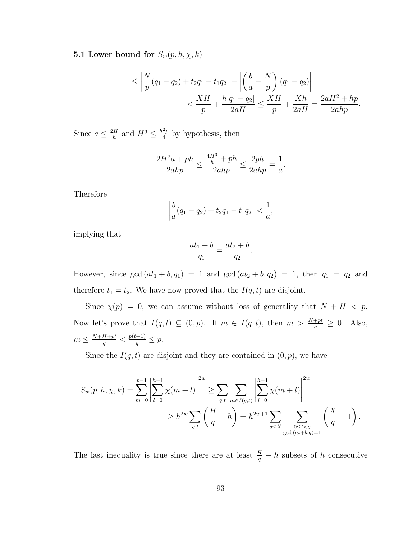$$
\leq \left| \frac{N}{p}(q_1 - q_2) + t_2 q_1 - t_1 q_2 \right| + \left| \left( \frac{b}{a} - \frac{N}{p} \right) (q_1 - q_2) \right|
$$
  
< 
$$
< \frac{XH}{p} + \frac{h|q_1 - q_2|}{2aH} \leq \frac{XH}{p} + \frac{Xh}{2aH} = \frac{2aH^2 + hp}{2ahp}.
$$

.

Since  $a \leq \frac{2H}{h}$  $\frac{dH}{h}$  and  $H^3 \leq \frac{h^2p}{4}$  $\frac{2p}{4}$  by hypothesis, then

$$
\frac{2H^2a + ph}{2ahp} \le \frac{\frac{4H^3}{h} + ph}{2ahp} \le \frac{2ph}{2ahp} = \frac{1}{a}
$$

Therefore

$$
\left|\frac{b}{a}(q_1-q_2)+t_2q_1-t_1q_2\right|<\frac{1}{a},
$$

implying that

$$
\frac{at_1+b}{q_1} = \frac{at_2+b}{q_2}
$$

.

However, since  $gcd(at_1 + b, q_1) = 1$  and  $gcd(at_2 + b, q_2) = 1$ , then  $q_1 = q_2$  and therefore  $t_1 = t_2$ . We have now proved that the  $I(q, t)$  are disjoint.

Since  $\chi(p) = 0$ , we can assume without loss of generality that  $N + H < p$ . Now let's prove that  $I(q,t) \subseteq (0,p)$ . If  $m \in I(q,t)$ , then  $m > \frac{N+pt}{q} \ge 0$ . Also,  $m \leq \frac{N+H+pt}{a}$  $\frac{H+pt}{q} < \frac{p(t+1)}{q} \leq p.$ 

Since the  $I(q, t)$  are disjoint and they are contained in  $(0, p)$ , we have

$$
S_w(p, h, \chi, k) = \sum_{m=0}^{p-1} \left| \sum_{l=0}^{h-1} \chi(m+l) \right|^{2w} \ge \sum_{q,t} \sum_{m \in I(q,t)} \left| \sum_{l=0}^{h-1} \chi(m+l) \right|^{2w}
$$
  
 
$$
\ge h^{2w} \sum_{q,t} \left( \frac{H}{q} - h \right) = h^{2w+1} \sum_{q \le X} \sum_{\substack{0 \le t < q \\ \gcd(at+b,q)=1}} \left( \frac{X}{q} - 1 \right).
$$

The last inequality is true since there are at least  $\frac{H}{q} - h$  subsets of h consecutive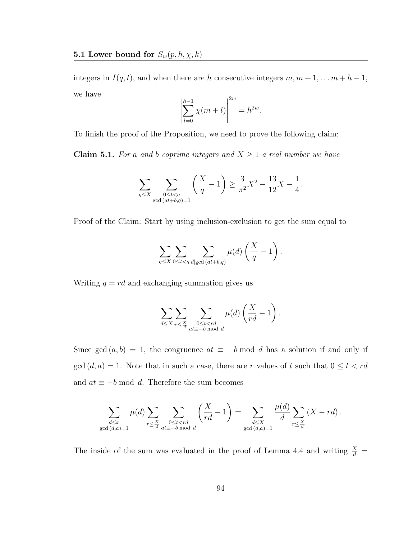integers in  $I(q, t)$ , and when there are h consecutive integers  $m, m + 1, \ldots, m + h - 1$ , we have

$$
\left| \sum_{l=0}^{h-1} \chi(m+l) \right|^{2w} = h^{2w}.
$$

To finish the proof of the Proposition, we need to prove the following claim:

**Claim 5.1.** For a and b coprime integers and  $X \geq 1$  a real number we have

$$
\sum_{q \le X} \sum_{\substack{0 \le t < q \\ \gcd(at+b,q)=1}} \left( \frac{X}{q} - 1 \right) \ge \frac{3}{\pi^2} X^2 - \frac{13}{12} X - \frac{1}{4}.
$$

Proof of the Claim: Start by using inclusion-exclusion to get the sum equal to

$$
\sum_{q\leq X}\sum_{0\leq t
$$

Writing  $q = rd$  and exchanging summation gives us

$$
\sum_{d \le X} \sum_{r \le \frac{X}{d}} \sum_{\substack{0 \le t < rd \\ at \equiv -b \bmod d}} \mu(d) \left(\frac{X}{rd} - 1\right).
$$

Since gcd  $(a, b) = 1$ , the congruence  $at \equiv -b \mod d$  has a solution if and only if  $gcd(d, a) = 1$ . Note that in such a case, there are r values of t such that  $0 \le t < rd$ and  $at \equiv -b \mod d$ . Therefore the sum becomes

$$
\sum_{\substack{d \leq x \\ \gcd(d,a)=1}} \mu(d) \sum_{r \leq \frac{X}{d}} \sum_{\substack{0 \leq t < rd \\ at \equiv -b \bmod d}} \left(\frac{X}{rd} - 1\right) = \sum_{\substack{d \leq X \\ \gcd(d,a)=1}} \frac{\mu(d)}{d} \sum_{r \leq \frac{X}{d}} \left(X - rd\right).
$$

The inside of the sum was evaluated in the proof of Lemma 4.4 and writing  $\frac{X}{d}$  =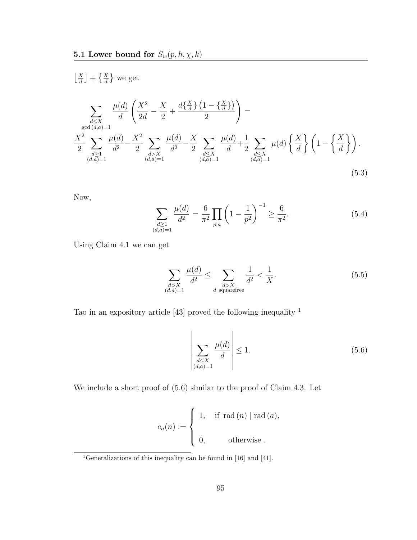$$
\left[\frac{X}{d}\right] + \left\{\frac{X}{d}\right\} \text{ we get}
$$
\n
$$
\sum_{\substack{d \le X \\ \gcd(d,a)=1}} \frac{\mu(d)}{d} \left(\frac{X^2}{2d} - \frac{X}{2} + \frac{d\left\{\frac{X}{d}\right\}\left(1 - \left\{\frac{X}{d}\right\}\right)}{2}\right) =
$$
\n
$$
\sum_{\substack{d \ge 1 \\ (d,a)=1}} \frac{\mu(d)}{d^2} - \frac{X^2}{2} \sum_{\substack{d > X \\ (d,a)=1}} \frac{\mu(d)}{d^2} - \frac{X}{2} \sum_{\substack{d \le X \\ (d,a)=1}} \frac{\mu(d)}{d} + \frac{1}{2} \sum_{\substack{d \le X \\ (d,a)=1}} \mu(d) \left\{\frac{X}{d}\right\} \left(1 - \left\{\frac{X}{d}\right\}\right).
$$
\n(5.3)

Now,

$$
\sum_{\substack{d\geq 1\\(d,a)=1}} \frac{\mu(d)}{d^2} = \frac{6}{\pi^2} \prod_{p|a} \left(1 - \frac{1}{p^2}\right)^{-1} \geq \frac{6}{\pi^2}.
$$
\n(5.4)

Using Claim 4.1 we can get

$$
\sum_{\substack{d>X \ (d,a)=1}} \frac{\mu(d)}{d^2} \le \sum_{\substack{d>X \ \text{squarefree}}} \frac{1}{d^2} < \frac{1}{X}.\tag{5.5}
$$

Tao in an expository article [43] proved the following inequality  $^{\rm 1}$ 

$$
\left| \sum_{\substack{d \le X \\ (d,a)=1}} \frac{\mu(d)}{d} \right| \le 1. \tag{5.6}
$$

We include a short proof of (5.6) similar to the proof of Claim 4.3. Let

$$
e_a(n) := \begin{cases} 1, & \text{if } \operatorname{rad}(n) \mid \operatorname{rad}(a), \\ & \\ 0, & \text{otherwise} \end{cases}
$$

<sup>1</sup>Generalizations of this inequality can be found in [16] and [41].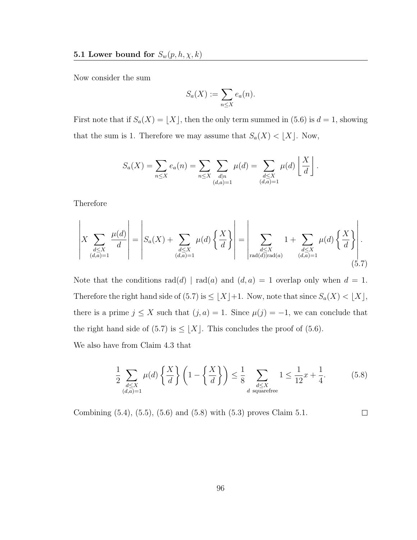Now consider the sum

$$
S_a(X) := \sum_{n \le X} e_a(n).
$$

First note that if  $S_a(X) = \lfloor X \rfloor$ , then the only term summed in (5.6) is  $d = 1$ , showing that the sum is 1. Therefore we may assume that  $S_a(X) < \lfloor X \rfloor$ . Now,

$$
S_a(X) = \sum_{n \le X} e_a(n) = \sum_{n \le X} \sum_{\substack{d|n \\ (d,a)=1}} \mu(d) = \sum_{\substack{d \le X \\ (d,a)=1}} \mu(d) \left\lfloor \frac{X}{d} \right\rfloor.
$$

Therefore

$$
\left| X \sum_{\substack{d \leq X \\ (d,a)=1}} \frac{\mu(d)}{d} \right| = \left| S_a(X) + \sum_{\substack{d \leq X \\ (d,a)=1}} \mu(d) \left\{ \frac{X}{d} \right\} \right| = \left| \sum_{\substack{d \leq X \\ \text{rad}(d) \mid \text{rad}(a)}} 1 + \sum_{\substack{d \leq X \\ (d,a)=1}} \mu(d) \left\{ \frac{X}{d} \right\} \right|.
$$
\n
$$
(5.7)
$$

Note that the conditions  $rad(d) | rad(a)$  and  $(d, a) = 1$  overlap only when  $d = 1$ . Therefore the right hand side of (5.7) is  $\leq \lfloor X \rfloor +1$ . Now, note that since  $S_a(X) < \lfloor X \rfloor$ , there is a prime  $j \leq X$  such that  $(j, a) = 1$ . Since  $\mu(j) = -1$ , we can conclude that the right hand side of (5.7) is  $\leq \lfloor X \rfloor$ . This concludes the proof of (5.6). We also have from Claim 4.3 that

$$
\frac{1}{2} \sum_{\substack{d \le X \\ (d,a)=1}} \mu(d) \left\{ \frac{X}{d} \right\} \left( 1 - \left\{ \frac{X}{d} \right\} \right) \le \frac{1}{8} \sum_{\substack{d \le X \\ d \text{ squarefree}}} 1 \le \frac{1}{12} x + \frac{1}{4}.
$$
 (5.8)

Combining (5.4), (5.5), (5.6) and (5.8) with (5.3) proves Claim 5.1.  $\Box$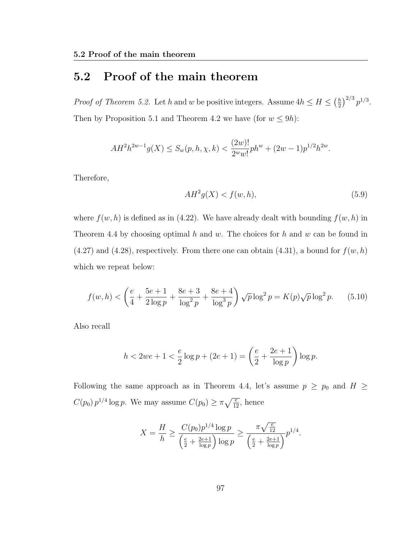### 5.2 Proof of the main theorem

*Proof of Theorem 5.2.* Let h and w be positive integers. Assume  $4h \leq H \leq \left(\frac{h}{2}\right)$  $(\frac{h}{2})^{2/3} p^{1/3}.$ Then by Proposition 5.1 and Theorem 4.2 we have (for  $w \le 9h$ ):

$$
AH^{2}h^{2w-1}g(X) \le S_{w}(p,h,\chi,k) < \frac{(2w)!}{2^{w}w!}ph^{w} + (2w-1)p^{1/2}h^{2w}.
$$

Therefore,

$$
AH^2g(X) < f(w, h),\tag{5.9}
$$

where  $f(w, h)$  is defined as in (4.22). We have already dealt with bounding  $f(w, h)$  in Theorem 4.4 by choosing optimal  $h$  and  $w$ . The choices for  $h$  and  $w$  can be found in  $(4.27)$  and  $(4.28)$ , respectively. From there one can obtain  $(4.31)$ , a bound for  $f(w, h)$ which we repeat below:

$$
f(w, h) < \left(\frac{e}{4} + \frac{5e + 1}{2\log p} + \frac{8e + 3}{\log^2 p} + \frac{8e + 4}{\log^3 p}\right) \sqrt{p} \log^2 p = K(p)\sqrt{p} \log^2 p. \tag{5.10}
$$

Also recall

$$
h < 2we + 1 < \frac{e}{2}\log p + (2e + 1) = \left(\frac{e}{2} + \frac{2e + 1}{\log p}\right)\log p.
$$

Following the same approach as in Theorem 4.4, let's assume  $p \ge p_0$  and  $H \ge$  $C(p_0) p^{1/4} \log p$ . We may assume  $C(p_0) \ge \pi \sqrt{\frac{e}{12}}$ , hence

$$
X = \frac{H}{h} \ge \frac{C(p_0)p^{1/4}\log p}{\left(\frac{e}{2} + \frac{2e+1}{\log p}\right)\log p} \ge \frac{\pi\sqrt{\frac{e}{12}}}{\left(\frac{e}{2} + \frac{2e+1}{\log p}\right)}p^{1/4}.
$$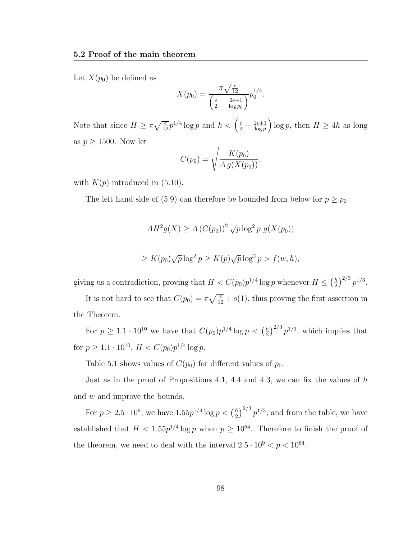Let  $X(p_0)$  be defined as

$$
X(p_0) = \frac{\pi \sqrt{\frac{e}{12}}}{\left(\frac{e}{2} + \frac{2e+1}{\log p_0}\right)} p_0^{1/4}.
$$

Note that since  $H \ge \pi \sqrt{\frac{e}{12}} p^{1/4} \log p$  and  $h < \left(\frac{e}{2} + \frac{2e+1}{\log p}\right)$  $\frac{2e+1}{\log p}$  log p, then  $H \geq 4h$  as long as  $p \geq 1500$ . Now let

$$
C(p_0) = \sqrt{\frac{K(p_0)}{A g(X(p_0))}},
$$

with  $K(p)$  introduced in  $(5.10)$ .

The left hand side of (5.9) can therefore be bounded from below for  $p \ge p_0$ :

$$
AH^2g(X) \ge A (C(p_0))^2 \sqrt{p} \log^2 p g(X(p_0))
$$
  

$$
\ge K(p_0)\sqrt{p} \log^2 p \ge K(p)\sqrt{p} \log^2 p > f(w, h),
$$

giving us a contradiction, proving that  $H < C(p_0)p^{1/4}\log p$  whenever  $H \leq \left(\frac{h}{2}\right)$  $(\frac{h}{2})^{2/3} p^{1/3}.$ 

It is not hard to see that  $C(p_0) = \pi \sqrt{\frac{e}{12}} + o(1)$ , thus proving the first assertion in the Theorem.

For  $p \geq 1.1 \cdot 10^{10}$  we have that  $C(p_0)p^{1/4} \log p < \left(\frac{h}{2}\right)$  $\left(\frac{h}{2}\right)^{2/3}p^{1/3}$ , which implies that for  $p \geq 1.1 \cdot 10^{10}$ ,  $H < C(p_0)p^{1/4} \log p$ .

Table 5.1 shows values of  $C(p_0)$  for different values of  $p_0$ .

Just as in the proof of Propositions 4.1, 4.4 and 4.3, we can fix the values of  $h$ and w and improve the bounds.

For  $p \geq 2.5 \cdot 10^9$ , we have  $1.55p^{1/4} \log p < \left(\frac{h}{2}\right)$  $\frac{h}{2}$ )<sup>2/3</sup>  $p^{1/3}$ , and from the table, we have established that  $H < 1.55p^{1/4} \log p$  when  $p \ge 10^{64}$ . Therefore to finish the proof of the theorem, we need to deal with the interval  $2.5 \cdot 10^9 < p < 10^{64}$ .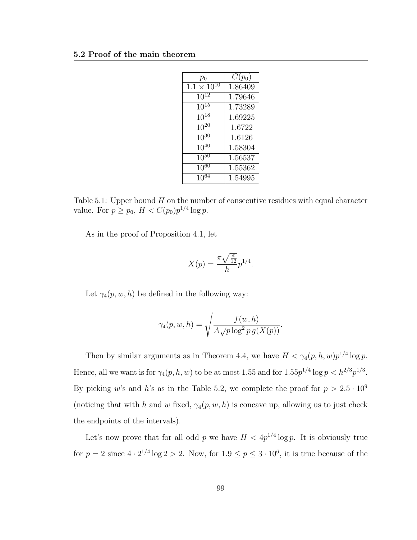| $p_0$                | $C(p_0)$ |
|----------------------|----------|
| $1.1 \times 10^{10}$ | 1.86409  |
| $10^{12}$            | 1.79646  |
| $10^{15}$            | 1.73289  |
| $10^{18}$            | 1.69225  |
| $1\overline{0^{20}}$ | 1.6722   |
| $10^{30}$            | 1.6126   |
| $10^{40}$            | 1.58304  |
| $10^{50}$            | 1.56537  |
| $10^{60}$            | 1.55362  |
| $10^{64}$            | 1.54995  |

Table 5.1: Upper bound  $H$  on the number of consecutive residues with equal character value. For  $p \ge p_0$ ,  $H < C(p_0)p^{1/4} \log p$ .

As in the proof of Proposition 4.1, let

$$
X(p) = \frac{\pi \sqrt{\frac{e}{12}}}{h} p^{1/4}.
$$

Let  $\gamma_4(p, w, h)$  be defined in the following way:

$$
\gamma_4(p, w, h) = \sqrt{\frac{f(w, h)}{A\sqrt{p}\log^2 p g(X(p))}}
$$

.

Then by similar arguments as in Theorem 4.4, we have  $H < \gamma_4(p, h, w)p^{1/4}\log p$ . Hence, all we want is for  $\gamma_4(p, h, w)$  to be at most 1.55 and for  $1.55p^{1/4} \log p \lt h^{2/3} p^{1/3}$ . By picking w's and h's as in the Table 5.2, we complete the proof for  $p > 2.5 \cdot 10^9$ (noticing that with h and w fixed,  $\gamma_4(p, w, h)$  is concave up, allowing us to just check the endpoints of the intervals).

Let's now prove that for all odd p we have  $H < 4p^{1/4} \log p$ . It is obviously true for  $p = 2$  since  $4 \cdot 2^{1/4} \log 2 > 2$ . Now, for  $1.9 \le p \le 3 \cdot 10^6$ , it is true because of the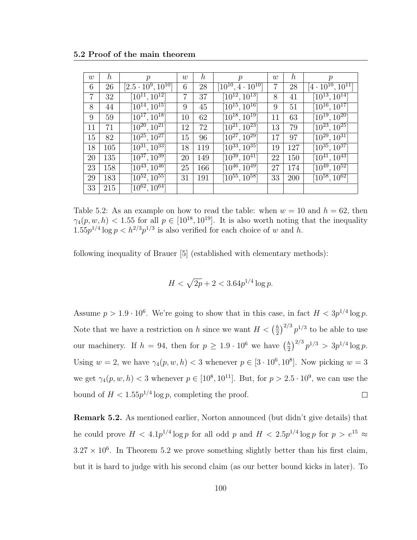| w              | $\boldsymbol{h}$ | $\mathcal{p}$                      | w  | $\boldsymbol{h}$ | $\mathcal{p}$                   | w      | $\boldsymbol{h}$ | $\mathcal{p}$                   |
|----------------|------------------|------------------------------------|----|------------------|---------------------------------|--------|------------------|---------------------------------|
| 6              | 26               | $[2.5 \cdot 10^9, 10^{10}]$        | 6  | 28               | $[10^{10}, 4\cdot10^{10}]$      |        | 28               | $[4\cdot 10^{10}, 10^{11}]$     |
| $\overline{7}$ | 32               | $[10^{11}, 10^{12}]$               | 7  | 37               | $[10^{12}, 10^{13}]$            | 8      | 41               | $\sqrt{10^{13}}, 10^{14}$       |
| 8              | 44               | $[10^{14}, 10^{15}]$               | 9  | 45               | $[10^{15}, 10^{16}]$            | 9      | 51               | $[10^{16}, 10^{17}]$            |
| 9              | 59               | $[10^{17}, 10^{18}]$               | 10 | 62               | $[10^{18}, 10^{19}]$            | 11     | 63               | $[10^{19}, 10^{20}]$            |
| 11             | 71               | $[10^{20}, 10^{21}]$               | 12 | 72               | $[10^{21}, 10^{23}]$            | 13     | 79               | $[10^{23}, 10^{25}]$            |
| 15             | 82               | $[10^{25}, 10^{27}]$               | 15 | 96               | $[10^{27}, 10^{29}]$            | $17\,$ | 97               | $[10^{29}, 10^{31}]$            |
| 18             | 105              | $[10^{31}, 10^{33}]$               | 18 | 119              | $[10^{33}, 10^{35}]$            | 19     | 127              | $[10^{35}, 10^{37}]$            |
| 20             | 135              | $[10^{37}, 10^{39}]$               | 20 | 149              | $\overline{[10^{39}, 10^{41}]}$ | 22     | 150              | $[10^{41}, 10^{43}]$            |
| 23             | 158              | $[10^{43}, 10^{46}]$               | 25 | 166              | $[10^{46}, 10^{49}]$            | 27     | 174              | $[10^{49}, 10^{52}]$            |
| 29             | 183              | $\overline{10^{52}}$ , $10^{55}$ ] | 31 | 191              | $[10^{55}, 10^{58}]$            | 33     | 200              | $\overline{[10^{58}, 10^{62}]}$ |
| 33             | 215              | $\lceil 10^{62}, 10^{64} \rceil$   |    |                  |                                 |        |                  |                                 |

Table 5.2: As an example on how to read the table: when  $w = 10$  and  $h = 62$ , then  $\gamma_4(p, w, h) < 1.55$  for all  $p \in [10^{18}, 10^{19}]$ . It is also worth noting that the inequality  $1.55p^{1/4}\log p < h^{2/3}p^{1/3}$  is also verified for each choice of w and h.

following inequality of Brauer [5] (established with elementary methods):

$$
H < \sqrt{2p} + 2 < 3.64p^{1/4} \log p.
$$

Assume  $p > 1.9 \cdot 10^6$ . We're going to show that in this case, in fact  $H < 3p^{1/4} \log p$ .  $\left(\frac{h}{2}\right)^{2/3} p^{1/3}$  to be able to use Note that we have a restriction on h since we want  $H < \left(\frac{h}{2}\right)$  $\frac{h}{2}$ )<sup>2/3</sup>  $p^{1/3}$  > 3p<sup>1/4</sup> log p. our machinery. If  $h = 94$ , then for  $p \geq 1.9 \cdot 10^6$  we have  $\left(\frac{h}{2}\right)$ Using  $w = 2$ , we have  $\gamma_4(p, w, h) < 3$  whenever  $p \in [3 \cdot 10^6, 10^8]$ . Now picking  $w = 3$ we get  $\gamma_4(p, w, h) < 3$  whenever  $p \in [10^8, 10^{11}]$ . But, for  $p > 2.5 \cdot 10^9$ , we can use the bound of  $H < 1.55p^{1/4} \log p$ , completing the proof.  $\Box$ 

Remark 5.2. As mentioned earlier, Norton announced (but didn't give details) that he could prove  $H < 4.1p^{1/4}\log p$  for all odd p and  $H < 2.5p^{1/4}\log p$  for  $p > e^{15} \approx$  $3.27 \times 10^6$ . In Theorem 5.2 we prove something slightly better than his first claim, but it is hard to judge with his second claim (as our better bound kicks in later). To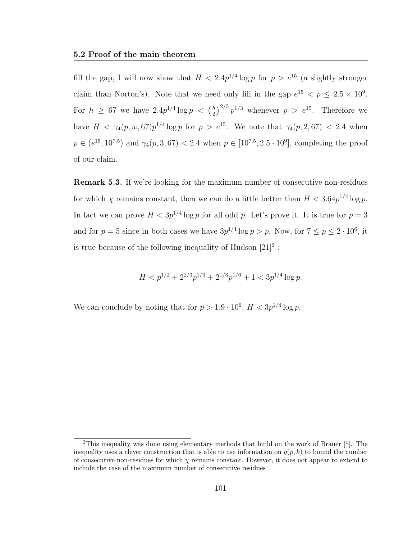fill the gap, I will now show that  $H < 2.4p^{1/4} \log p$  for  $p > e^{15}$  (a slightly stronger claim than Norton's). Note that we need only fill in the gap  $e^{15} < p \leq 2.5 \times 10^9$ . For  $h \geq 67$  we have  $2.4p^{1/4} \log p \, < \, \left(\frac{h}{2}\right)$  $\frac{h}{2}$  $\Big)^{2/3}$   $p^{1/3}$  whenever  $p > e^{15}$ . Therefore we have  $H < \gamma_4(p, w, 67)p^{1/4}\log p$  for  $p > e^{15}$ . We note that  $\gamma_4(p, 2, 67) < 2.4$  when  $p \in (e^{15}, 10^{7.5})$  and  $\gamma_4(p, 3, 67) < 2.4$  when  $p \in [10^{7.5}, 2.5 \cdot 10^9]$ , completing the proof of our claim.

**Remark 5.3.** If we're looking for the maximum number of consecutive non-residues for which  $\chi$  remains constant, then we can do a little better than  $H < 3.64p^{1/4} \log p$ . In fact we can prove  $H < 3p^{1/4} \log p$  for all odd p. Let's prove it. It is true for  $p = 3$ and for  $p = 5$  since in both cases we have  $3p^{1/4} \log p > p$ . Now, for  $7 \le p \le 2 \cdot 10^6$ , it is true because of the following inequality of Hudson  $[21]^2$ :

$$
H < p^{1/2} + 2^{2/3} p^{1/3} + 2^{1/3} p^{1/6} + 1 < 3p^{1/4} \log p.
$$

We can conclude by noting that for  $p > 1.9 \cdot 10^6$ ,  $H < 3p^{1/4} \log p$ .

<sup>&</sup>lt;sup>2</sup>This inequality was done using elementary methods that build on the work of Brauer [5]. The inequality uses a clever construction that is able to use information on  $g(p, k)$  to bound the number of consecutive non-residues for which  $\chi$  remains constant. However, it does not appear to extend to include the case of the maximum number of consecutive residues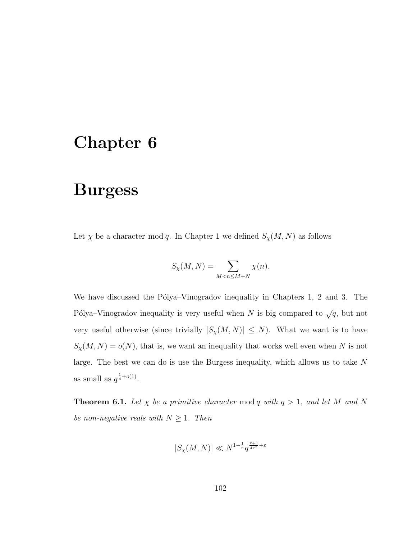## Chapter 6

## Burgess

Let  $\chi$  be a character mod q. In Chapter 1 we defined  $S_{\chi}(M, N)$  as follows

$$
S_{\chi}(M,N) = \sum_{M < n \le M+N} \chi(n).
$$

We have discussed the Pólya–Vinogradov inequality in Chapters 1, 2 and 3. The Pólya–Vinogradov inequality is very useful when N is big compared to  $\sqrt{q}$ , but not very useful otherwise (since trivially  $|S_{\chi}(M, N)| \leq N$ ). What we want is to have  $S_{\chi}(M,N) = o(N)$ , that is, we want an inequality that works well even when N is not large. The best we can do is use the Burgess inequality, which allows us to take N as small as  $q^{\frac{1}{4}+o(1)}$ .

**Theorem 6.1.** Let  $\chi$  be a primitive character mod q with  $q > 1$ , and let M and N be non-negative reals with  $N \geq 1$ . Then

$$
|S_{\chi}(M,N)| \ll N^{1-\frac{1}{r}} q^{\frac{r+1}{4r^2} + \varepsilon}
$$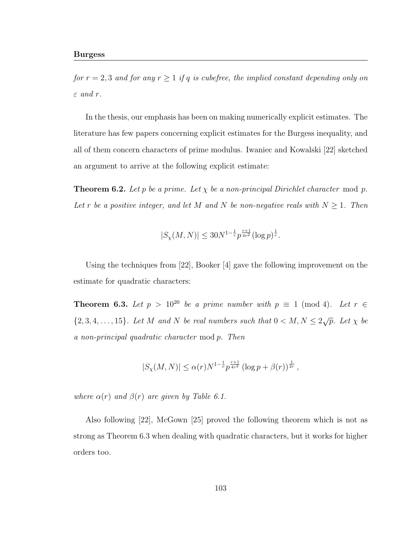for  $r = 2, 3$  and for any  $r \ge 1$  if q is cubefree, the implied constant depending only on  $\varepsilon$  and r.

In the thesis, our emphasis has been on making numerically explicit estimates. The literature has few papers concerning explicit estimates for the Burgess inequality, and all of them concern characters of prime modulus. Iwaniec and Kowalski [22] sketched an argument to arrive at the following explicit estimate:

**Theorem 6.2.** Let p be a prime. Let  $\chi$  be a non-principal Dirichlet character mod p. Let r be a positive integer, and let M and N be non-negative reals with  $N \geq 1$ . Then

$$
|S_{\chi}(M,N)| \le 30N^{1-\frac{1}{r}} p^{\frac{r+1}{4r^2}} (\log p)^{\frac{1}{r}}.
$$

Using the techniques from [22], Booker [4] gave the following improvement on the estimate for quadratic characters:

**Theorem 6.3.** Let  $p > 10^{20}$  be a prime number with  $p \equiv 1 \pmod{4}$ . Let  $r \in$  $\{2, 3, 4, \ldots, 15\}$ . Let M and N be real numbers such that  $0 < M, N \leq 2\sqrt{p}$ . Let  $\chi$  be a non-principal quadratic character mod p. Then

$$
|S_{\chi}(M,N)| \le \alpha(r) N^{1-\frac{1}{r}} p^{\frac{r+1}{4r^2}} (\log p + \beta(r))^{\frac{1}{2r}},
$$

where  $\alpha(r)$  and  $\beta(r)$  are given by Table 6.1.

Also following [22], McGown [25] proved the following theorem which is not as strong as Theorem 6.3 when dealing with quadratic characters, but it works for higher orders too.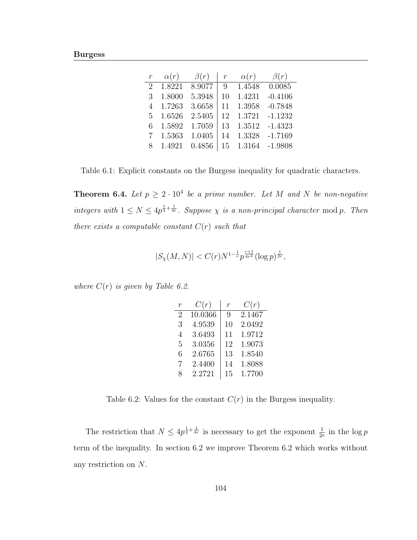| $\mathcal{r}$ | $\alpha(r)$ | $\beta(r)$ | $\,r$ | $\alpha(r)$ | $\beta(r)$ |
|---------------|-------------|------------|-------|-------------|------------|
| $\mathcal{D}$ | 1.8221      | 8.9077     | 9     | 1.4548      | 0.0085     |
| 3             | 1.8000      | 5.3948     | 10    | 1.4231      | $-0.4106$  |
| 4             | 1.7263      | 3.6658     | 11    | 1.3958      | $-0.7848$  |
| 5             | 1.6526      | 2.5405     | 12    | 1.3721      | $-1.1232$  |
| 6             | 1.5892      | 1.7059     | 13    | 1.3512      | $-1.4323$  |
|               | 1.5363      | 1.0405     | 14    | 1.3328      | $-1.7169$  |
|               | 1.4921      | 0.4856     | 15    | 1.3164      | $-1.9808$  |

Table 6.1: Explicit constants on the Burgess inequality for quadratic characters.

**Theorem 6.4.** Let  $p \geq 2 \cdot 10^4$  be a prime number. Let M and N be non-negative integers with  $1 \leq N \leq 4p^{\frac{1}{2} + \frac{1}{4r}}$ . Suppose  $\chi$  is a non-principal character mod p. Then there exists a computable constant  $C(r)$  such that

$$
|S_{\chi}(M,N)| < C(r)N^{1-\frac{1}{r}}p^{\frac{r+1}{4r^2}}(\log p)^{\frac{1}{2r}},
$$

where  $C(r)$  is given by Table 6.2.

| r | C(r)    | $\mathfrak{r}$ | C(r)   |
|---|---------|----------------|--------|
| 2 | 10.0366 | 9              | 2.1467 |
| 3 | 4.9539  | 10             | 2.0492 |
| 4 | 3.6493  | 11             | 1.9712 |
| 5 | 3.0356  | 12             | 1.9073 |
| 6 | 2.6765  | 13             | 1.8540 |
| 7 | 2.4400  | 14             | 1.8088 |
| 8 | 2.2721  | 15             | 1.7700 |

Table 6.2: Values for the constant  $C(r)$  in the Burgess inequality.

The restriction that  $N \leq 4p^{\frac{1}{2} + \frac{1}{4r}}$  is necessary to get the exponent  $\frac{1}{2r}$  in the log p term of the inequality. In section 6.2 we improve Theorem 6.2 which works without any restriction on N.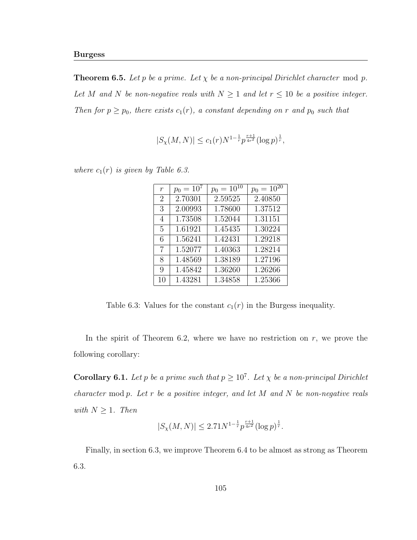**Theorem 6.5.** Let p be a prime. Let  $\chi$  be a non-principal Dirichlet character mod p. Let M and N be non-negative reals with  $N \geq 1$  and let  $r \leq 10$  be a positive integer. Then for  $p \geq p_0$ , there exists  $c_1(r)$ , a constant depending on r and  $p_0$  such that

$$
|S_{\chi}(M,N)| \le c_1(r) N^{1-\frac{1}{r}} p^{\frac{r+1}{4r^2}} (\log p)^{\frac{1}{r}},
$$

where  $c_1(r)$  is given by Table 6.3.

| $\,r$          | $p_0 = 10^7$ | $p_0 = 10^{10}$ | $p_0 = 10^{20}$ |
|----------------|--------------|-----------------|-----------------|
| $\overline{2}$ | 2.70301      | 2.59525         | 2.40850         |
| 3              | 2.00993      | 1.78600         | 1.37512         |
| 4              | 1.73508      | 1.52044         | 1.31151         |
| 5              | 1.61921      | 1.45435         | 1.30224         |
| 6              | 1.56241      | 1.42431         | 1.29218         |
| 7              | 1.52077      | 1.40363         | 1.28214         |
| 8              | 1.48569      | 1.38189         | 1.27196         |
| 9              | 1.45842      | 1.36260         | 1.26266         |
| 10             | 1.43281      | 1.34858         | 1.25366         |

Table 6.3: Values for the constant  $c_1(r)$  in the Burgess inequality.

In the spirit of Theorem 6.2, where we have no restriction on  $r$ , we prove the following corollary:

**Corollary 6.1.** Let p be a prime such that  $p \geq 10^7$ . Let  $\chi$  be a non-principal Dirichlet character mod  $p$ . Let  $r$  be a positive integer, and let  $M$  and  $N$  be non-negative reals with  $N \geq 1$ . Then

$$
|S_{\chi}(M,N)| \le 2.71 N^{1-\frac{1}{r}} p^{\frac{r+1}{4r^2}} (\log p)^{\frac{1}{r}}.
$$

Finally, in section 6.3, we improve Theorem 6.4 to be almost as strong as Theorem 6.3.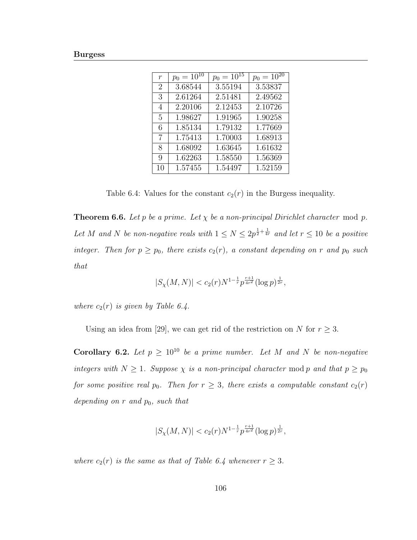| $\overline{r}$ | $p_0 = 10^{10}$ | $p_0 = 10^{15}$ | $p_0 = 10^{20}$ |
|----------------|-----------------|-----------------|-----------------|
| $\overline{2}$ | 3.68544         | 3.55194         | 3.53837         |
| 3              | 2.61264         | 2.51481         | 2.49562         |
| 4              | 2.20106         | 2.12453         | 2.10726         |
| 5              | 1.98627         | 1.91965         | 1.90258         |
| 6              | 1.85134         | 1.79132         | 1.77669         |
| 7              | 1.75413         | 1.70003         | 1.68913         |
| 8              | 1.68092         | 1.63645         | 1.61632         |
| 9              | 1.62263         | 1.58550         | 1.56369         |
| 10             | 1.57455         | 1.54497         | 1.52159         |

Table 6.4: Values for the constant  $c_2(r)$  in the Burgess inequality.

**Theorem 6.6.** Let p be a prime. Let  $\chi$  be a non-principal Dirichlet character mod p. Let M and N be non-negative reals with  $1 \leq N \leq 2p^{\frac{1}{2} + \frac{1}{4r}}$  and let  $r \leq 10$  be a positive integer. Then for  $p \geq p_0$ , there exists  $c_2(r)$ , a constant depending on r and  $p_0$  such that

$$
|S_{\chi}(M,N)| < c_2(r) N^{1-\frac{1}{r}} p^{\frac{r+1}{4r^2}} (\log p)^{\frac{1}{2r}},
$$

where  $c_2(r)$  is given by Table 6.4.

Using an idea from [29], we can get rid of the restriction on N for  $r \geq 3$ .

Corollary 6.2. Let  $p \geq 10^{10}$  be a prime number. Let M and N be non-negative integers with  $N \geq 1$ . Suppose  $\chi$  is a non-principal character mod p and that  $p \geq p_0$ for some positive real  $p_0$ . Then for  $r \geq 3$ , there exists a computable constant  $c_2(r)$ depending on  $r$  and  $p_0$ , such that

$$
|S_{\chi}(M,N)| < c_2(r)N^{1-\frac{1}{r}}p^{\frac{r+1}{4r^2}}(\log p)^{\frac{1}{2r}},
$$

where  $c_2(r)$  is the same as that of Table 6.4 whenever  $r \geq 3$ .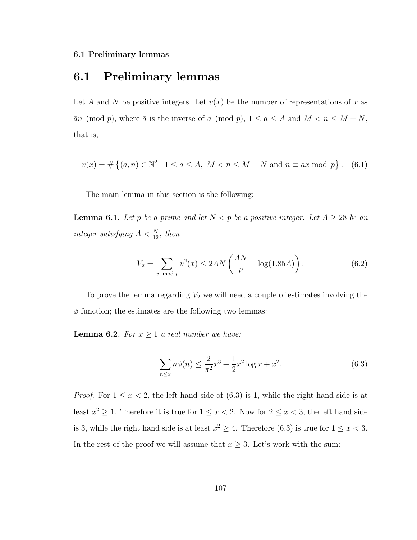### 6.1 Preliminary lemmas

Let A and N be positive integers. Let  $v(x)$  be the number of representations of x as  $\bar{a}n \pmod{p}$ , where  $\bar{a}$  is the inverse of a (mod p),  $1 \le a \le A$  and  $M < n \le M + N$ , that is,

$$
v(x) = \# \left\{ (a, n) \in \mathbb{N}^2 \mid 1 \le a \le A, \ M < n \le M + N \text{ and } n \equiv ax \bmod p \right\}. \tag{6.1}
$$

The main lemma in this section is the following:

**Lemma 6.1.** Let p be a prime and let  $N < p$  be a positive integer. Let  $A \geq 28$  be an integer satisfying  $A < \frac{N}{12}$ , then

$$
V_2 = \sum_{x \mod p} v^2(x) \le 2AN\left(\frac{AN}{p} + \log(1.85A)\right). \tag{6.2}
$$

To prove the lemma regarding  $V_2$  we will need a couple of estimates involving the  $\phi$  function; the estimates are the following two lemmas:

**Lemma 6.2.** For  $x \geq 1$  a real number we have:

$$
\sum_{n \le x} n\phi(n) \le \frac{2}{\pi^2} x^3 + \frac{1}{2} x^2 \log x + x^2.
$$
 (6.3)

*Proof.* For  $1 \le x < 2$ , the left hand side of  $(6.3)$  is 1, while the right hand side is at least  $x^2 \geq 1$ . Therefore it is true for  $1 \leq x < 2$ . Now for  $2 \leq x < 3$ , the left hand side is 3, while the right hand side is at least  $x^2 \ge 4$ . Therefore (6.3) is true for  $1 \le x < 3$ . In the rest of the proof we will assume that  $x \geq 3$ . Let's work with the sum: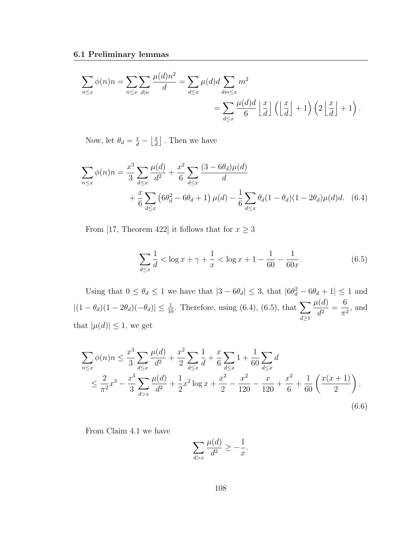$$
\sum_{n \le x} \phi(n)n = \sum_{n \le x} \sum_{d|n} \frac{\mu(d)n^2}{d} = \sum_{d \le x} \mu(d)d \sum_{dm \le x} m^2
$$
  
= 
$$
\sum_{d \le x} \frac{\mu(d)d}{6} \left\lfloor \frac{x}{d} \right\rfloor \left( \left\lfloor \frac{x}{d} \right\rfloor + 1 \right) \left( 2 \left\lfloor \frac{x}{d} \right\rfloor + 1 \right).
$$

Now, let  $\theta_d = \frac{x}{d} - \left\lfloor \frac{x}{d} \right\rfloor$  $\frac{x}{d}$ . Then we have

$$
\sum_{n \le x} \phi(n)n = \frac{x^3}{3} \sum_{d \le x} \frac{\mu(d)}{d^2} + \frac{x^2}{6} \sum_{d \le x} \frac{(3 - 6\theta_d)\mu(d)}{d} + \frac{x}{6} \sum_{d \le x} \left(6\theta_d^2 - 6\theta_d + 1\right)\mu(d) - \frac{1}{6} \sum_{d \le x} \theta_d (1 - \theta_d)(1 - 2\theta_d)\mu(d)d. \tag{6.4}
$$

From [17, Theorem 422] it follows that for  $x\geq 3$ 

$$
\sum_{d \le x} \frac{1}{d} < \log x + \gamma + \frac{1}{x} < \log x + 1 - \frac{1}{60} - \frac{1}{60x}.\tag{6.5}
$$

Using that  $0 \le \theta_d \le 1$  we have that  $|3 - 6\theta_d| \le 3$ , that  $|6\theta_d^2 - 6\theta_d + 1| \le 1$  and  $|(1 - \theta_d)(1 - 2\theta_d)(-\theta_d)| \leq \frac{1}{10}$ . Therefore, using (6.4), (6.5), that  $\sum$  $d \geq 1$  $\mu(d)$  $\frac{d^{(a)}}{d^2} =$ 6  $\frac{0}{\pi^2}$ , and that  $|\mu(d)| \leq 1$ , we get

$$
\sum_{n \le x} \phi(n)n \le \frac{x^3}{3} \sum_{d \le x} \frac{\mu(d)}{d^2} + \frac{x^2}{2} \sum_{d \le x} \frac{1}{d} + \frac{x}{6} \sum_{d \le x} 1 + \frac{1}{60} \sum_{d \le x} d
$$
\n
$$
\le \frac{2}{\pi^2} x^3 - \frac{x^3}{3} \sum_{d > x} \frac{\mu(d)}{d^2} + \frac{1}{2} x^2 \log x + \frac{x^2}{2} - \frac{x^2}{120} - \frac{x}{120} + \frac{x^2}{6} + \frac{1}{60} \left( \frac{x(x+1)}{2} \right).
$$
\n(6.6)

From Claim 4.1 we have

$$
\sum_{d>x} \frac{\mu(d)}{d^2} \ge -\frac{1}{x}.
$$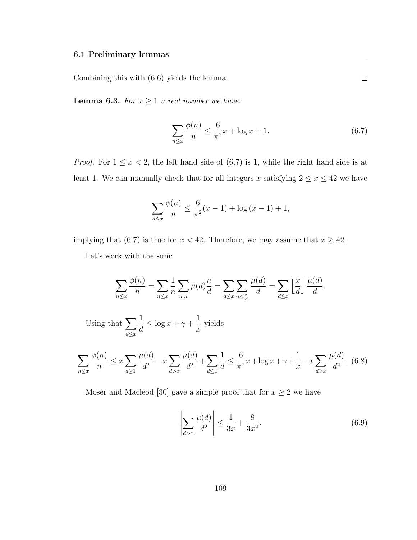Combining this with (6.6) yields the lemma.

**Lemma 6.3.** For  $x \geq 1$  a real number we have:

$$
\sum_{n \le x} \frac{\phi(n)}{n} \le \frac{6}{\pi^2} x + \log x + 1. \tag{6.7}
$$

 $\Box$ 

*Proof.* For  $1 \le x < 2$ , the left hand side of (6.7) is 1, while the right hand side is at least 1. We can manually check that for all integers x satisfying  $2 \le x \le 42$  we have

$$
\sum_{n \le x} \frac{\phi(n)}{n} \le \frac{6}{\pi^2} (x - 1) + \log (x - 1) + 1,
$$

implying that (6.7) is true for  $x < 42$ . Therefore, we may assume that  $x \ge 42$ .

Let's work with the sum:

$$
\sum_{n\leq x} \frac{\phi(n)}{n} = \sum_{n\leq x} \frac{1}{n} \sum_{d|n} \mu(d) \frac{n}{d} = \sum_{d\leq x} \sum_{n\leq \frac{x}{d}} \frac{\mu(d)}{d} = \sum_{d\leq x} \left\lfloor \frac{x}{d} \right\rfloor \frac{\mu(d)}{d}.
$$

Using that  $\sum$  $d \leq x$ 1 d  $\leq \log x + \gamma + \frac{1}{\gamma}$  $\boldsymbol{x}$ yields

$$
\sum_{n \le x} \frac{\phi(n)}{n} \le x \sum_{d \ge 1} \frac{\mu(d)}{d^2} - x \sum_{d > x} \frac{\mu(d)}{d^2} + \sum_{d \le x} \frac{1}{d} \le \frac{6}{\pi^2} x + \log x + \gamma + \frac{1}{x} - x \sum_{d > x} \frac{\mu(d)}{d^2}.
$$
 (6.8)

Moser and Macleod [30] gave a simple proof that for  $x \geq 2$  we have

$$
\left| \sum_{d>x} \frac{\mu(d)}{d^2} \right| \le \frac{1}{3x} + \frac{8}{3x^2}.
$$
 (6.9)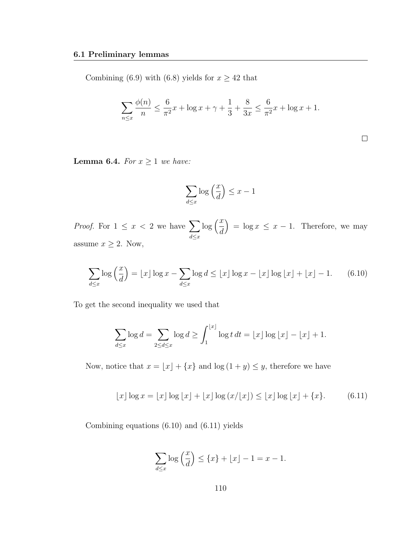Combining (6.9) with (6.8) yields for  $x \ge 42$  that

$$
\sum_{n \le x} \frac{\phi(n)}{n} \le \frac{6}{\pi^2} x + \log x + \gamma + \frac{1}{3} + \frac{8}{3x} \le \frac{6}{\pi^2} x + \log x + 1.
$$

 $\Box$ 

**Lemma 6.4.** For  $x \ge 1$  we have:

$$
\sum_{d \le x} \log\left(\frac{x}{d}\right) \le x - 1
$$

*Proof.* For  $1 \leq x < 2$  we have  $\sum$  $d \leq x$  $\log\left(\frac{x}{t}\right)$ d  $= \log x \leq x - 1$ . Therefore, we may assume  $x \geq 2$ . Now,

$$
\sum_{d \le x} \log\left(\frac{x}{d}\right) = \lfloor x \rfloor \log x - \sum_{d \le x} \log d \le \lfloor x \rfloor \log x - \lfloor x \rfloor \log \lfloor x \rfloor + \lfloor x \rfloor - 1. \tag{6.10}
$$

To get the second inequality we used that

$$
\sum_{d\leq x}\log d=\sum_{2\leq d\leq x}\log d\geq \int_1^{\lfloor x\rfloor}\log t\,dt=\lfloor x\rfloor\log\lfloor x\rfloor-\lfloor x\rfloor+1.
$$

Now, notice that  $x = \lfloor x \rfloor + \{x\}$  and  $\log (1 + y) \leq y$ , therefore we have

$$
\lfloor x \rfloor \log x = \lfloor x \rfloor \log \lfloor x \rfloor + \lfloor x \rfloor \log \left( x / \lfloor x \rfloor \right) \le \lfloor x \rfloor \log \lfloor x \rfloor + \{ x \}. \tag{6.11}
$$

Combining equations (6.10) and (6.11) yields

$$
\sum_{d \le x} \log\left(\frac{x}{d}\right) \le \{x\} + \lfloor x \rfloor - 1 = x - 1.
$$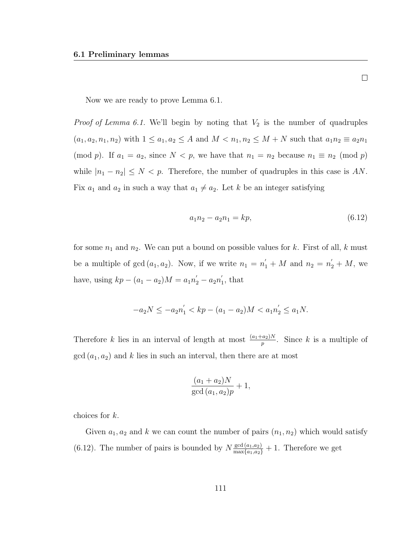Now we are ready to prove Lemma 6.1.

*Proof of Lemma 6.1.* We'll begin by noting that  $V_2$  is the number of quadruples  $(a_1, a_2, n_1, n_2)$  with  $1 \le a_1, a_2 \le A$  and  $M < n_1, n_2 \le M + N$  such that  $a_1 n_2 \equiv a_2 n_1$ (mod p). If  $a_1 = a_2$ , since  $N < p$ , we have that  $n_1 = n_2$  because  $n_1 \equiv n_2 \pmod{p}$ while  $|n_1 - n_2| \leq N < p$ . Therefore, the number of quadruples in this case is AN. Fix  $a_1$  and  $a_2$  in such a way that  $a_1 \neq a_2$ . Let k be an integer satisfying

$$
a_1 n_2 - a_2 n_1 = k p,\t\t(6.12)
$$

for some  $n_1$  and  $n_2$ . We can put a bound on possible values for k. First of all, k must be a multiple of  $gcd(a_1, a_2)$ . Now, if we write  $n_1 = n'_1 + M$  and  $n_2 = n'_2 + M$ , we have, using  $kp - (a_1 - a_2)M = a_1n_2' - a_2n_1'$  $\zeta_1$ , that

$$
-a_2N \le -a_2n_1' < kp - (a_1 - a_2)M < a_1n_2' \le a_1N.
$$

Therefore k lies in an interval of length at most  $\frac{(a_1+a_2)N}{p}$ . Since k is a multiple of  $gcd(a_1, a_2)$  and k lies in such an interval, then there are at most

$$
\frac{(a_1 + a_2)N}{\gcd(a_1, a_2)p} + 1,
$$

choices for k.

Given  $a_1, a_2$  and k we can count the number of pairs  $(n_1, n_2)$  which would satisfy (6.12). The number of pairs is bounded by  $N \frac{\gcd(a_1, a_2)}{\max\{a_1, a_2\}} + 1$ . Therefore we get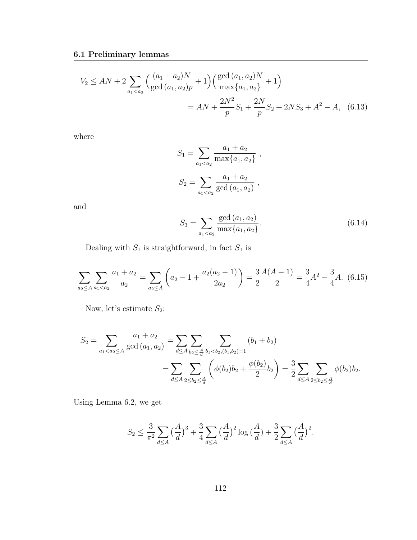$$
V_2 \le AN + 2 \sum_{a_1 < a_2} \left( \frac{(a_1 + a_2)N}{\gcd(a_1, a_2)p} + 1 \right) \left( \frac{\gcd(a_1, a_2)N}{\max\{a_1, a_2\}} + 1 \right)
$$
\n
$$
= AN + \frac{2N^2}{p} S_1 + \frac{2N}{p} S_2 + 2NS_3 + A^2 - A,\tag{6.13}
$$

where

$$
S_1 = \sum_{a_1 < a_2} \frac{a_1 + a_2}{\max\{a_1, a_2\}},
$$
\n
$$
S_2 = \sum_{a_1 < a_2} \frac{a_1 + a_2}{\gcd(a_1, a_2)},
$$

and

$$
S_3 = \sum_{a_1 < a_2} \frac{\gcd(a_1, a_2)}{\max\{a_1, a_2\}}.\tag{6.14}
$$

Dealing with  $S_1$  is straightforward, in fact  $S_1$  is

$$
\sum_{a_2 \le A} \sum_{a_1 < a_2} \frac{a_1 + a_2}{a_2} = \sum_{a_2 \le A} \left( a_2 - 1 + \frac{a_2(a_2 - 1)}{2a_2} \right) = \frac{3}{2} \frac{A(A - 1)}{2} = \frac{3}{4} A^2 - \frac{3}{4} A. \tag{6.15}
$$

Now, let's estimate  $\mathcal{S}_2$  :

$$
S_2 = \sum_{a_1 < a_2 \le A} \frac{a_1 + a_2}{\gcd(a_1, a_2)} = \sum_{d \le A} \sum_{b_2 \le \frac{A}{d}} \sum_{b_1 < b_2, (b_1, b_2) = 1} (b_1 + b_2)
$$
\n
$$
= \sum_{d \le A} \sum_{2 \le b_2 \le \frac{A}{d}} \left( \phi(b_2)b_2 + \frac{\phi(b_2)}{2}b_2 \right) = \frac{3}{2} \sum_{d \le A} \sum_{2 \le b_2 \le \frac{A}{d}} \phi(b_2)b_2.
$$

Using Lemma 6.2, we get

$$
S_2 \le \frac{3}{\pi^2} \sum_{d \le A} \left(\frac{A}{d}\right)^3 + \frac{3}{4} \sum_{d \le A} \left(\frac{A}{d}\right)^2 \log\left(\frac{A}{d}\right) + \frac{3}{2} \sum_{d \le A} \left(\frac{A}{d}\right)^2.
$$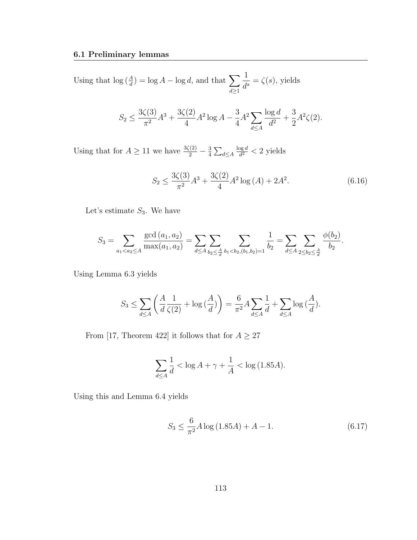Using that  $\log(\frac{A}{d}) = \log A - \log d$ , and that  $\sum$  $d \geq 1$ 1  $\frac{1}{d^s} = \zeta(s)$ , yields

$$
S_2 \le \frac{3\zeta(3)}{\pi^2} A^3 + \frac{3\zeta(2)}{4} A^2 \log A - \frac{3}{4} A^2 \sum_{d \le A} \frac{\log d}{d^2} + \frac{3}{2} A^2 \zeta(2).
$$

Using that for  $A \geq 11$  we have  $\frac{3\zeta(2)}{2} - \frac{3}{4}$  $\frac{3}{4}\sum_{d\leq A}$  $\log d$  $\frac{\log d}{d^2}$  < 2 yields

$$
S_2 \le \frac{3\zeta(3)}{\pi^2} A^3 + \frac{3\zeta(2)}{4} A^2 \log\left(A\right) + 2A^2. \tag{6.16}
$$

Let's estimate  $S_3$ . We have

$$
S_3 = \sum_{a_1 < a_2 \le A} \frac{\gcd(a_1, a_2)}{\max(a_1, a_2)} = \sum_{d \le A} \sum_{b_2 < \frac{A}{d}} \sum_{b_1 < b_2, (b_1, b_2) = 1} \frac{1}{b_2} = \sum_{d \le A} \sum_{2 \le b_2 < \frac{A}{d}} \frac{\phi(b_2)}{b_2}.
$$

Using Lemma 6.3 yields

$$
S_3 \le \sum_{d \le A} \left( \frac{A}{d} \frac{1}{\zeta(2)} + \log \left( \frac{A}{d} \right) \right) = \frac{6}{\pi^2} A \sum_{d \le A} \frac{1}{d} + \sum_{d \le A} \log \left( \frac{A}{d} \right).
$$

From [17, Theorem 422] it follows that for  $A \geq 27$ 

$$
\sum_{d \le A} \frac{1}{d} < \log A + \gamma + \frac{1}{A} < \log \left( 1.85A \right).
$$

Using this and Lemma 6.4 yields

$$
S_3 \le \frac{6}{\pi^2} A \log \left( 1.85A \right) + A - 1. \tag{6.17}
$$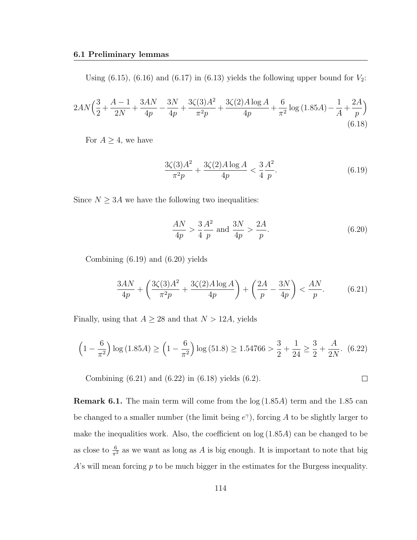Using (6.15), (6.16) and (6.17) in (6.13) yields the following upper bound for  $V_2$ :

$$
2AN\left(\frac{3}{2} + \frac{A-1}{2N} + \frac{3AN}{4p} - \frac{3N}{4p} + \frac{3\zeta(3)A^2}{\pi^2 p} + \frac{3\zeta(2)A\log A}{4p} + \frac{6}{\pi^2}\log\left(1.85A\right) - \frac{1}{A} + \frac{2A}{p}\right) \tag{6.18}
$$

For  $A \geq 4$ , we have

$$
\frac{3\zeta(3)A^2}{\pi^2 p} + \frac{3\zeta(2)A\log A}{4p} < \frac{3}{4}\frac{A^2}{p}.\tag{6.19}
$$

Since  $N \geq 3A$  we have the following two inequalities:

$$
\frac{AN}{4p} > \frac{3}{4} \frac{A^2}{p} \text{ and } \frac{3N}{4p} > \frac{2A}{p}.
$$
 (6.20)

Combining (6.19) and (6.20) yields

$$
\frac{3AN}{4p} + \left(\frac{3\zeta(3)A^2}{\pi^2 p} + \frac{3\zeta(2)A\log A}{4p}\right) + \left(\frac{2A}{p} - \frac{3N}{4p}\right) < \frac{AN}{p}.\tag{6.21}
$$

Finally, using that  $A \geq 28$  and that  $N > 12A$ , yields

$$
\left(1 - \frac{6}{\pi^2}\right) \log\left(1.85A\right) \ge \left(1 - \frac{6}{\pi^2}\right) \log\left(51.8\right) \ge 1.54766 > \frac{3}{2} + \frac{1}{24} \ge \frac{3}{2} + \frac{A}{2N}.\tag{6.22}
$$

Combining (6.21) and (6.22) in (6.18) yields (6.2).  $\Box$ 

**Remark 6.1.** The main term will come from the  $log(1.85A)$  term and the 1.85 can be changed to a smaller number (the limit being  $e^{\gamma}$ ), forcing A to be slightly larger to make the inequalities work. Also, the coefficient on  $log(1.85A)$  can be changed to be as close to  $\frac{6}{\pi^2}$  as we want as long as A is big enough. It is important to note that big  $A$ 's will mean forcing  $p$  to be much bigger in the estimates for the Burgess inequality.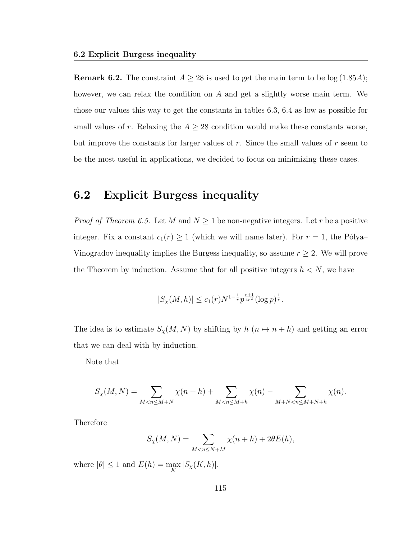**Remark 6.2.** The constraint  $A \ge 28$  is used to get the main term to be  $log(1.85A)$ ; however, we can relax the condition on A and get a slightly worse main term. We chose our values this way to get the constants in tables 6.3, 6.4 as low as possible for small values of r. Relaxing the  $A \geq 28$  condition would make these constants worse, but improve the constants for larger values of  $r$ . Since the small values of  $r$  seem to be the most useful in applications, we decided to focus on minimizing these cases.

### 6.2 Explicit Burgess inequality

*Proof of Theorem 6.5.* Let M and  $N \geq 1$  be non-negative integers. Let r be a positive integer. Fix a constant  $c_1(r) \geq 1$  (which we will name later). For  $r = 1$ , the Pólya– Vinogradov inequality implies the Burgess inequality, so assume  $r \geq 2$ . We will prove the Theorem by induction. Assume that for all positive integers  $h < N$ , we have

$$
|S_{\chi}(M,h)| \le c_1(r) N^{1-\frac{1}{r}} p^{\frac{r+1}{4r^2}} (\log p)^{\frac{1}{r}}.
$$

The idea is to estimate  $S_{\chi}(M, N)$  by shifting by  $h(n \mapsto n + h)$  and getting an error that we can deal with by induction.

Note that

$$
S_{\chi}(M,N) = \sum_{M < n \le M+N} \chi(n+h) + \sum_{M < n \le M+h} \chi(n) - \sum_{M+N < n \le M+N+h} \chi(n).
$$

Therefore

$$
S_{\chi}(M,N) = \sum_{M < n \le N+M} \chi(n+h) + 2\theta E(h),
$$

where  $|\theta| \leq 1$  and  $E(h) = \max_{K} |S_{\chi}(K, h)|$ .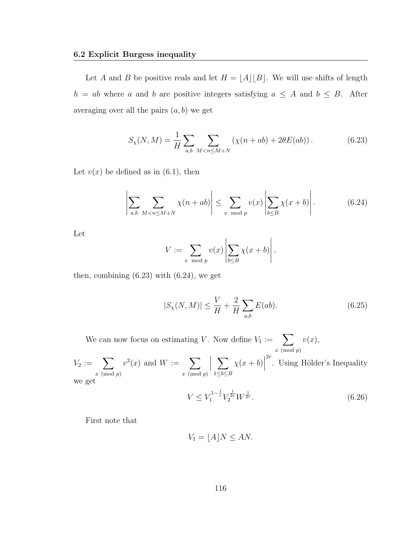#### 6.2 Explicit Burgess inequality

Let A and B be positive reals and let  $H = \lfloor A \rfloor |B|$ . We will use shifts of length  $h = ab$  where a and b are positive integers satisfying  $a \leq A$  and  $b \leq B$ . After averaging over all the pairs  $(a, b)$  we get

$$
S_{\chi}(N,M) = \frac{1}{H} \sum_{a,b} \sum_{M < n \le M+N} \left( \chi(n+ab) + 2\theta E(ab) \right). \tag{6.23}
$$

Let  $v(x)$  be defined as in (6.1), then

$$
\left| \sum_{a,b} \sum_{M < n \le M+N} \chi(n+ab) \right| \le \sum_{x \mod p} v(x) \left| \sum_{b \le B} \chi(x+b) \right| . \tag{6.24}
$$

Let

$$
V := \sum_{x \mod p} v(x) \left| \sum_{b \leq B} \chi(x+b) \right|,
$$

then, combining  $(6.23)$  with  $(6.24)$ , we get

$$
|S_{\chi}(N,M)| \le \frac{V}{H} + \frac{2}{H} \sum_{a,b} E(ab).
$$
 (6.25)

We can now focus on estimating V. Now define  $V_1 := \sum$  $x \pmod{p}$  $v(x),$ 

 $V_2 := \sum$  $x \pmod{p}$  $v^2(x)$  and  $W := \sum$  $x \pmod{p}$  $\begin{array}{c} \begin{array}{c} \begin{array}{c} \end{array} \\ \begin{array}{c} \end{array} \end{array} \end{array}$  $\sum$  $1 \leq b \leq B$  $\chi(x+b)$  $2r$ . Using Hölder's Inequality we get

$$
V \le V_1^{1 - \frac{1}{r}} V_2^{\frac{1}{2r}} W^{\frac{1}{2r}}.
$$
\n(6.26)

First note that

$$
V_1 = \lfloor A \rfloor N \le AN.
$$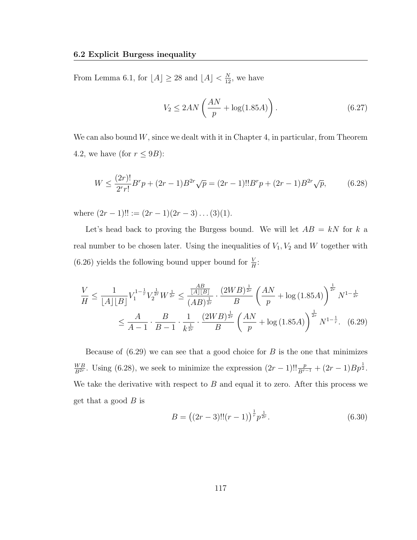From Lemma 6.1, for  $\lfloor A \rfloor \geq 28$  and  $\lfloor A \rfloor < \frac{N}{12}$ , we have

$$
V_2 \le 2AN\left(\frac{AN}{p} + \log(1.85A)\right). \tag{6.27}
$$

We can also bound  $W$ , since we dealt with it in Chapter 4, in particular, from Theorem 4.2, we have (for  $r \leq 9B$ ):

$$
W \le \frac{(2r)!}{2^r r!} B^r p + (2r - 1) B^{2r} \sqrt{p} = (2r - 1)!! B^r p + (2r - 1) B^{2r} \sqrt{p},\tag{6.28}
$$

where  $(2r - 1)!! := (2r - 1)(2r - 3)...(3)(1).$ 

Let's head back to proving the Burgess bound. We will let  $AB = kN$  for k a real number to be chosen later. Using the inequalities of  $V_1, V_2$  and W together with (6.26) yields the following bound upper bound for  $\frac{V}{H}$ :

$$
\frac{V}{H} \le \frac{1}{[A][B]} V_1^{1-\frac{1}{r}} V_2^{\frac{1}{2r}} W^{\frac{1}{2r}} \le \frac{\frac{AB}{[A][B]}}{(AB)^{\frac{1}{2r}}} \cdot \frac{(2WB)^{\frac{1}{2r}}}{B} \left(\frac{AN}{p} + \log(1.85A)\right)^{\frac{1}{2r}} N^{1-\frac{1}{2r}}
$$
\n
$$
\le \frac{A}{A-1} \cdot \frac{B}{B-1} \cdot \frac{1}{k^{\frac{1}{2r}}} \cdot \frac{(2WB)^{\frac{1}{2r}}}{B} \left(\frac{AN}{p} + \log(1.85A)\right)^{\frac{1}{2r}} N^{1-\frac{1}{r}}. \tag{6.29}
$$

Because of  $(6.29)$  we can see that a good choice for B is the one that minimizes  $W B$  $\frac{WB}{B^{2r}}$ . Using (6.28), we seek to minimize the expression  $(2r-1)!!\frac{p}{B^{r-1}} + (2r-1)Bp^{\frac{1}{2}}$ . We take the derivative with respect to  $B$  and equal it to zero. After this process we get that a good  $B$  is

$$
B = ((2r - 3)!!(r - 1))^{\frac{1}{r}} p^{\frac{1}{2r}}.
$$
\n(6.30)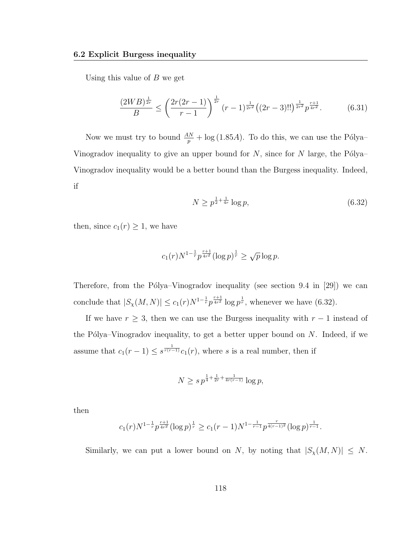Using this value of  $B$  we get

$$
\frac{(2WB)^{\frac{1}{2r}}}{B} \le \left(\frac{2r(2r-1)}{r-1}\right)^{\frac{1}{2r}} (r-1)^{\frac{1}{2r^2}} \left((2r-3)!!\right)^{\frac{1}{2r^2}} p^{\frac{r+1}{4r^2}}.
$$
 (6.31)

Now we must try to bound  $\frac{AN}{p} + \log(1.85A)$ . To do this, we can use the Pólya– Vinogradov inequality to give an upper bound for  $N$ , since for  $N$  large, the Pólya– Vinogradov inequality would be a better bound than the Burgess inequality. Indeed, if

$$
N \ge p^{\frac{1}{2} + \frac{1}{4r}} \log p,\tag{6.32}
$$

then, since  $c_1(r) \geq 1$ , we have

$$
c_1(r)N^{1-\frac{1}{r}}p^{\frac{r+1}{4r^2}}(\log p)^{\frac{1}{r}} \geq \sqrt{p}\log p.
$$

Therefore, from the Pólya–Vinogradov inequality (see section 9.4 in [29]) we can conclude that  $|S_{\chi}(M,N)| \leq c_1(r)N^{1-\frac{1}{r}}p^{\frac{r+1}{4r^2}}\log p^{\frac{1}{r}}$ , whenever we have (6.32).

If we have  $r \geq 3$ , then we can use the Burgess inequality with  $r-1$  instead of the Pólya–Vinogradov inequality, to get a better upper bound on  $N$ . Indeed, if we assume that  $c_1(r-1) \leq s^{\frac{1}{r(r-1)}}c_1(r)$ , where s is a real number, then if

$$
N \ge s \, p^{\frac{1}{4} + \frac{1}{2r} + \frac{1}{4r(r-1)}} \log p,
$$

then

$$
c_1(r)N^{1-\frac{1}{r}}p^{\frac{r+1}{4r^2}}(\log p)^{\frac{1}{r}} \ge c_1(r-1)N^{1-\frac{1}{r-1}}p^{\frac{r}{4(r-1)^2}}(\log p)^{\frac{1}{r-1}}.
$$

Similarly, we can put a lower bound on N, by noting that  $|S_{\chi}(M, N)| \leq N$ .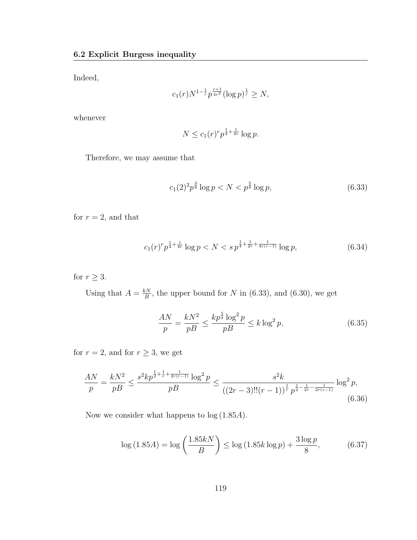Indeed,

$$
c_1(r)N^{1-\frac{1}{r}}p^{\frac{r+1}{4r^2}}(\log p)^{\frac{1}{r}} \ge N,
$$

whenever

$$
N \le c_1(r)^r p^{\frac{1}{4} + \frac{1}{4r}} \log p.
$$

Therefore, we may assume that

$$
c_1(2)^2 p^{\frac{3}{8}} \log p < N < p^{\frac{5}{8}} \log p,\tag{6.33}
$$

for  $r = 2$ , and that

$$
c_1(r)^r p^{\frac{1}{4} + \frac{1}{4r}} \log p < N < s \, p^{\frac{1}{4} + \frac{1}{2r} + \frac{1}{4r(r-1)}} \log p,\tag{6.34}
$$

for  $r \geq 3$ .

Using that  $A = \frac{kN}{B}$  $\frac{SN}{B}$ , the upper bound for N in (6.33), and (6.30), we get

$$
\frac{AN}{p} = \frac{kN^2}{pB} \le \frac{kp^{\frac{5}{4}}\log^2 p}{pB} \le k\log^2 p,\tag{6.35}
$$

for  $r = 2$ , and for  $r \geq 3$ , we get

$$
\frac{AN}{p} = \frac{kN^2}{pB} \le \frac{s^2kp^{\frac{1}{2} + \frac{1}{r} + \frac{1}{2r(r-1)}}\log^2 p}{pB} \le \frac{s^2k}{((2r-3)!!(r-1))^{\frac{1}{r}}p^{\frac{1}{2} - \frac{1}{2r} - \frac{1}{2r(r-1)}}}\log^2 p,
$$
\n(6.36)

Now we consider what happens to log (1.85A).

$$
\log(1.85A) = \log\left(\frac{1.85kN}{B}\right) \le \log(1.85k\log p) + \frac{3\log p}{8},\tag{6.37}
$$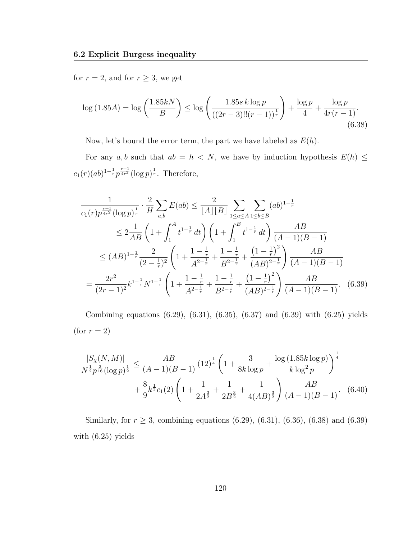for  $r=2,$  and for  $r\geq 3,$  we get

$$
\log(1.85A) = \log\left(\frac{1.85kN}{B}\right) \le \log\left(\frac{1.85s\log p}{((2r-3)!!(r-1))^\frac{1}{r}}\right) + \frac{\log p}{4} + \frac{\log p}{4r(r-1)}.
$$
\n(6.38)

Now, let's bound the error term, the part we have labeled as  $E(h)$ .

For any  $a, b$  such that  $ab = h \langle N \rangle$ , we have by induction hypothesis  $E(h) \leq$  $c_1(r)(ab)^{1-\frac{1}{r}}p^{\frac{r+1}{4r^2}}(\log p)^{\frac{1}{r}}$ . Therefore,

$$
\frac{1}{c_1(r)p^{\frac{r+1}{4r^2}}(\log p)^{\frac{1}{r}}} \cdot \frac{2}{H} \sum_{a,b} E(ab) \le \frac{2}{[A][B]} \sum_{1 \le a \le A} \sum_{1 \le b \le B} (ab)^{1-\frac{1}{r}}
$$
\n
$$
\le 2 \frac{1}{AB} \left(1 + \int_1^A t^{1-\frac{1}{r}} dt\right) \left(1 + \int_1^B t^{1-\frac{1}{r}} dt\right) \frac{AB}{(A-1)(B-1)}
$$
\n
$$
\le (AB)^{1-\frac{1}{r}} \frac{2}{(2-\frac{1}{r})^2} \left(1 + \frac{1-\frac{1}{r}}{A^{2-\frac{1}{r}}} + \frac{1-\frac{1}{r}}{B^{2-\frac{1}{r}}} + \frac{(1-\frac{1}{r})^2}{(AB)^{2-\frac{1}{r}}} \right) \frac{AB}{(A-1)(B-1)}
$$
\n
$$
= \frac{2r^2}{(2r-1)^2} k^{1-\frac{1}{r}} N^{1-\frac{1}{r}} \left(1 + \frac{1-\frac{1}{r}}{A^{2-\frac{1}{r}}} + \frac{1-\frac{1}{r}}{B^{2-\frac{1}{r}}} + \frac{(1-\frac{1}{r})^2}{(AB)^{2-\frac{1}{r}}} \right) \frac{AB}{(A-1)(B-1)}.
$$
\n(6.39)

Combining equations (6.29), (6.31), (6.35), (6.37) and (6.39) with (6.25) yields (for  $r = 2$ )

$$
\frac{|S_{\chi}(N,M)|}{N^{\frac{1}{2}}p^{\frac{3}{16}}(\log p)^{\frac{1}{2}}} \le \frac{AB}{(A-1)(B-1)} (12)^{\frac{1}{4}} \left(1 + \frac{3}{8k \log p} + \frac{\log(1.85k \log p)}{k \log^2 p}\right)^{\frac{1}{4}}
$$

$$
+ \frac{8}{9}k^{\frac{1}{2}}c_1(2)\left(1 + \frac{1}{2A^{\frac{3}{2}}} + \frac{1}{2B^{\frac{3}{2}}} + \frac{1}{4(AB)^{\frac{3}{2}}}\right) \frac{AB}{(A-1)(B-1)}.
$$
(6.40)

Similarly, for  $r \ge 3$ , combining equations (6.29), (6.31), (6.36), (6.38) and (6.39) with (6.25) yields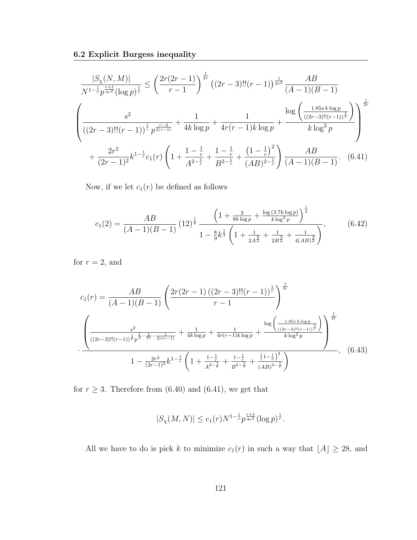$$
\frac{|S_{\chi}(N,M)|}{N^{1-\frac{1}{r}}p^{\frac{r+1}{4r^2}}(\log p)^{\frac{1}{r}}} \leq \left(\frac{2r(2r-1)}{r-1}\right)^{\frac{1}{2r}}((2r-3)!!(r-1))^{\frac{1}{2r^2}}\frac{AB}{(A-1)(B-1)}
$$
\n
$$
\left(\frac{s^2}{((2r-3)!!(r-1))^{\frac{1}{r}}p^{\frac{r-2}{2(r-1)}}} + \frac{1}{4k\log p} + \frac{1}{4r(r-1)k\log p} + \frac{\log\left(\frac{1.85s\log p}{((2r-3)!!(r-1))^{\frac{1}{r}}}\right)}{k\log^2 p}\right)^{\frac{1}{2r}}
$$
\n
$$
+\frac{2r^2}{(2r-1)^2}k^{1-\frac{1}{r}}c_1(r)\left(1 + \frac{1-\frac{1}{r}}{A^{2-\frac{1}{r}}} + \frac{1-\frac{1}{r}}{B^{2-\frac{1}{r}}} + \frac{\left(1-\frac{1}{r}\right)^2}{(AB)^{2-\frac{1}{r}}}\right)\frac{AB}{(A-1)(B-1)}.\tag{6.41}
$$

Now, if we let  $c_1(r)$  be defined as follows

$$
c_1(2) = \frac{AB}{(A-1)(B-1)} \left(12\right)^{\frac{1}{4}} \frac{\left(1 + \frac{3}{8k \log p} + \frac{\log(3.7k \log p)}{k \log^2 p}\right)^{\frac{1}{4}}}{1 - \frac{8}{9}k^{\frac{1}{2}} \left(1 + \frac{1}{2A^{\frac{3}{2}}} + \frac{1}{2B^{\frac{3}{2}}} + \frac{1}{4(AB)^{\frac{3}{2}}}\right)},\tag{6.42}
$$

for  $r = 2$ , and

$$
c_{1}(r) = \frac{AB}{(A-1)(B-1)} \left( \frac{2r(2r-1)\left((2r-3)!!(r-1)\right)^{\frac{1}{r}}}{r-1} \right)^{\frac{1}{2r}}
$$

$$
\left( \frac{s^{2}}{((2r-3)!!(r-1))^{\frac{1}{r}}p^{\frac{1}{2}-\frac{1}{2r}-\frac{1}{2r(r-1)}}} + \frac{1}{4k\log p} + \frac{1}{4r(r-1)k\log p} + \frac{\log\left(\frac{1.85s\log p}{((2r-3)!!(r-1))^{\frac{1}{r}}}\right)}{k\log^{2}p} \right)^{\frac{1}{2r}}
$$

$$
1 - \frac{2r^{2}}{(2r-1)^{2}}k^{1-\frac{1}{r}} \left( 1 + \frac{1-\frac{1}{r}}{A^{2-\frac{1}{r}}} + \frac{1-\frac{1}{r}}{B^{2-\frac{1}{r}}} + \frac{\left(1-\frac{1}{r}\right)^{2}}{(AB)^{2-\frac{1}{r}}} \right) \tag{6.43}
$$

for  $r \geq 3$ . Therefore from (6.40) and (6.41), we get that

$$
|S_{\chi}(M,N)| \le c_1(r) N^{1-\frac{1}{r}} p^{\frac{r+1}{4r^2}} (\log p)^{\frac{1}{r}}.
$$

All we have to do is pick k to minimize  $c_1(r)$  in such a way that  $\lfloor A \rfloor \geq 28$ , and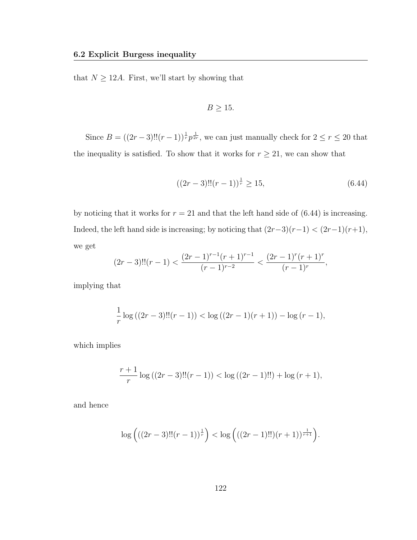that  $N \geq 12A$ . First, we'll start by showing that

$$
B \ge 15.
$$

Since  $B = ((2r-3)!!(r-1))^{\frac{1}{r}} p^{\frac{1}{2r}}$ , we can just manually check for  $2 \le r \le 20$  that the inequality is satisfied. To show that it works for  $r \geq 21$ , we can show that

$$
((2r-3)!!(r-1))^{\frac{1}{r}} \ge 15, \tag{6.44}
$$

by noticing that it works for  $r = 21$  and that the left hand side of  $(6.44)$  is increasing. Indeed, the left hand side is increasing; by noticing that  $(2r-3)(r-1) < (2r-1)(r+1)$ , we get

$$
(2r-3)!!(r-1) < \frac{(2r-1)^{r-1}(r+1)^{r-1}}{(r-1)^{r-2}} < \frac{(2r-1)^r(r+1)^r}{(r-1)^r},
$$

implying that

$$
\frac{1}{r}\log((2r-3)!!(r-1)) < \log((2r-1)(r+1)) - \log(r-1),
$$

which implies

$$
\frac{r+1}{r}\log((2r-3)!!(r-1)) < \log((2r-1)!!) + \log(r+1),
$$

and hence

$$
\log \left( ((2r-3)!!(r-1))^\frac{1}{r} \right) < \log \left( ((2r-1)!!)(r+1))^{\frac{1}{r+1}} \right).
$$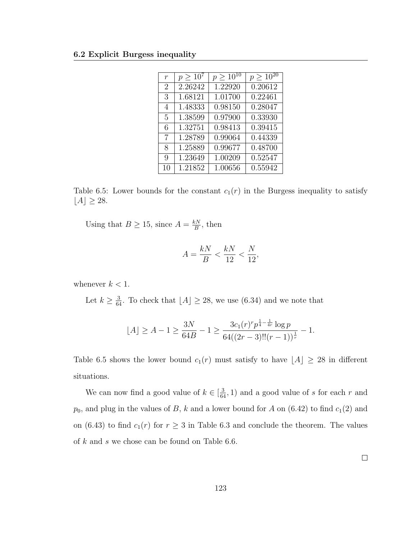| $\boldsymbol{r}$ | $p > 10^7$ | $p > 10^{10}$ | $p > 10^{20}$ |
|------------------|------------|---------------|---------------|
| $\overline{2}$   | 2.26242    | 1.22920       | 0.20612       |
| 3                | 1.68121    | 1.01700       | 0.22461       |
| 4                | 1.48333    | 0.98150       | 0.28047       |
| 5                | 1.38599    | 0.97900       | 0.33930       |
| 6                | 1.32751    | 0.98413       | 0.39415       |
| 7                | 1.28789    | 0.99064       | 0.44339       |
| 8                | 1.25889    | 0.99677       | 0.48700       |
| 9                | 1.23649    | 1.00209       | 0.52547       |
| 10               | 1.21852    | 1.00656       | 0.55942       |

Table 6.5: Lower bounds for the constant  $c_1(r)$  in the Burgess inequality to satisfy  $[A] \geq 28.$ 

Using that  $B \ge 15$ , since  $A = \frac{kN}{B}$  $\frac{\varepsilon N}{B}$ , then

$$
A = \frac{kN}{B} < \frac{kN}{12} < \frac{N}{12},
$$

whenever  $k < 1$ .

Let  $k \geq \frac{3}{64}$ . To check that  $[A] \geq 28$ , we use (6.34) and we note that

$$
\lfloor A \rfloor \ge A - 1 \ge \frac{3N}{64B} - 1 \ge \frac{3c_1(r)^{r} p^{\frac{1}{4} - \frac{1}{4r}} \log p}{64((2r - 3)!!(r - 1))^{\frac{1}{r}}} - 1.
$$

Table 6.5 shows the lower bound  $c_1(r)$  must satisfy to have  $\lfloor A \rfloor \geq 28$  in different situations.

We can now find a good value of  $k \in \left[\frac{3}{64}, 1\right)$  and a good value of s for each r and  $p_0$ , and plug in the values of B, k and a lower bound for A on (6.42) to find  $c_1(2)$  and on (6.43) to find  $c_1(r)$  for  $r \geq 3$  in Table 6.3 and conclude the theorem. The values of k and s we chose can be found on Table 6.6.

 $\Box$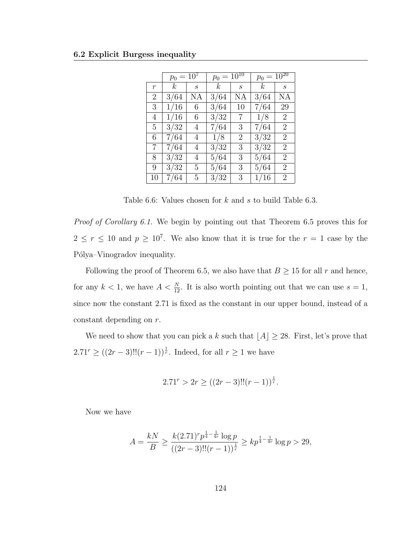|       | $p_0 = 10^7$ |         | $p_0 = 10^{10}$ |         | $p_0 = 10^{20}$ |                  |
|-------|--------------|---------|-----------------|---------|-----------------|------------------|
| $\,r$ | $k_{-}$      | $\,s\,$ | $k_{-}$         | $\,s\,$ | $\kappa$        | $\boldsymbol{s}$ |
| 2     | 3/64         | ΝA      | 3/64            | NA      | 3/64            | NΑ               |
| 3     | 1/16         | 6       | 3/64            | 10      | 7/64            | 29               |
| 4     | 1/16         | 6       | 3/32            | 7       | 1/8             | $\overline{2}$   |
| 5     | 3/32         | 4       | 7/64            | 3       | 7/64            | 2                |
| 6     | 7/64         | 4       | 1/8             | 2       | 3/32            | $\overline{2}$   |
| 7     | 7/64         | 4       | 3/32            | 3       | 3/32            | 2                |
| 8     | 3/32         | 4       | 5/64            | 3       | 5/64            | $\overline{2}$   |
| 9     | 3/32         | 5       | 5/64            | 3       | 5/64            | 2                |
| 10    | 7/64         | 5       | 3/32            | 3       | 1/16            | 2                |

Table 6.6: Values chosen for k and s to build Table 6.3.

*Proof of Corollary 6.1.* We begin by pointing out that Theorem 6.5 proves this for  $2 \le r \le 10$  and  $p \ge 10^7$ . We also know that it is true for the  $r = 1$  case by the Pólya–Vinogradov inequality.

Following the proof of Theorem 6.5, we also have that  $B \ge 15$  for all r and hence, for any  $k < 1$ , we have  $A < \frac{N}{12}$ . It is also worth pointing out that we can use  $s = 1$ , since now the constant 2.71 is fixed as the constant in our upper bound, instead of a constant depending on r.

We need to show that you can pick a k such that  $\lfloor A \rfloor \geq 28$ . First, let's prove that  $2.71^r \geq ((2r-3)!!(r-1))^{\frac{1}{r}}$ . Indeed, for all  $r \geq 1$  we have

$$
2.71r > 2r \ge ((2r - 3)!!(r - 1))^{\frac{1}{r}}.
$$

Now we have

$$
A = \frac{kN}{B} \ge \frac{k(2.71)^r p^{\frac{1}{4} - \frac{1}{4r}} \log p}{((2r - 3)!!(r - 1))^{\frac{1}{r}}} \ge kp^{\frac{1}{4} - \frac{1}{4r}} \log p > 29,
$$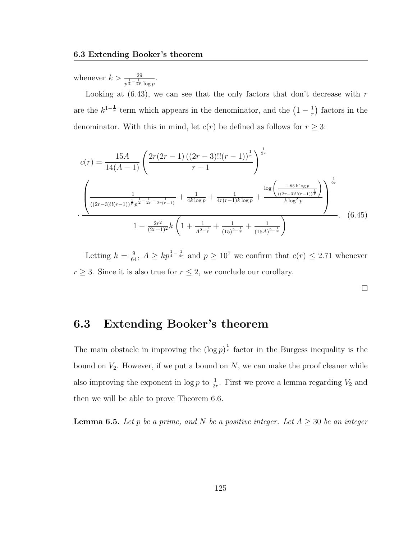whenever  $k > \frac{29}{p^{\frac{1}{4} - \frac{1}{4r}} \log p}$ .

Looking at  $(6.43)$ , we can see that the only factors that don't decrease with r are the  $k^{1-\frac{1}{r}}$  term which appears in the denominator, and the  $(1-\frac{1}{r})$  $(\frac{1}{r})$  factors in the denominator. With this in mind, let  $c(r)$  be defined as follows for  $r \geq 3$ :

$$
c(r) = \frac{15A}{14(A-1)} \left( \frac{2r(2r-1)\left((2r-3)!!(r-1)\right)^{\frac{1}{r}}}{r-1} \right)^{\frac{1}{2r}}
$$

$$
\cdot \frac{\left(\frac{1}{((2r-3)!!(r-1))^{\frac{1}{r}}p^{\frac{1}{2}-\frac{1}{2r}-\frac{1}{2r(r-1)}}} + \frac{1}{4k\log p} + \frac{1}{4r(r-1)k\log p} + \frac{\log\left(\frac{1.85k\log p}{((2r-3)!!(r-1))^{\frac{1}{r}}}\right)}{k\log^2 p}\right)^{\frac{1}{2r}}
$$

$$
1 - \frac{2r^2}{(2r-1)^2}k\left(1 + \frac{1}{A^{2-\frac{1}{r}}} + \frac{1}{(15)^{2-\frac{1}{r}}} + \frac{1}{(15A)^{2-\frac{1}{r}}}\right) \tag{6.45}
$$

Letting  $k = \frac{9}{64}$ ,  $A \ge kp^{\frac{1}{4} - \frac{1}{4r}}$  and  $p \ge 10^7$  we confirm that  $c(r) \le 2.71$  whenever  $r \geq 3$ . Since it is also true for  $r \leq 2$ , we conclude our corollary.

 $\Box$ 

### 6.3 Extending Booker's theorem

The main obstacle in improving the  $(\log p)^{\frac{1}{r}}$  factor in the Burgess inequality is the bound on  $V_2$ . However, if we put a bound on N, we can make the proof cleaner while also improving the exponent in  $\log p$  to  $\frac{1}{2r}$ . First we prove a lemma regarding  $V_2$  and then we will be able to prove Theorem 6.6.

**Lemma 6.5.** Let p be a prime, and N be a positive integer. Let  $A \geq 30$  be an integer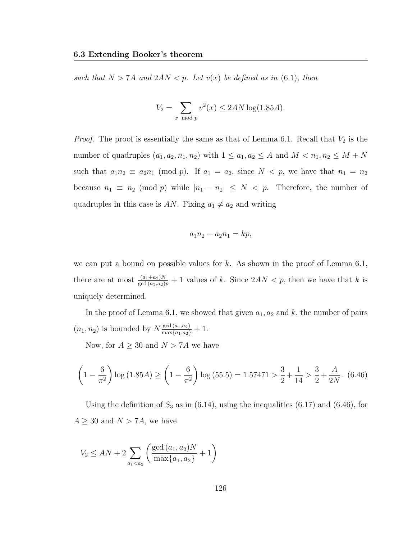such that  $N > 7A$  and  $2AN < p$ . Let  $v(x)$  be defined as in (6.1), then

$$
V_2 = \sum_{x \mod p} v^2(x) \le 2AN \log(1.85A).
$$

*Proof.* The proof is essentially the same as that of Lemma 6.1. Recall that  $V_2$  is the number of quadruples  $(a_1, a_2, n_1, n_2)$  with  $1 \le a_1, a_2 \le A$  and  $M < n_1, n_2 \le M + N$ such that  $a_1n_2 \equiv a_2n_1 \pmod{p}$ . If  $a_1 = a_2$ , since  $N < p$ , we have that  $n_1 = n_2$ because  $n_1 \equiv n_2 \pmod{p}$  while  $|n_1 - n_2| \leq N \leq p$ . Therefore, the number of quadruples in this case is AN. Fixing  $a_1 \neq a_2$  and writing

$$
a_1n_2 - a_2n_1 = kp,
$$

we can put a bound on possible values for  $k$ . As shown in the proof of Lemma 6.1, there are at most  $\frac{(a_1+a_2)N}{\gcd(a_1,a_2)p}+1$  values of k. Since  $2AN < p$ , then we have that k is uniquely determined.

In the proof of Lemma 6.1, we showed that given  $a_1, a_2$  and k, the number of pairs  $(n_1, n_2)$  is bounded by  $N \frac{\gcd(a_1, a_2)}{\max\{a_1, a_2\}} + 1$ .

Now, for  $A \geq 30$  and  $N > 7A$  we have

$$
\left(1 - \frac{6}{\pi^2}\right) \log\left(1.85A\right) \ge \left(1 - \frac{6}{\pi^2}\right) \log\left(55.5\right) = 1.57471 > \frac{3}{2} + \frac{1}{14} > \frac{3}{2} + \frac{A}{2N}.\tag{6.46}
$$

Using the definition of  $S_3$  as in (6.14), using the inequalities (6.17) and (6.46), for  $A \geq 30$  and  $N > 7A$ , we have

$$
V_2 \le AN + 2\sum_{a_1 < a_2} \left( \frac{\gcd{(a_1, a_2)}N}{\max\{a_1, a_2\}} + 1 \right)
$$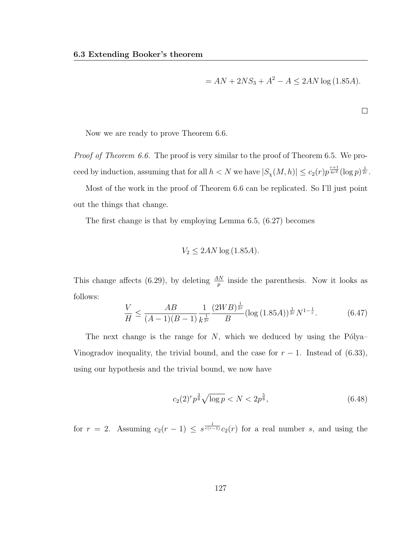$$
= AN + 2NS3 + A2 - A \le 2AN \log(1.85A).
$$

 $\Box$ 

Now we are ready to prove Theorem 6.6.

Proof of Theorem 6.6. The proof is very similar to the proof of Theorem 6.5. We proceed by induction, assuming that for all  $h < N$  we have  $|S_{\chi}(M,h)| \leq c_2(r) p^{\frac{r+1}{4r^2}} (\log p)^{\frac{1}{2r}}$ .

Most of the work in the proof of Theorem 6.6 can be replicated. So I'll just point out the things that change.

The first change is that by employing Lemma 6.5, (6.27) becomes

$$
V_2 \le 2AN \log(1.85A).
$$

This change affects (6.29), by deleting  $\frac{AN}{p}$  inside the parenthesis. Now it looks as follows:

$$
\frac{V}{H} \le \frac{AB}{(A-1)(B-1)} \frac{1}{k^{\frac{1}{2r}}} \frac{(2WB)^{\frac{1}{2r}}}{B} (\log(1.85A))^{\frac{1}{2r}} N^{1-\frac{1}{r}}.
$$
 (6.47)

The next change is the range for  $N$ , which we deduced by using the Pólya– Vinogradov inequality, the trivial bound, and the case for  $r - 1$ . Instead of (6.33), using our hypothesis and the trivial bound, we now have

$$
c_2(2)^r p^{\frac{3}{8}} \sqrt{\log p} < N < 2p^{\frac{5}{8}},\tag{6.48}
$$

for  $r = 2$ . Assuming  $c_2(r-1) \leq s^{\frac{1}{r(r-1)}}c_2(r)$  for a real number s, and using the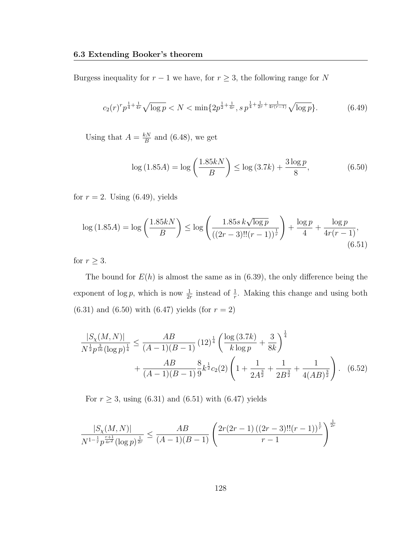Burgess inequality for  $r - 1$  we have, for  $r \geq 3$ , the following range for N

$$
c_2(r)^r p^{\frac{1}{4} + \frac{1}{4r}} \sqrt{\log p} < N < \min\{2p^{\frac{1}{2} + \frac{1}{4r}}, s\, p^{\frac{1}{4} + \frac{1}{2r} + \frac{1}{4r(r-1)}} \sqrt{\log p}\}.\tag{6.49}
$$

Using that  $A = \frac{kN}{B}$  $\frac{dN}{B}$  and (6.48), we get

$$
\log(1.85A) = \log\left(\frac{1.85kN}{B}\right) \le \log(3.7k) + \frac{3\log p}{8},\tag{6.50}
$$

for  $r = 2$ . Using (6.49), yields

$$
\log(1.85A) = \log\left(\frac{1.85k}{B}\right) \le \log\left(\frac{1.85s \, k\sqrt{\log p}}{\left((2r-3)!!(r-1)\right)^{\frac{1}{r}}}\right) + \frac{\log p}{4} + \frac{\log p}{4r(r-1)},\tag{6.51}
$$

for  $r \geq 3$ .

The bound for  $E(h)$  is almost the same as in (6.39), the only difference being the exponent of  $\log p$ , which is now  $\frac{1}{2r}$  instead of  $\frac{1}{r}$ . Making this change and using both  $(6.31)$  and  $(6.50)$  with  $(6.47)$  yields (for  $r = 2)$ )

$$
\frac{|S_{\chi}(M,N)|}{N^{\frac{1}{2}}p^{\frac{3}{16}}(\log p)^{\frac{1}{4}}} \le \frac{AB}{(A-1)(B-1)} (12)^{\frac{1}{4}} \left(\frac{\log(3.7k)}{k \log p} + \frac{3}{8k}\right)^{\frac{1}{4}} + \frac{AB}{(A-1)(B-1)^{\frac{8}{9}}k^{\frac{1}{2}}c_2(2) \left(1 + \frac{1}{2A^{\frac{3}{2}}} + \frac{1}{2B^{\frac{3}{2}}} + \frac{1}{4(AB)^{\frac{3}{2}}}\right). (6.52)
$$

For  $r \geq 3$ , using (6.31) and (6.51) with (6.47) yields

$$
\frac{|S_{\chi}(M,N)|}{N^{1-\frac{1}{r}}p^{\frac{r+1}{4r^2}}(\log p)^{\frac{1}{2r}}} \leq \frac{AB}{(A-1)(B-1)} \left(\frac{2r(2r-1)((2r-3)!!(r-1))^{\frac{1}{r}}}{r-1}\right)^{\frac{1}{2r}}
$$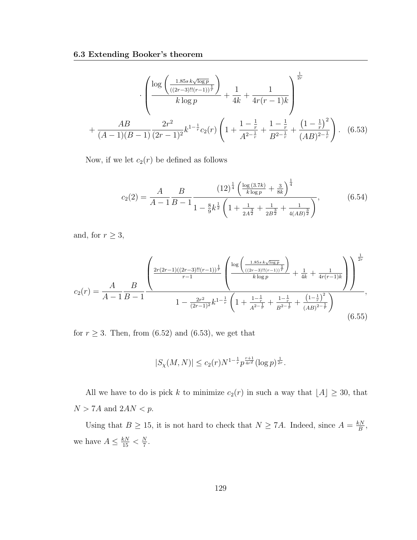$$
+\frac{AB}{(A-1)(B-1)}\frac{2r^2}{(2r-1)^2}k^{1-\frac{1}{r}}c_2(r)\left(1+\frac{1-\frac{1}{r}}{A^{2-\frac{1}{r}}}+\frac{1-\frac{1}{r}}{B^{2-\frac{1}{r}}}+\frac{(1-\frac{1}{r})^2}{(AB)^{2-\frac{1}{r}}}\right). \quad (6.53)
$$

Now, if we let  $c_2(r)$  be defined as follows

$$
c_2(2) = \frac{A}{A-1} \frac{B}{B-1} \frac{\left(12\right)^{\frac{1}{4}} \left(\frac{\log(3.7k)}{k \log p} + \frac{3}{8k}\right)^{\frac{1}{4}}}{1 - \frac{8}{9}k^{\frac{1}{2}} \left(1 + \frac{1}{2A^{\frac{3}{2}}} + \frac{1}{2B^{\frac{3}{2}}} + \frac{1}{4(AB)^{\frac{3}{2}}}\right)},\tag{6.54}
$$

and, for  $r\geq 3,$ 

$$
c_{2}(r) = \frac{A}{A-1} \frac{B}{B-1} \frac{\left(\frac{2r(2r-1)((2r-3)!!(r-1))^{\frac{1}{r}}}{r-1}\left(\frac{\log\left(\frac{1.85s k\sqrt{\log p}}{((2r-3)!!(r-1))^{\frac{1}{r}}}\right)}{k\log p}+\frac{1}{4k}+\frac{1}{4r(r-1)k}\right)\right)^{\frac{1}{2r}}}{1-\frac{2r^{2}}{(2r-1)^{2}}k^{1-\frac{1}{r}}\left(1+\frac{1-\frac{1}{r}}{A^{2-\frac{1}{r}}}+\frac{1-\frac{1}{r}}{B^{2-\frac{1}{r}}}+\frac{(1-\frac{1}{r})^{2}}{(AB)^{2-\frac{1}{r}}}\right)},\tag{6.55}
$$

for  $r \geq 3$ . Then, from (6.52) and (6.53), we get that

$$
|S_{\chi}(M,N)| \leq c_2(r) N^{1-\frac{1}{r}} p^{\frac{r+1}{4r^2}} (\log p)^{\frac{1}{2r}}.
$$

All we have to do is pick k to minimize  $c_2(r)$  in such a way that  $\lfloor A \rfloor \geq 30$ , that  $N>7A$  and  $2AN< p.$ 

Using that  $B \ge 15$ , it is not hard to check that  $N \ge 7A$ . Indeed, since  $A = \frac{kN}{B}$  $\frac{\partial N}{\partial B},$ we have  $A \leq \frac{kN}{15} < \frac{N}{7}$  $\frac{N}{7}$ .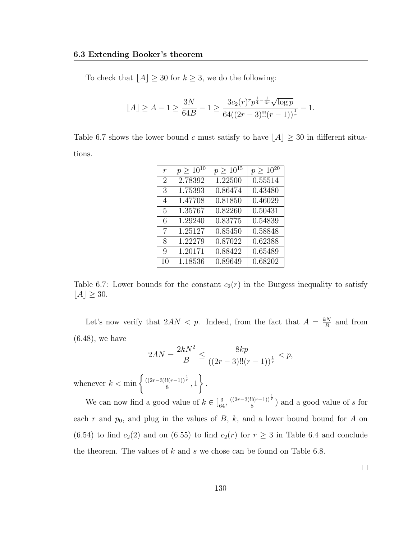To check that  $\lfloor A \rfloor \geq 30$  for  $k \geq 3$ , we do the following:

$$
\lfloor A \rfloor \ge A - 1 \ge \frac{3N}{64B} - 1 \ge \frac{3c_2(r)r p^{\frac{1}{4} - \frac{1}{4r}} \sqrt{\log p}}{64((2r - 3)!!(r - 1))^\frac{1}{r}} - 1.
$$

Table 6.7 shows the lower bound c must satisfy to have  $[A] \geq 30$  in different situations.

| $\boldsymbol{r}$ | $p \geq 10^{10}$ | $p \geq \overline{10^{15}}$ | $p \geq \overline{10^{20}}$ |
|------------------|------------------|-----------------------------|-----------------------------|
| $\overline{2}$   | 2.78392          | 1.22500                     | 0.55514                     |
| 3                | 1.75393          | 0.86474                     | 0.43480                     |
| 4                | 1.47708          | 0.81850                     | 0.46029                     |
| 5                | 1.35767          | 0.82260                     | 0.50431                     |
| 6                | 1.29240          | 0.83775                     | 0.54839                     |
| 7                | 1.25127          | 0.85450                     | 0.58848                     |
| 8                | 1.22279          | 0.87022                     | 0.62388                     |
| 9                | 1.20171          | 0.88422                     | 0.65489                     |
| 10               | 1.18536          | 0.89649                     | 0.68202                     |

Table 6.7: Lower bounds for the constant  $c_2(r)$  in the Burgess inequality to satisfy  $[A] \geq 30.$ 

Let's now verify that  $2AN < p$ . Indeed, from the fact that  $A = \frac{kN}{R}$  $\frac{\varepsilon N}{B}$  and from (6.48), we have

$$
2AN = \frac{2kN^2}{B} \le \frac{8kp}{((2r-3)!!(r-1))^\frac{1}{r}} < p,
$$

whenever  $k < \min \left\{ \frac{((2r-3)!!(r-1))^{\frac{1}{r}}}{8} \right\}$  $\frac{((r-1))^{r}}{8}, 1$  $\mathcal{L}$ .

We can now find a good value of  $k \in [\frac{3}{64}, \frac{((2r-3)!!(r-1))^{\frac{1}{r}}}{8}]$  $\frac{n!(r-1)!\binom{r}{r}}{8}$  and a good value of s for each r and  $p_0$ , and plug in the values of B, k, and a lower bound bound for A on (6.54) to find  $c_2(2)$  and on (6.55) to find  $c_2(r)$  for  $r \geq 3$  in Table 6.4 and conclude the theorem. The values of  $k$  and  $s$  we chose can be found on Table 6.8.

 $\Box$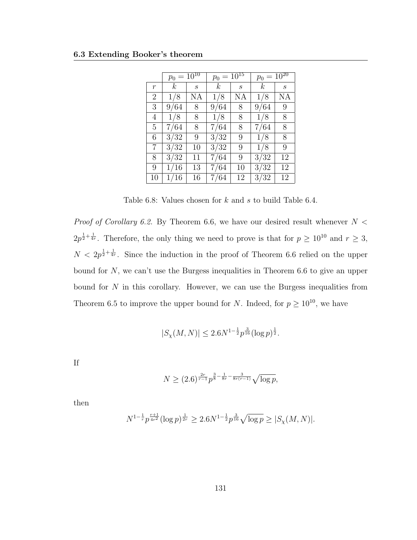|                | $p_0 = 10^{10}$  |              | $=10^{15}$<br>$p_0$ |                                                           | $p_0 = 10^{20}$ |                  |
|----------------|------------------|--------------|---------------------|-----------------------------------------------------------|-----------------|------------------|
| $\overline{r}$ | $\boldsymbol{k}$ | $\mathcal S$ | $\boldsymbol{k}$    | $\mathcal{S}% _{M_{1},M_{2}}^{\alpha,\beta}(\varepsilon)$ | $\kappa$        | $\boldsymbol{s}$ |
| $\overline{2}$ | 1/8              | ΝA           | 1/8                 | ΝA                                                        | 1/8             | ΝA               |
| 3              | 9/64             | 8            | 9/64                | 8                                                         | 9/64            | 9                |
| 4              | 1/8              | 8            | 1/8                 | 8                                                         | 1/8             | 8                |
| 5              | 7/64             | 8            | 7/64                | 8                                                         | 7/64            | 8                |
| 6              | 3/32             | 9            | 3/32                | 9                                                         | 1/8             | 8                |
| $\overline{7}$ | 3/32             | 10           | 3/32                | 9                                                         | 1/8             | 9                |
| 8              | 3/32             | 11           | 7/64                | 9                                                         | 3/32            | 12               |
| 9              | 1/16             | 13           | 7/64                | 10                                                        | 3/32            | 12               |
| 10             | 1/16             | 16           | 7/64                | 12                                                        | 3/32            | 12               |

Table 6.8: Values chosen for k and s to build Table 6.4.

*Proof of Corollary 6.2.* By Theorem 6.6, we have our desired result whenever  $N <$  $2p^{\frac{1}{2}+\frac{1}{4r}}$ . Therefore, the only thing we need to prove is that for  $p \geq 10^{10}$  and  $r \geq 3$ ,  $N < 2p^{\frac{1}{2} + \frac{1}{4r}}$ . Since the induction in the proof of Theorem 6.6 relied on the upper bound for  $N$ , we can't use the Burgess inequalities in Theorem 6.6 to give an upper bound for  $N$  in this corollary. However, we can use the Burgess inequalities from Theorem 6.5 to improve the upper bound for N. Indeed, for  $p \ge 10^{10}$ , we have

$$
|S_{\chi}(M,N)| \le 2.6N^{1-\frac{1}{2}}p^{\frac{3}{16}}(\log p)^{\frac{1}{2}}.
$$

If

$$
N \ge (2.6)^{\frac{2r}{r-1}} p^{\frac{3}{8} - \frac{1}{8r} - \frac{3}{8r(r-1)}} \sqrt{\log p},
$$

then

$$
N^{1-\frac{1}{r}}p^{\frac{r+1}{4r^2}}(\log p)^{\frac{1}{2r}} \ge 2.6N^{1-\frac{1}{2}}p^{\frac{3}{16}}\sqrt{\log p} \ge |S_{\chi}(M,N)|.
$$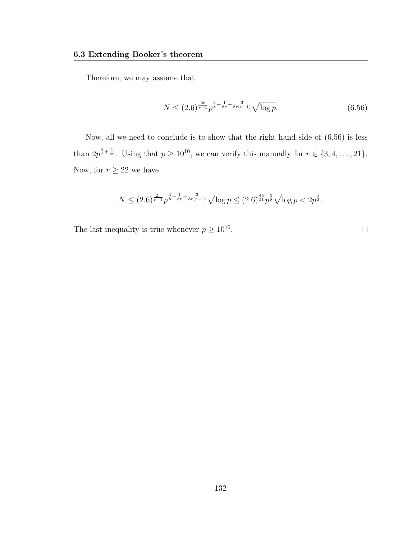Therefore, we may assume that

$$
N \le (2.6)^{\frac{2r}{r-1}} p^{\frac{3}{8} - \frac{1}{8r} - \frac{3}{8r(r-1)}} \sqrt{\log p}.
$$
 (6.56)

Now, all we need to conclude is to show that the right hand side of (6.56) is less than  $2p^{\frac{1}{2}+\frac{1}{4r}}$ . Using that  $p \geq 10^{10}$ , we can verify this manually for  $r \in \{3, 4, \ldots, 21\}$ . Now, for  $r\geq 22$  we have

$$
N \le (2.6)^{\frac{2r}{r-1}} p^{\frac{3}{8} - \frac{1}{8r} - \frac{3}{8r(r-1)}} \sqrt{\log p} \le (2.6)^{\frac{44}{21}} p^{\frac{3}{8}} \sqrt{\log p} < 2p^{\frac{1}{2}}.
$$

The last inequality is true whenever  $p \geq 10^{10}$ .

 $\Box$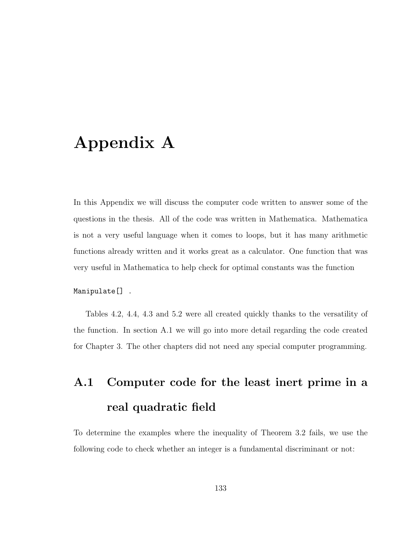## Appendix A

In this Appendix we will discuss the computer code written to answer some of the questions in the thesis. All of the code was written in Mathematica. Mathematica is not a very useful language when it comes to loops, but it has many arithmetic functions already written and it works great as a calculator. One function that was very useful in Mathematica to help check for optimal constants was the function

Manipulate[] .

Tables 4.2, 4.4, 4.3 and 5.2 were all created quickly thanks to the versatility of the function. In section A.1 we will go into more detail regarding the code created for Chapter 3. The other chapters did not need any special computer programming.

# A.1 Computer code for the least inert prime in a real quadratic field

To determine the examples where the inequality of Theorem 3.2 fails, we use the following code to check whether an integer is a fundamental discriminant or not: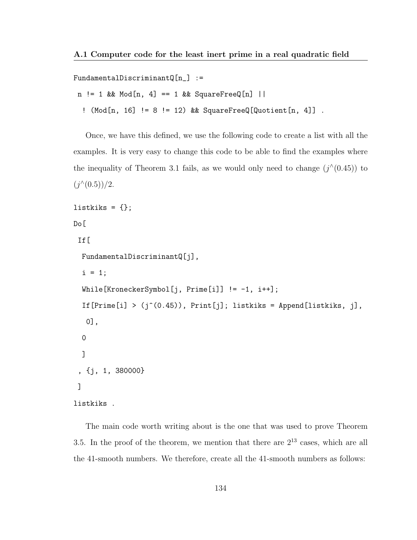FundamentalDiscriminantQ $[n_$  :=

```
n := 1 & Mod[n, 4] == 1 & SquareFreeQ[n] ||
```
! (Mod[n, 16] != 8 != 12) && SquareFreeQ[Quotient[n, 4]] .

Once, we have this defined, we use the following code to create a list with all the examples. It is very easy to change this code to be able to find the examples where the inequality of Theorem 3.1 fails, as we would only need to change  $(j^{\wedge}(0.45))$  to  $(j^{\wedge}(0.5))/2.$ 

```
listkiks = \{\};
Do[
 If[
  FundamentalDiscriminantQ[j],
  i = 1;While[KroneckerSymbol[j, Prime[i]] != -1, i++];
  If [Prime[i] > (j^(0.45)), Print[j]; listkiks = Append[listkiks, j],
  0],
  0
  ]
 , {j, 1, 380000}
 ]
listkiks .
```
The main code worth writing about is the one that was used to prove Theorem 3.5. In the proof of the theorem, we mention that there are  $2^{13}$  cases, which are all the 41-smooth numbers. We therefore, create all the 41-smooth numbers as follows: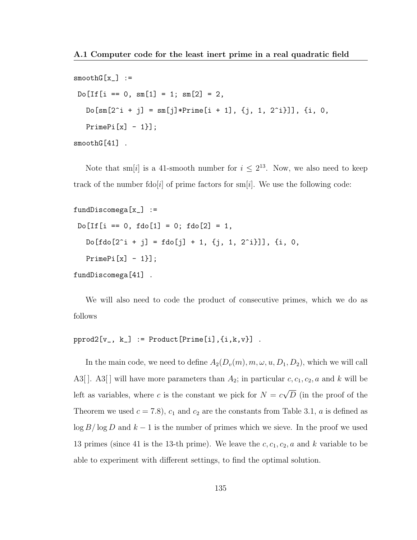```
smoothG[x_] :=
Do[If[i == 0, sm[1] = 1; sm[2] = 2,Do[sm[2^i + j] = sm[j]*Prime[i + 1], {j, 1, 2^i}]], {i, 0,PrimePi[x] - 1}];
smoothG[41] .
```
Note that sm[i] is a 41-smooth number for  $i \leq 2^{13}$ . Now, we also need to keep track of the number fdo[i] of prime factors for sm[i]. We use the following code:

```
fundDiscomega[x_] :=
Do[If[i == 0, fdo[1] = 0; fdo[2] = 1,Do[fdo[2^i + j] = fdo[j] + 1, {j, 1, 2^i}], {i, 0,PrimePi[x] - 1}];
```
fundDiscomega[41] .

We will also need to code the product of consecutive primes, which we do as follows

```
pprod2[v_-, k_] := Product[Prime[i], {i, k, v}].
```
In the main code, we need to define  $A_2(D_v(m), m, \omega, u, D_1, D_2)$ , which we will call A3[]. A3[] will have more parameters than  $A_2$ ; in particular  $c, c_1, c_2, a$  and k will be left as variables, where c is the constant we pick for  $N = c$ √ D (in the proof of the Theorem we used  $c = 7.8$ ,  $c_1$  and  $c_2$  are the constants from Table 3.1, a is defined as  $\log B/\log D$  and  $k-1$  is the number of primes which we sieve. In the proof we used 13 primes (since 41 is the 13-th prime). We leave the  $c, c_1, c_2, a$  and k variable to be able to experiment with different settings, to find the optimal solution.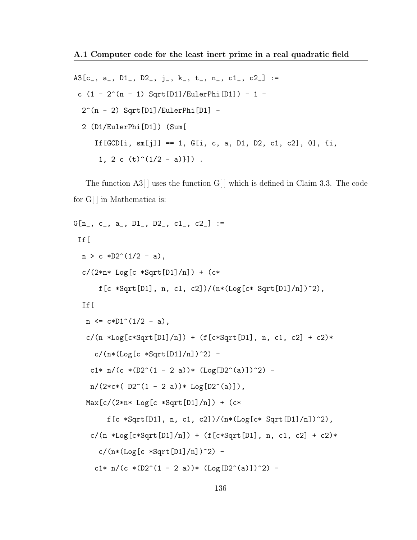A3 $[c_$ , a<sub>-</sub>, D1<sub>-</sub>, D2<sub>-</sub>, j<sub>-</sub>, k<sub>-</sub>, t<sub>-</sub>, n<sub>-</sub>, c1<sub>-</sub>, c2<sub>-</sub>] := c  $(1 - 2^{(n - 1)}$  Sqrt[D1]/EulerPhi[D1]) - 1 - $2^(n - 2)$  Sqrt[D1]/EulerPhi[D1] -2 (D1/EulerPhi[D1]) (Sum[ If  $[GCD[i, sm[j]] == 1, G[i, c, a, D1, D2, c1, c2], 0], \{i,$ 1, 2 c  $(t)^{(1/2 - a)}$ .

The function A3[ ] uses the function G[ ] which is defined in Claim 3.3. The code for G[] in Mathematica is:

```
G[n_, c_, a_, D1_, D2_, c1_, c2_] :=
 If[
 n > c *D2^(1/2 - a),
  c/(2*n* Log[c *Sqrt[D1]/n]) + (c*f[c *Sqrt[D1], n, c1, c2])/(n*(Log[c* Sqrt[D1]/n])^2),
  If[
  n \leq c * D1^(1/2 - a),
   c/(n * Log[c*Sqrt[D1]/n]) + (f[c*Sqrt[D1], n, c1, c2] + c2)*c/(n*(Log[c *Sqrt[D1]/n])^2) -c1* n/(c * (D2^{(1 - 2 a)}) * (Log[D2^{(a)}])^{2}) -
    n/(2*c*(D2^{(1 - 2 a)}) * Log[D2^{(a)}]),Max[c/(2*n*Log[c *Sqrt[D1]/n]) + (c*f[c *Sqrt[D1], n, c1, c2])/(n * (Log[c * Sqrt[D1]/n])^2),c/(n *Log[c*Sqrt[D1]/n]) + (f[c*Sqrt[D1], n, c1, c2] + c2)*c/(n*(Log[c *Sort[D1]/n])^2) -
     c1* n/(c *(D2^(1 - 2 a))* (Log[D2^(a)])^2) -
```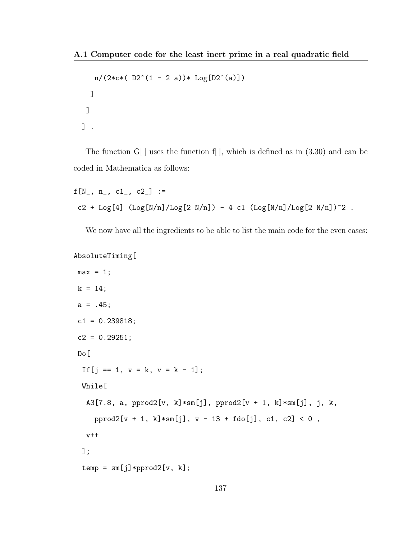```
n/(2*c*(D2^(1 - 2 a))*Log[D2^(a)])]
]
] .
```
The function  $G[$  uses the function f[ ], which is defined as in  $(3.30)$  and can be coded in Mathematica as follows:

```
f[N_-, n_-, c1_-, c2_] :=c2 + Log[4] (Log[N/n]/Log[2 N/n]) - 4 c1 (Log[N/n]/Log[2 N/n])^2.
```
We now have all the ingredients to be able to list the main code for the even cases:

```
AbsoluteTiming[
```

```
max = 1;
k = 14;a = .45;c1 = 0.239818;c2 = 0.29251;Do[
 If [i == 1, v = k, v = k - 1];While[
  A3[7.8, a, pprod2[v, k]*sm[j], pprod2[v + 1, k]*sm[j], j, k,
    pprod2[v + 1, k]*sm[j], v - 13 + fdo[j], c1, c2] < 0,
  V++];
 temp = sm[j]*pprod2[v, k];
```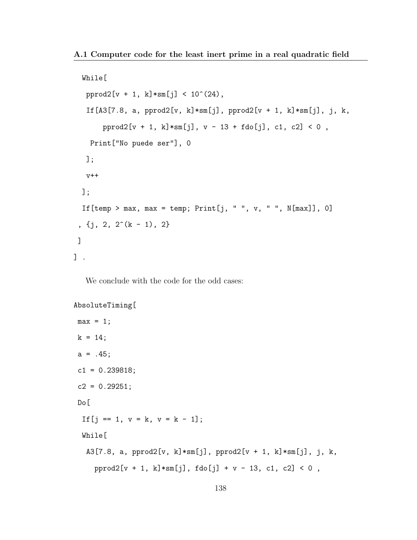```
While[
  pprod2[v + 1, k]*sm[j] < 10^(24),
   If [A3[7.8, a, pprod2[v, k]*sm[j], pprod2[v + 1, k]*sm[j], j, k,
       pprod2[v + 1, k]*sm[j], v - 13 + fdo[j], c1, c2] < 0,
   Print["No puede ser"], 0
  ];
  V++];
 If [temp > max, max = temp; Print [j, " ", v, " ", N[max]], 0]
 , \{j, 2, 2^*(k - 1), 2\}]
] .
```
We conclude with the code for the odd cases:

```
AbsoluteTiming[
```

```
max = 1;
k = 14;a = .45;c1 = 0.239818;c2 = 0.29251;Do[
 If [j == 1, v = k, v = k - 1];While[
  A3[7.8, a, pprod2[v, k]*sm[j], pprod2[v + 1, k]*sm[j], j, k,
    prod2[v + 1, k]*sm[j], fdo[j] + v - 13, c1, c2] < 0,
```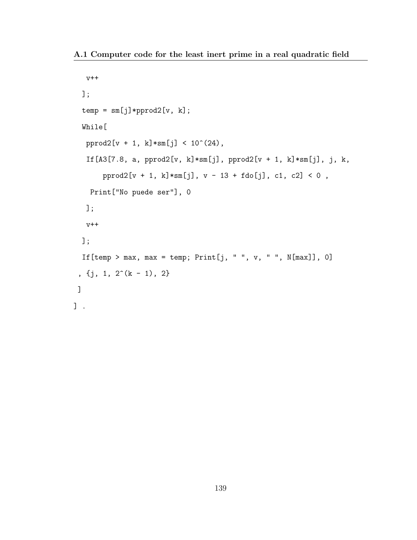A.1 Computer code for the least inert prime in a real quadratic field

```
v++
  ];
  temp = sm[j]*pprod2[v, k];While[
  pprod2[v + 1, k]*sm[j] < 10^(24),If[A3[7.8, a, pprod2[v, k]*sm[j], pprod2[v + 1, k]*sm[j], j, k,
       pprod2[v + 1, k]*sm[j], v - 13 + fdo[j], c1, c2] < 0,
    Print["No puede ser"], 0
   ];
   v++
  ];
  If [temp > max, max = temp; Print [j, " ", v, " ", N[max]], 0]
 , \{j, 1, 2^*(k - 1), 2\}]
\overline{J} .
```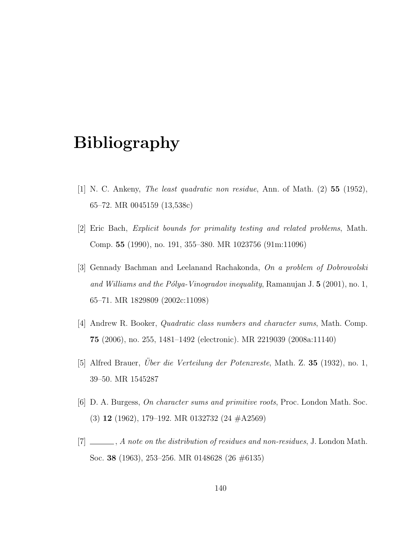## Bibliography

- [1] N. C. Ankeny, The least quadratic non residue, Ann. of Math. (2) 55 (1952), 65–72. MR 0045159 (13,538c)
- [2] Eric Bach, Explicit bounds for primality testing and related problems, Math. Comp. 55 (1990), no. 191, 355–380. MR 1023756 (91m:11096)
- [3] Gennady Bachman and Leelanand Rachakonda, On a problem of Dobrowolski and Williams and the Pólya-Vinogradov inequality, Ramanujan J.  $5$  (2001), no. 1, 65–71. MR 1829809 (2002c:11098)
- [4] Andrew R. Booker, Quadratic class numbers and character sums, Math. Comp. 75 (2006), no. 255, 1481–1492 (electronic). MR 2219039 (2008a:11140)
- [5] Alfred Brauer, *Uber die Verteilung der Potenzreste*, Math. Z.  $35$  (1932), no. 1, 39–50. MR 1545287
- [6] D. A. Burgess, On character sums and primitive roots, Proc. London Math. Soc. (3) 12 (1962), 179–192. MR 0132732 (24 #A2569)
- $[7] \ \_\_\_\_\_$ , A note on the distribution of residues and non-residues, J. London Math. Soc. 38 (1963), 253–256. MR 0148628 (26 #6135)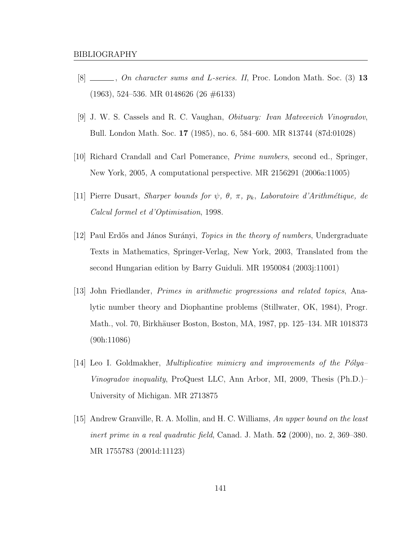- $[8]$   $\_\_\_\_\_\_$ , On character sums and L-series. II, Proc. London Math. Soc. (3) 13 (1963), 524–536. MR 0148626 (26 #6133)
- [9] J. W. S. Cassels and R. C. Vaughan, Obituary: Ivan Matveevich Vinogradov, Bull. London Math. Soc. 17 (1985), no. 6, 584–600. MR 813744 (87d:01028)
- [10] Richard Crandall and Carl Pomerance, Prime numbers, second ed., Springer, New York, 2005, A computational perspective. MR 2156291 (2006a:11005)
- [11] Pierre Dusart, Sharper bounds for  $\psi$ ,  $\theta$ ,  $\pi$ ,  $p_k$ , Laboratoire d'Arithmétique, de Calcul formel et d'Optimisation, 1998.
- [12] Paul Erdős and János Surányi, *Topics in the theory of numbers*, Undergraduate Texts in Mathematics, Springer-Verlag, New York, 2003, Translated from the second Hungarian edition by Barry Guiduli. MR 1950084 (2003j:11001)
- [13] John Friedlander, Primes in arithmetic progressions and related topics, Analytic number theory and Diophantine problems (Stillwater, OK, 1984), Progr. Math., vol. 70, Birkhäuser Boston, Boston, MA, 1987, pp. 125–134. MR 1018373 (90h:11086)
- [14] Leo I. Goldmakher, *Multiplicative mimicry and improvements of the Polya–* Vinogradov inequality, ProQuest LLC, Ann Arbor, MI, 2009, Thesis (Ph.D.)– University of Michigan. MR 2713875
- [15] Andrew Granville, R. A. Mollin, and H. C. Williams, An upper bound on the least inert prime in a real quadratic field, Canad. J. Math.  $52$  (2000), no. 2, 369–380. MR 1755783 (2001d:11123)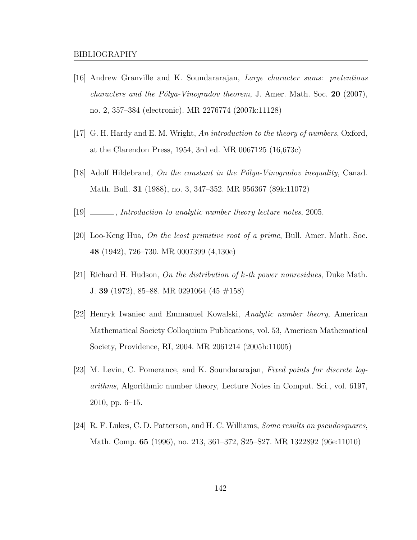- [16] Andrew Granville and K. Soundararajan, Large character sums: pretentious *characters and the Pólya-Vinogradov theorem*, J. Amer. Math. Soc. 20 (2007), no. 2, 357–384 (electronic). MR 2276774 (2007k:11128)
- [17] G. H. Hardy and E. M. Wright, An introduction to the theory of numbers, Oxford, at the Clarendon Press, 1954, 3rd ed. MR 0067125 (16,673c)
- [18] Adolf Hildebrand, On the constant in the Pólya-Vinogradov inequality, Canad. Math. Bull. 31 (1988), no. 3, 347–352. MR 956367 (89k:11072)
- [19] \_\_\_\_\_\_, *Introduction to analytic number theory lecture notes*, 2005.
- [20] Loo-Keng Hua, On the least primitive root of a prime, Bull. Amer. Math. Soc. 48 (1942), 726–730. MR 0007399 (4,130e)
- [21] Richard H. Hudson, On the distribution of  $k$ -th power nonresidues, Duke Math. J. 39 (1972), 85–88. MR 0291064 (45 #158)
- [22] Henryk Iwaniec and Emmanuel Kowalski, Analytic number theory, American Mathematical Society Colloquium Publications, vol. 53, American Mathematical Society, Providence, RI, 2004. MR 2061214 (2005h:11005)
- [23] M. Levin, C. Pomerance, and K. Soundararajan, Fixed points for discrete logarithms, Algorithmic number theory, Lecture Notes in Comput. Sci., vol. 6197, 2010, pp. 6–15.
- [24] R. F. Lukes, C. D. Patterson, and H. C. Williams, Some results on pseudosquares, Math. Comp. 65 (1996), no. 213, 361–372, S25–S27. MR 1322892 (96e:11010)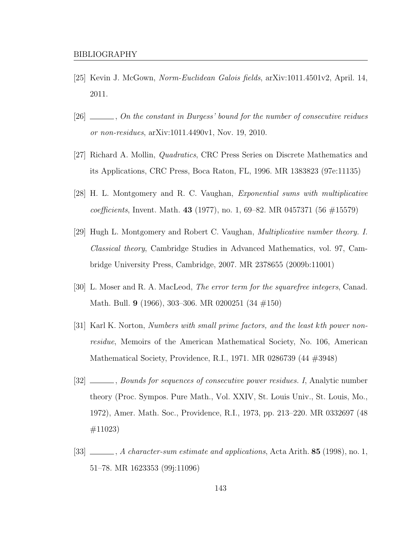- [25] Kevin J. McGown, Norm-Euclidean Galois fields, arXiv:1011.4501v2, April. 14, 2011.
- [26]  $\ldots$ , On the constant in Burgess' bound for the number of consecutive reidues or non-residues, arXiv:1011.4490v1, Nov. 19, 2010.
- [27] Richard A. Mollin, Quadratics, CRC Press Series on Discrete Mathematics and its Applications, CRC Press, Boca Raton, FL, 1996. MR 1383823 (97e:11135)
- [28] H. L. Montgomery and R. C. Vaughan, Exponential sums with multiplicative coefficients, Invent. Math. 43 (1977), no. 1, 69–82. MR 0457371 (56  $\#15579$ )
- [29] Hugh L. Montgomery and Robert C. Vaughan, Multiplicative number theory. I. Classical theory, Cambridge Studies in Advanced Mathematics, vol. 97, Cambridge University Press, Cambridge, 2007. MR 2378655 (2009b:11001)
- [30] L. Moser and R. A. MacLeod, The error term for the squarefree integers, Canad. Math. Bull. 9 (1966), 303–306. MR 0200251 (34 #150)
- [31] Karl K. Norton, Numbers with small prime factors, and the least kth power nonresidue, Memoirs of the American Mathematical Society, No. 106, American Mathematical Society, Providence, R.I., 1971. MR 0286739 (44 #3948)
- [32] Sounds for sequences of consecutive power residues. I, Analytic number theory (Proc. Sympos. Pure Math., Vol. XXIV, St. Louis Univ., St. Louis, Mo., 1972), Amer. Math. Soc., Providence, R.I., 1973, pp. 213–220. MR 0332697 (48 #11023)
- [33]  $\_\_\_\_\$ , A character-sum estimate and applications, Acta Arith. 85 (1998), no. 1, 51–78. MR 1623353 (99j:11096)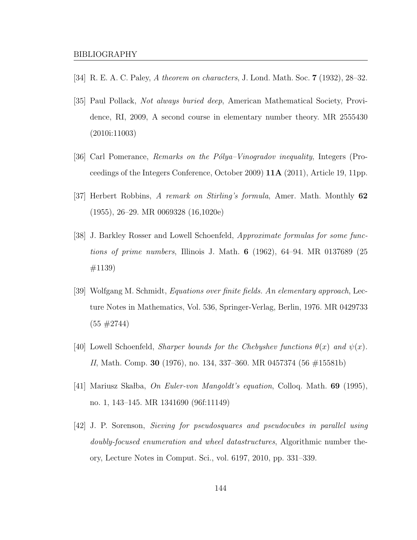- [34] R. E. A. C. Paley, A theorem on characters, J. Lond. Math. Soc. **7** (1932), 28–32.
- [35] Paul Pollack, Not always buried deep, American Mathematical Society, Providence, RI, 2009, A second course in elementary number theory. MR 2555430 (2010i:11003)
- [36] Carl Pomerance, Remarks on the Pólya–Vinogradov inequality, Integers (Proceedings of the Integers Conference, October 2009) 11A (2011), Article 19, 11pp.
- [37] Herbert Robbins, A remark on Stirling's formula, Amer. Math. Monthly 62 (1955), 26–29. MR 0069328 (16,1020e)
- [38] J. Barkley Rosser and Lowell Schoenfeld, Approximate formulas for some functions of prime numbers, Illinois J. Math.  $6$  (1962), 64–94. MR 0137689 (25 #1139)
- [39] Wolfgang M. Schmidt, Equations over finite fields. An elementary approach, Lecture Notes in Mathematics, Vol. 536, Springer-Verlag, Berlin, 1976. MR 0429733  $(55 \#2744)$
- [40] Lowell Schoenfeld, *Sharper bounds for the Chebyshev functions*  $\theta(x)$  and  $\psi(x)$ . II, Math. Comp. 30 (1976), no. 134, 337–360. MR 0457374 (56 #15581b)
- [41] Mariusz Skalba, On Euler-von Mangoldt's equation, Colloq. Math. 69 (1995), no. 1, 143–145. MR 1341690 (96f:11149)
- [42] J. P. Sorenson, Sieving for pseudosquares and pseudocubes in parallel using doubly-focused enumeration and wheel datastructures, Algorithmic number theory, Lecture Notes in Comput. Sci., vol. 6197, 2010, pp. 331–339.